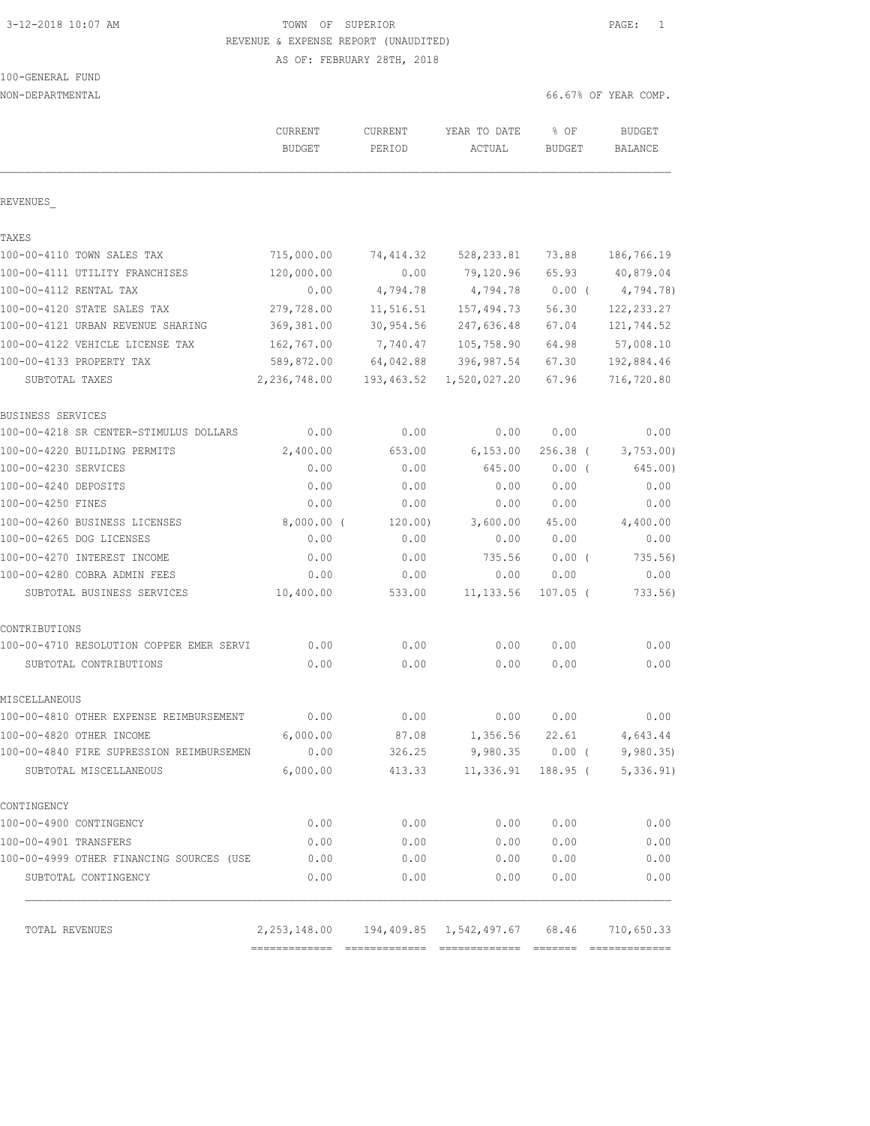# 3-12-2018 10:07 AM TOWN OF SUPERIOR PAGE: 1 REVENUE & EXPENSE REPORT (UNAUDITED)

AS OF: FEBRUARY 28TH, 2018

100-GENERAL FUND

| NON-DEPARTMENTAL                         |                                 |                   |                                               |                       | 66.67% OF YEAR COMP.     |
|------------------------------------------|---------------------------------|-------------------|-----------------------------------------------|-----------------------|--------------------------|
|                                          | <b>CURRENT</b><br><b>BUDGET</b> | CURRENT<br>PERIOD | YEAR TO DATE<br>ACTUAL                        | % OF<br><b>BUDGET</b> | <b>BUDGET</b><br>BALANCE |
| REVENUES                                 |                                 |                   |                                               |                       |                          |
| TAXES                                    |                                 |                   |                                               |                       |                          |
| 100-00-4110 TOWN SALES TAX               | 715,000.00                      | 74, 414.32        | 528, 233.81                                   | 73.88                 | 186,766.19               |
| 100-00-4111 UTILITY FRANCHISES           | 120,000.00                      | 0.00              | 79,120.96                                     | 65.93                 | 40,879.04                |
| 100-00-4112 RENTAL TAX                   | 0.00                            | 4,794.78          | 4,794.78                                      | $0.00$ (              | 4,794.78)                |
| 100-00-4120 STATE SALES TAX              | 279,728.00                      | 11,516.51         | 157,494.73                                    | 56.30                 | 122, 233.27              |
| 100-00-4121 URBAN REVENUE SHARING        | 369,381.00                      | 30,954.56         | 247,636.48                                    | 67.04                 | 121,744.52               |
| 100-00-4122 VEHICLE LICENSE TAX          | 162,767.00                      | 7,740.47          | 105,758.90                                    | 64.98                 | 57,008.10                |
| 100-00-4133 PROPERTY TAX                 | 589,872.00                      | 64,042.88         | 396, 987.54                                   | 67.30                 | 192,884.46               |
| SUBTOTAL TAXES                           | 2,236,748.00                    | 193,463.52        | 1,520,027.20                                  | 67.96                 | 716,720.80               |
| BUSINESS SERVICES                        |                                 |                   |                                               |                       |                          |
| 100-00-4218 SR CENTER-STIMULUS DOLLARS   | 0.00                            | 0.00              | 0.00                                          | 0.00                  | 0.00                     |
| 100-00-4220 BUILDING PERMITS             | 2,400.00                        | 653.00            | 6, 153.00                                     | $256.38$ (            | 3,753.00                 |
| 100-00-4230 SERVICES                     | 0.00                            | 0.00              | 645.00                                        | $0.00$ (              | 645.00)                  |
| 100-00-4240 DEPOSITS                     | 0.00                            | 0.00              | 0.00                                          | 0.00                  | 0.00                     |
| 100-00-4250 FINES                        | 0.00                            | 0.00              | 0.00                                          | 0.00                  | 0.00                     |
| 100-00-4260 BUSINESS LICENSES            | 8,000.00 (                      | 120.00)           | 3,600.00                                      | 45.00                 | 4,400.00                 |
| 100-00-4265 DOG LICENSES                 | 0.00                            | 0.00              | 0.00                                          | 0.00                  | 0.00                     |
| 100-00-4270 INTEREST INCOME              | 0.00                            | 0.00              | 735.56                                        | $0.00$ (              | 735.56)                  |
| 100-00-4280 COBRA ADMIN FEES             | 0.00                            | 0.00              | 0.00                                          | 0.00                  | 0.00                     |
| SUBTOTAL BUSINESS SERVICES               | 10,400.00                       | 533.00            | 11, 133.56                                    | $107.05$ (            | 733.56                   |
| CONTRIBUTIONS                            |                                 |                   |                                               |                       |                          |
| 100-00-4710 RESOLUTION COPPER EMER SERVI | 0.00                            | 0.00              | 0.00                                          | 0.00                  | 0.00                     |
| SUBTOTAL CONTRIBUTIONS                   | 0.00                            | 0.00              | 0.00                                          | 0.00                  | 0.00                     |
| MISCELLANEOUS                            |                                 |                   |                                               |                       |                          |
| 100-00-4810 OTHER EXPENSE REIMBURSEMENT  | 0.00                            | 0.00              | 0.00                                          | 0.00                  | 0.00                     |
| 100-00-4820 OTHER INCOME                 | 6,000.00                        | 87.08             | 1,356.56 22.61                                |                       | 4,643.44                 |
| 100-00-4840 FIRE SUPRESSION REIMBURSEMEN | 0.00                            | 326.25            | 9,980.35 0.00 (                               |                       | 9,980.35                 |
| SUBTOTAL MISCELLANEOUS                   | 6,000.00                        | 413.33            | 11,336.91                                     | 188.95 (              | 5,336.91)                |
| CONTINGENCY                              |                                 |                   |                                               |                       |                          |
| 100-00-4900 CONTINGENCY                  | 0.00                            | 0.00              | 0.00                                          | 0.00                  | 0.00                     |
| 100-00-4901 TRANSFERS                    | 0.00                            | 0.00              | 0.00                                          | 0.00                  | 0.00                     |
| 100-00-4999 OTHER FINANCING SOURCES (USE | 0.00                            | 0.00              | 0.00                                          | 0.00                  | 0.00                     |
| SUBTOTAL CONTINGENCY                     | 0.00                            | 0.00              | 0.00                                          | 0.00                  | 0.00                     |
| TOTAL REVENUES                           |                                 |                   | 2,253,148.00  194,409.85  1,542,497.67  68.46 |                       | 710,650.33               |
|                                          |                                 |                   |                                               |                       |                          |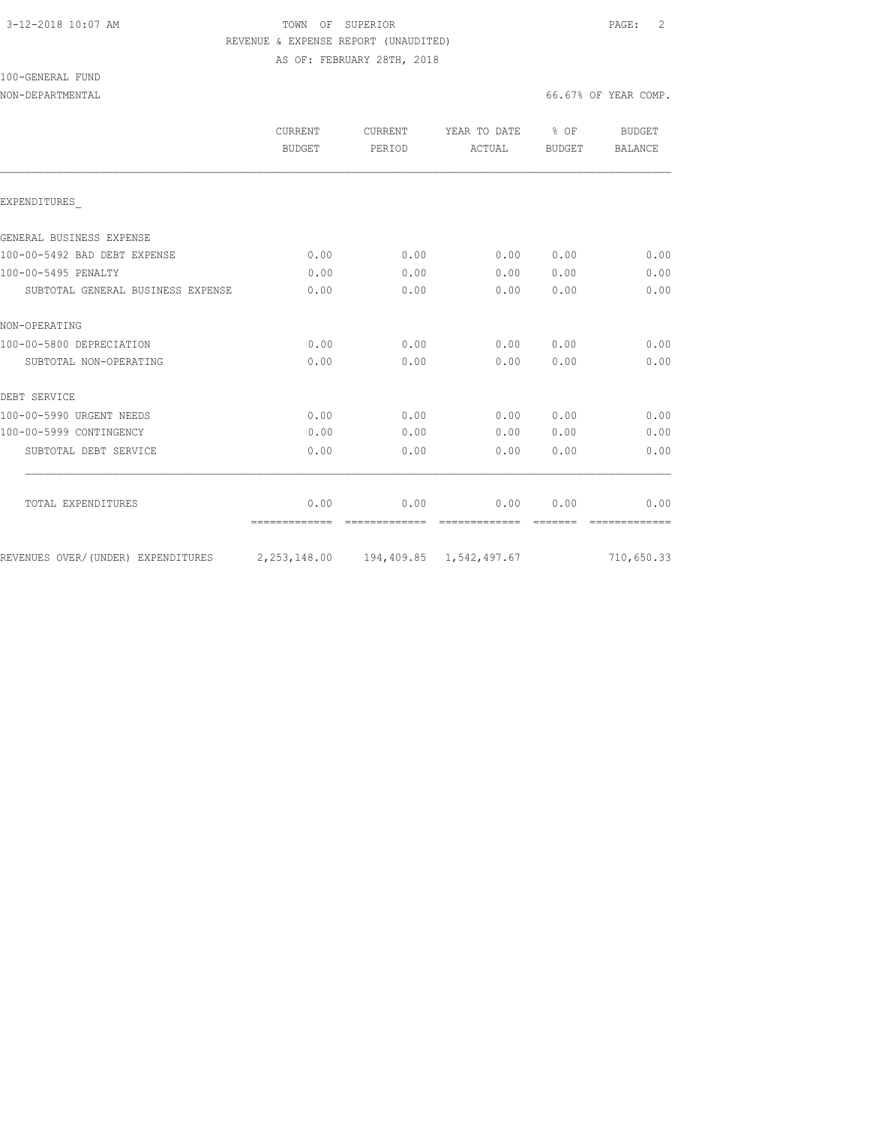## 3-12-2018 10:07 AM TOWN OF SUPERIOR PAGE: 2 REVENUE & EXPENSE REPORT (UNAUDITED) AS OF: FEBRUARY 28TH, 2018

100-GENERAL FUND

| CURRENT<br><b>BUDGET</b> | CURRENT<br>PERIOD | YEAR TO DATE<br>ACTUAL | % OF<br>BUDGET | BUDGET<br><b>BALANCE</b> |
|--------------------------|-------------------|------------------------|----------------|--------------------------|
|                          |                   |                        |                |                          |
|                          |                   |                        |                |                          |
|                          |                   |                        |                |                          |
|                          |                   |                        |                | 0.00                     |
| 0.00                     | 0.00              | 0.00                   | 0.00           | 0.00                     |
| 0.00                     | 0.00              | 0.00                   | 0.00           | 0.00                     |
|                          |                   |                        |                |                          |
| 0.00                     | 0.00              | 0.00                   | 0.00           | 0.00                     |
| 0.00                     | 0.00              | 0.00                   | 0.00           | 0.00                     |
|                          |                   |                        |                |                          |
| 0.00                     | 0.00              | 0.00                   | 0.00           | 0.00                     |
| 0.00                     | 0.00              | 0.00                   | 0.00           | 0.00                     |
| 0.00                     | 0.00              | 0.00                   | 0.00           | 0.00                     |
|                          |                   |                        |                |                          |
| 0.00<br>=============    | 0.00              | 0.00                   | 0.00           | 0.00                     |
|                          |                   |                        |                | 710,650.33               |
|                          | 0.00              | 0.00                   | 0.00           | 0.00                     |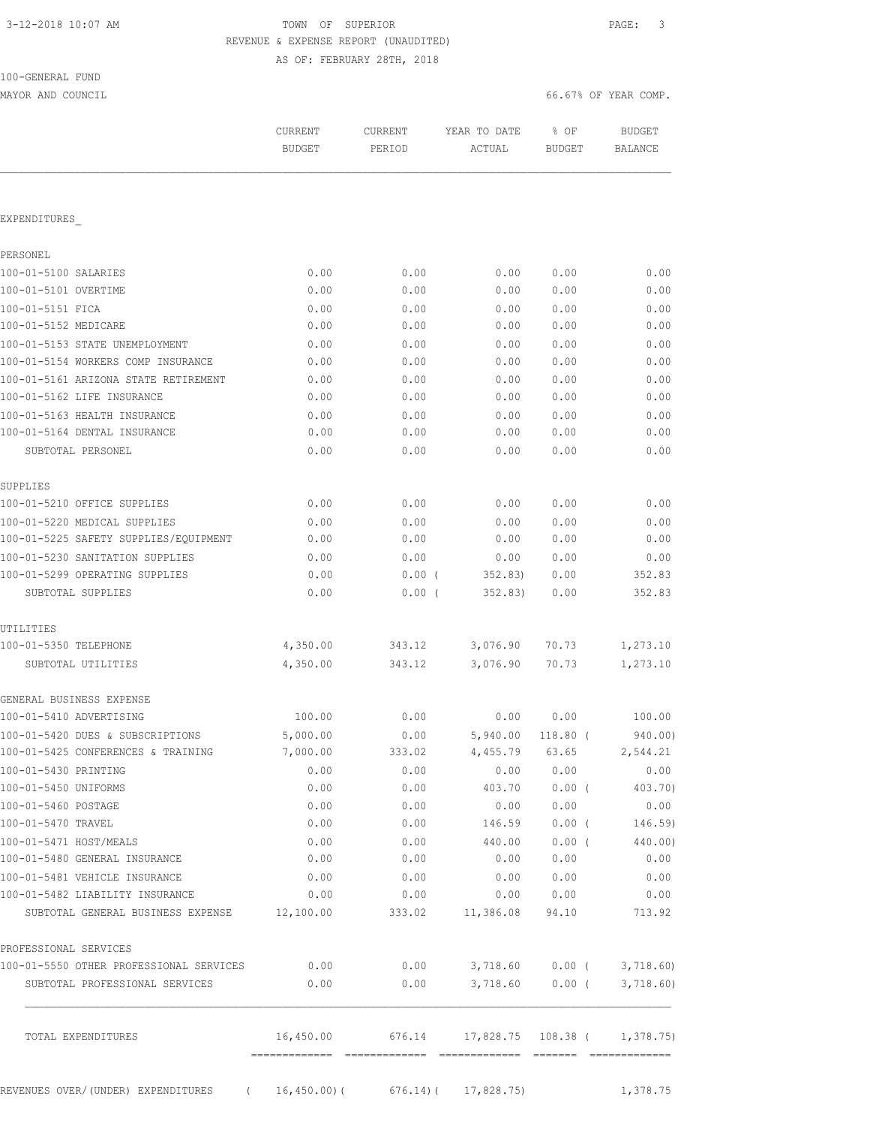100-GENERAL FUND

## TOWN OF SUPERIOR **Example 20:07 AM TOWN OF SUPERIOR**  REVENUE & EXPENSE REPORT (UNAUDITED) AS OF: FEBRUARY 28TH, 2018

MAYOR AND COUNCIL COUNCIL COUNCIL COMP.

|                                                                          | <b>CURRENT</b><br><b>BUDGET</b> | CURRENT<br>PERIOD | YEAR TO DATE<br>ACTUAL                   | % OF<br><b>BUDGET</b> | <b>BUDGET</b><br><b>BALANCE</b>  |
|--------------------------------------------------------------------------|---------------------------------|-------------------|------------------------------------------|-----------------------|----------------------------------|
| EXPENDITURES                                                             |                                 |                   |                                          |                       |                                  |
|                                                                          |                                 |                   |                                          |                       |                                  |
| PERSONEL                                                                 |                                 |                   |                                          |                       |                                  |
| 100-01-5100 SALARIES                                                     | 0.00                            | 0.00              | 0.00                                     | 0.00                  | 0.00                             |
| 100-01-5101 OVERTIME                                                     | 0.00                            | 0.00              | 0.00                                     | 0.00                  | 0.00                             |
| 100-01-5151 FICA                                                         | 0.00                            | 0.00              | 0.00                                     | 0.00                  | 0.00                             |
| 100-01-5152 MEDICARE                                                     | 0.00                            | 0.00              | 0.00                                     | 0.00                  | 0.00                             |
| 100-01-5153 STATE UNEMPLOYMENT<br>100-01-5154 WORKERS COMP INSURANCE     | 0.00<br>0.00                    | 0.00<br>0.00      | 0.00<br>0.00                             | 0.00<br>0.00          | 0.00<br>0.00                     |
|                                                                          |                                 |                   |                                          |                       |                                  |
| 100-01-5161 ARIZONA STATE RETIREMENT<br>100-01-5162 LIFE INSURANCE       | 0.00<br>0.00                    | 0.00<br>0.00      | 0.00<br>0.00                             | 0.00<br>0.00          | 0.00<br>0.00                     |
| 100-01-5163 HEALTH INSURANCE                                             | 0.00                            | 0.00              | 0.00                                     | 0.00                  | 0.00                             |
| 100-01-5164 DENTAL INSURANCE                                             | 0.00                            | 0.00              | 0.00                                     | 0.00                  | 0.00                             |
| SUBTOTAL PERSONEL                                                        | 0.00                            | 0.00              | 0.00                                     | 0.00                  | 0.00                             |
|                                                                          |                                 |                   |                                          |                       |                                  |
| SUPPLIES                                                                 |                                 |                   |                                          |                       |                                  |
| 100-01-5210 OFFICE SUPPLIES                                              | 0.00                            | 0.00              | 0.00                                     | 0.00                  | 0.00                             |
| 100-01-5220 MEDICAL SUPPLIES                                             | 0.00                            | 0.00              | 0.00                                     | 0.00                  | 0.00                             |
| 100-01-5225 SAFETY SUPPLIES/EQUIPMENT<br>100-01-5230 SANITATION SUPPLIES | 0.00                            | 0.00              | 0.00                                     | 0.00                  | 0.00<br>0.00                     |
| 100-01-5299 OPERATING SUPPLIES                                           | 0.00<br>0.00                    | 0.00<br>$0.00$ (  | 0.00<br>352.83)                          | 0.00<br>0.00          | 352.83                           |
| SUBTOTAL SUPPLIES                                                        | 0.00                            | 0.00(             | 352.83)                                  | 0.00                  | 352.83                           |
|                                                                          |                                 |                   |                                          |                       |                                  |
| UTILITIES<br>100-01-5350 TELEPHONE                                       | 4,350.00                        | 343.12            | 3,076.90                                 | 70.73                 | 1,273.10                         |
| SUBTOTAL UTILITIES                                                       | 4,350.00                        | 343.12            | 3,076.90                                 | 70.73                 | 1,273.10                         |
| GENERAL BUSINESS EXPENSE                                                 |                                 |                   |                                          |                       |                                  |
| 100-01-5410 ADVERTISING                                                  | 100.00                          | 0.00              | 0.00                                     | 0.00                  | 100.00                           |
| 100-01-5420 DUES & SUBSCRIPTIONS                                         | 5,000.00                        | 0.00              | 5,940.00                                 | 118.80 (              | 940.00)                          |
| 100-01-5425 CONFERENCES & TRAINING                                       | 7,000.00                        | 333.02            | 4,455.79                                 | 63.65                 | 2,544.21                         |
| 100-01-5430 PRINTING                                                     | 0.00                            | 0.00              | 0.00                                     | 0.00                  | 0.00                             |
| 100-01-5450 UNIFORMS                                                     | 0.00                            | 0.00              | 403.70                                   | $0.00$ (              | 403.70)                          |
| 100-01-5460 POSTAGE                                                      | 0.00                            | 0.00              | 0.00                                     | 0.00                  | 0.00                             |
| 100-01-5470 TRAVEL                                                       | 0.00                            | 0.00              | 146.59                                   | $0.00$ (              | 146.59)                          |
| 100-01-5471 HOST/MEALS                                                   | 0.00                            | 0.00              | 440.00                                   | $0.00$ (              | 440.00)                          |
| 100-01-5480 GENERAL INSURANCE                                            | 0.00                            | 0.00              | 0.00                                     | 0.00                  | 0.00                             |
| 100-01-5481 VEHICLE INSURANCE                                            | 0.00                            | 0.00              | 0.00                                     | 0.00                  | 0.00                             |
| 100-01-5482 LIABILITY INSURANCE                                          | 0.00                            | 0.00              | 0.00                                     | 0.00                  | 0.00                             |
| SUBTOTAL GENERAL BUSINESS EXPENSE 12,100.00                              |                                 | 333.02            | 11,386.08                                | 94.10                 | 713.92                           |
| PROFESSIONAL SERVICES                                                    |                                 |                   |                                          |                       |                                  |
| 100-01-5550 OTHER PROFESSIONAL SERVICES                                  | 0.00                            |                   | $0.00$ $3,718.60$ $0.00$ $($ $3,718.60)$ |                       |                                  |
| SUBTOTAL PROFESSIONAL SERVICES                                           | 0.00                            | 0.00              | 3,718.60                                 |                       | $0.00$ ( 3,718.60)               |
| TOTAL EXPENDITURES                                                       | 16,450.00                       | 676.14            |                                          |                       | $17,828.75$ $108.38$ ( 1,378.75) |
|                                                                          |                                 |                   |                                          |                       |                                  |
| REVENUES OVER/(UNDER) EXPENDITURES<br>$\left($                           | 16,450.00)(                     |                   | $676.14$ ( $17,828.75$ )                 |                       | 1,378.75                         |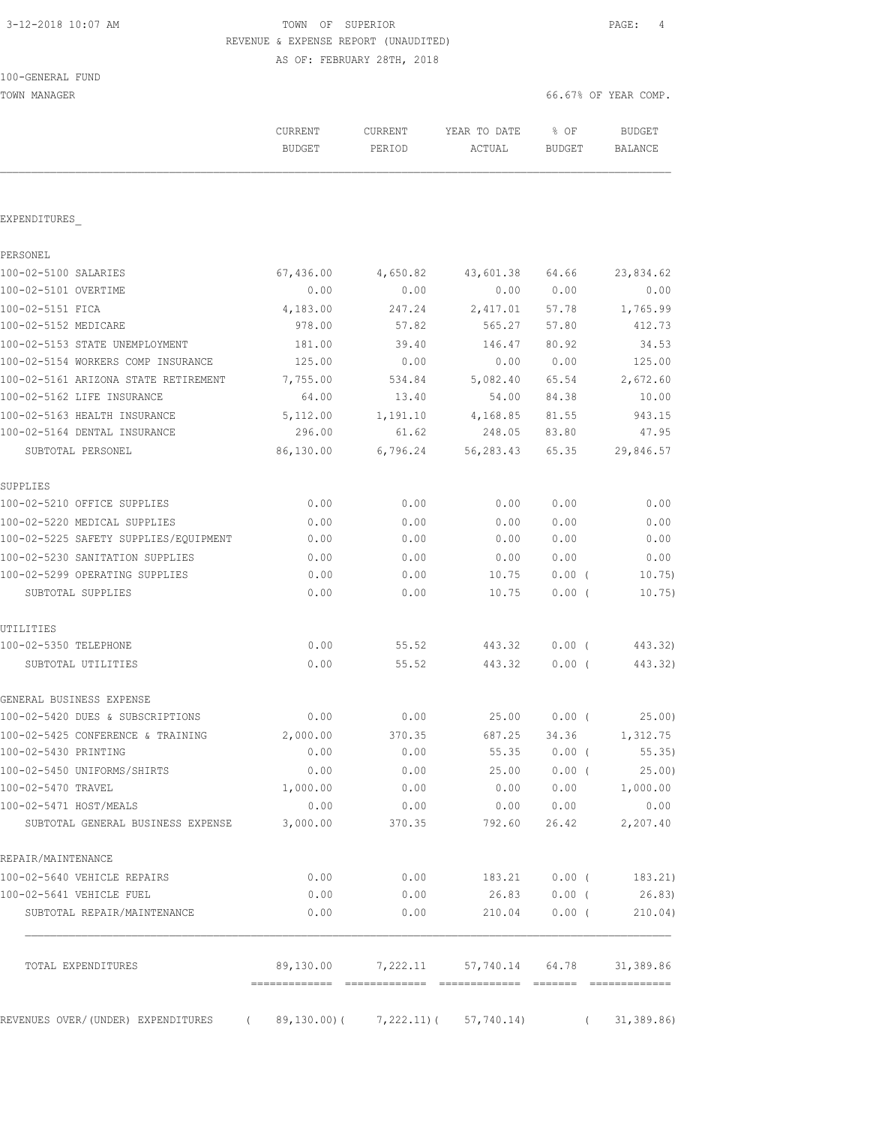100-GENERAL FUND

## 3-12-2018 10:07 AM TOWN OF SUPERIOR PAGE: 4 REVENUE & EXPENSE REPORT (UNAUDITED) AS OF: FEBRUARY 28TH, 2018

| TOWN MANAGER                                    |                          |                   |                              | 66.67% OF YEAR COMP. |                      |
|-------------------------------------------------|--------------------------|-------------------|------------------------------|----------------------|----------------------|
|                                                 | CURRENT<br><b>BUDGET</b> | CURRENT<br>PERIOD | YEAR TO DATE<br>ACTUAL       | % OF<br>BUDGET       | BUDGET<br>BALANCE    |
|                                                 |                          |                   |                              |                      |                      |
| EXPENDITURES                                    |                          |                   |                              |                      |                      |
| PERSONEL                                        |                          |                   |                              |                      |                      |
| 100-02-5100 SALARIES                            | 67,436.00                | 4,650.82          | 43,601.38                    | 64.66                | 23,834.62            |
| 100-02-5101 OVERTIME                            | 0.00                     | 0.00              | 0.00                         | 0.00                 | 0.00                 |
| 100-02-5151 FICA                                | 4,183.00                 | 247.24            | 2,417.01                     | 57.78                | 1,765.99             |
| 100-02-5152 MEDICARE                            | 978.00                   | 57.82             | 565.27                       | 57.80                | 412.73               |
| 100-02-5153 STATE UNEMPLOYMENT                  | 181.00                   | 39.40             | 146.47                       | 80.92                | 34.53                |
| 100-02-5154 WORKERS COMP INSURANCE              | 125.00                   | 0.00              | 0.00                         | 0.00                 | 125.00               |
| 100-02-5161 ARIZONA STATE RETIREMENT            | 7,755.00                 | 534.84            | 5,082.40                     | 65.54                | 2,672.60             |
| 100-02-5162 LIFE INSURANCE                      | 64.00                    | 13.40             | 54.00                        | 84.38                | 10.00                |
| 100-02-5163 HEALTH INSURANCE                    | 5,112.00                 | 1,191.10          | 4,168.85                     | 81.55                | 943.15               |
| 100-02-5164 DENTAL INSURANCE                    | 296.00                   | 61.62             | 248.05                       | 83.80                | 47.95                |
| SUBTOTAL PERSONEL                               | 86,130.00                | 6,796.24          | 56,283.43                    | 65.35                | 29,846.57            |
| SUPPLIES                                        |                          |                   |                              |                      |                      |
| 100-02-5210 OFFICE SUPPLIES                     | 0.00                     | 0.00              | 0.00                         | 0.00                 | 0.00                 |
| 100-02-5220 MEDICAL SUPPLIES                    | 0.00                     | 0.00              | 0.00                         | 0.00                 | 0.00                 |
| 100-02-5225 SAFETY SUPPLIES/EQUIPMENT           | 0.00                     | 0.00              | 0.00                         | 0.00                 | 0.00                 |
| 100-02-5230 SANITATION SUPPLIES                 | 0.00                     | 0.00              | 0.00                         | 0.00                 | 0.00                 |
| 100-02-5299 OPERATING SUPPLIES                  | 0.00                     | 0.00              | 10.75                        | 0.00(                | 10.75)               |
| SUBTOTAL SUPPLIES                               | 0.00                     | 0.00              | 10.75                        | 0.00(                | 10.75)               |
| UTILITIES                                       |                          |                   |                              |                      |                      |
| 100-02-5350 TELEPHONE                           | 0.00                     | 55.52             | 443.32                       | $0.00$ (             | 443.32)              |
| SUBTOTAL UTILITIES                              | 0.00                     | 55.52             | 443.32                       | $0.00$ (             | 443.32)              |
| GENERAL BUSINESS EXPENSE                        |                          |                   |                              |                      |                      |
| 100-02-5420 DUES & SUBSCRIPTIONS                | 0.00                     | 0.00              | 25.00                        | 0.00(                | 25.00                |
| 100-02-5425 CONFERENCE & TRAINING               | 2,000.00                 | 370.35            | 687.25                       | 34.36                | 1,312.75             |
| 100-02-5430 PRINTING                            | 0.00                     | 0.00              | 55.35                        | $0.00$ (             | 55.35)               |
| 100-02-5450 UNIFORMS/SHIRTS                     | 0.00                     | 0.00              | 25.00                        | $0.00$ (             | 25.00                |
| 100-02-5470 TRAVEL                              | 1,000.00                 | 0.00              | 0.00                         | 0.00                 | 1,000.00             |
| 100-02-5471 HOST/MEALS                          | 0.00                     | 0.00              | 0.00                         | 0.00                 | 0.00                 |
| SUBTOTAL GENERAL BUSINESS EXPENSE               | 3,000.00                 | 370.35            | 792.60                       | 26.42                | 2,207.40             |
| REPAIR/MAINTENANCE                              |                          |                   |                              |                      |                      |
| 100-02-5640 VEHICLE REPAIRS                     | 0.00                     | 0.00              |                              |                      | 183.21 0.00 (183.21) |
| 100-02-5641 VEHICLE FUEL                        | 0.00                     | 0.00              | 26.83 0.00 (                 |                      | 26.83)               |
| SUBTOTAL REPAIR/MAINTENANCE                     | 0.00                     | 0.00              | 210.04                       | $0.00$ (             | 210.04)              |
| TOTAL EXPENDITURES                              |                          |                   | 89,130.00 7,222.11 57,740.14 | 64.78                | 31,389.86            |
|                                                 |                          |                   |                              |                      |                      |
| REVENUES OVER/ (UNDER) EXPENDITURES<br>$\left($ | 89,130.00)(              |                   | $7,222.11$ ( $57,740.14$ )   | $\sqrt{2}$           | 31, 389.86           |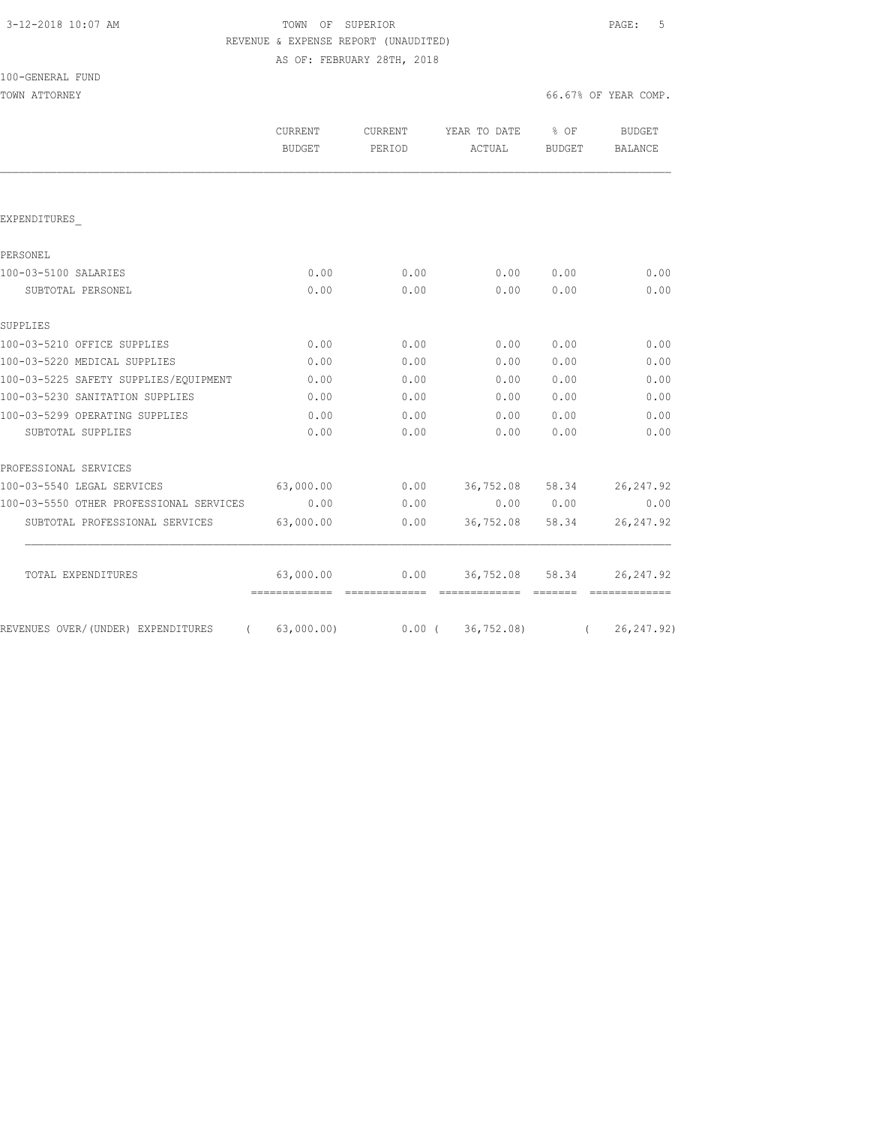|  | 3-12-2018 10:07 AM |  |
|--|--------------------|--|
|  |                    |  |

## TOWN OF SUPERIOR **12-2018 10:07 PAGE:** 5 REVENUE & EXPENSE REPORT (UNAUDITED) AS OF: FEBRUARY 28TH, 2018

| 100-GENERAL FUND |  |
|------------------|--|
|                  |  |

| TOWN ATTORNEY                           |                                 |                   |                        |                         | 66.67% OF YEAR COMP. |
|-----------------------------------------|---------------------------------|-------------------|------------------------|-------------------------|----------------------|
|                                         | <b>CURRENT</b><br><b>BUDGET</b> | CURRENT<br>PERIOD | YEAR TO DATE<br>ACTUAL | $8$ OF<br><b>BUDGET</b> | BUDGET<br>BALANCE    |
|                                         |                                 |                   |                        |                         |                      |
| EXPENDITURES                            |                                 |                   |                        |                         |                      |
| PERSONEL                                |                                 |                   |                        |                         |                      |
| 100-03-5100 SALARIES                    | 0.00                            | 0.00              | 0.00                   | 0.00                    | 0.00                 |
| SUBTOTAL PERSONEL                       | 0.00                            | 0.00              | 0.00                   | 0.00                    | 0.00                 |
| SUPPLIES                                |                                 |                   |                        |                         |                      |
| 100-03-5210 OFFICE SUPPLIES             | 0.00                            | 0.00              | 0.00                   | 0.00                    | 0.00                 |
| 100-03-5220 MEDICAL SUPPLIES            | 0.00                            | 0.00              | 0.00                   | 0.00                    | 0.00                 |
| 100-03-5225 SAFETY SUPPLIES/EQUIPMENT   | 0.00                            | 0.00              | 0.00                   | 0.00                    | 0.00                 |
| 100-03-5230 SANITATION SUPPLIES         | 0.00                            | 0.00              | 0.00                   | 0.00                    | 0.00                 |
| 100-03-5299 OPERATING SUPPLIES          | 0.00                            | 0.00              | 0.00                   | 0.00                    | 0.00                 |
| SUBTOTAL SUPPLIES                       | 0.00                            | 0.00              | 0.00                   | 0.00                    | 0.00                 |
| PROFESSIONAL SERVICES                   |                                 |                   |                        |                         |                      |
| 100-03-5540 LEGAL SERVICES              | 63,000.00                       | 0.00              | 36,752.08 58.34        |                         | 26, 247.92           |
| 100-03-5550 OTHER PROFESSIONAL SERVICES | 0.00                            | 0.00              | 0.00                   | 0.00                    | 0.00                 |
| SUBTOTAL PROFESSIONAL SERVICES          | 63,000.00                       | 0.00              | 36,752.08              | 58.34                   | 26, 247.92           |
| TOTAL EXPENDITURES                      | 63,000.00                       | 0.00              | 36,752.08 58.34        |                         | 26, 247.92           |
|                                         | =============                   |                   | -------------- ------  |                         |                      |

REVENUES OVER/(UNDER) EXPENDITURES ( 63,000.00) 0.00 ( 36,752.08) ( 26,247.92)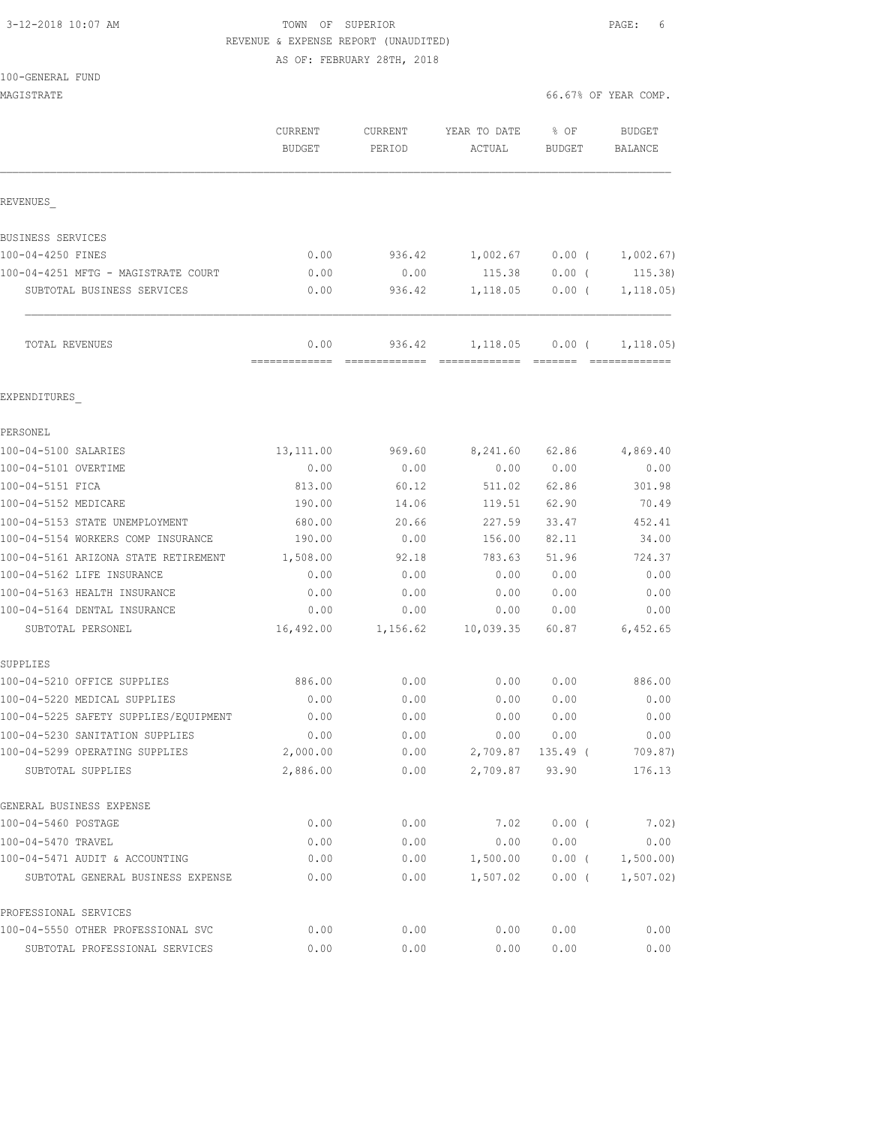# 3-12-2018 10:07 AM TOWN OF SUPERIOR PAGE: 6 REVENUE & EXPENSE REPORT (UNAUDITED)

AS OF: FEBRUARY 28TH, 2018

| MAGISTRATE                              |                                 |                                 |                        | 66.67% OF YEAR COMP.  |                                 |
|-----------------------------------------|---------------------------------|---------------------------------|------------------------|-----------------------|---------------------------------|
|                                         | <b>CURRENT</b><br><b>BUDGET</b> | CURRENT<br>PERIOD               | YEAR TO DATE<br>ACTUAL | % OF<br><b>BUDGET</b> | <b>BUDGET</b><br><b>BALANCE</b> |
| REVENUES                                |                                 |                                 |                        |                       |                                 |
| BUSINESS SERVICES                       |                                 |                                 |                        |                       |                                 |
| 100-04-4250 FINES                       | 0.00                            | 936.42                          | 1,002.67               | $0.00$ (              | 1,002.67)                       |
| 100-04-4251 MFTG - MAGISTRATE COURT     | 0.00                            | 0.00                            | 115.38                 | $0.00$ (              | 115.38)                         |
| SUBTOTAL BUSINESS SERVICES              | 0.00                            | 936.42                          | 1,118.05               | $0.00$ (              | 1, 118.05)                      |
| TOTAL REVENUES                          | 0.00<br>=============           | 936.42<br>-------------- ------ | 1,118.05               | $0.00$ (<br>--------  | 1, 118.05)                      |
| EXPENDITURES                            |                                 |                                 |                        |                       |                                 |
| PERSONEL                                |                                 |                                 |                        |                       |                                 |
| 100-04-5100 SALARIES                    | 13,111.00                       | 969.60                          | 8,241.60               | 62.86                 | 4,869.40                        |
| 100-04-5101 OVERTIME                    | 0.00                            | 0.00                            | 0.00                   | 0.00                  | 0.00                            |
| 100-04-5151 FICA                        | 813.00                          | 60.12                           | 511.02                 | 62.86                 | 301.98                          |
| 100-04-5152 MEDICARE                    | 190.00                          | 14.06                           | 119.51                 | 62.90                 | 70.49                           |
| 100-04-5153 STATE UNEMPLOYMENT          | 680.00                          | 20.66                           | 227.59                 | 33.47                 | 452.41                          |
| 100-04-5154 WORKERS COMP INSURANCE      | 190.00                          | 0.00                            | 156.00                 | 82.11                 | 34.00                           |
| 100-04-5161 ARIZONA STATE RETIREMENT    | 1,508.00                        | 92.18                           | 783.63                 | 51.96                 | 724.37                          |
| 100-04-5162 LIFE INSURANCE              | 0.00                            | 0.00                            | 0.00                   | 0.00                  | 0.00                            |
| 100-04-5163 HEALTH INSURANCE            | 0.00                            | 0.00                            | 0.00                   | 0.00                  | 0.00                            |
| 100-04-5164 DENTAL INSURANCE            | 0.00                            | 0.00                            | 0.00                   | 0.00                  | 0.00                            |
| SUBTOTAL PERSONEL                       | 16,492.00                       | 1,156.62                        | 10,039.35              | 60.87                 | 6,452.65                        |
| SUPPLIES<br>100-04-5210 OFFICE SUPPLIES | 886.00                          | 0.00                            | 0.00                   | 0.00                  | 886.00                          |
| 100-04-5220 MEDICAL SUPPLIES            | 0.00                            | 0.00                            | 0.00                   | 0.00                  | 0.00                            |
| 100-04-5225 SAFETY SUPPLIES/EQUIPMENT   | 0.00                            | 0.00                            | 0.00                   | 0.00                  | 0.00                            |
| 100-04-5230 SANITATION SUPPLIES         | 0.00                            | 0.00                            | 0.00                   | 0.00                  | 0.00                            |
| 100-04-5299 OPERATING SUPPLIES          | 2,000.00                        | 0.00                            | 2,709.87               | 135.49 (              | 709.87)                         |
| SUBTOTAL SUPPLIES                       | 2,886.00                        | 0.00                            | 2,709.87               | 93.90                 | 176.13                          |
| GENERAL BUSINESS EXPENSE                |                                 |                                 |                        |                       |                                 |
| 100-04-5460 POSTAGE                     | 0.00                            | 0.00                            | 7.02                   | 0.00(                 | 7.02)                           |
| 100-04-5470 TRAVEL                      | 0.00                            | 0.00                            | 0.00                   | 0.00                  | 0.00                            |
| 100-04-5471 AUDIT & ACCOUNTING          | 0.00                            | 0.00                            | 1,500.00               | $0.00$ (              | 1,500.00)                       |
| SUBTOTAL GENERAL BUSINESS EXPENSE       | 0.00                            | 0.00                            | 1,507.02               | $0.00$ (              | 1, 507.02                       |
| PROFESSIONAL SERVICES                   |                                 |                                 |                        |                       |                                 |
| 100-04-5550 OTHER PROFESSIONAL SVC      | 0.00                            | 0.00                            | 0.00                   | 0.00                  | 0.00                            |
| SUBTOTAL PROFESSIONAL SERVICES          | 0.00                            | 0.00                            | 0.00                   | 0.00                  | 0.00                            |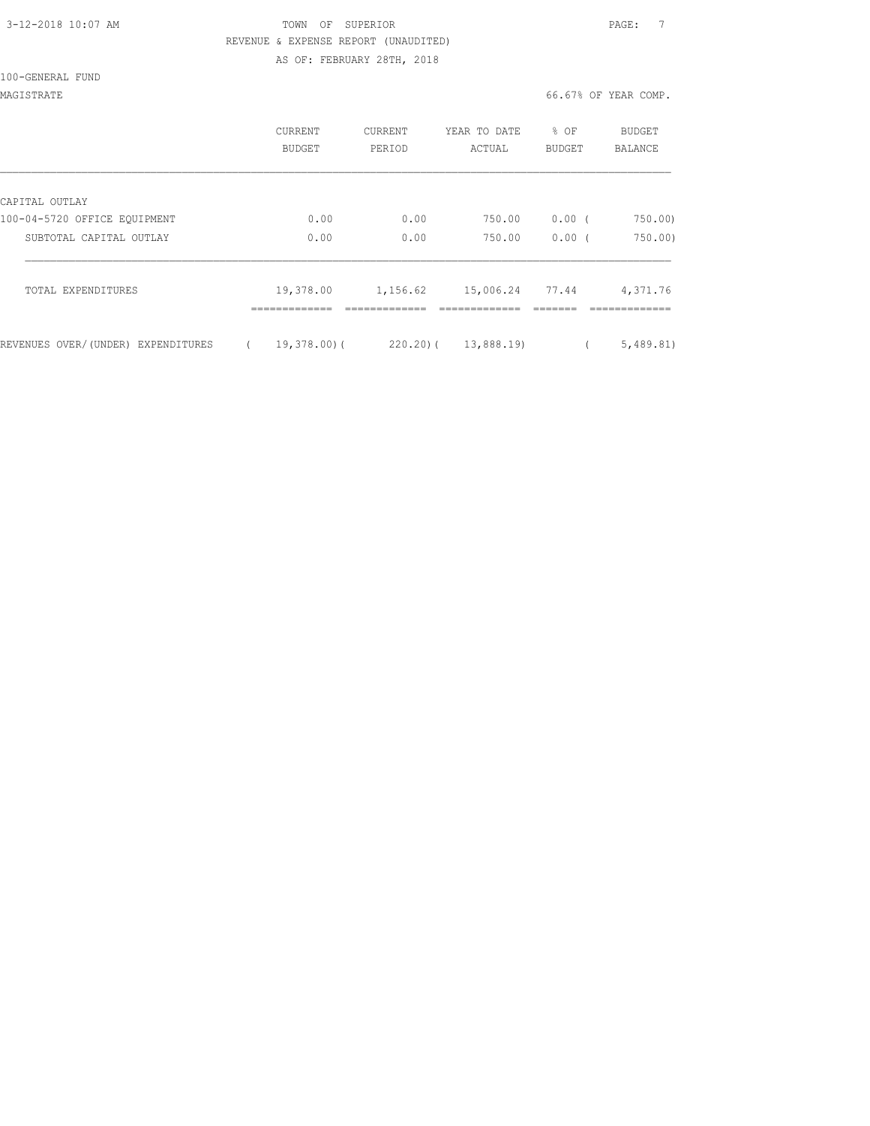### 3-12-2018 10:07 AM TOWN OF SUPERIOR PAGE: 7 REVENUE & EXPENSE REPORT (UNAUDITED) AS OF: FEBRUARY 28TH, 2018

100-GENERAL FUND

### MAGISTRATE 66.67% OF YEAR COMP.

|                                                | CURRENT<br><b>BUDGET</b> | <b>CURRENT</b><br>PERIOD | YEAR TO DATE<br>ACTUAL | % OF<br><b>BUDGET</b> | <b>BUDGET</b><br><b>BALANCE</b> |
|------------------------------------------------|--------------------------|--------------------------|------------------------|-----------------------|---------------------------------|
|                                                |                          |                          |                        |                       |                                 |
| CAPITAL OUTLAY<br>100-04-5720 OFFICE EQUIPMENT | 0.00                     | 0.00                     | 750.00                 | 0.00(                 | 750.00                          |
| SUBTOTAL CAPITAL OUTLAY                        | 0.00                     | 0.00                     | 750.00                 | 0.00(                 | 750.00                          |
|                                                |                          |                          |                        |                       |                                 |
| TOTAL EXPENDITURES                             | 19,378.00                | 1,156.62                 | 15,006.24              | 77.44                 | 4,371.76                        |
|                                                |                          |                          |                        |                       |                                 |
| REVENUES OVER/(UNDER) EXPENDITURES             | $19,378,00$ (            | $220.20$ ) (             | 13,888.19)             |                       | 5,489.81)                       |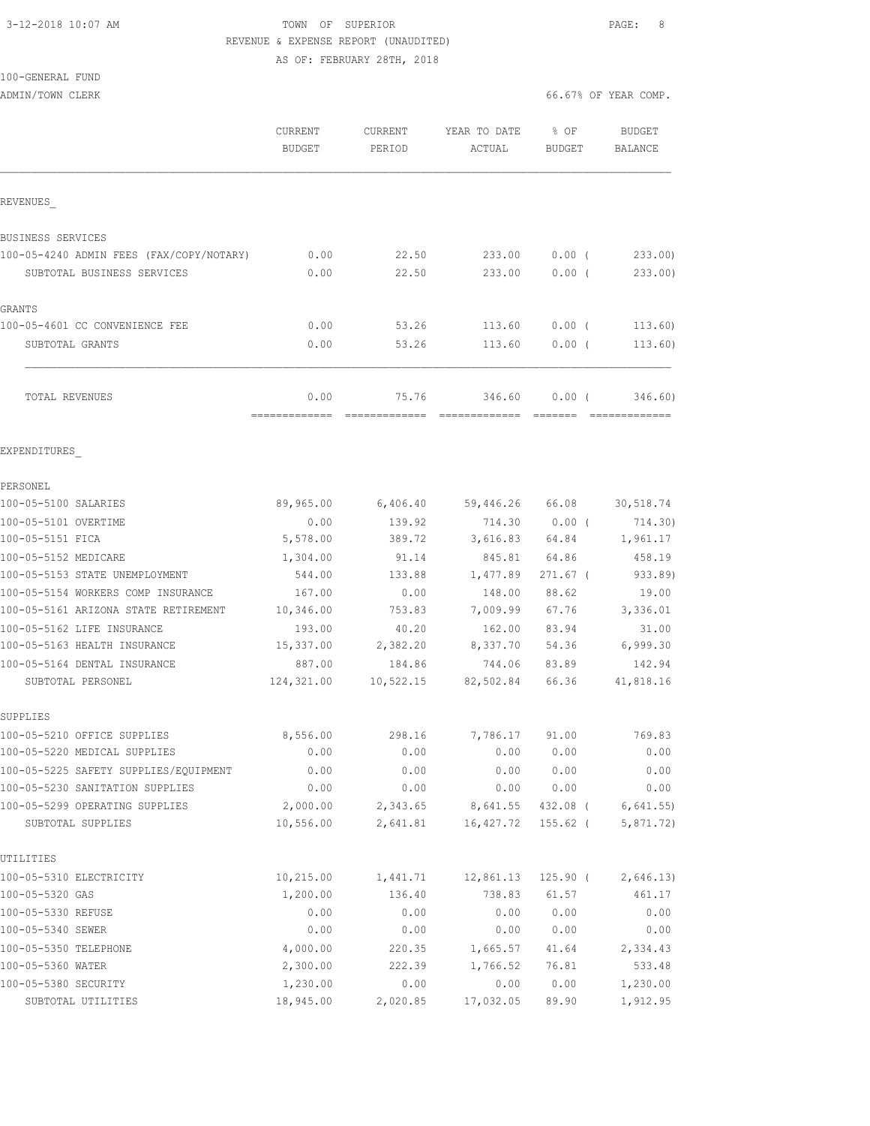## 3-12-2018 10:07 AM TOWN OF SUPERIOR PAGE: 8 REVENUE & EXPENSE REPORT (UNAUDITED) AS OF: FEBRUARY 28TH, 2018

100-GENERAL FUND

|                                                                       | CURRENT<br><b>BUDGET</b>              | CURRENT<br>PERIOD   | YEAR TO DATE<br>ACTUAL | 8 OF<br><b>BUDGET</b> | BUDGET<br>BALANCE         |
|-----------------------------------------------------------------------|---------------------------------------|---------------------|------------------------|-----------------------|---------------------------|
| REVENUES                                                              |                                       |                     |                        |                       |                           |
| <b>BUSINESS SERVICES</b>                                              |                                       |                     |                        |                       |                           |
| 100-05-4240 ADMIN FEES (FAX/COPY/NOTARY)                              | 0.00                                  | 22.50               | 233.00                 | $0.00$ (              | 233.00                    |
| SUBTOTAL BUSINESS SERVICES                                            | 0.00                                  | 22.50               | 233.00                 | 0.00(                 | 233.00                    |
| GRANTS                                                                |                                       |                     |                        |                       |                           |
| 100-05-4601 CC CONVENIENCE FEE                                        | 0.00                                  | 53.26               | 113.60                 | $0.00$ (              | 113.60)                   |
| SUBTOTAL GRANTS                                                       | 0.00                                  | 53.26               | 113.60                 | $0.00$ (              | 113.60)                   |
| <b>TOTAL REVENUES</b>                                                 | 0.00<br>-------------- -------------- | 75.76               | 346.60                 | 0.00(                 | 346.60)<br>-------------- |
| EXPENDITURES                                                          |                                       |                     |                        |                       |                           |
|                                                                       |                                       |                     |                        |                       |                           |
| PERSONEL                                                              |                                       |                     |                        |                       |                           |
| 100-05-5100 SALARIES                                                  | 89,965.00                             | 6,406.40            |                        | 59,446.26 66.08       | 30,518.74                 |
| 100-05-5101 OVERTIME                                                  | 0.00                                  | 139.92              | 714.30                 | $0.00$ (              | 714.30)                   |
| 100-05-5151 FICA                                                      | 5,578.00                              | 389.72              | 3,616.83               | 64.84                 | 1,961.17                  |
| 100-05-5152 MEDICARE                                                  | 1,304.00                              | 91.14               | 845.81                 | 64.86                 | 458.19                    |
| 100-05-5153 STATE UNEMPLOYMENT                                        | 544.00                                | 133.88              | 1,477.89               | $271.67$ (            | 933.89)                   |
| 100-05-5154 WORKERS COMP INSURANCE                                    | 167.00                                | 0.00                | 148.00                 | 88.62                 | 19.00                     |
| 100-05-5161 ARIZONA STATE RETIREMENT                                  | 10,346.00                             | 753.83              | 7,009.99               | 67.76                 | 3,336.01                  |
| 100-05-5162 LIFE INSURANCE                                            | 193.00                                | 40.20               | 162.00                 | 83.94                 | 31.00                     |
| 100-05-5163 HEALTH INSURANCE                                          | 15,337.00                             | 2,382.20            | 8,337.70               | 54.36                 | 6,999.30                  |
| 100-05-5164 DENTAL INSURANCE<br>SUBTOTAL PERSONEL                     | 887.00<br>124,321.00                  | 184.86<br>10,522.15 | 744.06<br>82,502.84    | 83.89<br>66.36        | 142.94<br>41,818.16       |
|                                                                       |                                       |                     |                        |                       |                           |
| SUPPLIES                                                              |                                       |                     |                        |                       |                           |
| 100-05-5210 OFFICE SUPPLIES                                           | 8,556.00                              | 298.16              | 7,786.17 91.00         | 0.00 0.00             | 769.83<br>0.00            |
| 100-05-5220 MEDICAL SUPPLIES<br>100-05-5225 SAFETY SUPPLIES/EQUIPMENT | 0.00                                  | 0.00                |                        |                       |                           |
| 100-05-5230 SANITATION SUPPLIES                                       | 0.00<br>0.00                          | 0.00<br>0.00        | 0.00<br>0.00           | 0.00<br>0.00          | 0.00<br>0.00              |
| 100-05-5299 OPERATING SUPPLIES                                        | 2,000.00                              | 2,343.65            | 8,641.55               | 432.08 (              | 6,641.55                  |
| SUBTOTAL SUPPLIES                                                     | 10,556.00                             | 2,641.81            | 16,427.72              | 155.62 (              | 5,871.72)                 |
| UTILITIES                                                             |                                       |                     |                        |                       |                           |
| 100-05-5310 ELECTRICITY                                               | 10, 215.00                            | 1,441.71            | 12,861.13              | $125.90$ (            | 2,646.13)                 |
| 100-05-5320 GAS                                                       | 1,200.00                              | 136.40              | 738.83                 | 61.57                 | 461.17                    |
| 100-05-5330 REFUSE                                                    | 0.00                                  | 0.00                | 0.00                   | 0.00                  | 0.00                      |
| 100-05-5340 SEWER                                                     | 0.00                                  | 0.00                | 0.00                   | 0.00                  | 0.00                      |
| 100-05-5350 TELEPHONE                                                 | 4,000.00                              | 220.35              | 1,665.57               | 41.64                 | 2,334.43                  |
| 100-05-5360 WATER                                                     | 2,300.00                              | 222.39              | 1,766.52               | 76.81                 | 533.48                    |
| 100-05-5380 SECURITY                                                  | 1,230.00                              | 0.00                | 0.00                   | 0.00                  | 1,230.00                  |
| SUBTOTAL UTILITIES                                                    | 18,945.00                             | 2,020.85            | 17,032.05              | 89.90                 | 1,912.95                  |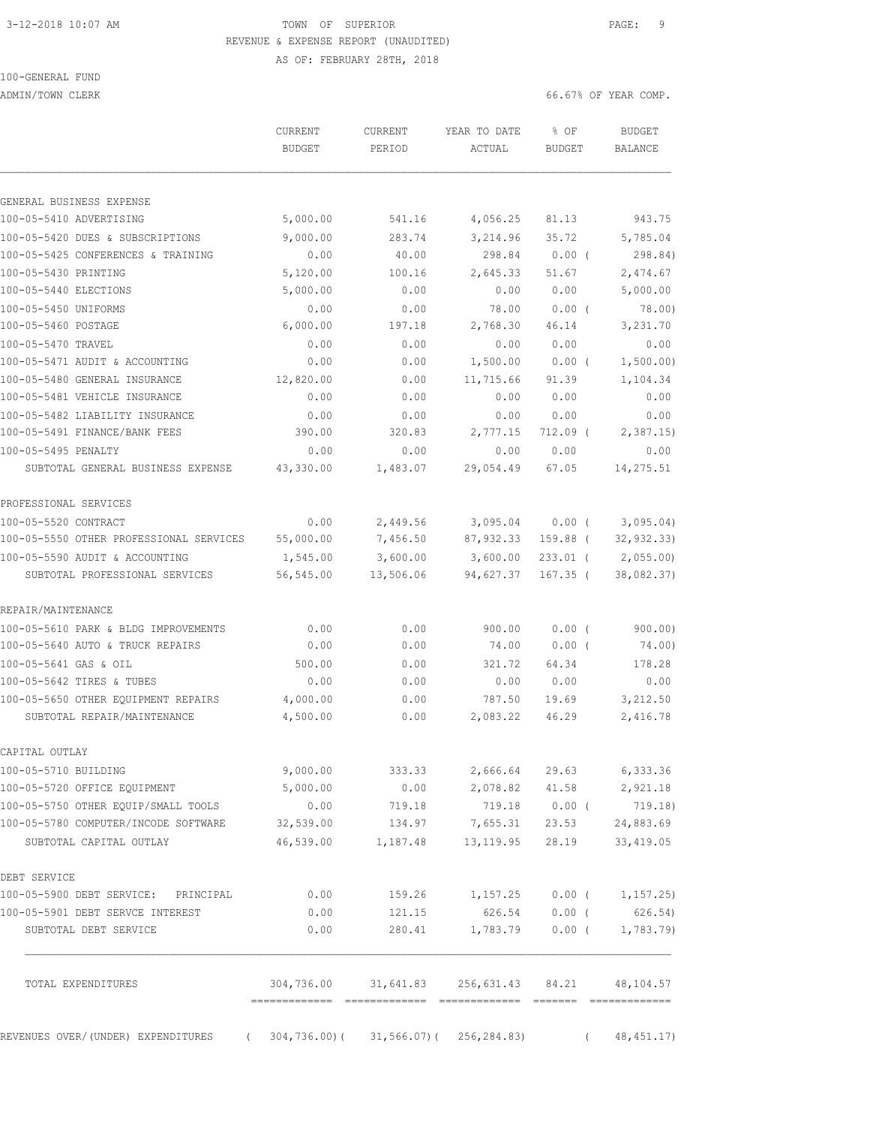## 3-12-2018 10:07 AM TOWN OF SUPERIOR PAGE: 9 REVENUE & EXPENSE REPORT (UNAUDITED)

AS OF: FEBRUARY 28TH, 2018

100-GENERAL FUND

ADMIN/TOWN CLERK 66.67% OF YEAR COMP.

|                                                  | <b>CURRENT</b><br><b>BUDGET</b> | CURRENT<br>PERIOD                               | YEAR TO DATE<br>ACTUAL         | % OF<br><b>BUDGET</b> |          | <b>BUDGET</b><br>BALANCE |
|--------------------------------------------------|---------------------------------|-------------------------------------------------|--------------------------------|-----------------------|----------|--------------------------|
| GENERAL BUSINESS EXPENSE                         |                                 |                                                 |                                |                       |          |                          |
| 100-05-5410 ADVERTISING                          | 5,000.00                        | 541.16                                          | 4,056.25                       | 81.13                 |          | 943.75                   |
| 100-05-5420 DUES & SUBSCRIPTIONS                 | 9,000.00                        | 283.74                                          | 3,214.96                       | 35.72                 |          | 5,785.04                 |
| 100-05-5425 CONFERENCES & TRAINING               | 0.00                            | 40.00                                           | 298.84                         | $0.00$ (              |          | 298.84)                  |
| 100-05-5430 PRINTING                             | 5,120.00                        | 100.16                                          | 2,645.33                       | 51.67                 |          | 2,474.67                 |
| 100-05-5440 ELECTIONS                            | 5,000.00                        | 0.00                                            | 0.00                           | 0.00                  |          | 5,000.00                 |
| 100-05-5450 UNIFORMS                             | 0.00                            | 0.00                                            | 78.00                          | $0.00$ (              |          | 78.00                    |
| 100-05-5460 POSTAGE                              | 6,000.00                        | 197.18                                          | 2,768.30                       | 46.14                 |          | 3,231.70                 |
| 100-05-5470 TRAVEL                               | 0.00                            | 0.00                                            | 0.00                           | 0.00                  |          | 0.00                     |
| 100-05-5471 AUDIT & ACCOUNTING                   | 0.00                            | 0.00                                            | 1,500.00                       | $0.00$ (              |          | 1,500.00)                |
| 100-05-5480 GENERAL INSURANCE                    | 12,820.00                       | 0.00                                            | 11,715.66                      | 91.39                 |          | 1,104.34                 |
| 100-05-5481 VEHICLE INSURANCE                    | 0.00                            | 0.00                                            | 0.00                           | 0.00                  |          | 0.00                     |
| 100-05-5482 LIABILITY INSURANCE                  | 0.00                            | 0.00                                            | 0.00                           | 0.00                  |          | 0.00                     |
| 100-05-5491 FINANCE/BANK FEES                    | 390.00                          | 320.83                                          | 2,777.15                       | $712.09$ (            |          | 2,387.15                 |
| 100-05-5495 PENALTY                              | 0.00                            | 0.00                                            | 0.00                           | 0.00                  |          | 0.00                     |
| SUBTOTAL GENERAL BUSINESS EXPENSE                | 43,330.00                       | 1,483.07                                        | 29,054.49                      | 67.05                 |          | 14,275.51                |
| PROFESSIONAL SERVICES                            |                                 |                                                 |                                |                       |          |                          |
| 100-05-5520 CONTRACT                             | 0.00                            | 2,449.56                                        | 3,095.04                       | $0.00$ (              |          | 3,095.04)                |
| 100-05-5550 OTHER PROFESSIONAL SERVICES          | 55,000.00                       | 7,456.50                                        | 87,932.33                      | 159.88 (              |          | 32, 932.33               |
| 100-05-5590 AUDIT & ACCOUNTING                   | 1,545.00                        | 3,600.00                                        | 3,600.00                       | $233.01$ (            |          | 2,055.00                 |
| SUBTOTAL PROFESSIONAL SERVICES                   | 56,545.00                       | 13,506.06                                       | 94,627.37                      | $167.35$ (            |          | 38,082.37)               |
| REPAIR/MAINTENANCE                               |                                 |                                                 |                                |                       |          |                          |
| 100-05-5610 PARK & BLDG IMPROVEMENTS             | 0.00                            | 0.00                                            | 900.00                         | 0.00(                 |          | 900.00)                  |
| 100-05-5640 AUTO & TRUCK REPAIRS                 | 0.00                            | 0.00                                            | 74.00                          | $0.00$ (              |          | 74.00)                   |
| 100-05-5641 GAS & OIL                            | 500.00                          | 0.00                                            | 321.72                         | 64.34                 |          | 178.28                   |
| 100-05-5642 TIRES & TUBES                        | 0.00                            | 0.00                                            | 0.00                           | 0.00                  |          | 0.00                     |
| 100-05-5650 OTHER EQUIPMENT REPAIRS              | 4,000.00                        | 0.00                                            | 787.50                         | 19.69                 |          | 3,212.50                 |
| SUBTOTAL REPAIR/MAINTENANCE                      | 4,500.00                        | 0.00                                            | 2,083.22                       | 46.29                 |          | 2,416.78                 |
| CAPITAL OUTLAY                                   |                                 |                                                 |                                |                       |          |                          |
| 100-05-5710 BUILDING                             | 9,000.00                        | 333.33                                          | 2,666.64                       | 29.63                 |          | 6,333.36                 |
| 100-05-5720 OFFICE EQUIPMENT                     | 5,000.00                        |                                                 | $0.00$ 2,078.82 41.58 2,921.18 |                       |          |                          |
| 100-05-5750 OTHER EQUIP/SMALL TOOLS              | 0.00                            | 719.18                                          | 719.18 0.00 (                  |                       |          | 719.18)                  |
| 100-05-5780 COMPUTER/INCODE SOFTWARE             | 32,539.00                       | 134.97                                          | 7,655.31                       | 23.53                 |          | 24,883.69                |
| SUBTOTAL CAPITAL OUTLAY                          | 46,539.00                       | 1,187.48                                        | 13, 119.95                     | 28.19                 |          | 33, 419.05               |
| DEBT SERVICE                                     |                                 |                                                 |                                |                       |          |                          |
| 100-05-5900 DEBT SERVICE: PRINCIPAL              | 0.00                            | 159.26                                          | $1,157.25$ 0.00 (              |                       |          | 1,157.25)                |
| 100-05-5901 DEBT SERVCE INTEREST                 | 0.00                            | 121.15                                          | 626.54                         | $0.00$ (              |          | 626.54)                  |
| SUBTOTAL DEBT SERVICE                            | 0.00                            | 280.41                                          | 1,783.79                       | $0.00$ (              |          | 1,783.79                 |
| TOTAL EXPENDITURES                               |                                 | 304,736.00 31,641.83 256,631.43 84.21 48,104.57 |                                |                       |          |                          |
| REVENUES OVER/(UNDER) EXPENDITURES<br>$\sqrt{2}$ |                                 | $304, 736.00$ ( $31, 566.07$ ( $256, 284.83$ )  |                                |                       | $\left($ | 48, 451.17)              |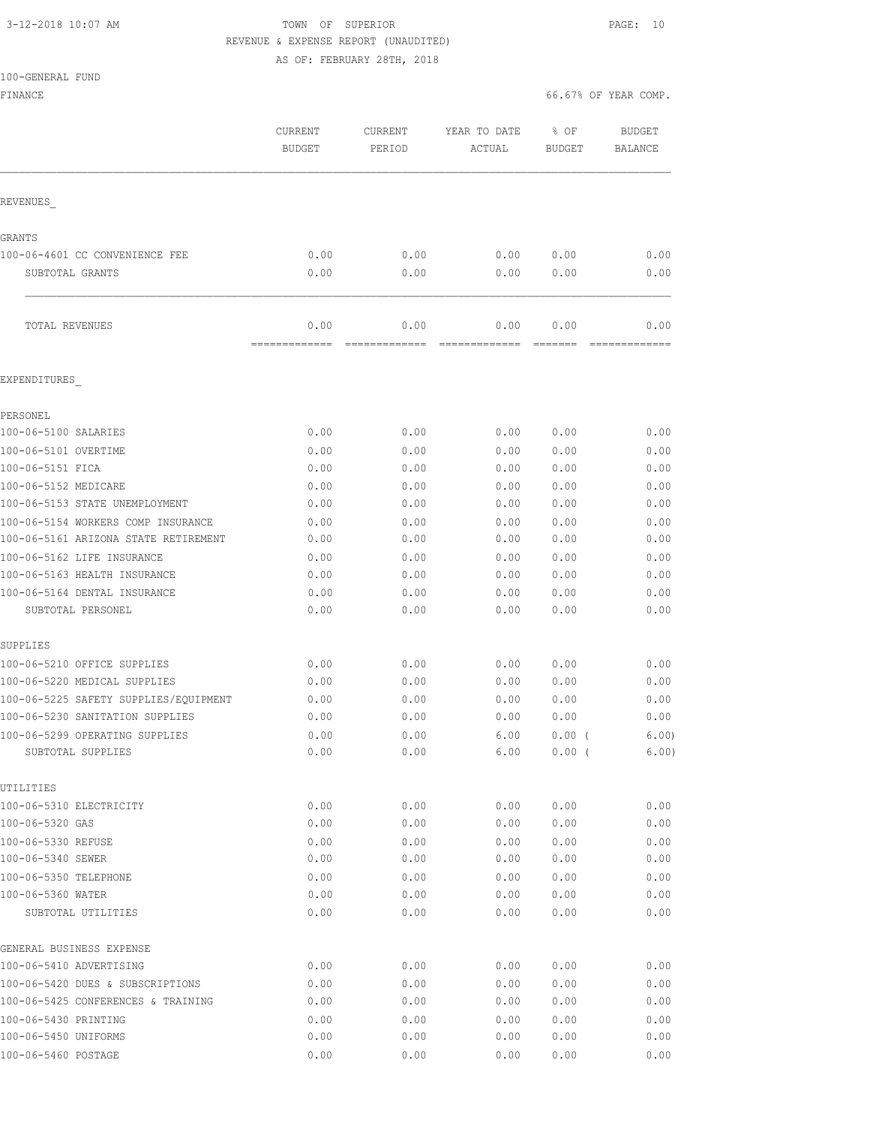# 3-12-2018 10:07 AM TOWN OF SUPERIOR PAGE: 10 REVENUE & EXPENSE REPORT (UNAUDITED)

AS OF: FEBRUARY 28TH, 2018

|  | 100-GENERAL FUND |  |
|--|------------------|--|
|  |                  |  |

| FINANCE                                             |                          |                   |                        | 66.67% OF YEAR COMP.  |                                 |
|-----------------------------------------------------|--------------------------|-------------------|------------------------|-----------------------|---------------------------------|
|                                                     | CURRENT<br><b>BUDGET</b> | CURRENT<br>PERIOD | YEAR TO DATE<br>ACTUAL | % OF<br><b>BUDGET</b> | <b>BUDGET</b><br><b>BALANCE</b> |
| REVENUES                                            |                          |                   |                        |                       |                                 |
| GRANTS                                              |                          |                   |                        |                       |                                 |
| 100-06-4601 CC CONVENIENCE FEE                      | 0.00                     | 0.00              | 0.00                   | 0.00                  | 0.00                            |
| SUBTOTAL GRANTS                                     | 0.00                     | 0.00              | 0.00                   | 0.00                  | 0.00                            |
| TOTAL REVENUES                                      | 0.00<br>=========        | 0.00              | 0.00                   | 0.00                  | 0.00                            |
| EXPENDITURES                                        |                          |                   |                        |                       |                                 |
| PERSONEL                                            |                          |                   |                        |                       |                                 |
| 100-06-5100 SALARIES                                | 0.00                     | 0.00              | 0.00                   | 0.00                  | 0.00                            |
| 100-06-5101 OVERTIME                                | 0.00                     | 0.00              | 0.00                   | 0.00                  | 0.00                            |
| 100-06-5151 FICA                                    | 0.00                     | 0.00              | 0.00                   | 0.00                  | 0.00                            |
| 100-06-5152 MEDICARE                                | 0.00                     | 0.00              | 0.00                   | 0.00                  | 0.00                            |
| 100-06-5153 STATE UNEMPLOYMENT                      | 0.00                     | 0.00              | 0.00                   | 0.00                  | 0.00                            |
| 100-06-5154 WORKERS COMP INSURANCE                  | 0.00                     | 0.00              | 0.00                   | 0.00                  | 0.00                            |
| 100-06-5161 ARIZONA STATE RETIREMENT                | 0.00                     | 0.00              | 0.00                   | 0.00                  | 0.00                            |
| 100-06-5162 LIFE INSURANCE                          | 0.00                     | 0.00              | 0.00                   | 0.00                  | 0.00                            |
| 100-06-5163 HEALTH INSURANCE                        | 0.00                     | 0.00              | 0.00                   | 0.00                  | 0.00                            |
| 100-06-5164 DENTAL INSURANCE                        | 0.00                     | 0.00              | 0.00                   | 0.00                  | 0.00                            |
| SUBTOTAL PERSONEL                                   | 0.00                     | 0.00              | 0.00                   | 0.00                  | 0.00                            |
| SUPPLIES                                            |                          |                   |                        |                       |                                 |
| 100-06-5210 OFFICE SUPPLIES                         | 0.00                     | 0.00              | 0.00                   | 0.00                  | 0.00                            |
| 100-06-5220 MEDICAL SUPPLIES                        | 0.00                     | 0.00              | 0.00                   | 0.00                  | 0.00                            |
| 100-06-5225 SAFETY SUPPLIES/EQUIPMENT               | 0.00                     | 0.00              | 0.00                   | 0.00                  | 0.00                            |
| 100-06-5230 SANITATION SUPPLIES                     | 0.00                     | 0.00              | 0.00                   | 0.00                  | 0.00                            |
| 100-06-5299 OPERATING SUPPLIES<br>SUBTOTAL SUPPLIES | 0.00<br>0.00             | 0.00<br>0.00      | 6.00<br>6.00           | $0.00$ (<br>$0.00$ (  | 6.00)<br>6.00)                  |
| UTILITIES                                           |                          |                   |                        |                       |                                 |
| 100-06-5310 ELECTRICITY                             | 0.00                     | 0.00              | 0.00                   | 0.00                  | 0.00                            |
| 100-06-5320 GAS                                     | 0.00                     | 0.00              | 0.00                   | 0.00                  | 0.00                            |
| 100-06-5330 REFUSE                                  | 0.00                     | 0.00              | 0.00                   | 0.00                  | 0.00                            |
| 100-06-5340 SEWER                                   | 0.00                     | 0.00              | 0.00                   | 0.00                  | 0.00                            |
| 100-06-5350 TELEPHONE                               | 0.00                     | 0.00              | 0.00                   | 0.00                  | 0.00                            |
| 100-06-5360 WATER                                   | 0.00                     | 0.00              | 0.00                   | 0.00                  | 0.00                            |
| SUBTOTAL UTILITIES                                  | 0.00                     | 0.00              | 0.00                   | 0.00                  | 0.00                            |
| GENERAL BUSINESS EXPENSE                            |                          |                   |                        |                       |                                 |
| 100-06-5410 ADVERTISING                             | 0.00                     | 0.00              | 0.00                   | 0.00                  | 0.00                            |
| 100-06-5420 DUES & SUBSCRIPTIONS                    | 0.00                     | 0.00              | 0.00                   | 0.00                  | 0.00                            |
| 100-06-5425 CONFERENCES & TRAINING                  | 0.00                     | 0.00              | 0.00                   | 0.00                  | 0.00                            |
| 100-06-5430 PRINTING                                | 0.00                     | 0.00              | 0.00                   | 0.00                  | 0.00                            |

100-06-5450 UNIFORMS 0.00 0.00 0.00 0.00 0.00 100-06-5460 POSTAGE 0.00 0.00 0.00 0.00 0.00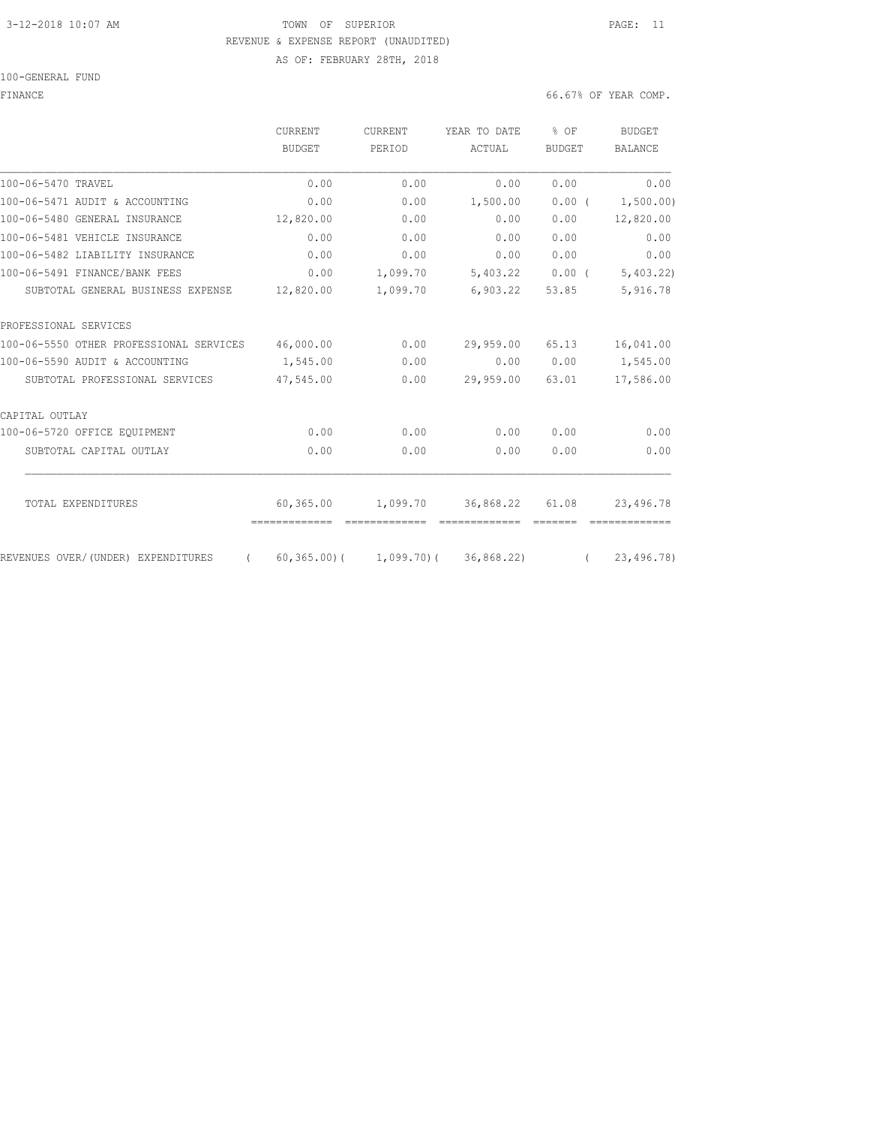## 3-12-2018 10:07 AM **PAGE:** 11 REVENUE & EXPENSE REPORT (UNAUDITED) AS OF: FEBRUARY 28TH, 2018

100-GENERAL FUND

FINANCE 66.67% OF YEAR COMP.

|                                                | <b>CURRENT</b> | <b>CURRENT</b> | YEAR TO DATE                             | $%$ OF                                                           | <b>BUDGET</b>  |
|------------------------------------------------|----------------|----------------|------------------------------------------|------------------------------------------------------------------|----------------|
|                                                | BUDGET         | PERIOD         | ACTUAL                                   | <b>BUDGET</b>                                                    | <b>BALANCE</b> |
| 100-06-5470 TRAVEL                             | 0.00           | 0.00           | 0.00                                     | 0.00                                                             | 0.00           |
| 100-06-5471 AUDIT & ACCOUNTING                 | 0.00           | 0.00           | 1,500.00                                 | 0.00(                                                            | 1,500.00)      |
| 100-06-5480 GENERAL INSURANCE                  | 12,820.00      | 0.00           | 0.00                                     | 0.00                                                             | 12,820.00      |
| 100-06-5481 VEHICLE INSURANCE                  | 0.00           | 0.00           | 0.00                                     | 0.00                                                             | 0.00           |
| 100-06-5482 LIABILITY INSURANCE                | 0.00           | 0.00           | 0.00                                     | 0.00                                                             | 0.00           |
| 100-06-5491 FINANCE/BANK FEES                  | 0.00           | 1,099.70       | 5,403.22                                 | $0.00$ (                                                         | 5,403.22       |
| SUBTOTAL GENERAL BUSINESS EXPENSE              | 12,820.00      | 1,099.70       | 6,903.22                                 | 53.85                                                            | 5,916.78       |
| PROFESSIONAL SERVICES                          |                |                |                                          |                                                                  |                |
| 100-06-5550 OTHER PROFESSIONAL SERVICES        | 46,000.00      | 0.00           | 29,959.00                                | 65.13                                                            | 16,041.00      |
| 100-06-5590 AUDIT & ACCOUNTING                 | 1,545.00       | 0.00           | 0.00                                     | 0.00                                                             | 1,545.00       |
| SUBTOTAL PROFESSIONAL SERVICES                 | 47,545.00      | 0.00           | 29,959.00                                | 63.01                                                            | 17,586.00      |
| CAPITAL OUTLAY                                 |                |                |                                          |                                                                  |                |
| 100-06-5720 OFFICE EOUIPMENT                   | 0.00           | 0.00           | 0.00                                     | 0.00                                                             | 0.00           |
| SUBTOTAL CAPITAL OUTLAY                        | 0.00           | 0.00           | 0.00                                     | 0.00                                                             | 0.00           |
| TOTAL EXPENDITURES                             | 60,365.00      | 1,099.70       | 36,868.22                                | 61.08                                                            | 23,496.78      |
|                                                | -------------  | -------------  | =============                            | $\qquad \qquad \equiv \equiv \equiv \equiv \equiv \equiv \equiv$ |                |
| REVENUES OVER/(UNDER) EXPENDITURES<br>$\left($ |                |                | $(60, 365, 00)$ ( 1,099.70) ( 36,868.22) | $\sqrt{2}$                                                       | 23,496.78)     |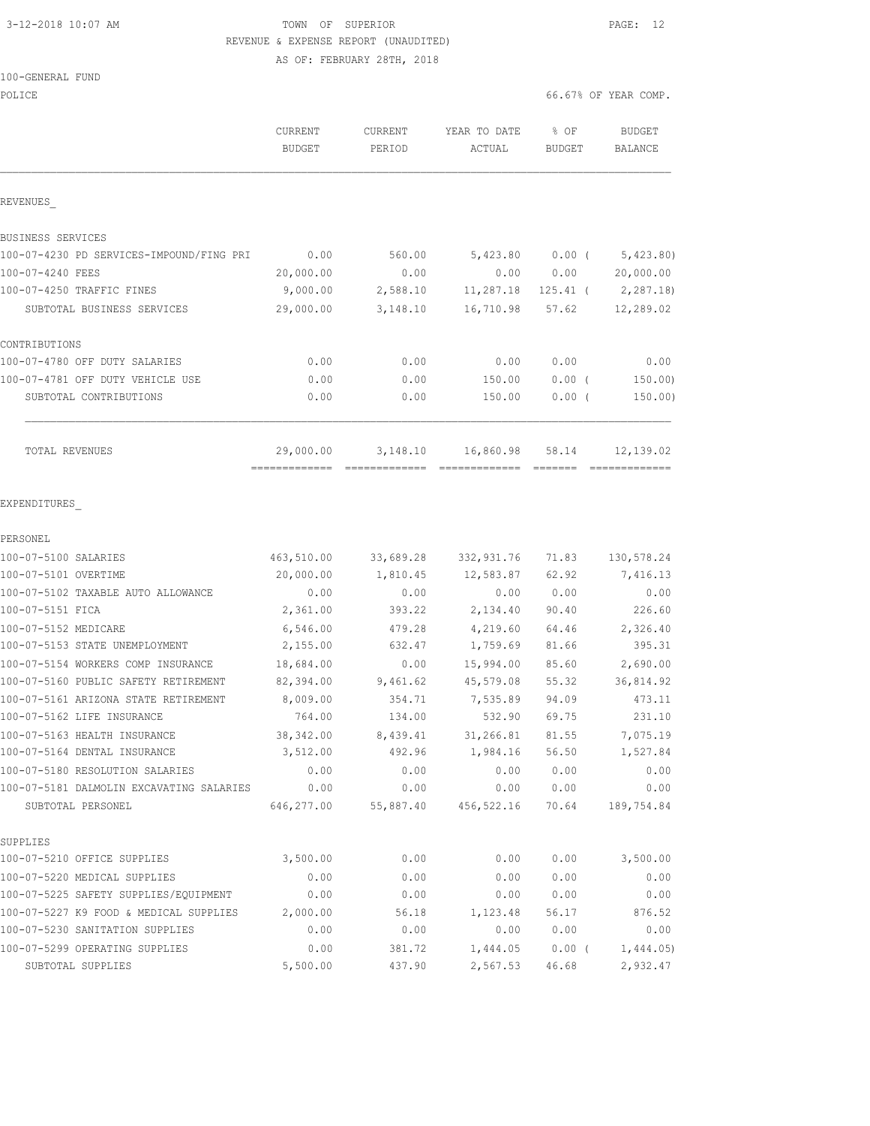# 3-12-2018 10:07 AM TOWN OF SUPERIOR PAGE: 12 REVENUE & EXPENSE REPORT (UNAUDITED)

AS OF: FEBRUARY 28TH, 2018

### 100-GENERAL FUND

| POLICE                                                                      |                                 |                   |                        | 66.67% OF YEAR COMP. |                          |
|-----------------------------------------------------------------------------|---------------------------------|-------------------|------------------------|----------------------|--------------------------|
|                                                                             | <b>CURRENT</b><br><b>BUDGET</b> | CURRENT<br>PERIOD | YEAR TO DATE<br>ACTUAL | % OF<br>BUDGET       | <b>BUDGET</b><br>BALANCE |
| REVENUES                                                                    |                                 |                   |                        |                      |                          |
| BUSINESS SERVICES                                                           |                                 |                   |                        |                      |                          |
| 100-07-4230 PD SERVICES-IMPOUND/FING PRI                                    | 0.00                            | 560.00            | 5,423.80               | $0.00$ (             | 5,423.80)                |
| 100-07-4240 FEES                                                            | 20,000.00                       | 0.00              | 0.00                   | 0.00                 | 20,000.00                |
| 100-07-4250 TRAFFIC FINES                                                   | 9,000.00                        | 2,588.10          | 11,287.18              | 125.41 (             | 2,287.18)                |
| SUBTOTAL BUSINESS SERVICES                                                  | 29,000.00                       | 3,148.10          | 16,710.98              | 57.62                | 12,289.02                |
| CONTRIBUTIONS                                                               |                                 |                   |                        |                      |                          |
| 100-07-4780 OFF DUTY SALARIES                                               | 0.00                            | 0.00              | 0.00                   | 0.00                 | 0.00                     |
| 100-07-4781 OFF DUTY VEHICLE USE                                            | 0.00                            | 0.00              | 150.00                 | 0.00(                | 150.00                   |
| SUBTOTAL CONTRIBUTIONS                                                      | 0.00                            | 0.00              | 150.00                 | 0.00(                | 150.00)                  |
| TOTAL REVENUES                                                              | 29,000.00                       | 3,148.10          | 16,860.98              | 58.14                | 12,139.02                |
| EXPENDITURES                                                                |                                 |                   |                        |                      |                          |
| PERSONEL                                                                    |                                 |                   |                        |                      |                          |
| 100-07-5100 SALARIES                                                        | 463,510.00                      | 33,689.28         | 332,931.76             | 71.83                | 130,578.24               |
| 100-07-5101 OVERTIME                                                        | 20,000.00                       | 1,810.45          | 12,583.87              | 62.92                | 7,416.13                 |
| 100-07-5102 TAXABLE AUTO ALLOWANCE                                          | 0.00                            | 0.00              | 0.00                   | 0.00                 | 0.00                     |
| 100-07-5151 FICA                                                            | 2,361.00                        | 393.22            | 2,134.40               | 90.40                | 226.60                   |
| 100-07-5152 MEDICARE                                                        | 6,546.00                        | 479.28            | 4,219.60               | 64.46                | 2,326.40                 |
| 100-07-5153 STATE UNEMPLOYMENT                                              | 2,155.00                        | 632.47            | 1,759.69               | 81.66                | 395.31                   |
| 100-07-5154 WORKERS COMP INSURANCE                                          | 18,684.00                       | 0.00              | 15,994.00              | 85.60                | 2,690.00                 |
| 100-07-5160 PUBLIC SAFETY RETIREMENT                                        | 82,394.00                       | 9,461.62          | 45,579.08              | 55.32                | 36,814.92                |
| 100-07-5161 ARIZONA STATE RETIREMENT                                        | 8,009.00                        | 354.71            | 7,535.89               | 94.09                | 473.11                   |
| 100-07-5162 LIFE INSURANCE                                                  | 764.00                          | 134.00            | 532.90                 | 69.75                | 231.10                   |
| 100-07-5163 HEALTH INSURANCE                                                | 38,342.00                       | 8,439.41          | 31,266.81              | 81.55                | 7,075.19                 |
| 100-07-5164 DENTAL INSURANCE                                                | 3,512.00                        | 492.96            | 1,984.16               | 56.50                | 1,527.84                 |
| 100-07-5180 RESOLUTION SALARIES<br>100-07-5181 DALMOLIN EXCAVATING SALARIES | 0.00<br>0.00                    | 0.00<br>0.00      | 0.00<br>0.00           | 0.00<br>0.00         | 0.00<br>0.00             |
| SUBTOTAL PERSONEL                                                           | 646,277.00                      | 55,887.40         | 456,522.16             | 70.64                | 189,754.84               |
| SUPPLIES                                                                    |                                 |                   |                        |                      |                          |
| 100-07-5210 OFFICE SUPPLIES                                                 | 3,500.00                        | 0.00              | 0.00                   | 0.00                 | 3,500.00                 |
| 100-07-5220 MEDICAL SUPPLIES                                                | 0.00                            | 0.00              | 0.00                   | 0.00                 | 0.00                     |
| 100-07-5225 SAFETY SUPPLIES/EQUIPMENT                                       | 0.00                            | 0.00              | 0.00                   | 0.00                 | 0.00                     |
| 100-07-5227 K9 FOOD & MEDICAL SUPPLIES                                      | 2,000.00                        | 56.18             | 1,123.48               | 56.17                | 876.52                   |
| 100-07-5230 SANITATION SUPPLIES                                             | 0.00                            | 0.00              | 0.00                   | 0.00                 | 0.00                     |
| 100-07-5299 OPERATING SUPPLIES                                              | 0.00                            | 381.72            | 1,444.05               | $0.00$ (             | 1,444.05                 |
|                                                                             |                                 |                   |                        |                      |                          |

SUBTOTAL SUPPLIES 5,500.00 437.90 2,567.53 46.68 2,932.47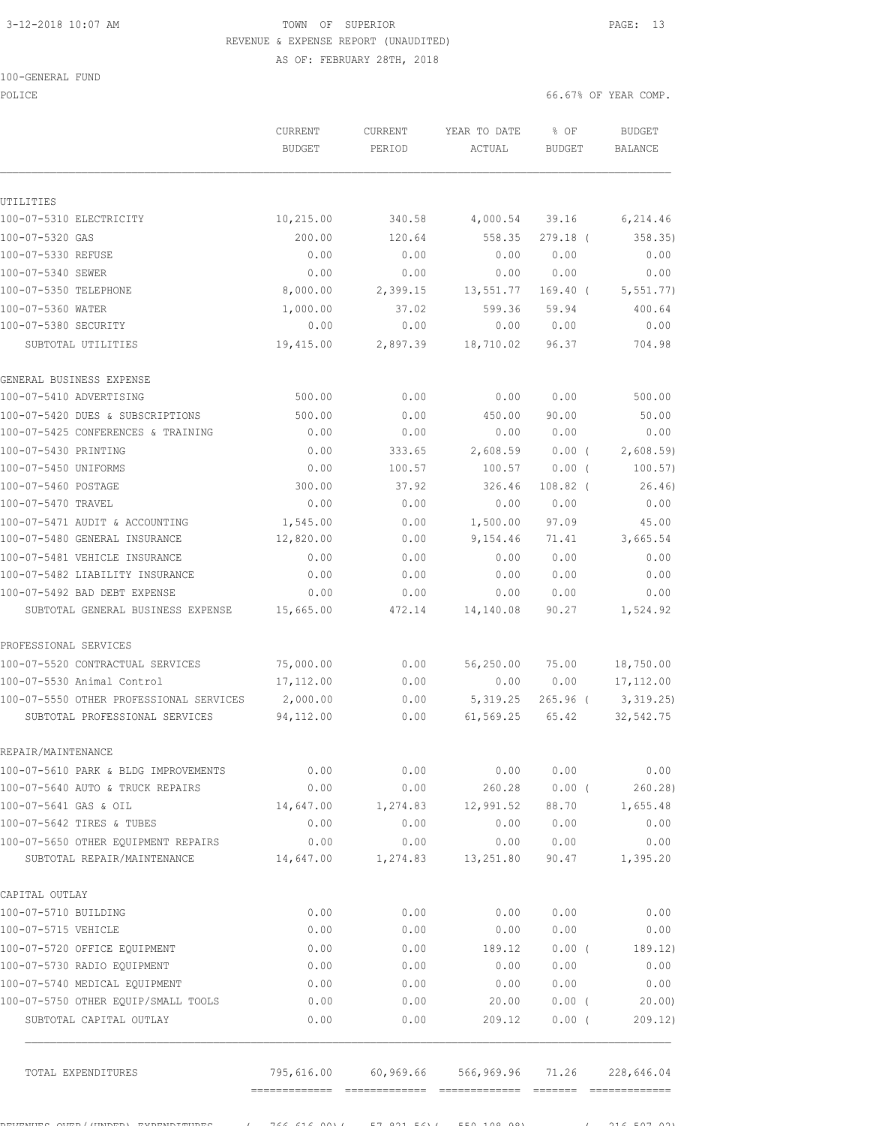# 3-12-2018 10:07 AM TOWN OF SUPERIOR PAGE: 13 REVENUE & EXPENSE REPORT (UNAUDITED)

AS OF: FEBRUARY 28TH, 2018

|  | 100-GENERAL FUND |  |
|--|------------------|--|
|  |                  |  |

POLICE **FOLICE EXECUTE: EXECUTE: EXECUTE: EXECUTE: EXECUTE: EXECUTE: EXECUTE: EXECUTE: EXECUTE: EXECUTE: EXECUTE: EXECUTE: EXECUTE: EXECUTE: EXECUTE: EXECUTE: EXECUTE: EXECUTE: EXECUTE** 

UTILITIES

GENERAL BUSINESS EXPENSE

 CURRENT CURRENT YEAR TO DATE % OF BUDGET BUDGET PERIOD ACTUAL BUDGET BALANCE 100-07-5310 ELECTRICITY 10,215.00 340.58 4,000.54 39.16 6,214.46 100-07-5320 GAS 200.00 120.64 558.35 279.18 ( 358.35) 100-07-5330 REFUSE 0.00 0.00 0.00 0.00 0.00 100-07-5340 SEWER 0.00 0.00 0.00 0.00 0.00 100-07-5350 TELEPHONE 8,000.00 2,399.15 13,551.77 169.40 ( 5,551.77) 100-07-5360 WATER 1,000.00 37.02 599.36 59.94 400.64 100-07-5380 SECURITY 0.00 0.00 0.00 0.00 0.00 SUBTOTAL UTILITIES 19,415.00 2,897.39 18,710.02 96.37 704.98 100-07-5410 ADVERTISING 500.00 0.00 0.00 0.00 500.00 100-07-5420 DUES & SUBSCRIPTIONS 500.00 0.00 450.00 90.00 50.00

| 100-07-5425 CONFERENCES & TRAINING      | 0.00                 | 0.00          | 0.00       | 0.00       | 0.00          |
|-----------------------------------------|----------------------|---------------|------------|------------|---------------|
| 100-07-5430 PRINTING                    | 0.00                 | 333.65        | 2,608.59   | $0.00$ (   | 2,608.59      |
| 100-07-5450 UNIFORMS                    | 0.00                 | 100.57        | 100.57     | $0.00$ (   | 100.57)       |
| 100-07-5460 POSTAGE                     | 300.00               | 37.92         | 326.46     | $108.82$ ( | 26.46         |
| 100-07-5470 TRAVEL                      | 0.00                 | 0.00          | 0.00       | 0.00       | 0.00          |
| 100-07-5471 AUDIT & ACCOUNTING          | 1,545.00             | 0.00          | 1,500.00   | 97.09      | 45.00         |
| 100-07-5480 GENERAL INSURANCE           | 12,820.00            | 0.00          | 9,154.46   | 71.41      | 3,665.54      |
| 100-07-5481 VEHICLE INSURANCE           | 0.00                 | 0.00          | 0.00       | 0.00       | 0.00          |
| 100-07-5482 LIABILITY INSURANCE         | 0.00                 | 0.00          | 0.00       | 0.00       | 0.00          |
| 100-07-5492 BAD DEBT EXPENSE            | 0.00                 | 0.00          | 0.00       | 0.00       | 0.00          |
| SUBTOTAL GENERAL BUSINESS EXPENSE       | 15,665.00            | 472.14        | 14,140.08  | 90.27      | 1,524.92      |
| PROFESSIONAL SERVICES                   |                      |               |            |            |               |
| 100-07-5520 CONTRACTUAL SERVICES        | 75,000.00            | 0.00          | 56,250.00  | 75.00      | 18,750.00     |
| 100-07-5530 Animal Control              | 17,112.00            | 0.00          | 0.00       | 0.00       | 17, 112.00    |
| 100-07-5550 OTHER PROFESSIONAL SERVICES | 2,000.00             | 0.00          | 5, 319.25  | $265.96$ ( | 3,319.25      |
| SUBTOTAL PROFESSIONAL SERVICES          | 94,112.00            | 0.00          | 61, 569.25 | 65.42      | 32, 542.75    |
| REPAIR/MAINTENANCE                      |                      |               |            |            |               |
| 100.07 EC10 DADM & DIDG IMPROVEMENTED   | $\cap$ $\cap$ $\cap$ | $\cap$ $\cap$ |            |            | $\cap$ $\cap$ |

| 100-07-5610 PARK & BLDG IMPROVEMENTS | 0.00      | 0.00     | 0.00      | 0.00  | 0.00     |
|--------------------------------------|-----------|----------|-----------|-------|----------|
| 100-07-5640 AUTO & TRUCK REPAIRS     | 0.00      | 0.00     | 260.28    | 0.00( | 260.28   |
| 100-07-5641 GAS & OIL                | 14,647.00 | 1,274.83 | 12,991.52 | 88.70 | 1,655.48 |
| 100-07-5642 TIRES & TUBES            | 0.00      | 0.00     | 0.00      | 0.00  | 0.00     |
| 100-07-5650 OTHER EOUIPMENT REPAIRS  | 0.00      | 0.00     | 0.00      | 0.00  | 0.00     |
| SUBTOTAL REPAIR/MAINTENANCE          | 14,647.00 | 1,274.83 | 13,251.80 | 90.47 | 1,395.20 |
| CAPITAL OUTLAY                       |           |          |           |       |          |
| 100-07-5710 BUILDING                 | 0.00      | 0.00     | 0.00      | 0.00  | 0.00     |
| 100-07-5715 VEHICLE                  | 0.00      | 0.00     | 0.00      | 0.00  | 0.00     |
| 100-07-5720 OFFICE EOUIPMENT         | 0.00      | 0.00     | 189.12    | 0.00( | 189.12)  |
| 100-07-5730 RADIO EQUIPMENT          | 0.00      | 0.00     | 0.00      | 0.00  | 0.00     |
| 100-07-5740 MEDICAL EOUIPMENT        | 0.00      | 0.00     | 0.00      | 0.00  | 0.00     |
| 100-07-5750 OTHER EOUIP/SMALL TOOLS  | 0.00      | 0.00     | 20.00     | 0.00( | 20.00    |
| SUBTOTAL CAPITAL OUTLAY              | 0.00      | 0.00     | 209.12    | 0.00( | 209.12   |

 TOTAL EXPENDITURES 795,616.00 60,969.66 566,969.96 71.26 228,646.04 ============= ============= ============= ======= =============

REVENUES OVER/(UNDER) INTERFENDITURES ( 766,616,00)( 57,021.56)( 550,108)( 57,821.56)( 50,7.02).56)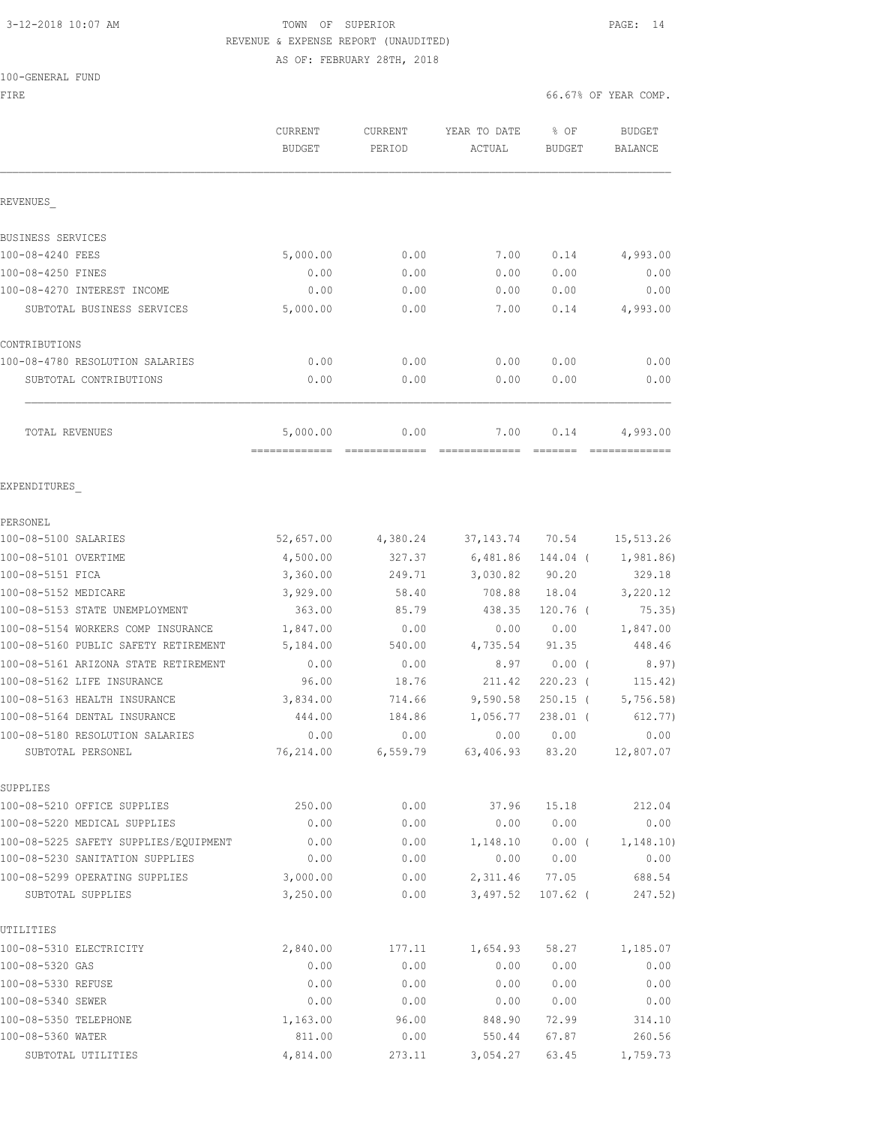# 3-12-2018 10:07 AM TOWN OF SUPERIOR PAGE: 14 REVENUE & EXPENSE REPORT (UNAUDITED)

AS OF: FEBRUARY 28TH, 2018

### 100-GENERAL FUND

FIRE  $\sim$  66.67% OF YEAR COMP.

|                                         | CURRENT<br><b>BUDGET</b> | <b>CURRENT</b><br>PERIOD | YEAR TO DATE<br>ACTUAL | % OF<br>BUDGET | <b>BUDGET</b><br>BALANCE |
|-----------------------------------------|--------------------------|--------------------------|------------------------|----------------|--------------------------|
| REVENUES                                |                          |                          |                        |                |                          |
| BUSINESS SERVICES                       |                          |                          |                        |                |                          |
| 100-08-4240 FEES                        | 5,000.00                 | 0.00                     | 7.00                   | 0.14           | 4,993.00                 |
| 100-08-4250 FINES                       | 0.00                     | 0.00                     | 0.00                   | 0.00           | 0.00                     |
| 100-08-4270 INTEREST INCOME             | 0.00                     | 0.00                     | 0.00                   | 0.00           | 0.00                     |
| SUBTOTAL BUSINESS SERVICES              | 5,000.00                 | 0.00                     | 7.00                   | 0.14           | 4,993.00                 |
| CONTRIBUTIONS                           |                          |                          |                        |                |                          |
| 100-08-4780 RESOLUTION SALARIES         | 0.00                     | 0.00                     | 0.00                   | 0.00           | 0.00                     |
| SUBTOTAL CONTRIBUTIONS                  | 0.00                     | 0.00                     | 0.00                   | 0.00           | 0.00                     |
| TOTAL REVENUES                          | 5,000.00                 | 0.00                     | 7.00                   | 0.14           | 4,993.00                 |
|                                         | ==========               |                          |                        |                |                          |
| EXPENDITURES                            |                          |                          |                        |                |                          |
| PERSONEL                                |                          |                          |                        |                |                          |
| 100-08-5100 SALARIES                    | 52,657.00                | 4,380.24                 | 37, 143.74             | 70.54          | 15,513.26                |
| 100-08-5101 OVERTIME                    | 4,500.00                 | 327.37                   | 6,481.86               | 144.04 (       | 1,981.86)                |
| 100-08-5151 FICA                        | 3,360.00                 | 249.71                   | 3,030.82               | 90.20          | 329.18                   |
| 100-08-5152 MEDICARE                    | 3,929.00                 | 58.40                    | 708.88                 | 18.04          | 3,220.12                 |
| 100-08-5153 STATE UNEMPLOYMENT          | 363.00                   | 85.79                    | 438.35                 | 120.76 (       | 75.35)                   |
| 100-08-5154 WORKERS COMP INSURANCE      | 1,847.00                 | 0.00                     | 0.00                   | 0.00           | 1,847.00                 |
| 100-08-5160 PUBLIC SAFETY RETIREMENT    | 5,184.00                 | 540.00                   | 4,735.54               | 91.35          | 448.46                   |
| 100-08-5161 ARIZONA STATE RETIREMENT    | 0.00                     | 0.00                     | 8.97                   | 0.00(          | 8.97)                    |
| 100-08-5162 LIFE INSURANCE              | 96.00                    | 18.76                    | 211.42                 | 220.23 (       | 115.42)                  |
| 100-08-5163 HEALTH INSURANCE            | 3,834.00                 | 714.66                   | 9,590.58               | $250.15$ (     | 5,756.58                 |
| 100-08-5164 DENTAL INSURANCE            | 444.00                   | 184.86                   | 1,056.77               | 238.01 (       | 612.77)                  |
| 100-08-5180 RESOLUTION SALARIES         | 0.00                     | 0.00                     | 0.00                   | 0.00           | 0.00                     |
| SUBTOTAL PERSONEL                       | 76,214.00                | 6,559.79                 | 63,406.93              | 83.20          | 12,807.07                |
| SUPPLIES<br>100-08-5210 OFFICE SUPPLIES | 250.00                   | 0.00                     | 37.96                  | 15.18          | 212.04                   |
| 100-08-5220 MEDICAL SUPPLIES            | 0.00                     | 0.00                     | 0.00                   | 0.00           | 0.00                     |
| 100-08-5225 SAFETY SUPPLIES/EQUIPMENT   | 0.00                     | 0.00                     | 1,148.10               | $0.00$ (       | 1,148.10)                |
| 100-08-5230 SANITATION SUPPLIES         | 0.00                     | 0.00                     | 0.00                   | 0.00           | 0.00                     |
| 100-08-5299 OPERATING SUPPLIES          | 3,000.00                 | 0.00                     | 2,311.46               | 77.05          | 688.54                   |
| SUBTOTAL SUPPLIES                       | 3,250.00                 | 0.00                     | 3,497.52               | $107.62$ (     | 247.52)                  |
| UTILITIES                               |                          |                          |                        |                |                          |
| 100-08-5310 ELECTRICITY                 | 2,840.00                 | 177.11                   | 1,654.93               | 58.27          | 1,185.07                 |
| 100-08-5320 GAS                         | 0.00                     | 0.00                     | 0.00                   | 0.00           | 0.00                     |
| 100-08-5330 REFUSE                      | 0.00                     | 0.00                     | 0.00                   | 0.00           | 0.00                     |
| 100-08-5340 SEWER                       | 0.00                     | 0.00                     | 0.00                   | 0.00           | 0.00                     |
| 100-08-5350 TELEPHONE                   | 1,163.00                 | 96.00                    | 848.90                 | 72.99          | 314.10                   |
| 100-08-5360 WATER                       | 811.00                   | 0.00                     | 550.44                 | 67.87          | 260.56                   |
| SUBTOTAL UTILITIES                      | 4,814.00                 | 273.11                   | 3,054.27               | 63.45          | 1,759.73                 |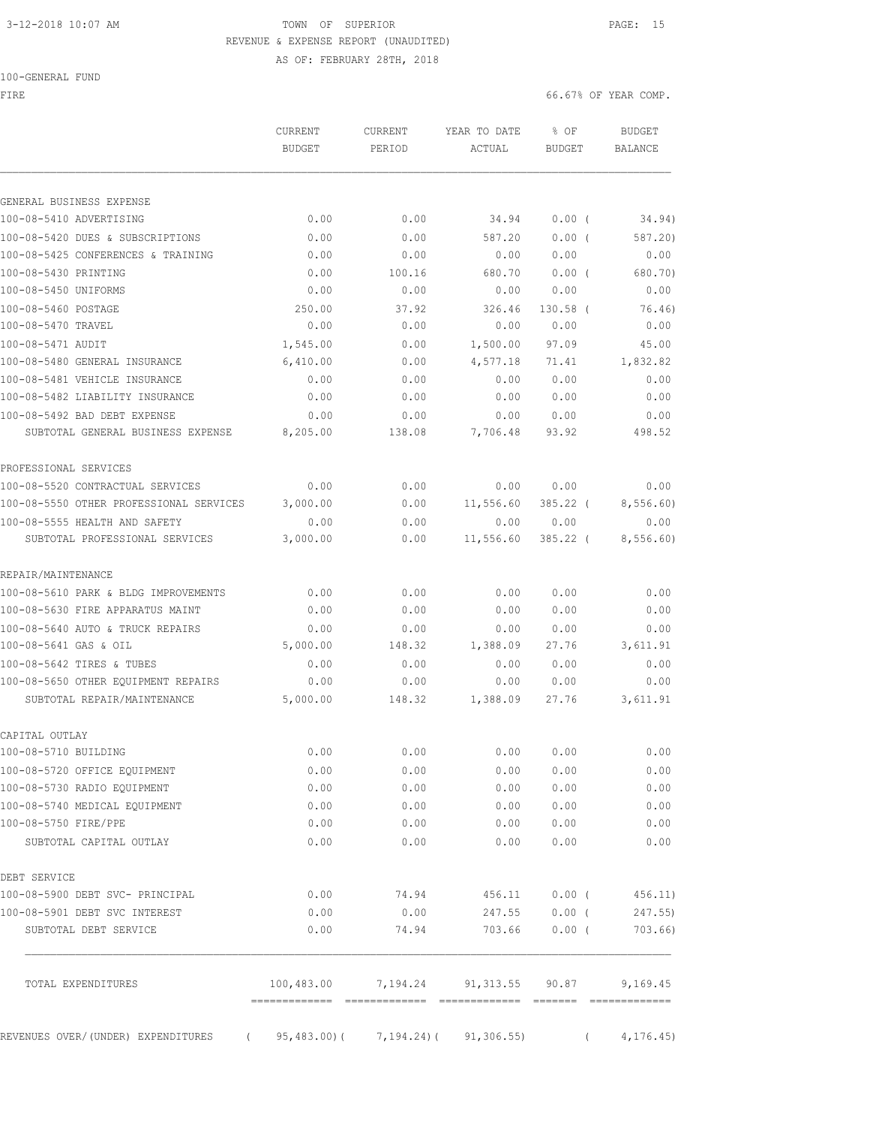# 3-12-2018 10:07 AM **TOWN OF SUPERIOR PAGE: 15** REVENUE & EXPENSE REPORT (UNAUDITED)

AS OF: FEBRUARY 28TH, 2018

FIRE  $6.67%$  OF YEAR COMP.

| GENERAL BUSINESS EXPENSE<br>100-08-5410 ADVERTISING<br>100-08-5420 DUES & SUBSCRIPTIONS<br>100-08-5425 CONFERENCES & TRAINING<br>100-08-5430 PRINTING<br>100-08-5450 UNIFORMS<br>100-08-5460 POSTAGE<br>100-08-5470 TRAVEL<br>100-08-5471 AUDIT<br>100-08-5480 GENERAL INSURANCE<br>100-08-5481 VEHICLE INSURANCE<br>100-08-5482 LIABILITY INSURANCE<br>100-08-5492 BAD DEBT EXPENSE<br>SUBTOTAL GENERAL BUSINESS EXPENSE<br>PROFESSIONAL SERVICES<br>100-08-5520 CONTRACTUAL SERVICES<br>100-08-5550 OTHER PROFESSIONAL SERVICES |                  |                                       |                  |               |                          |
|-----------------------------------------------------------------------------------------------------------------------------------------------------------------------------------------------------------------------------------------------------------------------------------------------------------------------------------------------------------------------------------------------------------------------------------------------------------------------------------------------------------------------------------|------------------|---------------------------------------|------------------|---------------|--------------------------|
|                                                                                                                                                                                                                                                                                                                                                                                                                                                                                                                                   |                  |                                       |                  |               |                          |
|                                                                                                                                                                                                                                                                                                                                                                                                                                                                                                                                   |                  |                                       |                  |               |                          |
|                                                                                                                                                                                                                                                                                                                                                                                                                                                                                                                                   | 0.00             | 0.00                                  | 34.94            | 0.00(         | 34.94)                   |
|                                                                                                                                                                                                                                                                                                                                                                                                                                                                                                                                   | 0.00             | 0.00                                  | 587.20           | 0.00(         | 587.20)                  |
|                                                                                                                                                                                                                                                                                                                                                                                                                                                                                                                                   | 0.00             | 0.00                                  | 0.00             | 0.00          | 0.00                     |
|                                                                                                                                                                                                                                                                                                                                                                                                                                                                                                                                   | 0.00             | 100.16                                | 680.70           | 0.00(         | 680.70)                  |
|                                                                                                                                                                                                                                                                                                                                                                                                                                                                                                                                   | 0.00             | 0.00                                  | 0.00             | 0.00          | 0.00                     |
|                                                                                                                                                                                                                                                                                                                                                                                                                                                                                                                                   | 250.00           | 37.92                                 | 326.46           | $130.58$ (    | 76.46)                   |
|                                                                                                                                                                                                                                                                                                                                                                                                                                                                                                                                   | 0.00             | 0.00                                  | 0.00             | 0.00          | 0.00                     |
|                                                                                                                                                                                                                                                                                                                                                                                                                                                                                                                                   | 1,545.00         | 0.00                                  | 1,500.00         | 97.09         | 45.00                    |
|                                                                                                                                                                                                                                                                                                                                                                                                                                                                                                                                   | 6,410.00         | 0.00                                  | 4,577.18         | 71.41         | 1,832.82                 |
|                                                                                                                                                                                                                                                                                                                                                                                                                                                                                                                                   | 0.00             | 0.00                                  | 0.00             | 0.00          | 0.00                     |
|                                                                                                                                                                                                                                                                                                                                                                                                                                                                                                                                   | 0.00             | 0.00                                  | 0.00             | 0.00          | 0.00                     |
|                                                                                                                                                                                                                                                                                                                                                                                                                                                                                                                                   | 0.00<br>8,205.00 | 0.00<br>138.08                        | 0.00<br>7,706.48 | 0.00<br>93.92 | 0.00<br>498.52           |
|                                                                                                                                                                                                                                                                                                                                                                                                                                                                                                                                   |                  |                                       |                  |               |                          |
|                                                                                                                                                                                                                                                                                                                                                                                                                                                                                                                                   |                  |                                       |                  |               |                          |
|                                                                                                                                                                                                                                                                                                                                                                                                                                                                                                                                   | 0.00             | 0.00                                  | 0.00             | 0.00          | 0.00                     |
|                                                                                                                                                                                                                                                                                                                                                                                                                                                                                                                                   | 3,000.00         | 0.00                                  | 11,556.60        | $385.22$ (    | 8,556.60)                |
| 100-08-5555 HEALTH AND SAFETY                                                                                                                                                                                                                                                                                                                                                                                                                                                                                                     | 0.00             | 0.00                                  | 0.00             | 0.00          | 0.00                     |
| SUBTOTAL PROFESSIONAL SERVICES                                                                                                                                                                                                                                                                                                                                                                                                                                                                                                    | 3,000.00         | 0.00                                  | 11,556.60        | $385.22$ (    | 8,556.60)                |
| REPAIR/MAINTENANCE                                                                                                                                                                                                                                                                                                                                                                                                                                                                                                                |                  |                                       |                  |               |                          |
| 100-08-5610 PARK & BLDG IMPROVEMENTS                                                                                                                                                                                                                                                                                                                                                                                                                                                                                              | 0.00             | 0.00                                  | 0.00             | 0.00          | 0.00                     |
| 100-08-5630 FIRE APPARATUS MAINT                                                                                                                                                                                                                                                                                                                                                                                                                                                                                                  | 0.00             | 0.00                                  | 0.00             | 0.00          | 0.00                     |
| 100-08-5640 AUTO & TRUCK REPAIRS                                                                                                                                                                                                                                                                                                                                                                                                                                                                                                  | 0.00             | 0.00                                  | 0.00             | 0.00          | 0.00                     |
| 100-08-5641 GAS & OIL                                                                                                                                                                                                                                                                                                                                                                                                                                                                                                             | 5,000.00         | 148.32                                | 1,388.09         | 27.76         | 3,611.91                 |
| 100-08-5642 TIRES & TUBES                                                                                                                                                                                                                                                                                                                                                                                                                                                                                                         | 0.00             | 0.00                                  | 0.00             | 0.00          | 0.00                     |
| 100-08-5650 OTHER EQUIPMENT REPAIRS                                                                                                                                                                                                                                                                                                                                                                                                                                                                                               | 0.00             | 0.00                                  | 0.00             | 0.00          | 0.00                     |
| SUBTOTAL REPAIR/MAINTENANCE                                                                                                                                                                                                                                                                                                                                                                                                                                                                                                       | 5,000.00         | 148.32                                | 1,388.09         | 27.76         | 3,611.91                 |
| CAPITAL OUTLAY                                                                                                                                                                                                                                                                                                                                                                                                                                                                                                                    |                  |                                       |                  |               |                          |
| 100-08-5710 BUILDING                                                                                                                                                                                                                                                                                                                                                                                                                                                                                                              | 0.00             | 0.00                                  | 0.00             | 0.00          | 0.00                     |
| 100-08-5720 OFFICE EQUIPMENT                                                                                                                                                                                                                                                                                                                                                                                                                                                                                                      | 0.00             | 0.00                                  | 0.00             | 0.00          | 0.00                     |
| 100-08-5730 RADIO EQUIPMENT                                                                                                                                                                                                                                                                                                                                                                                                                                                                                                       | 0.00             | 0.00                                  | 0.00             | 0.00          | 0.00                     |
| 100-08-5740 MEDICAL EQUIPMENT                                                                                                                                                                                                                                                                                                                                                                                                                                                                                                     | 0.00             | 0.00                                  | 0.00             | 0.00          | 0.00                     |
| 100-08-5750 FIRE/PPE                                                                                                                                                                                                                                                                                                                                                                                                                                                                                                              | 0.00             | 0.00                                  | 0.00             | 0.00          | 0.00                     |
| SUBTOTAL CAPITAL OUTLAY                                                                                                                                                                                                                                                                                                                                                                                                                                                                                                           | 0.00             | 0.00                                  | 0.00             | 0.00          | 0.00                     |
| DEBT SERVICE                                                                                                                                                                                                                                                                                                                                                                                                                                                                                                                      |                  |                                       |                  |               |                          |
| 100-08-5900 DEBT SVC- PRINCIPAL                                                                                                                                                                                                                                                                                                                                                                                                                                                                                                   | 0.00             | 74.94                                 | 456.11           | $0.00$ (      | 456.11)                  |
| 100-08-5901 DEBT SVC INTEREST                                                                                                                                                                                                                                                                                                                                                                                                                                                                                                     | 0.00             | 0.00                                  | 247.55           | $0.00$ (      | 247.55)                  |
| SUBTOTAL DEBT SERVICE                                                                                                                                                                                                                                                                                                                                                                                                                                                                                                             | 0.00             | 74.94                                 | 703.66           | $0.00$ (      | 703.66)                  |
|                                                                                                                                                                                                                                                                                                                                                                                                                                                                                                                                   |                  |                                       |                  |               |                          |
| TOTAL EXPENDITURES                                                                                                                                                                                                                                                                                                                                                                                                                                                                                                                |                  | 100,483.00 7,194.24 91,313.55 90.87   |                  |               | 9,169.45                 |
| REVENUES OVER/ (UNDER) EXPENDITURES                                                                                                                                                                                                                                                                                                                                                                                                                                                                                               |                  | (95, 483.00) (7, 194.24) (91, 306.55) |                  |               | 4, 176.45)<br>$\sqrt{2}$ |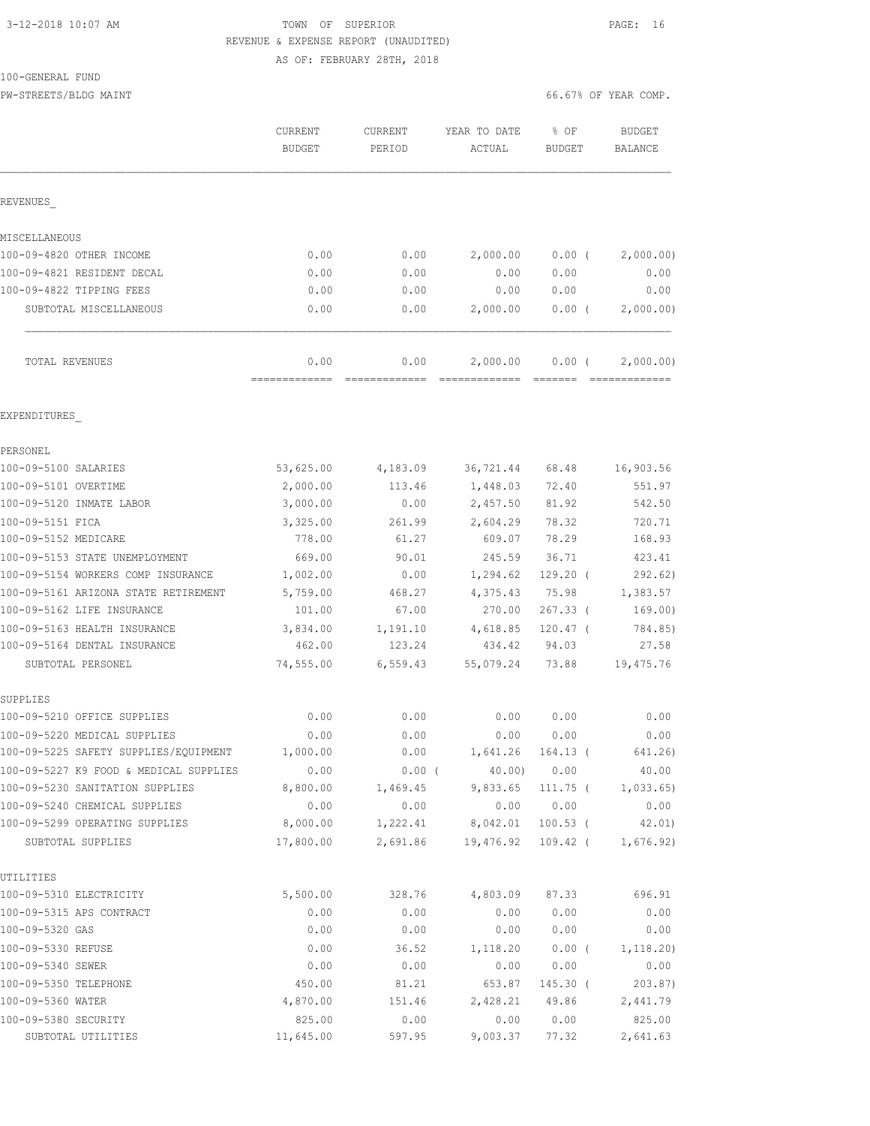## 3-12-2018 10:07 AM TOWN OF SUPERIOR PAGE: 16 REVENUE & EXPENSE REPORT (UNAUDITED) AS OF: FEBRUARY 28TH, 2018

### 100-GENERAL FUND

PW-STREETS/BLDG MAINT 66.67% OF YEAR COMP.

|                                         | CURRENT<br><b>BUDGET</b> | CURRENT<br>PERIOD | YEAR TO DATE<br>ACTUAL | % OF<br><b>BUDGET</b> | <b>BUDGET</b><br><b>BALANCE</b> |
|-----------------------------------------|--------------------------|-------------------|------------------------|-----------------------|---------------------------------|
| REVENUES                                |                          |                   |                        |                       |                                 |
| MISCELLANEOUS                           |                          |                   |                        |                       |                                 |
| 100-09-4820 OTHER INCOME                | 0.00                     | 0.00              | 2,000.00               | 0.00(                 | 2,000.00)                       |
| 100-09-4821 RESIDENT DECAL              | 0.00                     | 0.00              | 0.00                   | 0.00                  | 0.00                            |
| 100-09-4822 TIPPING FEES                | 0.00                     | 0.00              | 0.00                   | 0.00                  | 0.00                            |
| SUBTOTAL MISCELLANEOUS                  | 0.00                     | 0.00              | 2,000.00               | 0.00(                 | 2,000.00)                       |
| TOTAL REVENUES                          | 0.00                     | 0.00              | 2,000.00               | $0.00$ (              | 2,000.00)                       |
| EXPENDITURES                            |                          |                   |                        |                       |                                 |
| PERSONEL                                |                          |                   |                        |                       |                                 |
| 100-09-5100 SALARIES                    | 53,625.00                | 4,183.09          | 36,721.44              | 68.48                 | 16,903.56                       |
| 100-09-5101 OVERTIME                    | 2,000.00                 | 113.46            | 1,448.03               | 72.40                 | 551.97                          |
| 100-09-5120 INMATE LABOR                | 3,000.00                 | 0.00              | 2,457.50               | 81.92                 | 542.50                          |
| 100-09-5151 FICA                        | 3,325.00                 | 261.99            | 2,604.29               | 78.32                 | 720.71                          |
| 100-09-5152 MEDICARE                    | 778.00                   | 61.27             | 609.07                 | 78.29                 | 168.93                          |
| 100-09-5153 STATE UNEMPLOYMENT          | 669.00                   | 90.01             | 245.59                 | 36.71                 | 423.41                          |
| 100-09-5154 WORKERS COMP INSURANCE      | 1,002.00                 | 0.00              | 1,294.62               | $129.20$ (            | 292.62)                         |
| 100-09-5161 ARIZONA STATE RETIREMENT    | 5,759.00                 | 468.27            | 4,375.43               | 75.98                 | 1,383.57                        |
| 100-09-5162 LIFE INSURANCE              | 101.00                   | 67.00             | 270.00                 | $267.33$ (            | 169.00)                         |
| 100-09-5163 HEALTH INSURANCE            | 3,834.00                 | 1,191.10          | 4,618.85               | $120.47$ (            | 784.85)                         |
| 100-09-5164 DENTAL INSURANCE            | 462.00                   | 123.24            | 434.42                 | 94.03                 | 27.58                           |
| SUBTOTAL PERSONEL                       | 74,555.00                | 6, 559.43         | 55,079.24              | 73.88                 | 19,475.76                       |
| SUPPLIES                                |                          |                   |                        |                       |                                 |
| 100-09-5210 OFFICE SUPPLIES             | 0.00                     | 0.00              | 0.00                   | 0.00                  | 0.00                            |
| 100-09-5220 MEDICAL SUPPLIES            | 0.00                     | 0.00              | 0.00                   | 0.00                  | 0.00                            |
| 100-09-5225 SAFETY SUPPLIES/EQUIPMENT   | 1,000.00                 | 0.00              |                        | 1,641.26 164.13 (     | 641.26)                         |
| 100-09-5227 K9 FOOD & MEDICAL SUPPLIES  | 0.00                     | 0.00(             | $40.00$ )              | 0.00                  | 40.00                           |
| 100-09-5230 SANITATION SUPPLIES         | 8,800.00                 | 1,469.45          | 9,833.65               | 111.75 (              | 1,033.65)                       |
| 100-09-5240 CHEMICAL SUPPLIES           | 0.00                     | 0.00              | 0.00                   | 0.00                  | 0.00                            |
| 100-09-5299 OPERATING SUPPLIES          | 8,000.00                 | 1,222.41          | 8,042.01               | $100.53$ (            | 42.01)                          |
| SUBTOTAL SUPPLIES                       | 17,800.00                | 2,691.86          | 19,476.92              | 109.42 (              | 1,676.92)                       |
| UTILITIES                               |                          |                   |                        | 87.33                 | 696.91                          |
| 100-09-5310 ELECTRICITY                 | 5,500.00                 | 328.76            | 4,803.09               |                       |                                 |
| 100-09-5315 APS CONTRACT                | 0.00                     | 0.00              | 0.00                   | 0.00                  | 0.00                            |
| 100-09-5320 GAS                         | 0.00                     | 0.00              | 0.00                   | 0.00                  | 0.00                            |
| 100-09-5330 REFUSE<br>100-09-5340 SEWER | 0.00<br>0.00             | 36.52<br>0.00     | 1,118.20               | $0.00$ (<br>0.00      | 1, 118.20)<br>0.00              |
| 100-09-5350 TELEPHONE                   | 450.00                   |                   | 0.00                   |                       |                                 |
| 100-09-5360 WATER                       | 4,870.00                 | 81.21<br>151.46   | 653.87<br>2,428.21     | $145.30$ (<br>49.86   | 203.87)<br>2,441.79             |
| 100-09-5380 SECURITY                    | 825.00                   | 0.00              | 0.00                   | 0.00                  | 825.00                          |
|                                         |                          |                   |                        |                       |                                 |

SUBTOTAL UTILITIES 11,645.00 597.95 9,003.37 77.32 2,641.63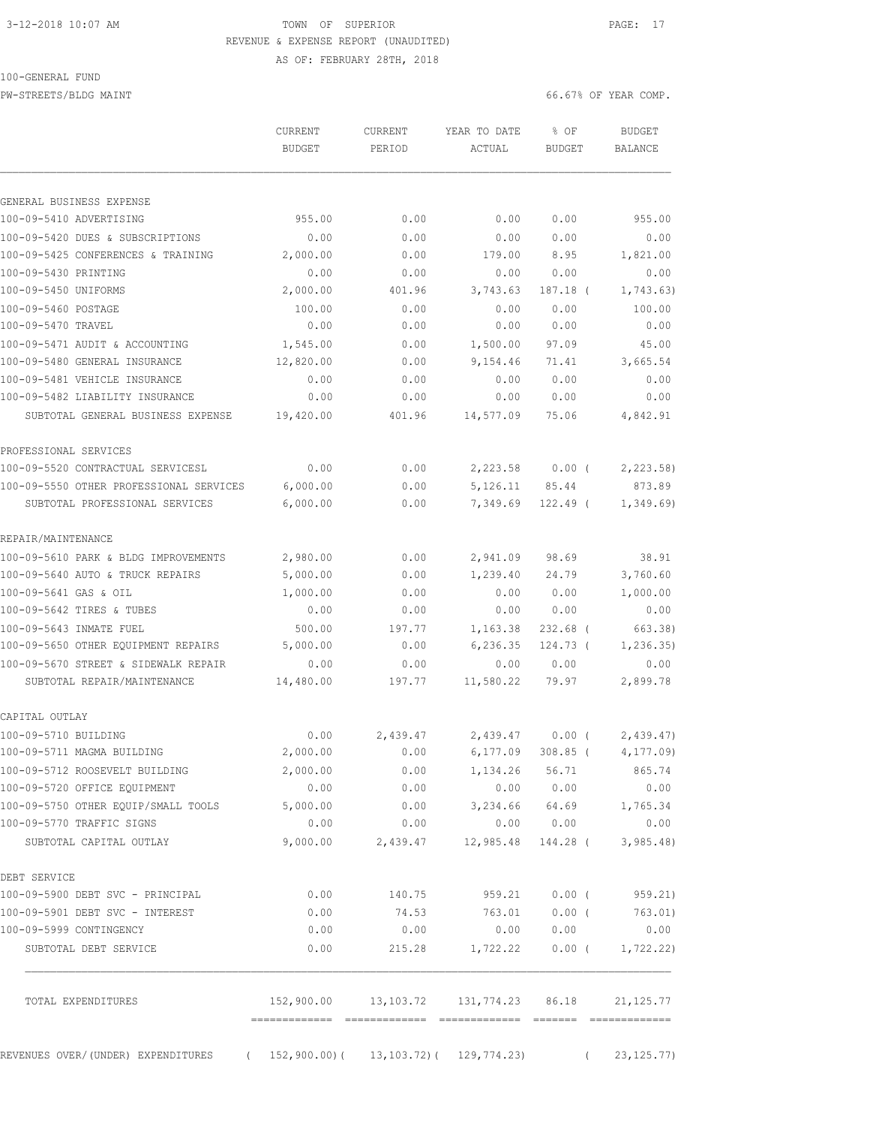# 3-12-2018 10:07 AM **TOWN OF SUPERIOR PAGE: 17** REVENUE & EXPENSE REPORT (UNAUDITED)

AS OF: FEBRUARY 28TH, 2018

### 100-GENERAL FUND

PW-STREETS/BLDG MAINT 66.67% OF YEAR COMP.

|                                                                        | CURRENT<br><b>BUDGET</b> | <b>CURRENT</b><br>PERIOD                       | YEAR TO DATE<br>ACTUAL | % OF<br><b>BUDGET</b> |            | <b>BUDGET</b><br><b>BALANCE</b> |
|------------------------------------------------------------------------|--------------------------|------------------------------------------------|------------------------|-----------------------|------------|---------------------------------|
| GENERAL BUSINESS EXPENSE                                               |                          |                                                |                        |                       |            |                                 |
| 100-09-5410 ADVERTISING                                                | 955.00                   | 0.00                                           | 0.00                   | 0.00                  |            | 955.00                          |
| 100-09-5420 DUES & SUBSCRIPTIONS                                       | 0.00                     | 0.00                                           | 0.00                   | 0.00                  |            | 0.00                            |
| 100-09-5425 CONFERENCES & TRAINING                                     | 2,000.00                 | 0.00                                           | 179.00                 | 8.95                  |            | 1,821.00                        |
| 100-09-5430 PRINTING                                                   | 0.00                     | 0.00                                           | 0.00                   | 0.00                  |            | 0.00                            |
| 100-09-5450 UNIFORMS                                                   | 2,000.00                 | 401.96                                         | 3,743.63               | 187.18 (              |            | 1,743.63)                       |
| 100-09-5460 POSTAGE                                                    | 100.00                   | 0.00                                           | 0.00                   | 0.00                  |            | 100.00                          |
| 100-09-5470 TRAVEL                                                     | 0.00                     | 0.00                                           | 0.00                   | 0.00                  |            | 0.00                            |
| 100-09-5471 AUDIT & ACCOUNTING                                         | 1,545.00                 | 0.00                                           | 1,500.00               | 97.09                 |            | 45.00                           |
| 100-09-5480 GENERAL INSURANCE                                          | 12,820.00                | 0.00                                           | 9,154.46               | 71.41                 |            | 3,665.54                        |
| 100-09-5481 VEHICLE INSURANCE                                          | 0.00                     | 0.00                                           | 0.00                   | 0.00                  |            | 0.00                            |
| 100-09-5482 LIABILITY INSURANCE                                        | 0.00                     | 0.00                                           | 0.00                   | 0.00                  |            | 0.00                            |
| SUBTOTAL GENERAL BUSINESS EXPENSE                                      | 19,420.00                | 401.96                                         | 14,577.09              | 75.06                 |            | 4,842.91                        |
| PROFESSIONAL SERVICES                                                  |                          |                                                |                        |                       |            |                                 |
| 100-09-5520 CONTRACTUAL SERVICESL                                      | 0.00                     | 0.00                                           | 2,223.58               | $0.00$ (              |            | 2, 223.58                       |
| 100-09-5550 OTHER PROFESSIONAL SERVICES                                | 6,000.00                 | 0.00                                           | 5,126.11               | 85.44                 |            | 873.89                          |
| SUBTOTAL PROFESSIONAL SERVICES                                         | 6,000.00                 | 0.00                                           | 7,349.69               | $122.49$ (            |            | 1,349.69                        |
| REPAIR/MAINTENANCE                                                     |                          |                                                |                        |                       |            |                                 |
| 100-09-5610 PARK & BLDG IMPROVEMENTS                                   | 2,980.00                 | 0.00                                           | 2,941.09               | 98.69                 |            | 38.91                           |
| 100-09-5640 AUTO & TRUCK REPAIRS                                       | 5,000.00                 | 0.00                                           | 1,239.40               | 24.79                 |            | 3,760.60                        |
| 100-09-5641 GAS & OIL                                                  | 1,000.00                 | 0.00                                           | 0.00                   | 0.00                  |            | 1,000.00                        |
| 100-09-5642 TIRES & TUBES                                              | 0.00                     | 0.00                                           | 0.00                   | 0.00                  |            | 0.00                            |
| 100-09-5643 INMATE FUEL                                                | 500.00                   | 197.77                                         | 1,163.38               | $232.68$ (            |            | 663.38)                         |
| 100-09-5650 OTHER EQUIPMENT REPAIRS                                    | 5,000.00                 | 0.00                                           | 6, 236.35              | 124.73 (              |            | 1, 236.35)                      |
| 100-09-5670 STREET & SIDEWALK REPAIR                                   | 0.00                     | 0.00                                           | 0.00                   | 0.00                  |            | 0.00                            |
| SUBTOTAL REPAIR/MAINTENANCE                                            | 14,480.00                | 197.77                                         | 11,580.22              | 79.97                 |            | 2,899.78                        |
| CAPITAL OUTLAY                                                         |                          |                                                |                        |                       |            |                                 |
| 100-09-5710 BUILDING                                                   | 0.00                     | 2,439.47                                       | 2,439.47               | $0.00$ (              |            | 2,439.47                        |
| 100-09-5711 MAGMA BUILDING                                             | 2,000.00                 | 0.00                                           | 6, 177.09              | $308.85$ (            |            | 4, 177.09                       |
| 100-09-5712 ROOSEVELT BUILDING                                         | 2,000.00                 | 0.00                                           | 1, 134. 26 56. 71      |                       |            | 865.74                          |
| 100-09-5720 OFFICE EQUIPMENT                                           | 0.00                     | 0.00                                           | 0.00                   | 0.00                  |            | 0.00                            |
| 100-09-5750 OTHER EQUIP/SMALL TOOLS                                    | 5,000.00                 | 0.00                                           | 3,234.66 64.69         |                       |            | 1,765.34                        |
| 100-09-5770 TRAFFIC SIGNS                                              | 0.00                     | 0.00                                           |                        | 0.00 0.00             |            | 0.00                            |
| SUBTOTAL CAPITAL OUTLAY                                                | 9,000.00                 | 2,439.47                                       | 12,985.48 144.28 (     |                       |            | 3,985.48                        |
| DEBT SERVICE                                                           |                          |                                                |                        |                       |            |                                 |
| 100-09-5900 DEBT SVC - PRINCIPAL                                       | 0.00                     | 140.75                                         | 959.21                 | $0.00$ (              |            | 959.21)                         |
| 100-09-5901 DEBT SVC - INTEREST                                        | 0.00                     | 74.53                                          | 763.01                 | $0.00$ (              |            | 763.01)                         |
| 100-09-5999 CONTINGENCY                                                | 0.00                     | 0.00                                           | 0.00                   | 0.00                  |            | 0.00                            |
| SUBTOTAL DEBT SERVICE                                                  | 0.00                     | 215.28                                         | 1,722.22               | $0.00$ (              |            | 1,722.22)                       |
| TOTAL EXPENDITURES                                                     |                          | 152,900.00    13,103.72    131,774.23    86.18 |                        |                       |            | 21, 125.77                      |
| REVENUES OVER/(UNDER) EXPENDITURES (152,900.00)(13,103.72)(129,774.23) |                          |                                                |                        |                       | $\sqrt{2}$ | 23, 125.77)                     |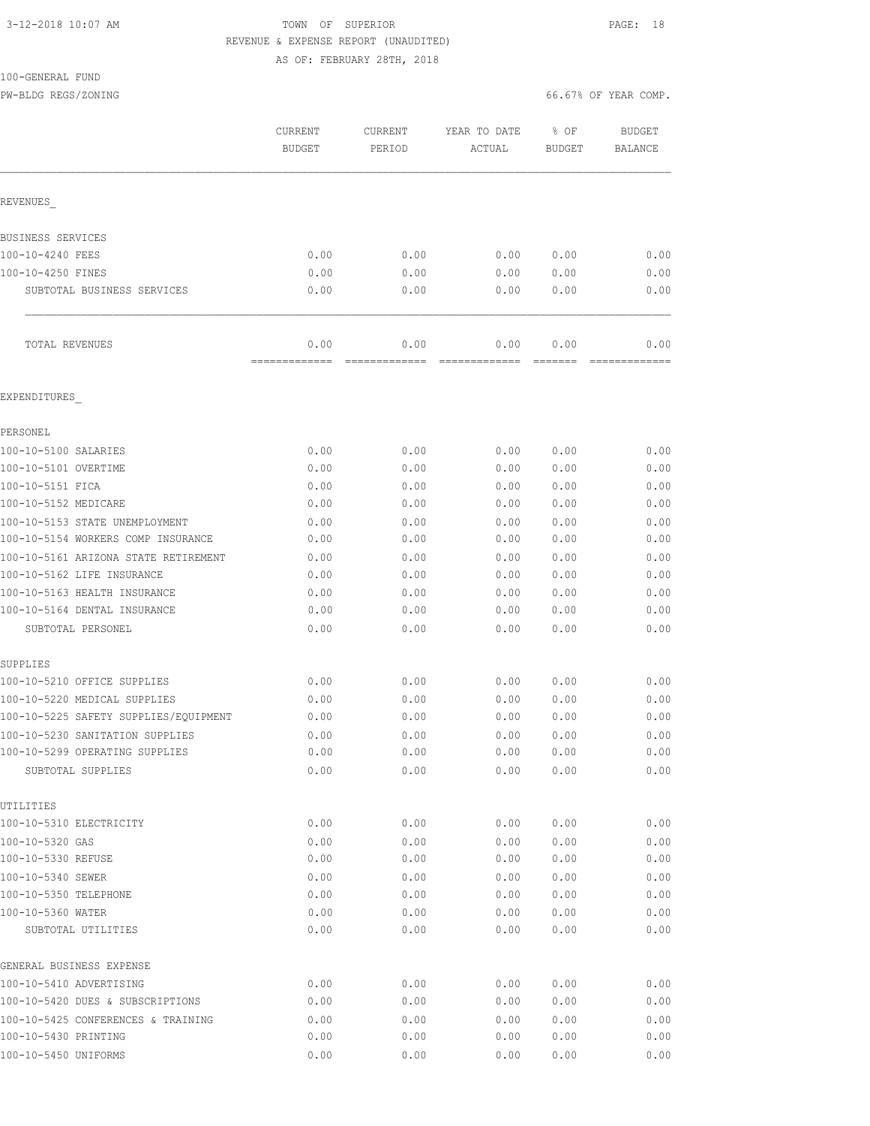# 3-12-2018 10:07 AM **PAGE:** 18 REVENUE & EXPENSE REPORT (UNAUDITED)

AS OF: FEBRUARY 28TH, 2018

### 100-GENERAL FUND

PW-BLDG REGS/ZONING 66.67% OF YEAR COMP.

|                                         | CURRENT<br><b>BUDGET</b> | CURRENT<br>PERIOD | YEAR TO DATE<br>ACTUAL | % OF<br>BUDGET | <b>BUDGET</b><br><b>BALANCE</b> |
|-----------------------------------------|--------------------------|-------------------|------------------------|----------------|---------------------------------|
| REVENUES                                |                          |                   |                        |                |                                 |
| BUSINESS SERVICES                       |                          |                   |                        |                |                                 |
| 100-10-4240 FEES                        | 0.00                     | 0.00              | 0.00                   | 0.00           | 0.00                            |
| 100-10-4250 FINES                       | 0.00                     | 0.00              | 0.00                   | 0.00           | 0.00                            |
| SUBTOTAL BUSINESS SERVICES              | 0.00                     | 0.00              | 0.00                   | 0.00           | 0.00                            |
| TOTAL REVENUES                          | 0.00                     | 0.00              | 0.00                   | 0.00           | 0.00                            |
| EXPENDITURES                            |                          |                   |                        |                |                                 |
| PERSONEL                                |                          |                   |                        |                |                                 |
| 100-10-5100 SALARIES                    | 0.00                     | 0.00              | 0.00                   | 0.00           | 0.00                            |
| 100-10-5101 OVERTIME                    | 0.00                     | 0.00              | 0.00                   | 0.00           | 0.00                            |
| 100-10-5151 FICA                        | 0.00                     | 0.00              | 0.00                   | 0.00           | 0.00                            |
| 100-10-5152 MEDICARE                    | 0.00                     | 0.00              | 0.00                   | 0.00           | 0.00                            |
| 100-10-5153 STATE UNEMPLOYMENT          | 0.00                     | 0.00              | 0.00                   | 0.00           | 0.00                            |
| 100-10-5154 WORKERS COMP INSURANCE      | 0.00                     | 0.00              | 0.00                   | 0.00           | 0.00                            |
| 100-10-5161 ARIZONA STATE RETIREMENT    | 0.00                     | 0.00              | 0.00                   | 0.00           | 0.00                            |
| 100-10-5162 LIFE INSURANCE              | 0.00                     | 0.00              | 0.00                   | 0.00           | 0.00                            |
| 100-10-5163 HEALTH INSURANCE            | 0.00                     | 0.00              | 0.00                   | 0.00           | 0.00                            |
| 100-10-5164 DENTAL INSURANCE            | 0.00                     | 0.00              | 0.00                   | 0.00           | 0.00                            |
| SUBTOTAL PERSONEL                       | 0.00                     | 0.00              | 0.00                   | 0.00           | 0.00                            |
| SUPPLIES                                |                          |                   |                        |                |                                 |
| 100-10-5210 OFFICE SUPPLIES             | 0.00                     | 0.00              | 0.00                   | 0.00           | 0.00                            |
| 100-10-5220 MEDICAL SUPPLIES            | 0.00                     | 0.00              | 0.00                   | 0.00           | 0.00                            |
| 100-10-5225 SAFETY SUPPLIES/EQUIPMENT   | 0.00                     | 0.00              | 0.00                   | 0.00           | 0.00                            |
| 100-10-5230 SANITATION SUPPLIES         | 0.00                     | 0.00              | 0.00                   | 0.00           | 0.00                            |
| 100-10-5299 OPERATING SUPPLIES          | 0.00                     | 0.00              | 0.00                   | 0.00           | 0.00                            |
| SUBTOTAL SUPPLIES                       | 0.00                     | 0.00              | 0.00                   | 0.00           | 0.00                            |
| UTILITIES                               |                          |                   |                        |                |                                 |
| 100-10-5310 ELECTRICITY                 | 0.00                     | 0.00              | 0.00                   | 0.00           | 0.00                            |
| 100-10-5320 GAS                         | 0.00                     | 0.00              | 0.00                   | 0.00           | 0.00                            |
| 100-10-5330 REFUSE                      | 0.00                     | 0.00              | 0.00                   | 0.00           | 0.00                            |
| 100-10-5340 SEWER                       | 0.00                     | 0.00              | 0.00                   | 0.00           | 0.00                            |
| 100-10-5350 TELEPHONE                   | 0.00                     | 0.00              | 0.00                   | 0.00           | 0.00                            |
| 100-10-5360 WATER<br>SUBTOTAL UTILITIES | 0.00<br>0.00             | 0.00<br>0.00      | 0.00<br>0.00           | 0.00<br>0.00   | 0.00<br>0.00                    |
| GENERAL BUSINESS EXPENSE                |                          |                   |                        |                |                                 |
| 100-10-5410 ADVERTISING                 | 0.00                     | 0.00              | 0.00                   | 0.00           | 0.00                            |
| 100-10-5420 DUES & SUBSCRIPTIONS        | 0.00                     | 0.00              | 0.00                   | 0.00           | 0.00                            |
| 100-10-5425 CONFERENCES & TRAINING      | 0.00                     | 0.00              | 0.00                   | 0.00           | 0.00                            |
| 100-10-5430 PRINTING                    | 0.00                     | 0.00              | 0.00                   | 0.00           | 0.00                            |
| 100-10-5450 UNIFORMS                    | 0.00                     | 0.00              | 0.00                   | 0.00           | 0.00                            |
|                                         |                          |                   |                        |                |                                 |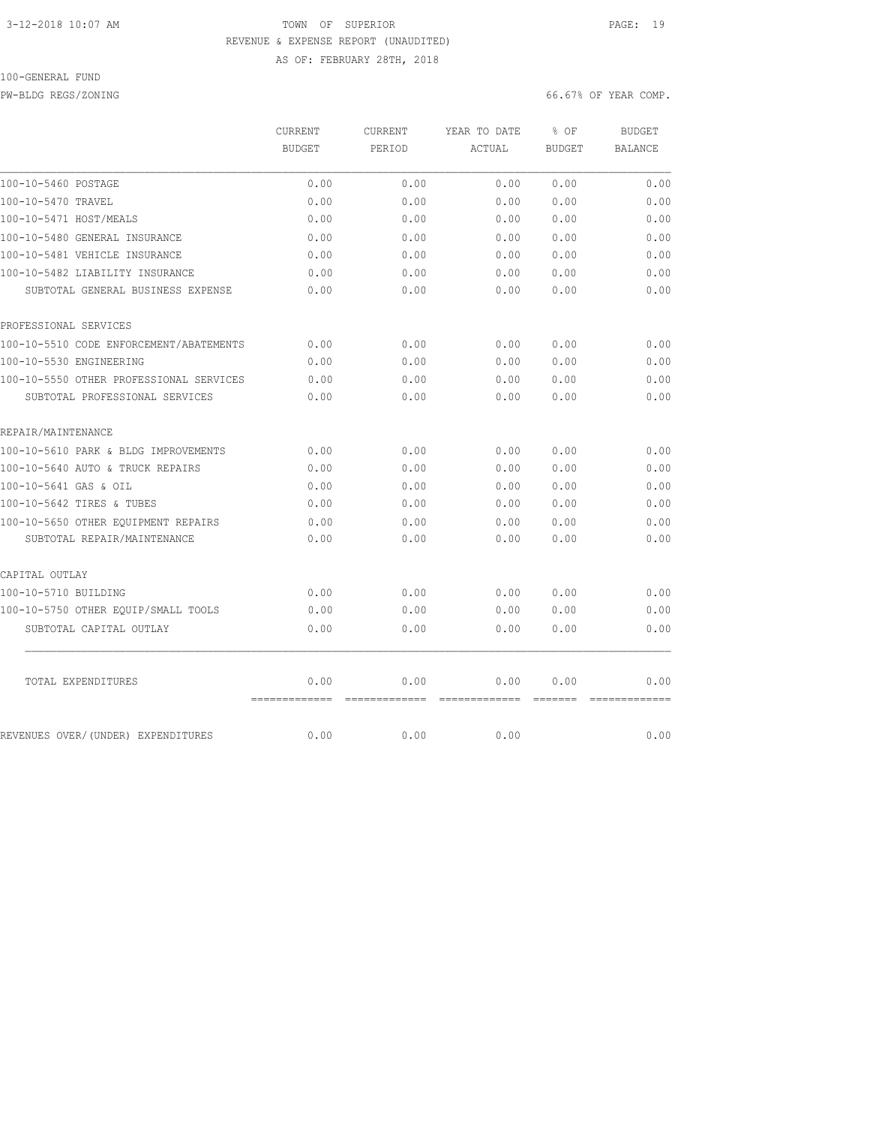## 3-12-2018 10:07 AM TOWN OF SUPERIOR PAGE: 19 REVENUE & EXPENSE REPORT (UNAUDITED) AS OF: FEBRUARY 28TH, 2018

### 100-GENERAL FUND

PW-BLDG REGS/ZONING 66.67% OF YEAR COMP.

|                                         | CURRENT<br><b>BUDGET</b> | <b>CURRENT</b><br>PERIOD | YEAR TO DATE<br>ACTUAL | % OF          | <b>BUDGET</b><br><b>BALANCE</b> |
|-----------------------------------------|--------------------------|--------------------------|------------------------|---------------|---------------------------------|
|                                         |                          |                          |                        | <b>BUDGET</b> |                                 |
| 100-10-5460 POSTAGE                     | 0.00                     | 0.00                     | 0.00                   | 0.00          | 0.00                            |
| 100-10-5470 TRAVEL                      | 0.00                     | 0.00                     | 0.00                   | 0.00          | 0.00                            |
| 100-10-5471 HOST/MEALS                  | 0.00                     | 0.00                     | 0.00                   | 0.00          | 0.00                            |
| 100-10-5480 GENERAL INSURANCE           | 0.00                     | 0.00                     | 0.00                   | 0.00          | 0.00                            |
| 100-10-5481 VEHICLE INSURANCE           | 0.00                     | 0.00                     | 0.00                   | 0.00          | 0.00                            |
| 100-10-5482 LIABILITY INSURANCE         | 0.00                     | 0.00                     | 0.00                   | 0.00          | 0.00                            |
| SUBTOTAL GENERAL BUSINESS EXPENSE       | 0.00                     | 0.00                     | 0.00                   | 0.00          | 0.00                            |
| PROFESSIONAL SERVICES                   |                          |                          |                        |               |                                 |
| 100-10-5510 CODE ENFORCEMENT/ABATEMENTS | 0.00                     | 0.00                     | 0.00                   | 0.00          | 0.00                            |
| 100-10-5530 ENGINEERING                 | 0.00                     | 0.00                     | 0.00                   | 0.00          | 0.00                            |
| 100-10-5550 OTHER PROFESSIONAL SERVICES | 0.00                     | 0.00                     | 0.00                   | 0.00          | 0.00                            |
| SUBTOTAL PROFESSIONAL SERVICES          | 0.00                     | 0.00                     | 0.00                   | 0.00          | 0.00                            |
| REPAIR/MAINTENANCE                      |                          |                          |                        |               |                                 |
| 100-10-5610 PARK & BLDG IMPROVEMENTS    | 0.00                     | 0.00                     | 0.00                   | 0.00          | 0.00                            |
| 100-10-5640 AUTO & TRUCK REPAIRS        | 0.00                     | 0.00                     | 0.00                   | 0.00          | 0.00                            |
| 100-10-5641 GAS & OIL                   | 0.00                     | 0.00                     | 0.00                   | 0.00          | 0.00                            |
| 100-10-5642 TIRES & TUBES               | 0.00                     | 0.00                     | 0.00                   | 0.00          | 0.00                            |
| 100-10-5650 OTHER EQUIPMENT REPAIRS     | 0.00                     | 0.00                     | 0.00                   | 0.00          | 0.00                            |
| SUBTOTAL REPAIR/MAINTENANCE             | 0.00                     | 0.00                     | 0.00                   | 0.00          | 0.00                            |
| CAPITAL OUTLAY                          |                          |                          |                        |               |                                 |
| 100-10-5710 BUILDING                    | 0.00                     | 0.00                     | 0.00                   | 0.00          | 0.00                            |
| 100-10-5750 OTHER EQUIP/SMALL TOOLS     | 0.00                     | 0.00                     | 0.00                   | 0.00          | 0.00                            |
| SUBTOTAL CAPITAL OUTLAY                 | 0.00                     | 0.00                     | 0.00                   | 0.00          | 0.00                            |
| TOTAL EXPENDITURES                      | 0.00                     | 0.00                     | 0.00                   | 0.00          | 0.00                            |
| REVENUES OVER/(UNDER) EXPENDITURES      | 0.00                     | 0.00                     | 0.00                   |               | 0.00                            |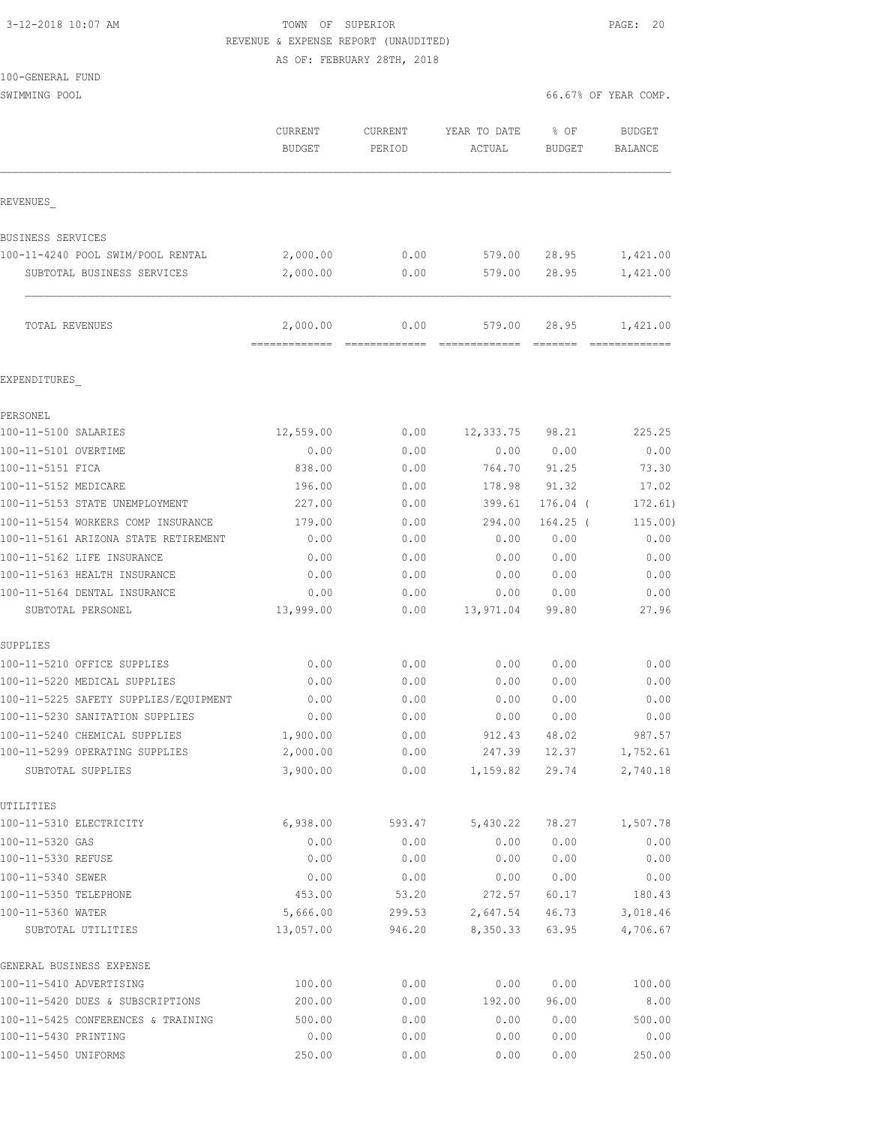| 3-12-2018 10:07 AM |  |
|--------------------|--|
|                    |  |

TOWN OF SUPERIOR **12-2018** PAGE: 20 REVENUE & EXPENSE REPORT (UNAUDITED)

AS OF: FEBRUARY 28TH, 2018

SWIMMING POOL 66.67% OF YEAR COMP.

|                                                     | CURRENT<br><b>BUDGET</b> | <b>CURRENT</b><br>PERIOD | YEAR TO DATE<br>ACTUAL | % OF<br>BUDGET        | <b>BUDGET</b><br><b>BALANCE</b> |
|-----------------------------------------------------|--------------------------|--------------------------|------------------------|-----------------------|---------------------------------|
| REVENUES                                            |                          |                          |                        |                       |                                 |
| BUSINESS SERVICES                                   |                          |                          |                        |                       |                                 |
| 100-11-4240 POOL SWIM/POOL RENTAL                   | 2,000.00                 | 0.00                     | 579.00                 | 28.95                 | 1,421.00                        |
| SUBTOTAL BUSINESS SERVICES                          | 2,000.00                 | 0.00                     | 579.00                 | 28.95                 | 1,421.00                        |
| TOTAL REVENUES                                      | 2,000.00                 | 0.00                     | 579.00                 | 28.95                 | 1,421.00                        |
| EXPENDITURES                                        |                          |                          |                        |                       |                                 |
| PERSONEL                                            |                          |                          |                        |                       |                                 |
| 100-11-5100 SALARIES                                | 12,559.00                | 0.00                     | 12,333.75              | 98.21                 | 225.25                          |
| 100-11-5101 OVERTIME                                | 0.00                     | 0.00                     | 0.00                   | 0.00                  | 0.00                            |
| 100-11-5151 FICA                                    | 838.00                   | 0.00                     | 764.70                 | 91.25                 | 73.30                           |
| 100-11-5152 MEDICARE                                | 196.00                   | 0.00                     | 178.98                 | 91.32                 | 17.02                           |
| 100-11-5153 STATE UNEMPLOYMENT                      | 227.00                   | 0.00                     | 399.61                 | $176.04$ (            | 172.61)                         |
| 100-11-5154 WORKERS COMP INSURANCE                  | 179.00                   | 0.00                     | 294.00                 | $164.25$ (            | 115.00)                         |
| 100-11-5161 ARIZONA STATE RETIREMENT                | 0.00                     | 0.00                     | 0.00                   | 0.00                  | 0.00                            |
| 100-11-5162 LIFE INSURANCE                          | 0.00                     | 0.00                     | 0.00                   | 0.00                  | 0.00                            |
| 100-11-5163 HEALTH INSURANCE                        | 0.00                     | 0.00                     | 0.00                   | 0.00                  | 0.00                            |
| 100-11-5164 DENTAL INSURANCE                        | 0.00                     | 0.00                     | 0.00                   | 0.00                  | 0.00                            |
| SUBTOTAL PERSONEL                                   | 13,999.00                | 0.00                     | 13,971.04              | 99.80                 | 27.96                           |
| SUPPLIES                                            |                          |                          |                        |                       |                                 |
| 100-11-5210 OFFICE SUPPLIES                         | 0.00                     | 0.00                     | 0.00                   | 0.00                  | 0.00                            |
| 100-11-5220 MEDICAL SUPPLIES                        | 0.00                     | 0.00                     | 0.00                   | 0.00                  | 0.00                            |
| 100-11-5225 SAFETY SUPPLIES/EQUIPMENT               | 0.00                     | 0.00                     | 0.00                   | 0.00                  | 0.00                            |
| 100-11-5230 SANITATION SUPPLIES                     | 0.00                     | 0.00                     | 0.00                   | 0.00                  | 0.00                            |
| 100-11-5240 CHEMICAL SUPPLIES                       | 1,900.00<br>2,000.00     | 0.00<br>0.00             | 912.43                 | 48.02<br>247.39 12.37 | 987.57                          |
| 100-11-5299 OPERATING SUPPLIES<br>SUBTOTAL SUPPLIES | 3,900.00                 | 0.00                     | 1,159.82               | 29.74                 | 1,752.61<br>2,740.18            |
| UTILITIES                                           |                          |                          |                        |                       |                                 |
| 100-11-5310 ELECTRICITY                             | 6,938.00                 | 593.47                   | 5,430.22               | 78.27                 | 1,507.78                        |
| 100-11-5320 GAS                                     | 0.00                     | 0.00                     | 0.00                   | 0.00                  | 0.00                            |
| 100-11-5330 REFUSE                                  | 0.00                     | 0.00                     | 0.00                   | 0.00                  | 0.00                            |
| 100-11-5340 SEWER                                   | 0.00                     | 0.00                     | 0.00                   | 0.00                  | 0.00                            |
| 100-11-5350 TELEPHONE                               | 453.00                   | 53.20                    | 272.57                 | 60.17                 | 180.43                          |
| 100-11-5360 WATER                                   | 5,666.00                 | 299.53                   | 2,647.54               | 46.73                 | 3,018.46                        |
| SUBTOTAL UTILITIES                                  | 13,057.00                | 946.20                   | 8,350.33               | 63.95                 | 4,706.67                        |
| GENERAL BUSINESS EXPENSE                            |                          |                          |                        |                       |                                 |
| 100-11-5410 ADVERTISING                             | 100.00                   | 0.00                     | 0.00                   | 0.00                  | 100.00                          |
| 100-11-5420 DUES & SUBSCRIPTIONS                    | 200.00                   | 0.00                     | 192.00                 | 96.00                 | 8.00                            |
| 100-11-5425 CONFERENCES & TRAINING                  | 500.00                   | 0.00                     | 0.00                   | 0.00                  | 500.00                          |
| 100-11-5430 PRINTING                                | 0.00                     | 0.00                     | 0.00                   | 0.00                  | 0.00                            |
| 100-11-5450 UNIFORMS                                | 250.00                   | 0.00                     | 0.00                   | 0.00                  | 250.00                          |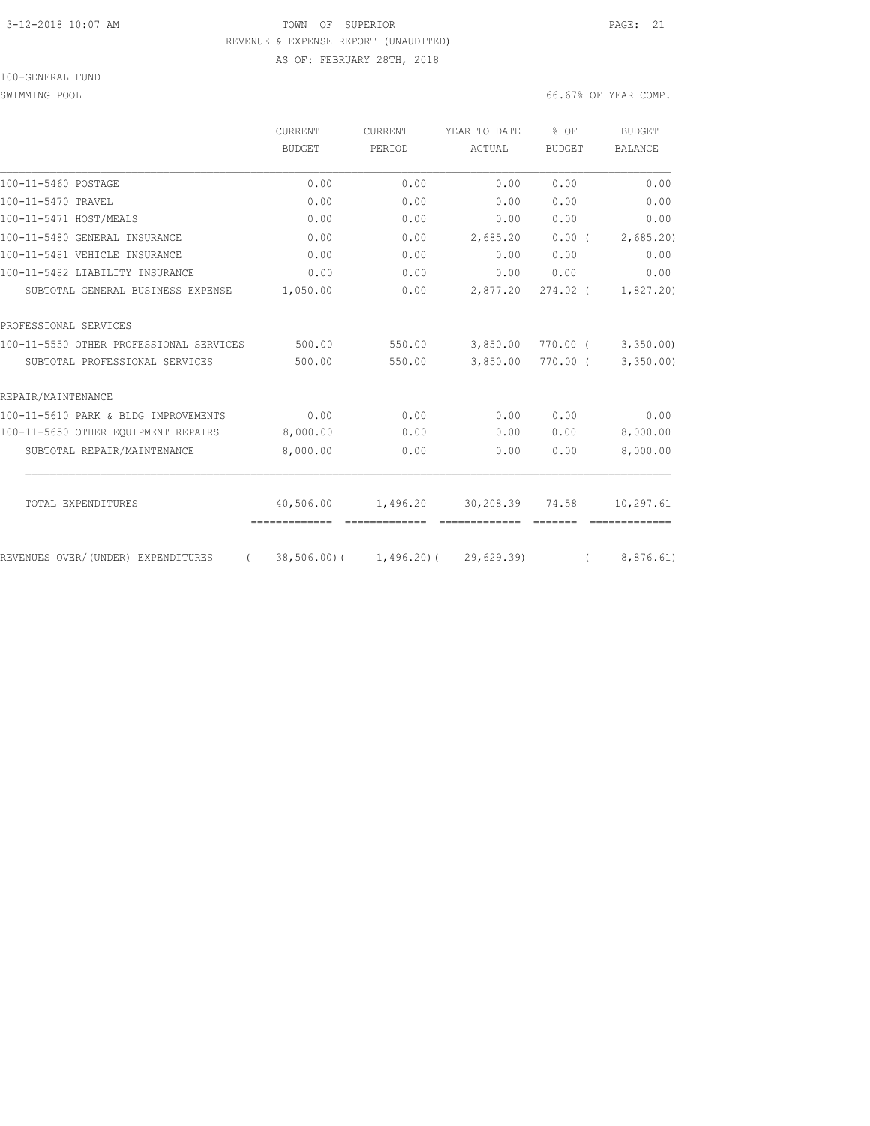## 3-12-2018 10:07 AM **PAGE: 21** TOWN OF SUPERIOR REVENUE & EXPENSE REPORT (UNAUDITED) AS OF: FEBRUARY 28TH, 2018

### 100-GENERAL FUND

|                                                | CURRENT       | <b>CURRENT</b>                       | YEAR TO DATE | % OF          | BUDGET         |
|------------------------------------------------|---------------|--------------------------------------|--------------|---------------|----------------|
|                                                | BUDGET        | PERIOD                               | ACTUAL       | <b>BUDGET</b> | <b>BALANCE</b> |
| 100-11-5460 POSTAGE                            | 0.00          | 0.00                                 | 0.00         | 0.00          | 0.00           |
| 100-11-5470 TRAVEL                             | 0.00          | 0.00                                 | 0.00         | 0.00          | 0.00           |
| 100-11-5471 HOST/MEALS                         | 0.00          | 0.00                                 | 0.00         | 0.00          | 0.00           |
| 100-11-5480 GENERAL INSURANCE                  | 0.00          | 0.00                                 | 2,685.20     | 0.00(         | 2,685.20       |
| 100-11-5481 VEHICLE INSURANCE                  | 0.00          | 0.00                                 | 0.00         | 0.00          | 0.00           |
| 100-11-5482 LIABILITY INSURANCE                | 0.00          | 0.00                                 | 0.00         | 0.00          | 0.00           |
| SUBTOTAL GENERAL BUSINESS EXPENSE              | 1,050.00      | 0.00                                 | 2,877.20     | $274.02$ (    | 1,827.20       |
| PROFESSIONAL SERVICES                          |               |                                      |              |               |                |
| 100-11-5550 OTHER PROFESSIONAL SERVICES        | 500.00        | 550.00                               | 3,850.00     | 770.00 (      | 3,350.00       |
| SUBTOTAL PROFESSIONAL SERVICES                 | 500.00        | 550.00                               | 3,850.00     | $770.00$ (    | 3,350.00       |
| REPAIR/MAINTENANCE                             |               |                                      |              |               |                |
| 100-11-5610 PARK & BLDG IMPROVEMENTS           | 0.00          | 0.00                                 | 0.00         | 0.00          | 0.00           |
| 100-11-5650 OTHER EQUIPMENT REPAIRS            | 8,000.00      | 0.00                                 | 0.00         | 0.00          | 8,000.00       |
| SUBTOTAL REPAIR/MAINTENANCE                    | 8,000.00      | 0.00                                 | 0.00         | 0.00          | 8,000.00       |
| TOTAL EXPENDITURES                             | 40,506.00     | 1,496.20                             | 30,208.39    | 74.58         | 10,297.61      |
|                                                | ============= | -------------                        |              |               |                |
| REVENUES OVER/(UNDER) EXPENDITURES<br>$\left($ |               | $38,506.00$ ( 1,496.20) ( 29,629.39) |              |               | 8,876.61)      |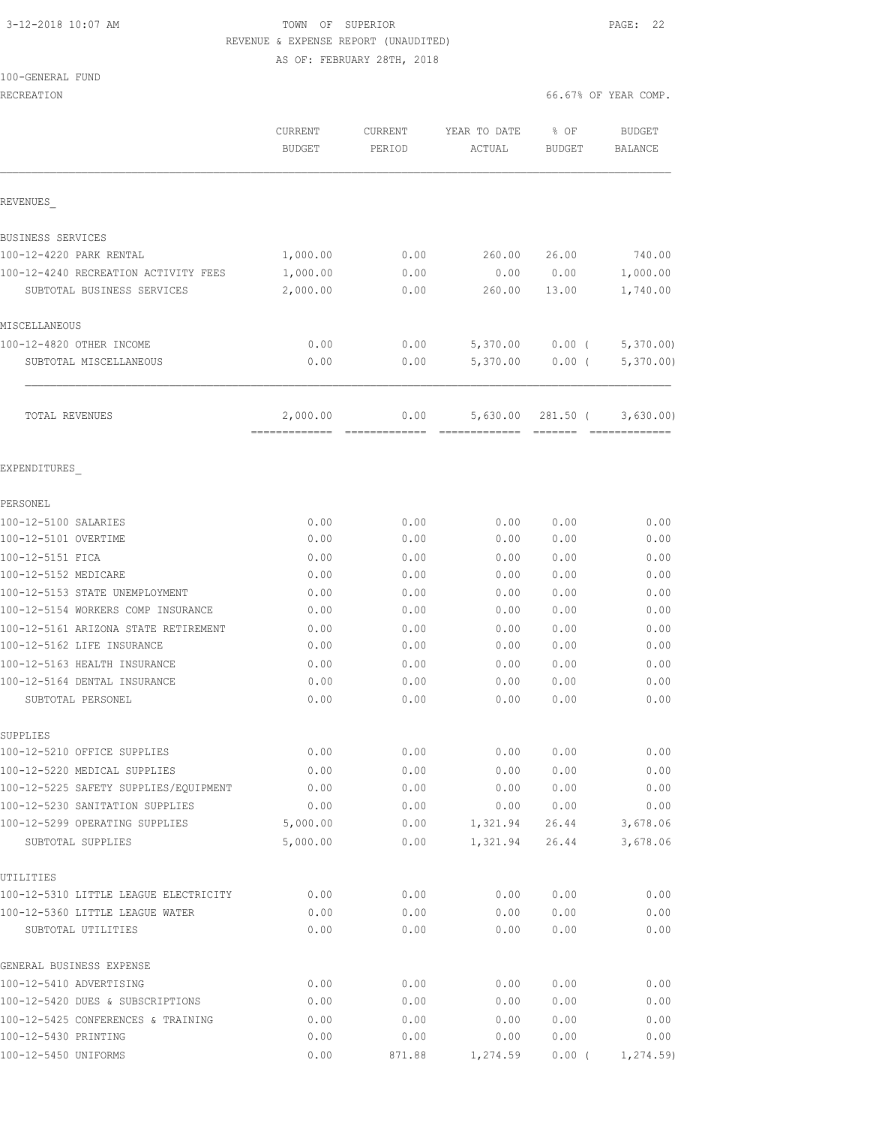## 3-12-2018 10:07 AM TOWN OF SUPERIOR PAGE: 22 REVENUE & EXPENSE REPORT (UNAUDITED) AS OF: FEBRUARY 28TH, 2018

### 100-GENERAL FUND

|                                                       | CURRENT<br><b>BUDGET</b> | CURRENT<br>PERIOD | YEAR TO DATE<br>ACTUAL | % OF<br>BUDGET | <b>BUDGET</b><br><b>BALANCE</b> |
|-------------------------------------------------------|--------------------------|-------------------|------------------------|----------------|---------------------------------|
| REVENUES                                              |                          |                   |                        |                |                                 |
| BUSINESS SERVICES                                     |                          |                   |                        |                |                                 |
| 100-12-4220 PARK RENTAL                               | 1,000.00                 | 0.00              | 260.00                 | 26.00          | 740.00                          |
| 100-12-4240 RECREATION ACTIVITY FEES                  | 1,000.00                 | 0.00              | 0.00                   | 0.00           | 1,000.00                        |
| SUBTOTAL BUSINESS SERVICES                            | 2,000.00                 | 0.00              | 260.00                 | 13.00          | 1,740.00                        |
| MISCELLANEOUS                                         |                          |                   |                        |                |                                 |
| 100-12-4820 OTHER INCOME                              | 0.00                     | 0.00              | 5,370.00               | $0.00$ (       | 5,370.00                        |
| SUBTOTAL MISCELLANEOUS                                | 0.00                     | 0.00              | 5,370.00               | $0.00$ (       | 5,370.00                        |
| TOTAL REVENUES                                        | 2,000.00                 | 0.00              | 5,630.00               | 281.50 (       | 3,630.00)                       |
| EXPENDITURES                                          |                          |                   |                        |                |                                 |
| PERSONEL                                              |                          |                   |                        |                |                                 |
| 100-12-5100 SALARIES                                  | 0.00                     | 0.00              | 0.00                   | 0.00           | 0.00                            |
| 100-12-5101 OVERTIME                                  | 0.00                     | 0.00              | 0.00                   | 0.00           | 0.00                            |
| 100-12-5151 FICA                                      | 0.00                     | 0.00              | 0.00                   | 0.00           | 0.00                            |
| 100-12-5152 MEDICARE                                  | 0.00                     | 0.00              | 0.00                   | 0.00           | 0.00                            |
| 100-12-5153 STATE UNEMPLOYMENT                        | 0.00                     | 0.00              | 0.00                   | 0.00           | 0.00                            |
| 100-12-5154 WORKERS COMP INSURANCE                    | 0.00                     | 0.00              | 0.00                   | 0.00           | 0.00                            |
| 100-12-5161 ARIZONA STATE RETIREMENT                  | 0.00                     | 0.00              | 0.00                   | 0.00           | 0.00                            |
| 100-12-5162 LIFE INSURANCE                            | 0.00                     | 0.00              | 0.00                   | 0.00           | 0.00                            |
| 100-12-5163 HEALTH INSURANCE                          | 0.00                     | 0.00              | 0.00                   | 0.00           | 0.00                            |
| 100-12-5164 DENTAL INSURANCE                          | 0.00                     | 0.00              | 0.00                   | 0.00           | 0.00                            |
| SUBTOTAL PERSONEL                                     | 0.00                     | 0.00              | 0.00                   | 0.00           | 0.00                            |
| SUPPLIES                                              |                          |                   |                        |                |                                 |
| 100-12-5210 OFFICE SUPPLIES                           | 0.00                     | 0.00              | 0.00                   | 0.00           | 0.00                            |
| 100-12-5220 MEDICAL SUPPLIES                          | 0.00                     | 0.00              | 0.00                   | 0.00           | 0.00                            |
| 100-12-5225 SAFETY SUPPLIES/EQUIPMENT                 | 0.00                     | 0.00              | 0.00                   | 0.00           | 0.00                            |
| 100-12-5230 SANITATION SUPPLIES                       | 0.00                     | 0.00              | 0.00                   | 0.00           | 0.00                            |
| 100-12-5299 OPERATING SUPPLIES<br>SUBTOTAL SUPPLIES   | 5,000.00<br>5,000.00     | 0.00<br>0.00      | 1,321.94               | 26.44          | 3,678.06<br>3,678.06            |
|                                                       |                          |                   | 1,321.94               | 26.44          |                                 |
| UTILITIES                                             |                          |                   |                        |                |                                 |
| 100-12-5310 LITTLE LEAGUE ELECTRICITY                 | 0.00                     | 0.00              | 0.00                   | 0.00           | 0.00                            |
| 100-12-5360 LITTLE LEAGUE WATER<br>SUBTOTAL UTILITIES | 0.00<br>0.00             | 0.00<br>0.00      | 0.00<br>0.00           | 0.00<br>0.00   | 0.00<br>0.00                    |
| GENERAL BUSINESS EXPENSE                              |                          |                   |                        |                |                                 |
| 100-12-5410 ADVERTISING                               | 0.00                     | 0.00              | 0.00                   | 0.00           | 0.00                            |
| 100-12-5420 DUES & SUBSCRIPTIONS                      | 0.00                     | 0.00              | 0.00                   | 0.00           | 0.00                            |
| 100-12-5425 CONFERENCES & TRAINING                    | 0.00                     | 0.00              | 0.00                   | 0.00           | 0.00                            |
| 100-12-5430 PRINTING                                  | 0.00                     | 0.00              | 0.00                   | 0.00           | 0.00                            |
| 100-12-5450 UNIFORMS                                  | 0.00                     | 871.88            | 1,274.59               | $0.00$ (       | 1, 274.59                       |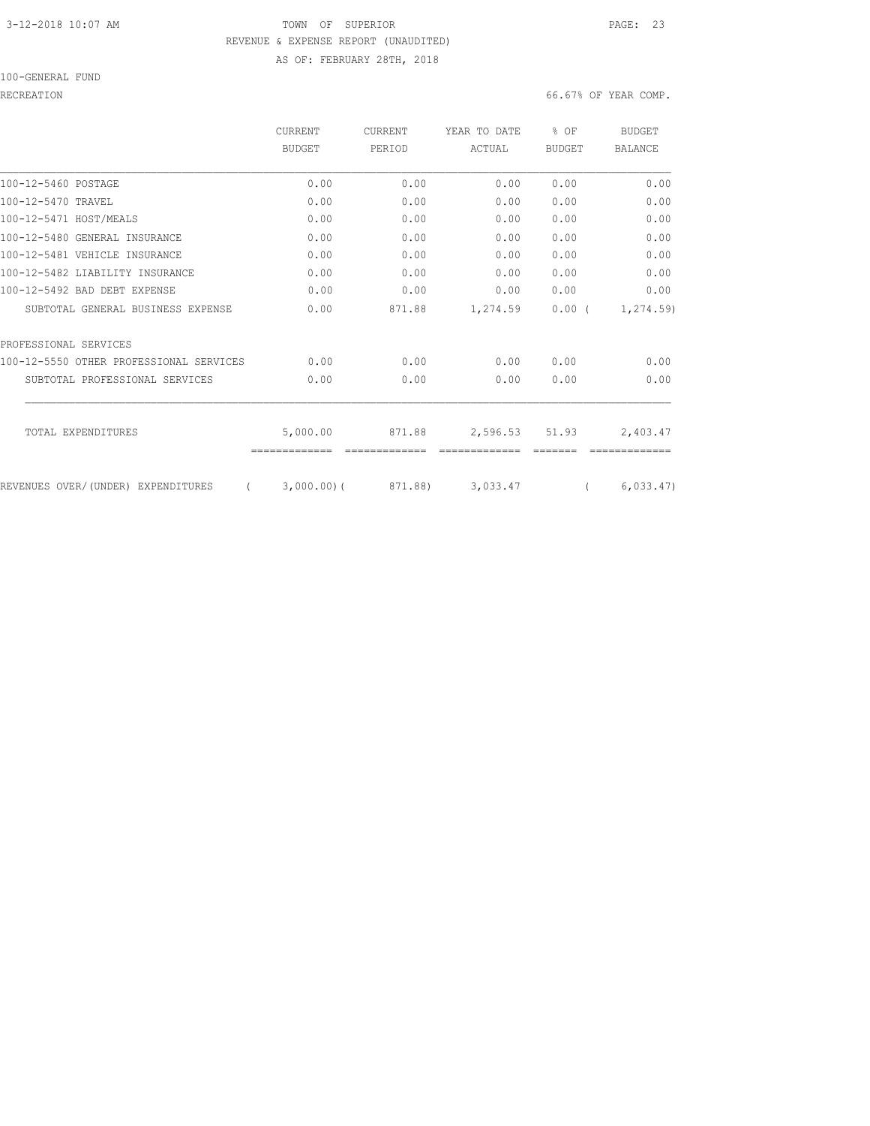### 3-12-2018 10:07 AM **PAGE:** 23 REVENUE & EXPENSE REPORT (UNAUDITED) AS OF: FEBRUARY 28TH, 2018

100-GENERAL FUND

### RECREATION 66.67% OF YEAR COMP.

|                                         | CURRENT       | <b>CURRENT</b> | YEAR TO DATE | $8$ OF        | <b>BUDGET</b>  |
|-----------------------------------------|---------------|----------------|--------------|---------------|----------------|
|                                         | BUDGET        | PERIOD         | ACTUAL       | <b>BUDGET</b> | <b>BALANCE</b> |
| 100-12-5460 POSTAGE                     | 0.00          | 0.00           | 0.00         | 0.00          | 0.00           |
| 100-12-5470 TRAVEL                      | 0.00          | 0.00           | 0.00         | 0.00          | 0.00           |
| 100-12-5471 HOST/MEALS                  | 0.00          | 0.00           | 0.00         | 0.00          | 0.00           |
| 100-12-5480 GENERAL INSURANCE           | 0.00          | 0.00           | 0.00         | 0.00          | 0.00           |
| 100-12-5481 VEHICLE INSURANCE           | 0.00          | 0.00           | 0.00         | 0.00          | 0.00           |
| 100-12-5482 LIABILITY INSURANCE         | 0.00          | 0.00           | 0.00         | 0.00          | 0.00           |
| 100-12-5492 BAD DEBT EXPENSE            | 0.00          | 0.00           | 0.00         | 0.00          | 0.00           |
| SUBTOTAL GENERAL BUSINESS EXPENSE       | 0.00          | 871.88         | 1,274.59     | 0.00(         | 1,274.59)      |
| PROFESSIONAL SERVICES                   |               |                |              |               |                |
| 100-12-5550 OTHER PROFESSIONAL SERVICES | 0.00          | 0.00           | 0.00         | 0.00          | 0.00           |
| SUBTOTAL PROFESSIONAL SERVICES          | 0.00          | 0.00           | 0.00         | 0.00          | 0.00           |
| TOTAL EXPENDITURES                      | 5,000.00      | 871.88         | 2,596.53     | 51.93         | 2,403.47       |
| REVENUES OVER/(UNDER) EXPENDITURES      | $3,000.00)$ ( | 871.88)        | 3,033.47     |               | 6,033.47)      |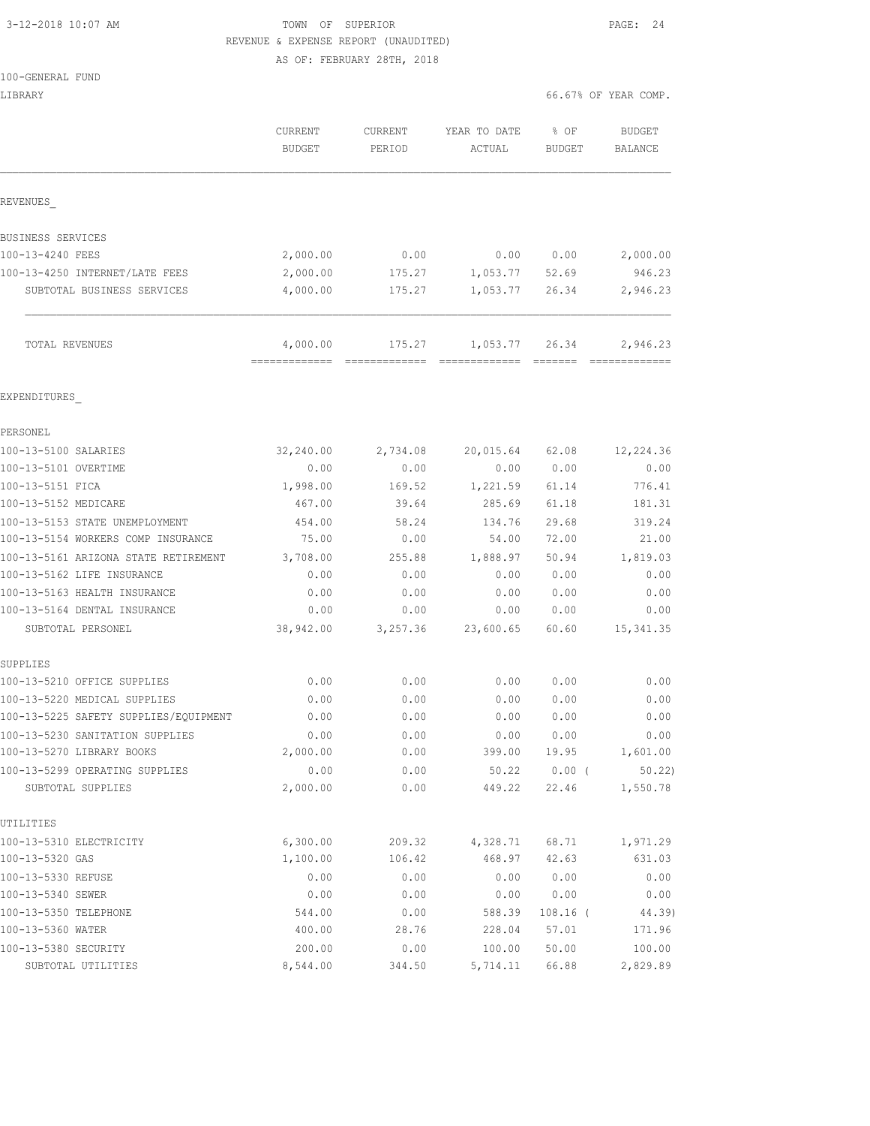# 3-12-2018 10:07 AM **TOWN OF SUPERIOR PAGE: 24** REVENUE & EXPENSE REPORT (UNAUDITED)

AS OF: FEBRUARY 28TH, 2018

| LIBRARY                                                               |                          |                          |                                   | 66.67% OF YEAR COMP.  |                          |
|-----------------------------------------------------------------------|--------------------------|--------------------------|-----------------------------------|-----------------------|--------------------------|
|                                                                       | CURRENT<br><b>BUDGET</b> | <b>CURRENT</b><br>PERIOD | YEAR TO DATE<br>ACTUAL            | % OF<br><b>BUDGET</b> | <b>BUDGET</b><br>BALANCE |
| REVENUES                                                              |                          |                          |                                   |                       |                          |
| BUSINESS SERVICES                                                     |                          |                          |                                   |                       |                          |
| 100-13-4240 FEES                                                      | 2,000.00                 | 0.00                     | 0.00                              | 0.00                  | 2,000.00                 |
| 100-13-4250 INTERNET/LATE FEES                                        | 2,000.00                 | 175.27                   | 1,053.77                          | 52.69                 | 946.23                   |
| SUBTOTAL BUSINESS SERVICES                                            | 4,000.00                 | 175.27                   | 1,053.77                          | 26.34                 | 2,946.23                 |
| TOTAL REVENUES                                                        | 4,000.00                 | 175.27                   | 1,053.77<br>-------------- ------ | 26.34                 | 2,946.23                 |
| EXPENDITURES                                                          |                          |                          |                                   |                       |                          |
| PERSONEL                                                              |                          |                          |                                   |                       |                          |
| 100-13-5100 SALARIES                                                  | 32, 240.00               | 2,734.08                 | 20,015.64                         | 62.08                 | 12,224.36                |
| 100-13-5101 OVERTIME                                                  | 0.00                     | 0.00                     | 0.00                              | 0.00                  | 0.00                     |
| 100-13-5151 FICA                                                      | 1,998.00                 | 169.52                   | 1,221.59                          | 61.14                 | 776.41                   |
| 100-13-5152 MEDICARE                                                  | 467.00                   | 39.64                    | 285.69                            | 61.18                 | 181.31                   |
| 100-13-5153 STATE UNEMPLOYMENT                                        | 454.00                   | 58.24                    | 134.76                            | 29.68                 | 319.24                   |
| 100-13-5154 WORKERS COMP INSURANCE                                    | 75.00                    | 0.00                     | 54.00                             | 72.00                 | 21.00                    |
| 100-13-5161 ARIZONA STATE RETIREMENT                                  | 3,708.00                 | 255.88                   | 1,888.97                          | 50.94                 | 1,819.03                 |
| 100-13-5162 LIFE INSURANCE                                            | 0.00                     | 0.00                     | 0.00                              | 0.00                  | 0.00                     |
| 100-13-5163 HEALTH INSURANCE                                          | 0.00                     | 0.00                     | 0.00                              | 0.00                  | 0.00                     |
| 100-13-5164 DENTAL INSURANCE                                          | 0.00                     | 0.00                     | 0.00                              | 0.00                  | 0.00                     |
| SUBTOTAL PERSONEL                                                     | 38,942.00                | 3,257.36                 | 23,600.65                         | 60.60                 | 15, 341.35               |
| SUPPLIES                                                              |                          |                          |                                   |                       |                          |
| 100-13-5210 OFFICE SUPPLIES                                           | 0.00                     | 0.00                     | 0.00                              | 0.00                  | 0.00                     |
| 100-13-5220 MEDICAL SUPPLIES<br>100-13-5225 SAFETY SUPPLIES/EQUIPMENT | 0.00<br>0.00             | 0.00<br>0.00             | 0.00<br>0.00                      | 0.00<br>0.00          | 0.00<br>0.00             |
|                                                                       |                          |                          |                                   |                       |                          |
| 100-13-5230 SANITATION SUPPLIES<br>100-13-5270 LIBRARY BOOKS          | 0.00<br>2,000.00         | 0.00<br>0.00             | 0.00                              | 0.00                  | 0.00                     |
| 100-13-5299 OPERATING SUPPLIES                                        | 0.00                     | 0.00                     | 399.00                            | 19.95<br>$0.00$ (     | 1,601.00<br>50.22        |
| SUBTOTAL SUPPLIES                                                     | 2,000.00                 | 0.00                     | 50.22<br>449.22                   | 22.46                 | 1,550.78                 |
| UTILITIES                                                             |                          |                          |                                   |                       |                          |
| 100-13-5310 ELECTRICITY                                               | 6,300.00                 | 209.32                   | 4,328.71                          | 68.71                 | 1,971.29                 |
| 100-13-5320 GAS                                                       | 1,100.00                 | 106.42                   | 468.97                            | 42.63                 | 631.03                   |
| 100-13-5330 REFUSE                                                    | 0.00                     | 0.00                     | 0.00                              | 0.00                  | 0.00                     |
| 100-13-5340 SEWER                                                     | 0.00                     | 0.00                     | 0.00                              | 0.00                  | 0.00                     |
| 100-13-5350 TELEPHONE                                                 | 544.00                   | 0.00                     | 588.39                            | $108.16$ (            | 44.39)                   |
| 100-13-5360 WATER                                                     | 400.00                   | 28.76                    | 228.04                            | 57.01                 | 171.96                   |
| 100-13-5380 SECURITY                                                  | 200.00                   | 0.00                     | 100.00                            | 50.00                 | 100.00                   |

SUBTOTAL UTILITIES 8,544.00 344.50 5,714.11 66.88 2,829.89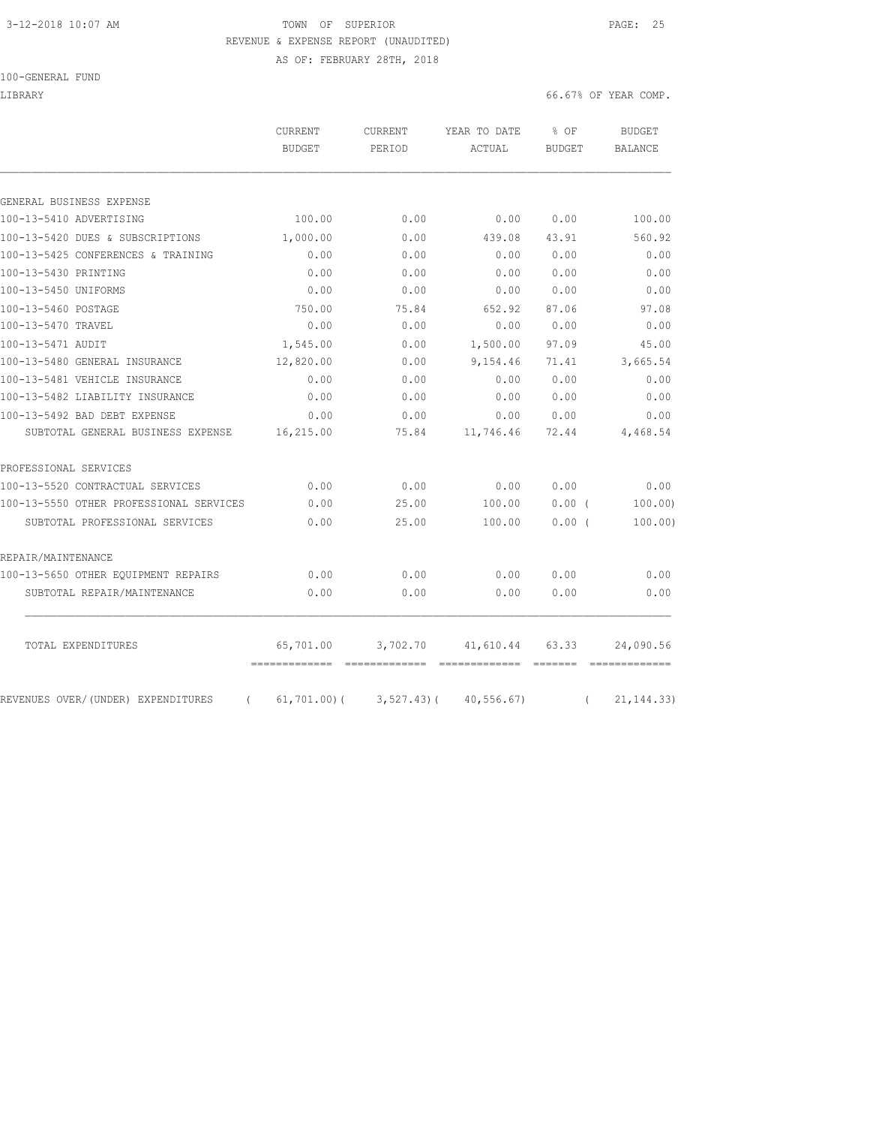# 3-12-2018 10:07 AM **TOWN OF SUPERIOR PAGE: 25** REVENUE & EXPENSE REPORT (UNAUDITED)

AS OF: FEBRUARY 28TH, 2018

### 100-GENERAL FUND

LIBRARY 66.67% OF YEAR COMP.

|                                         | CURRENT<br><b>BUDGET</b> | <b>CURRENT</b><br>PERIOD | YEAR TO DATE<br>ACTUAL | % OF<br><b>BUDGET</b> | <b>BUDGET</b><br><b>BALANCE</b> |
|-----------------------------------------|--------------------------|--------------------------|------------------------|-----------------------|---------------------------------|
|                                         |                          |                          |                        |                       |                                 |
| GENERAL BUSINESS EXPENSE                |                          |                          |                        |                       |                                 |
| 100-13-5410 ADVERTISING                 | 100.00                   | 0.00                     | 0.00                   | 0.00                  | 100.00                          |
| 100-13-5420 DUES & SUBSCRIPTIONS        | 1,000.00                 | 0.00                     | 439.08                 | 43.91                 | 560.92                          |
| 100-13-5425 CONFERENCES & TRAINING      | 0.00                     | 0.00                     | 0.00                   | 0.00                  | 0.00                            |
| 100-13-5430 PRINTING                    | 0.00                     | 0.00                     | 0.00                   | 0.00                  | 0.00                            |
| 100-13-5450 UNIFORMS                    | 0.00                     | 0.00                     | 0.00                   | 0.00                  | 0.00                            |
| 100-13-5460 POSTAGE                     | 750.00                   | 75.84                    | 652.92                 | 87.06                 | 97.08                           |
| 100-13-5470 TRAVEL                      | 0.00                     | 0.00                     | 0.00                   | 0.00                  | 0.00                            |
| 100-13-5471 AUDIT                       | 1,545.00                 | 0.00                     | 1,500.00               | 97.09                 | 45.00                           |
| 100-13-5480 GENERAL INSURANCE           | 12,820.00                | 0.00                     | 9,154.46               | 71.41                 | 3,665.54                        |
| 100-13-5481 VEHICLE INSURANCE           | 0.00                     | 0.00                     | 0.00                   | 0.00                  | 0.00                            |
| 100-13-5482 LIABILITY INSURANCE         | 0.00                     | 0.00                     | 0.00                   | 0.00                  | 0.00                            |
| 100-13-5492 BAD DEBT EXPENSE            | 0.00                     | 0.00                     | 0.00                   | 0.00                  | 0.00                            |
| SUBTOTAL GENERAL BUSINESS EXPENSE       | 16,215.00                | 75.84                    | 11,746.46              | 72.44                 | 4,468.54                        |
| PROFESSIONAL SERVICES                   |                          |                          |                        |                       |                                 |
| 100-13-5520 CONTRACTUAL SERVICES        | 0.00                     | 0.00                     | 0.00                   | 0.00                  | 0.00                            |
| 100-13-5550 OTHER PROFESSIONAL SERVICES | 0.00                     | 25.00                    | 100.00                 | 0.00(                 | 100.00                          |
| SUBTOTAL PROFESSIONAL SERVICES          | 0.00                     | 25.00                    | 100.00                 | 0.00(                 | 100.00)                         |
| REPAIR/MAINTENANCE                      |                          |                          |                        |                       |                                 |
| 100-13-5650 OTHER EQUIPMENT REPAIRS     | 0.00                     | 0.00                     | 0.00                   | 0.00                  | 0.00                            |
| SUBTOTAL REPAIR/MAINTENANCE             | 0.00                     | 0.00                     | 0.00                   | 0.00                  | 0.00                            |
|                                         |                          |                          |                        |                       |                                 |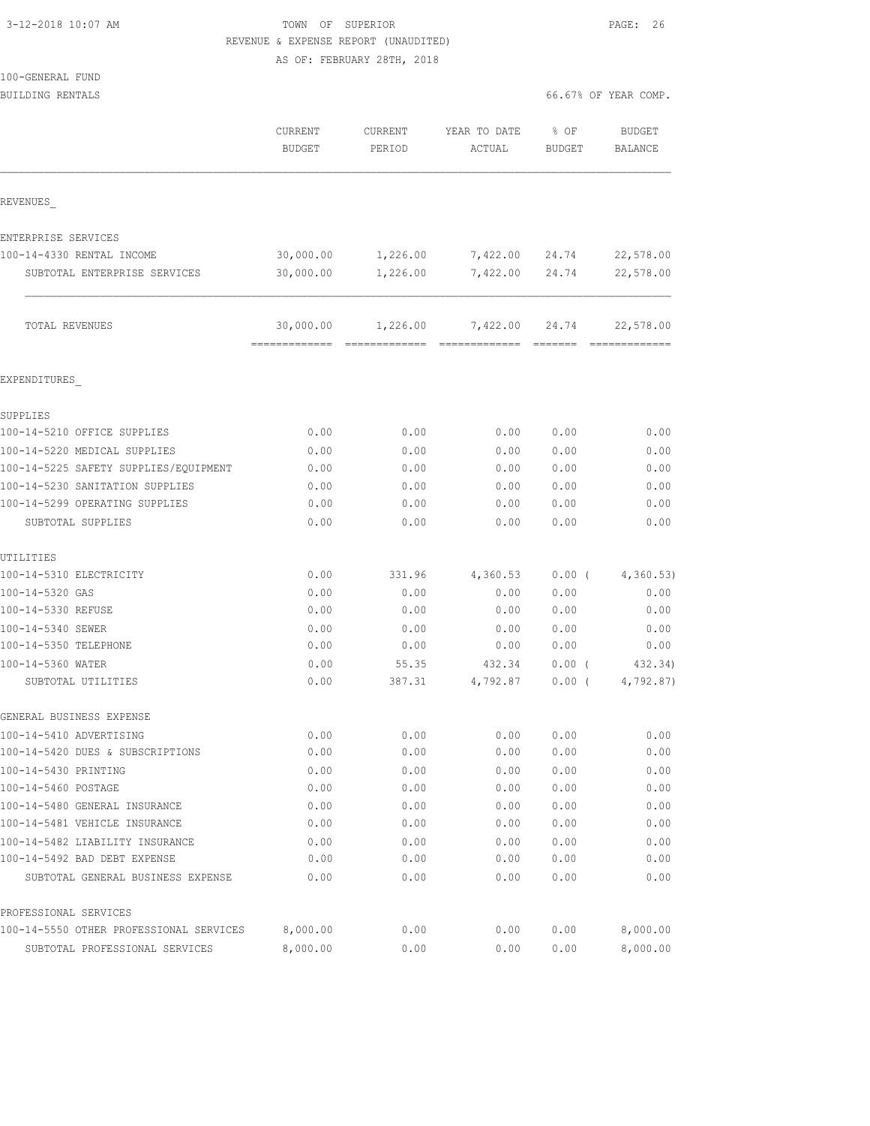## TOWN OF SUPERIOR **12-2018** 10:07 PAGE: 26 REVENUE & EXPENSE REPORT (UNAUDITED) AS OF: FEBRUARY 28TH, 2018

| 100-GENERAL FUND |  |
|------------------|--|
| BUILDING RENTALS |  |

|  |  |  |  | 66.67% OF YEAR COMP. |  |
|--|--|--|--|----------------------|--|
|--|--|--|--|----------------------|--|

|                                         | CURRENT<br><b>BUDGET</b>   | <b>CURRENT</b><br>PERIOD | YEAR TO DATE<br>ACTUAL                                                                                                                                                                                                                                                                                                                                                                                                                                                                             | % OF<br><b>BUDGET</b> | <b>BUDGET</b><br><b>BALANCE</b> |
|-----------------------------------------|----------------------------|--------------------------|----------------------------------------------------------------------------------------------------------------------------------------------------------------------------------------------------------------------------------------------------------------------------------------------------------------------------------------------------------------------------------------------------------------------------------------------------------------------------------------------------|-----------------------|---------------------------------|
| REVENUES                                |                            |                          |                                                                                                                                                                                                                                                                                                                                                                                                                                                                                                    |                       |                                 |
| ENTERPRISE SERVICES                     |                            |                          |                                                                                                                                                                                                                                                                                                                                                                                                                                                                                                    |                       |                                 |
| 100-14-4330 RENTAL INCOME               | 30,000.00                  | 1,226.00                 | 7,422.00                                                                                                                                                                                                                                                                                                                                                                                                                                                                                           | 24.74                 | 22,578.00                       |
| SUBTOTAL ENTERPRISE SERVICES            | 30,000.00                  | 1,226.00                 | 7,422.00                                                                                                                                                                                                                                                                                                                                                                                                                                                                                           | 24.74                 | 22,578.00                       |
| TOTAL REVENUES                          | 30,000.00<br>============= | 1,226.00                 | 7,422.00<br>$\begin{array}{cccccccccc} \multicolumn{2}{c}{} & \multicolumn{2}{c}{} & \multicolumn{2}{c}{} & \multicolumn{2}{c}{} & \multicolumn{2}{c}{} & \multicolumn{2}{c}{} & \multicolumn{2}{c}{} & \multicolumn{2}{c}{} & \multicolumn{2}{c}{} & \multicolumn{2}{c}{} & \multicolumn{2}{c}{} & \multicolumn{2}{c}{} & \multicolumn{2}{c}{} & \multicolumn{2}{c}{} & \multicolumn{2}{c}{} & \multicolumn{2}{c}{} & \multicolumn{2}{c}{} & \multicolumn{2}{c}{} & \multicolumn{2}{c}{} & \mult$ | 24.74                 | 22,578.00                       |
| EXPENDITURES                            |                            |                          |                                                                                                                                                                                                                                                                                                                                                                                                                                                                                                    |                       |                                 |
| SUPPLIES                                |                            |                          |                                                                                                                                                                                                                                                                                                                                                                                                                                                                                                    |                       |                                 |
| 100-14-5210 OFFICE SUPPLIES             | 0.00                       | 0.00                     | 0.00                                                                                                                                                                                                                                                                                                                                                                                                                                                                                               | 0.00                  | 0.00                            |
| 100-14-5220 MEDICAL SUPPLIES            | 0.00                       | 0.00                     | 0.00                                                                                                                                                                                                                                                                                                                                                                                                                                                                                               | 0.00                  | 0.00                            |
| 100-14-5225 SAFETY SUPPLIES/EQUIPMENT   | 0.00                       | 0.00                     | 0.00                                                                                                                                                                                                                                                                                                                                                                                                                                                                                               | 0.00                  | 0.00                            |
| 100-14-5230 SANITATION SUPPLIES         | 0.00                       | 0.00                     | 0.00                                                                                                                                                                                                                                                                                                                                                                                                                                                                                               | 0.00                  | 0.00                            |
| 100-14-5299 OPERATING SUPPLIES          | 0.00                       | 0.00                     | 0.00                                                                                                                                                                                                                                                                                                                                                                                                                                                                                               | 0.00                  | 0.00                            |
| SUBTOTAL SUPPLIES                       | 0.00                       | 0.00                     | 0.00                                                                                                                                                                                                                                                                                                                                                                                                                                                                                               | 0.00                  | 0.00                            |
| UTILITIES                               |                            |                          |                                                                                                                                                                                                                                                                                                                                                                                                                                                                                                    |                       |                                 |
| 100-14-5310 ELECTRICITY                 | 0.00                       | 331.96                   | 4,360.53                                                                                                                                                                                                                                                                                                                                                                                                                                                                                           | $0.00$ (              | 4,360.53)                       |
| 100-14-5320 GAS                         | 0.00                       | 0.00                     | 0.00                                                                                                                                                                                                                                                                                                                                                                                                                                                                                               | 0.00                  | 0.00                            |
| 100-14-5330 REFUSE                      | 0.00                       | 0.00                     | 0.00                                                                                                                                                                                                                                                                                                                                                                                                                                                                                               | 0.00                  | 0.00                            |
| 100-14-5340 SEWER                       | 0.00                       | 0.00                     | 0.00                                                                                                                                                                                                                                                                                                                                                                                                                                                                                               | 0.00                  | 0.00                            |
| 100-14-5350 TELEPHONE                   | 0.00                       | 0.00                     | 0.00                                                                                                                                                                                                                                                                                                                                                                                                                                                                                               | 0.00                  | 0.00                            |
| 100-14-5360 WATER                       | 0.00                       | 55.35                    | 432.34                                                                                                                                                                                                                                                                                                                                                                                                                                                                                             | $0.00$ (              | 432.34)                         |
| SUBTOTAL UTILITIES                      | 0.00                       | 387.31                   | 4,792.87                                                                                                                                                                                                                                                                                                                                                                                                                                                                                           | $0.00$ (              | 4,792.87)                       |
| GENERAL BUSINESS EXPENSE                |                            |                          |                                                                                                                                                                                                                                                                                                                                                                                                                                                                                                    |                       |                                 |
| 100-14-5410 ADVERTISING                 | 0.00                       | 0.00                     | 0.00                                                                                                                                                                                                                                                                                                                                                                                                                                                                                               | 0.00                  | 0.00                            |
| 100-14-5420 DUES & SUBSCRIPTIONS        | 0.00                       | 0.00                     | 0.00                                                                                                                                                                                                                                                                                                                                                                                                                                                                                               | 0.00                  | 0.00                            |
| 100-14-5430 PRINTING                    | 0.00                       | 0.00                     | 0.00                                                                                                                                                                                                                                                                                                                                                                                                                                                                                               | 0.00                  | 0.00                            |
| 100-14-5460 POSTAGE                     | 0.00                       | 0.00                     | 0.00                                                                                                                                                                                                                                                                                                                                                                                                                                                                                               | 0.00                  | 0.00                            |
| 100-14-5480 GENERAL INSURANCE           | 0.00                       | 0.00                     | 0.00                                                                                                                                                                                                                                                                                                                                                                                                                                                                                               | 0.00                  | 0.00                            |
| 100-14-5481 VEHICLE INSURANCE           | 0.00                       | 0.00                     | 0.00                                                                                                                                                                                                                                                                                                                                                                                                                                                                                               | 0.00                  | 0.00                            |
| 100-14-5482 LIABILITY INSURANCE         | 0.00                       | 0.00                     | 0.00                                                                                                                                                                                                                                                                                                                                                                                                                                                                                               | 0.00                  | 0.00                            |
| 100-14-5492 BAD DEBT EXPENSE            | 0.00                       | 0.00                     | 0.00                                                                                                                                                                                                                                                                                                                                                                                                                                                                                               | 0.00                  | 0.00                            |
| SUBTOTAL GENERAL BUSINESS EXPENSE       | 0.00                       | 0.00                     | 0.00                                                                                                                                                                                                                                                                                                                                                                                                                                                                                               | 0.00                  | 0.00                            |
| PROFESSIONAL SERVICES                   |                            |                          |                                                                                                                                                                                                                                                                                                                                                                                                                                                                                                    |                       |                                 |
| 100-14-5550 OTHER PROFESSIONAL SERVICES | 8,000.00                   | 0.00                     | 0.00                                                                                                                                                                                                                                                                                                                                                                                                                                                                                               | 0.00                  | 8,000.00                        |
| SUBTOTAL PROFESSIONAL SERVICES          | 8,000.00                   | 0.00                     | 0.00                                                                                                                                                                                                                                                                                                                                                                                                                                                                                               | 0.00                  | 8,000.00                        |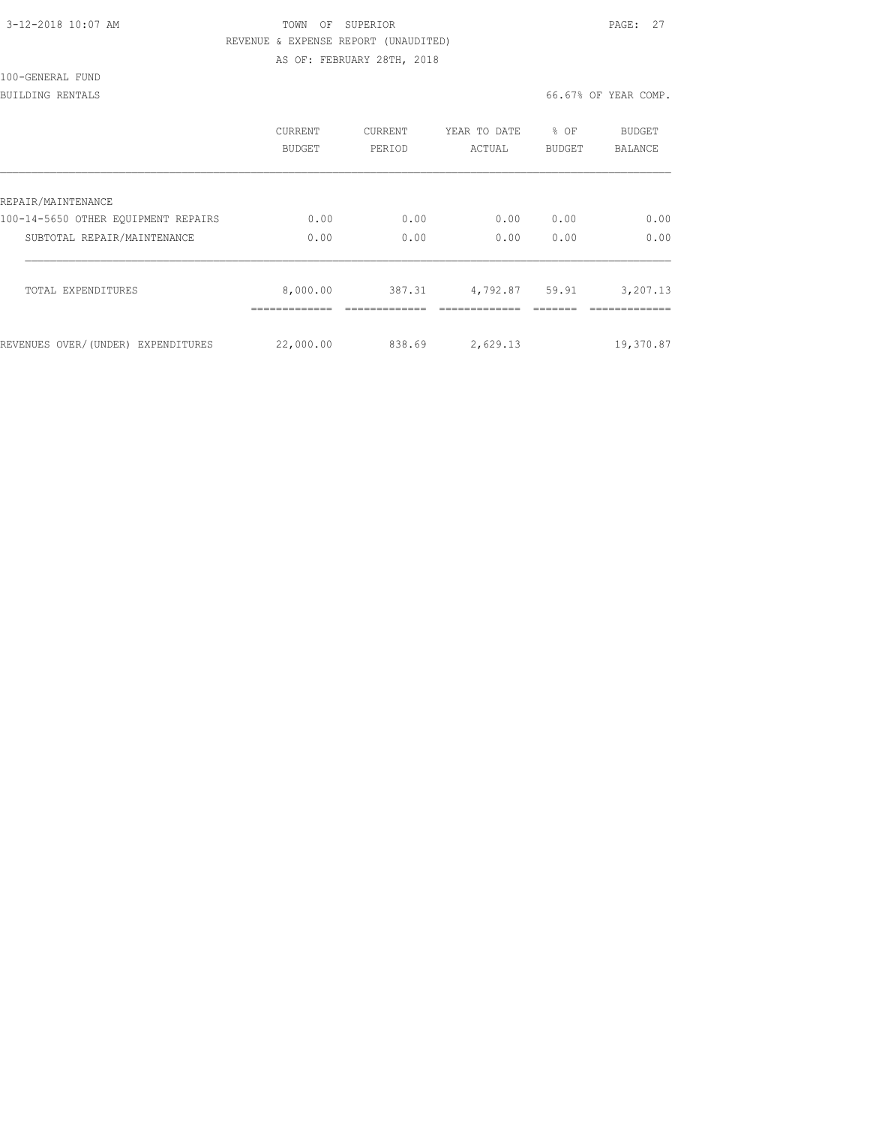|  | 3-12-2018 10:07 AM |  |
|--|--------------------|--|
|  |                    |  |

# TOWN OF SUPERIOR **12-2018 10:07 PAGE: 27** REVENUE & EXPENSE REPORT (UNAUDITED)

AS OF: FEBRUARY 28TH, 2018

100-GENERAL FUND

BUILDING RENTALS 66.67% OF YEAR COMP.

| <b>CURRENT</b><br>BUDGET | <b>CURRENT</b><br>PERIOD | YEAR TO DATE<br>ACTUAL | % OF<br><b>BUDGET</b>           | <b>BUDGET</b><br>BALANCE |
|--------------------------|--------------------------|------------------------|---------------------------------|--------------------------|
|                          |                          |                        |                                 |                          |
| 0.00                     | 0.00                     | 0.00                   | 0.00                            | 0.00                     |
| 0.00                     | 0.00                     | 0.00                   | 0.00                            | 0.00                     |
| 8,000.00                 | 387.31                   | 4,792.87               | 59.91                           | 3,207.13                 |
|                          |                          |                        |                                 | 19,370.87                |
|                          |                          |                        | 22,000.00<br>838.69<br>2,629.13 |                          |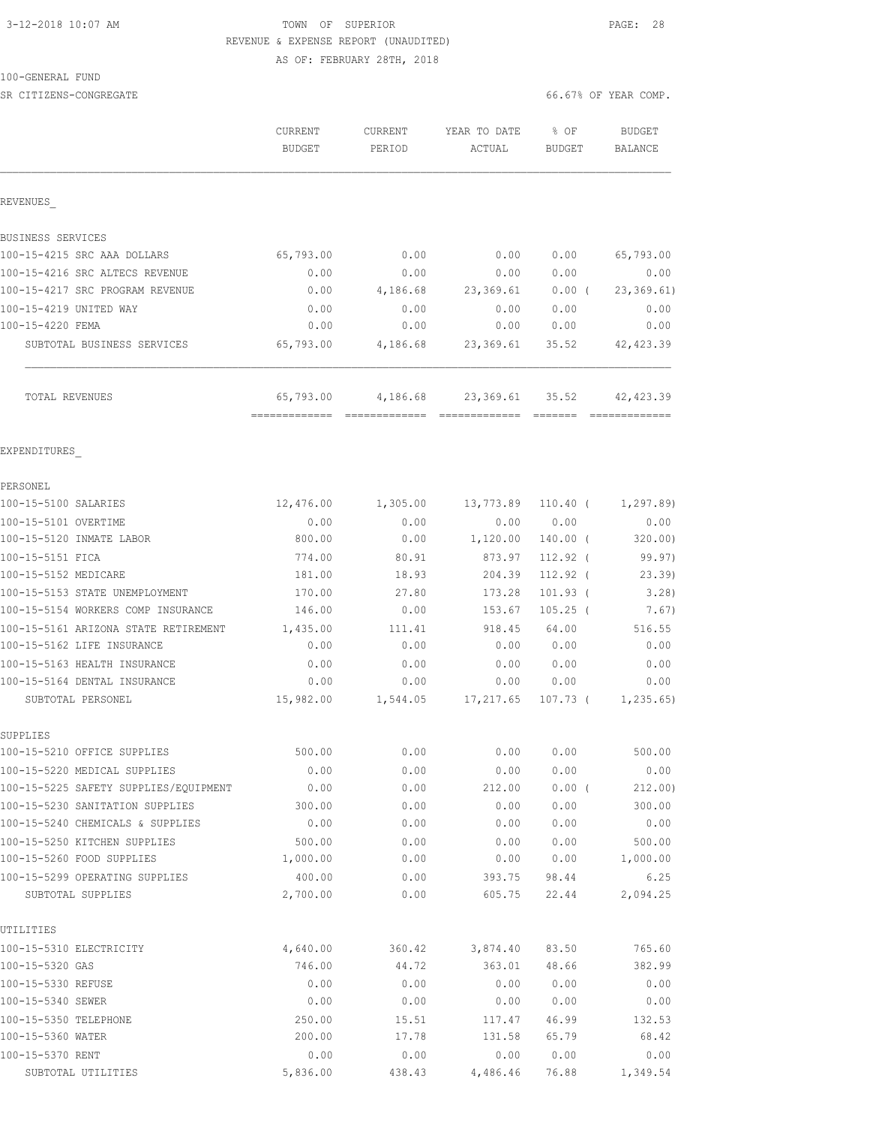## 3-12-2018 10:07 AM **TOWN OF SUPERIOR PAGE: 28**  REVENUE & EXPENSE REPORT (UNAUDITED) AS OF: FEBRUARY 28TH, 2018

100-GENERAL FUND

SR CITIZENS-CONGREGATE 66.67% OF YEAR COMP.

|                                               | <b>CURRENT</b><br><b>BUDGET</b> | CURRENT<br>PERIOD | YEAR TO DATE<br>ACTUAL             | $8$ OF<br>BUDGET | <b>BUDGET</b><br>BALANCE |
|-----------------------------------------------|---------------------------------|-------------------|------------------------------------|------------------|--------------------------|
| REVENUES                                      |                                 |                   |                                    |                  |                          |
| BUSINESS SERVICES                             |                                 |                   |                                    |                  |                          |
| 100-15-4215 SRC AAA DOLLARS                   | 65,793.00                       | 0.00              | 0.00                               | 0.00             | 65,793.00                |
| 100-15-4216 SRC ALTECS REVENUE                | 0.00                            | 0.00              | 0.00                               | 0.00             | 0.00                     |
| 100-15-4217 SRC PROGRAM REVENUE               | 0.00                            | 4,186.68          | 23,369.61                          | $0.00$ (         | 23, 369.61)              |
| 100-15-4219 UNITED WAY                        | 0.00                            | 0.00              | 0.00                               | 0.00             | 0.00                     |
| 100-15-4220 FEMA                              | 0.00                            | 0.00              | 0.00                               | 0.00             | 0.00                     |
| SUBTOTAL BUSINESS SERVICES                    | 65,793.00                       |                   | 4,186.68 23,369.61 35.52           |                  | 42, 423.39               |
| TOTAL REVENUES                                | 65,793.00                       | 4,186.68          |                                    | 23,369.61 35.52  | 42,423.39                |
| EXPENDITURES                                  |                                 |                   |                                    |                  |                          |
| PERSONEL                                      |                                 |                   |                                    |                  |                          |
| 100-15-5100 SALARIES                          | 12,476.00                       | 1,305.00          | 13,773.89                          | 110.40 (         | 1,297.89)                |
| 100-15-5101 OVERTIME                          | 0.00                            | 0.00              | 0.00                               | 0.00             | 0.00                     |
| 100-15-5120 INMATE LABOR                      | 800.00                          | 0.00              | 1,120.00                           | $140.00$ (       | 320.00)                  |
| 100-15-5151 FICA                              | 774.00                          | 80.91             | 873.97                             | $112.92$ (       | 99.97)                   |
| 100-15-5152 MEDICARE                          | 181.00                          | 18.93             | 204.39                             | 112.92 (         | 23.39)                   |
| 100-15-5153 STATE UNEMPLOYMENT                | 170.00                          | 27.80             | 173.28                             | $101.93$ (       | 3.28                     |
| 100-15-5154 WORKERS COMP INSURANCE            | 146.00                          | 0.00              | 153.67                             | $105.25$ (       | 7.67)                    |
| 100-15-5161 ARIZONA STATE RETIREMENT 1,435.00 |                                 | 111.41            | 918.45                             | 64.00            | 516.55                   |
| 100-15-5162 LIFE INSURANCE                    | 0.00                            | 0.00              | 0.00                               | 0.00             | 0.00                     |
| 100-15-5163 HEALTH INSURANCE                  | 0.00                            | 0.00              | 0.00                               | 0.00             | 0.00                     |
| 100-15-5164 DENTAL INSURANCE                  | 0.00                            | 0.00              | 0.00                               | 0.00             | 0.00                     |
| SUBTOTAL PERSONEL                             |                                 |                   | 15,982.00    1,544.05    17,217.65 |                  | $107.73$ ( $1,235.65$ )  |
| SUPPLIES                                      |                                 |                   |                                    |                  |                          |
| 100-15-5210 OFFICE SUPPLIES                   | 500.00                          | 0.00              | 0.00                               | 0.00             | 500.00                   |
| 100-15-5220 MEDICAL SUPPLIES                  | 0.00                            | 0.00              | 0.00                               | 0.00             | 0.00                     |
| 100-15-5225 SAFETY SUPPLIES/EQUIPMENT         | 0.00                            | 0.00              | 212.00                             | $0.00$ (         | 212.00)                  |
| 100-15-5230 SANITATION SUPPLIES               | 300.00                          | 0.00              | 0.00                               | 0.00             | 300.00                   |
| 100-15-5240 CHEMICALS & SUPPLIES              | 0.00                            | 0.00              | 0.00                               | 0.00             | 0.00                     |
| 100-15-5250 KITCHEN SUPPLIES                  | 500.00                          | 0.00              | 0.00                               | 0.00             | 500.00                   |
| 100-15-5260 FOOD SUPPLIES                     | 1,000.00                        | 0.00              | 0.00                               | 0.00             | 1,000.00                 |
| 100-15-5299 OPERATING SUPPLIES                | 400.00                          | 0.00              | 393.75                             | 98.44            | 6.25                     |
| SUBTOTAL SUPPLIES                             | 2,700.00                        | 0.00              | 605.75                             | 22.44            | 2,094.25                 |
| UTILITIES                                     |                                 |                   |                                    |                  |                          |
| 100-15-5310 ELECTRICITY                       | 4,640.00                        | 360.42            | 3,874.40                           | 83.50            | 765.60                   |
| 100-15-5320 GAS                               | 746.00                          | 44.72             | 363.01                             | 48.66            | 382.99                   |
| 100-15-5330 REFUSE                            | 0.00                            | 0.00              | 0.00                               | 0.00             | 0.00                     |
| 100-15-5340 SEWER                             | 0.00                            | 0.00              | 0.00                               | 0.00             | 0.00                     |
| 100-15-5350 TELEPHONE                         | 250.00                          | 15.51             | 117.47                             | 46.99            | 132.53                   |
| 100-15-5360 WATER                             | 200.00                          | 17.78             | 131.58                             | 65.79            | 68.42                    |

100-15-5370 RENT 0.00 0.00 0.00 0.00 0.00 SUBTOTAL UTILITIES 5,836.00 438.43 4,486.46 76.88 1,349.54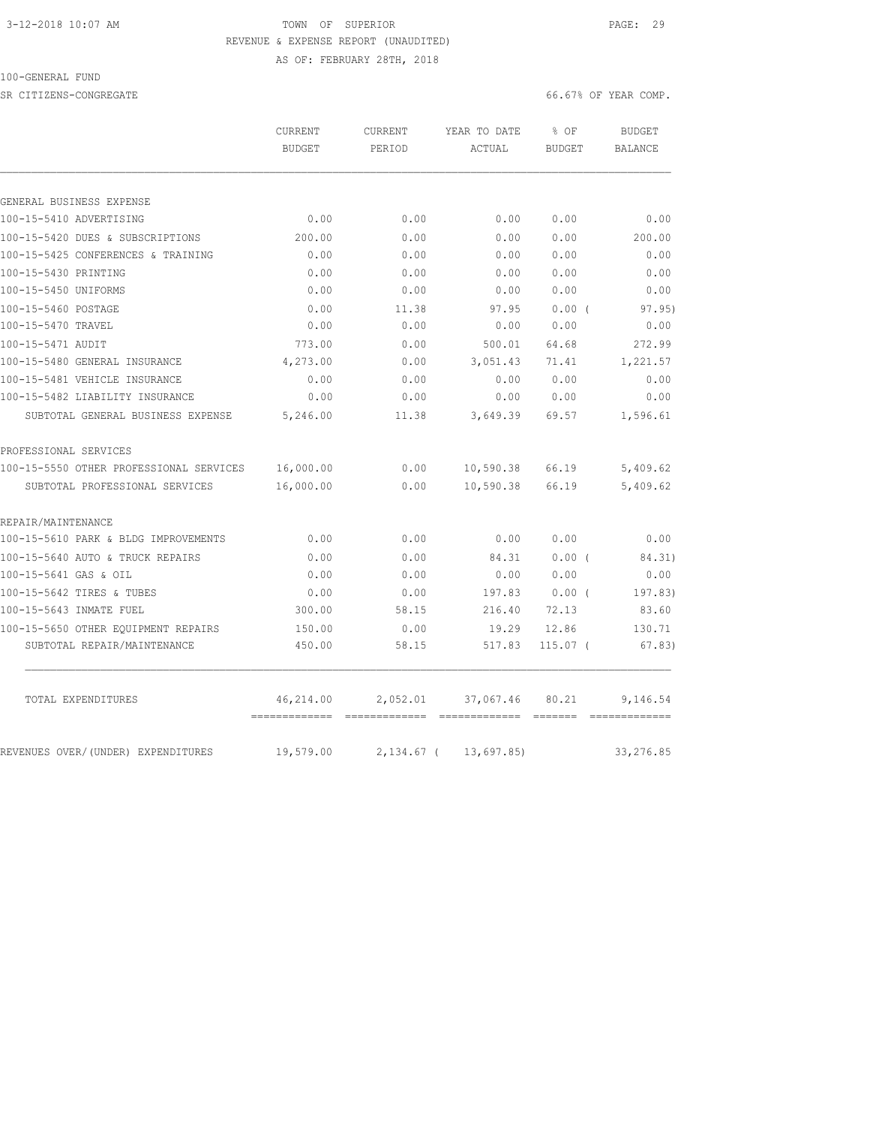## 3-12-2018 10:07 AM TOWN OF SUPERIOR PAGE: 29 REVENUE & EXPENSE REPORT (UNAUDITED)

AS OF: FEBRUARY 28TH, 2018

### 100-GENERAL FUND

SR CITIZENS-CONGREGATE **66.67%** OF YEAR COMP.

|                                         | CURRENT<br><b>BUDGET</b> | <b>CURRENT</b><br>PERIOD | YEAR TO DATE<br>ACTUAL  | % OF<br><b>BUDGET</b> | <b>BUDGET</b><br>BALANCE |
|-----------------------------------------|--------------------------|--------------------------|-------------------------|-----------------------|--------------------------|
|                                         |                          |                          |                         |                       |                          |
| GENERAL BUSINESS EXPENSE                |                          |                          |                         |                       |                          |
| 100-15-5410 ADVERTISING                 | 0.00                     | 0.00                     | 0.00                    | 0.00                  | 0.00                     |
| 100-15-5420 DUES & SUBSCRIPTIONS        | 200.00                   | 0.00                     | 0.00                    | 0.00                  | 200.00                   |
| 100-15-5425 CONFERENCES & TRAINING      | 0.00                     | 0.00                     | 0.00                    | 0.00                  | 0.00                     |
| 100-15-5430 PRINTING                    | 0.00                     | 0.00                     | 0.00                    | 0.00                  | 0.00                     |
| 100-15-5450 UNIFORMS                    | 0.00                     | 0.00                     | 0.00                    | 0.00                  | 0.00                     |
| 100-15-5460 POSTAGE                     | 0.00                     | 11.38                    | 97.95                   | 0.00(                 | 97.95)                   |
| 100-15-5470 TRAVEL                      | 0.00                     | 0.00                     | 0.00                    | 0.00                  | 0.00                     |
| 100-15-5471 AUDIT                       | 773.00                   | 0.00                     | 500.01                  | 64.68                 | 272.99                   |
| 100-15-5480 GENERAL INSURANCE           | 4,273.00                 | 0.00                     | 3,051.43                | 71.41                 | 1,221.57                 |
| 100-15-5481 VEHICLE INSURANCE           | 0.00                     | 0.00                     | 0.00                    | 0.00                  | 0.00                     |
| 100-15-5482 LIABILITY INSURANCE         | 0.00                     | 0.00                     | 0.00                    | 0.00                  | 0.00                     |
| SUBTOTAL GENERAL BUSINESS EXPENSE       | 5,246.00                 | 11.38                    | 3,649.39                | 69.57                 | 1,596.61                 |
| PROFESSIONAL SERVICES                   |                          |                          |                         |                       |                          |
| 100-15-5550 OTHER PROFESSIONAL SERVICES | 16,000.00                | 0.00                     | 10,590.38               | 66.19                 | 5,409.62                 |
| SUBTOTAL PROFESSIONAL SERVICES          | 16,000.00                | 0.00                     | 10,590.38               | 66.19                 | 5,409.62                 |
| REPAIR/MAINTENANCE                      |                          |                          |                         |                       |                          |
| 100-15-5610 PARK & BLDG IMPROVEMENTS    | 0.00                     | 0.00                     | 0.00                    | 0.00                  | 0.00                     |
| 100-15-5640 AUTO & TRUCK REPAIRS        | 0.00                     | 0.00                     | 84.31                   | 0.00(                 | 84.31)                   |
| 100-15-5641 GAS & OIL                   | 0.00                     | 0.00                     | 0.00                    | 0.00                  | 0.00                     |
| 100-15-5642 TIRES & TUBES               | 0.00                     | 0.00                     | 197.83                  | 0.00(                 | 197.83)                  |
| 100-15-5643 INMATE FUEL                 | 300.00                   | 58.15                    | 216.40                  | 72.13                 | 83.60                    |
| 100-15-5650 OTHER EOUIPMENT REPAIRS     | 150.00                   | 0.00                     | 19.29                   | 12.86                 | 130.71                   |
| SUBTOTAL REPAIR/MAINTENANCE             | 450.00                   | 58.15                    | 517.83                  | $115.07$ (            | 67.83)                   |
| TOTAL EXPENDITURES                      | 46,214.00                | 2,052.01                 | 37,067.46               | 80.21                 | 9,146.54                 |
| REVENUES OVER/(UNDER) EXPENDITURES      | 19,579.00                |                          | 2, 134.67 ( 13, 697.85) |                       | 33, 276.85               |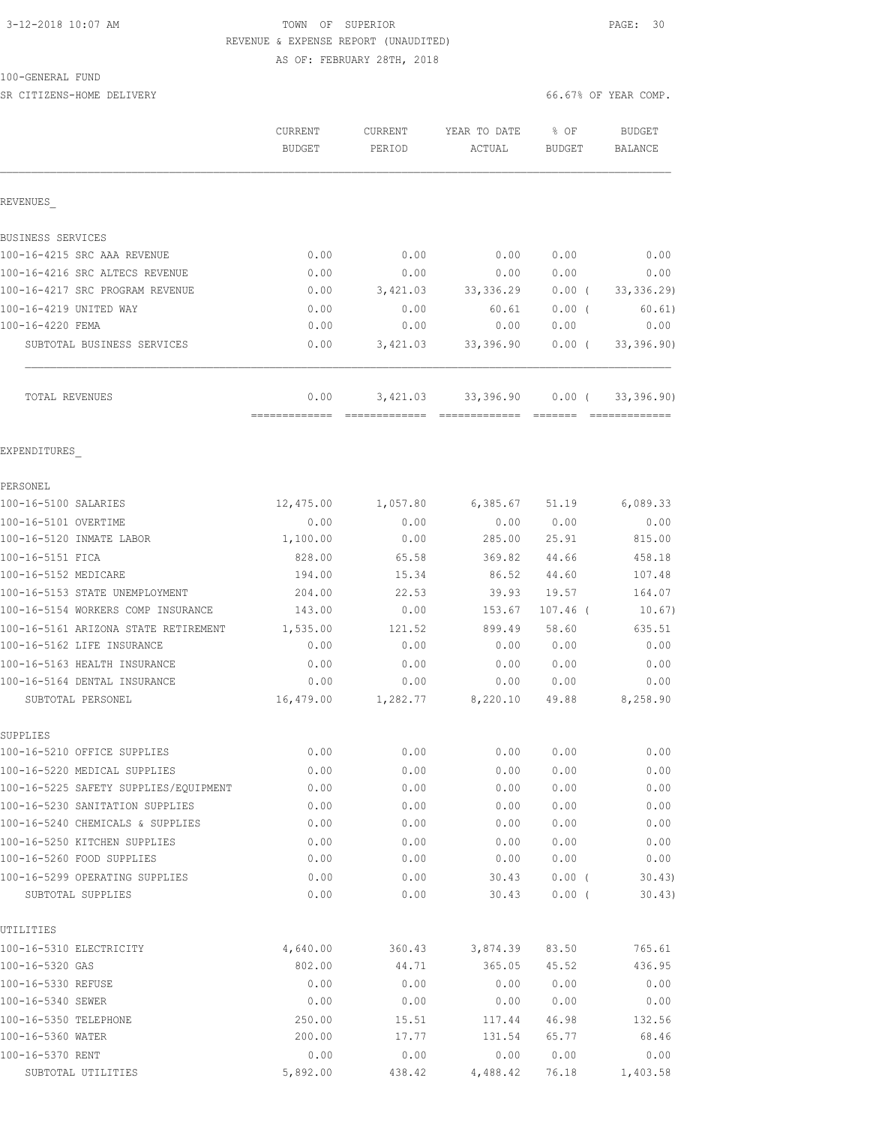# 3-12-2018 10:07 AM TOWN OF SUPERIOR PAGE: 30 REVENUE & EXPENSE REPORT (UNAUDITED)

AS OF: FEBRUARY 28TH, 2018

SR CITIZENS-HOME DELIVERY **EXECUTERY** 66.67% OF YEAR COMP.

|                                                   | CURRENT<br><b>BUDGET</b> | CURRENT<br>PERIOD | YEAR TO DATE<br>ACTUAL | % OF<br><b>BUDGET</b>        | <b>BUDGET</b><br>BALANCE |
|---------------------------------------------------|--------------------------|-------------------|------------------------|------------------------------|--------------------------|
| REVENUES                                          |                          |                   |                        |                              |                          |
| BUSINESS SERVICES                                 |                          |                   |                        |                              |                          |
| 100-16-4215 SRC AAA REVENUE                       | 0.00                     | 0.00              | 0.00                   | 0.00                         | 0.00                     |
| 100-16-4216 SRC ALTECS REVENUE                    | 0.00                     | 0.00              | 0.00                   | 0.00                         | 0.00                     |
| 100-16-4217 SRC PROGRAM REVENUE                   | 0.00                     | 3,421.03          | 33, 336.29             | $0.00$ (                     | 33,336.29                |
| 100-16-4219 UNITED WAY                            | 0.00                     | 0.00              | 60.61                  | $0.00$ (                     | 60.61)                   |
| 100-16-4220 FEMA                                  | 0.00                     | 0.00              | 0.00                   | 0.00                         | 0.00                     |
| SUBTOTAL BUSINESS SERVICES                        | 0.00                     | 3,421.03          | 33,396.90              | $0.00$ (                     | 33,396.90)               |
| TOTAL REVENUES                                    | 0.00<br>-------------    | 3,421.03          |                        | 33,396.90 0.00 (<br>-------- | 33,396.90)               |
| EXPENDITURES                                      |                          |                   |                        |                              |                          |
| PERSONEL                                          |                          |                   |                        |                              |                          |
| 100-16-5100 SALARIES                              | 12,475.00                | 1,057.80          | 6, 385.67              | 51.19                        | 6,089.33                 |
| 100-16-5101 OVERTIME                              | 0.00                     | 0.00              | 0.00                   | 0.00                         | 0.00                     |
| 100-16-5120 INMATE LABOR                          | 1,100.00                 | 0.00              | 285.00                 | 25.91                        | 815.00                   |
| 100-16-5151 FICA                                  | 828.00                   | 65.58             | 369.82                 | 44.66                        | 458.18                   |
| 100-16-5152 MEDICARE                              | 194.00                   | 15.34             | 86.52                  | 44.60                        | 107.48                   |
| 100-16-5153 STATE UNEMPLOYMENT                    | 204.00                   | 22.53             | 39.93                  | 19.57                        | 164.07                   |
| 100-16-5154 WORKERS COMP INSURANCE                | 143.00                   | 0.00              | 153.67                 | $107.46$ (                   | 10.67)                   |
| 100-16-5161 ARIZONA STATE RETIREMENT              | 1,535.00                 | 121.52            | 899.49                 | 58.60                        | 635.51                   |
| 100-16-5162 LIFE INSURANCE                        | 0.00                     | 0.00              | 0.00                   | 0.00                         | 0.00                     |
| 100-16-5163 HEALTH INSURANCE                      | 0.00                     | 0.00              | 0.00                   | 0.00                         | 0.00                     |
| 100-16-5164 DENTAL INSURANCE<br>SUBTOTAL PERSONEL | 0.00<br>16,479.00        | 0.00<br>1,282.77  | 0.00<br>8,220.10       | 0.00<br>49.88                | 0.00<br>8,258.90         |
| SUPPLIES                                          |                          |                   |                        |                              |                          |
| 100-16-5210 OFFICE SUPPLIES                       | 0.00                     | 0.00              | 0.00                   | 0.00                         | 0.00                     |
| 100-16-5220 MEDICAL SUPPLIES                      | 0.00                     | 0.00              | 0.00                   | 0.00                         | 0.00                     |
| 100-16-5225 SAFETY SUPPLIES/EQUIPMENT             | 0.00                     | 0.00              | 0.00                   | 0.00                         | 0.00                     |
| 100-16-5230 SANITATION SUPPLIES                   | 0.00                     | 0.00              | 0.00                   | 0.00                         | 0.00                     |
| 100-16-5240 CHEMICALS & SUPPLIES                  | 0.00                     | 0.00              | 0.00                   | 0.00                         | 0.00                     |
| 100-16-5250 KITCHEN SUPPLIES                      | 0.00                     | 0.00              | 0.00                   | 0.00                         | 0.00                     |
| 100-16-5260 FOOD SUPPLIES                         | 0.00                     | 0.00              | 0.00                   | 0.00                         | 0.00                     |
| 100-16-5299 OPERATING SUPPLIES                    | 0.00                     | 0.00              | 30.43                  | 0.00(                        | 30.43)                   |
| SUBTOTAL SUPPLIES                                 | 0.00                     | 0.00              | 30.43                  | 0.00(                        | 30.43)                   |
| UTILITIES                                         |                          |                   |                        |                              |                          |
| 100-16-5310 ELECTRICITY<br>100-16-5320 GAS        | 4,640.00<br>802.00       | 360.43<br>44.71   | 3,874.39               | 83.50<br>45.52               | 765.61                   |
| 100-16-5330 REFUSE                                | 0.00                     | 0.00              | 365.05<br>0.00         | 0.00                         | 436.95<br>0.00           |
| 100-16-5340 SEWER                                 | 0.00                     | 0.00              | 0.00                   | 0.00                         | 0.00                     |
| 100-16-5350 TELEPHONE                             | 250.00                   | 15.51             | 117.44                 | 46.98                        | 132.56                   |
| 100-16-5360 WATER                                 | 200.00                   | 17.77             | 131.54                 | 65.77                        | 68.46                    |
| 100-16-5370 RENT                                  | 0.00                     | 0.00              | 0.00                   | 0.00                         | 0.00                     |
| SUBTOTAL UTILITIES                                | 5,892.00                 | 438.42            | 4,488.42               | 76.18                        | 1,403.58                 |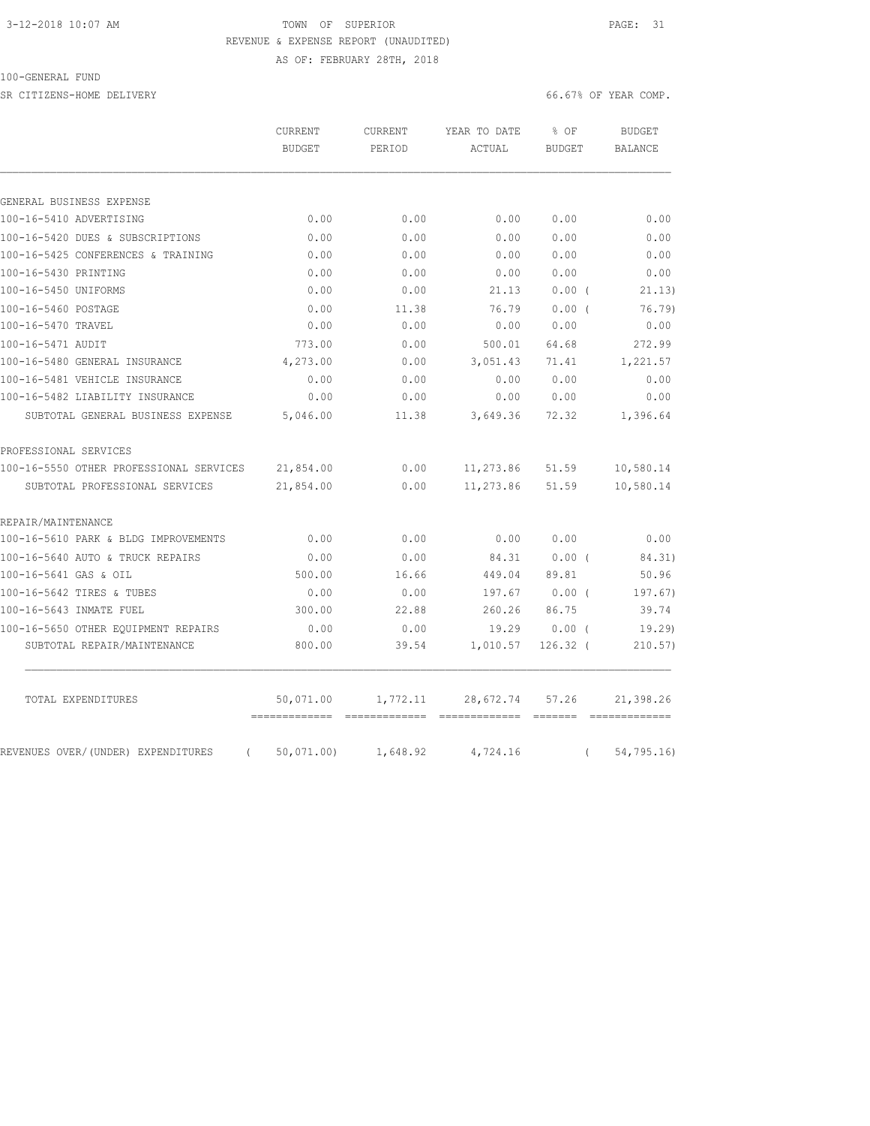# 3-12-2018 10:07 AM **TOWN OF SUPERIOR PAGE: 31** REVENUE & EXPENSE REPORT (UNAUDITED)

AS OF: FEBRUARY 28TH, 2018

### 100-GENERAL FUND

SR CITIZENS-HOME DELIVERY 66.67% OF YEAR COMP.

|                                                     | CURRENT<br><b>BUDGET</b> | CURRENT<br>PERIOD | YEAR TO DATE<br>ACTUAL | % OF<br><b>BUDGET</b> |          | <b>BUDGET</b><br>BALANCE |
|-----------------------------------------------------|--------------------------|-------------------|------------------------|-----------------------|----------|--------------------------|
|                                                     |                          |                   |                        |                       |          |                          |
| GENERAL BUSINESS EXPENSE<br>100-16-5410 ADVERTISING | 0.00                     | 0.00              | 0.00                   | 0.00                  |          | 0.00                     |
| 100-16-5420 DUES & SUBSCRIPTIONS                    | 0.00                     | 0.00              | 0.00                   | 0.00                  |          | 0.00                     |
| 100-16-5425 CONFERENCES & TRAINING                  | 0.00                     | 0.00              | 0.00                   | 0.00                  |          | 0.00                     |
| 100-16-5430 PRINTING                                | 0.00                     | 0.00              | 0.00                   | 0.00                  |          | 0.00                     |
| 100-16-5450 UNIFORMS                                | 0.00                     | 0.00              | 21.13                  | 0.00(                 |          | 21.13)                   |
| 100-16-5460 POSTAGE                                 | 0.00                     | 11.38             | 76.79                  | $0.00$ (              |          | 76.79)                   |
| 100-16-5470 TRAVEL                                  | 0.00                     | 0.00              | 0.00                   | 0.00                  |          | 0.00                     |
| 100-16-5471 AUDIT                                   | 773.00                   | 0.00              | 500.01                 | 64.68                 |          | 272.99                   |
| 100-16-5480 GENERAL INSURANCE                       | 4,273.00                 | 0.00              | 3,051.43               | 71.41                 |          | 1,221.57                 |
| 100-16-5481 VEHICLE INSURANCE                       | 0.00                     | 0.00              | 0.00                   | 0.00                  |          | 0.00                     |
| 100-16-5482 LIABILITY INSURANCE                     | 0.00                     | 0.00              | 0.00                   | 0.00                  |          | 0.00                     |
| SUBTOTAL GENERAL BUSINESS EXPENSE                   | 5,046.00                 | 11.38             | 3,649.36               | 72.32                 |          | 1,396.64                 |
| PROFESSIONAL SERVICES                               |                          |                   |                        |                       |          |                          |
| 100-16-5550 OTHER PROFESSIONAL SERVICES             | 21,854.00                | 0.00              | 11,273.86              | 51.59                 |          | 10,580.14                |
| SUBTOTAL PROFESSIONAL SERVICES                      | 21,854.00                | 0.00              | 11,273.86              | 51.59                 |          | 10,580.14                |
| REPAIR/MAINTENANCE                                  |                          |                   |                        |                       |          |                          |
| 100-16-5610 PARK & BLDG IMPROVEMENTS                | 0.00                     | 0.00              | 0.00                   | 0.00                  |          | 0.00                     |
| 100-16-5640 AUTO & TRUCK REPAIRS                    | 0.00                     | 0.00              | 84.31                  | $0.00$ (              |          | 84.31)                   |
| 100-16-5641 GAS & OIL                               | 500.00                   | 16.66             | 449.04                 | 89.81                 |          | 50.96                    |
| 100-16-5642 TIRES & TUBES                           | 0.00                     | 0.00              | 197.67                 | $0.00$ (              |          | 197.67)                  |
| 100-16-5643 INMATE FUEL                             | 300.00                   | 22.88             | 260.26                 | 86.75                 |          | 39.74                    |
| 100-16-5650 OTHER EQUIPMENT REPAIRS                 | 0.00                     | 0.00              | 19.29                  | 0.00(                 |          | 19.29                    |
| SUBTOTAL REPAIR/MAINTENANCE                         | 800.00                   | 39.54             | 1,010.57               | $126.32$ (            |          | 210.57)                  |
| TOTAL EXPENDITURES                                  | 50,071.00                | 1,772.11          | 28,672.74              | 57.26                 |          | 21,398.26                |
| REVENUES OVER/(UNDER) EXPENDITURES<br>$\left($      | 50,071,00                | 1,648.92          | 4,724.16               |                       | $\left($ | 54, 795.16               |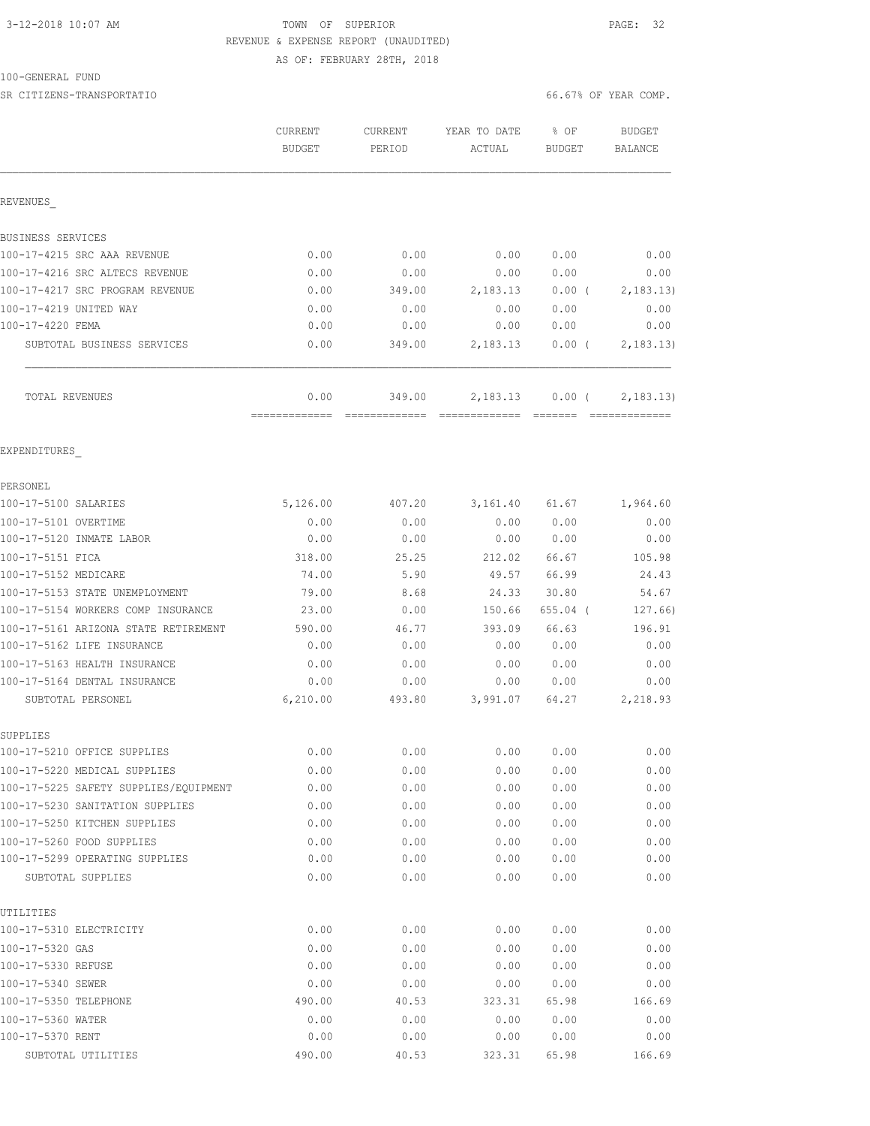# 3-12-2018 10:07 AM **TOWN OF SUPERIOR PAGE: 32** REVENUE & EXPENSE REPORT (UNAUDITED)

AS OF: FEBRUARY 28TH, 2018

| 100-GENERAL FUND |  |
|------------------|--|
|------------------|--|

SR CITIZENS-TRANSPORTATIO 66.67% OF YEAR COMP.

|                                                     | CURRENT<br><b>BUDGET</b> | <b>CURRENT</b><br>PERIOD | YEAR TO DATE<br>ACTUAL | % OF<br><b>BUDGET</b> | <b>BUDGET</b><br><b>BALANCE</b> |
|-----------------------------------------------------|--------------------------|--------------------------|------------------------|-----------------------|---------------------------------|
| REVENUES                                            |                          |                          |                        |                       |                                 |
| BUSINESS SERVICES                                   |                          |                          |                        |                       |                                 |
| 100-17-4215 SRC AAA REVENUE                         | 0.00                     | 0.00                     | 0.00                   | 0.00                  | 0.00                            |
| 100-17-4216 SRC ALTECS REVENUE                      | 0.00                     | 0.00                     | 0.00                   | 0.00                  | 0.00                            |
| 100-17-4217 SRC PROGRAM REVENUE                     | 0.00                     | 349.00                   | 2,183.13               | $0.00$ (              | 2,183.13)                       |
| 100-17-4219 UNITED WAY                              | 0.00                     | 0.00                     | 0.00                   | 0.00                  | 0.00                            |
| 100-17-4220 FEMA                                    | 0.00                     | 0.00                     | 0.00                   | 0.00                  | 0.00                            |
| SUBTOTAL BUSINESS SERVICES                          | 0.00                     | 349.00                   | 2,183.13               | $0.00$ (              | 2,183.13)                       |
| TOTAL REVENUES                                      | 0.00                     | 349.00                   | 2,183.13               | $0.00$ (              | 2,183.13)                       |
| EXPENDITURES                                        |                          |                          |                        |                       |                                 |
| PERSONEL                                            |                          |                          |                        |                       |                                 |
| 100-17-5100 SALARIES                                | 5,126.00                 | 407.20                   | 3,161.40               | 61.67                 | 1,964.60                        |
| 100-17-5101 OVERTIME                                | 0.00                     | 0.00                     | 0.00                   | 0.00                  | 0.00                            |
| 100-17-5120 INMATE LABOR                            | 0.00                     | 0.00                     | 0.00                   | 0.00                  | 0.00                            |
| 100-17-5151 FICA                                    | 318.00                   | 25.25                    | 212.02                 | 66.67                 | 105.98                          |
| 100-17-5152 MEDICARE                                | 74.00                    | 5.90                     | 49.57                  | 66.99                 | 24.43                           |
| 100-17-5153 STATE UNEMPLOYMENT                      | 79.00                    | 8.68                     | 24.33                  | 30.80                 | 54.67                           |
| 100-17-5154 WORKERS COMP INSURANCE                  | 23.00                    | 0.00                     | 150.66                 | $655.04$ (            | 127.66)                         |
| 100-17-5161 ARIZONA STATE RETIREMENT                | 590.00                   | 46.77                    | 393.09                 | 66.63                 | 196.91                          |
| 100-17-5162 LIFE INSURANCE                          | 0.00                     | 0.00                     | 0.00                   | 0.00                  | 0.00                            |
| 100-17-5163 HEALTH INSURANCE                        | 0.00                     | 0.00                     | 0.00                   | 0.00                  | 0.00                            |
| 100-17-5164 DENTAL INSURANCE                        | 0.00                     | 0.00                     | 0.00                   | 0.00                  | 0.00                            |
| SUBTOTAL PERSONEL                                   | 6, 210.00                | 493.80                   | 3,991.07               | 64.27                 | 2,218.93                        |
| SUPPLIES                                            |                          |                          |                        |                       |                                 |
| 100-17-5210 OFFICE SUPPLIES                         | 0.00                     | 0.00                     | 0.00                   | 0.00                  | 0.00                            |
| 100-17-5220 MEDICAL SUPPLIES                        | 0.00                     | 0.00                     | 0.00                   | 0.00                  | 0.00                            |
| 100-17-5225 SAFETY SUPPLIES/EQUIPMENT               | 0.00                     | 0.00                     | 0.00                   | 0.00                  | 0.00                            |
| 100-17-5230 SANITATION SUPPLIES                     | 0.00                     | 0.00                     | 0.00                   | 0.00                  | 0.00                            |
| 100-17-5250 KITCHEN SUPPLIES                        | 0.00                     | 0.00                     | 0.00                   | 0.00                  | 0.00                            |
| 100-17-5260 FOOD SUPPLIES                           | 0.00                     | 0.00                     | 0.00                   | 0.00                  | 0.00                            |
| 100-17-5299 OPERATING SUPPLIES<br>SUBTOTAL SUPPLIES | 0.00<br>0.00             | 0.00<br>0.00             | 0.00<br>0.00           | 0.00<br>0.00          | 0.00<br>0.00                    |
|                                                     |                          |                          |                        |                       |                                 |
| UTILITIES<br>100-17-5310 ELECTRICITY                | 0.00                     | 0.00                     | 0.00                   | 0.00                  | 0.00                            |
| 100-17-5320 GAS                                     | 0.00                     | 0.00                     | 0.00                   | 0.00                  | 0.00                            |
| 100-17-5330 REFUSE                                  | 0.00                     | 0.00                     | 0.00                   | 0.00                  | 0.00                            |
| 100-17-5340 SEWER                                   | 0.00                     | 0.00                     | 0.00                   | 0.00                  | 0.00                            |
| 100-17-5350 TELEPHONE                               | 490.00                   | 40.53                    | 323.31                 | 65.98                 | 166.69                          |
| 100-17-5360 WATER                                   | 0.00                     | 0.00                     | 0.00                   | 0.00                  | 0.00                            |
| 100-17-5370 RENT                                    | 0.00                     | 0.00                     | 0.00                   | 0.00                  | 0.00                            |
| SUBTOTAL UTILITIES                                  | 490.00                   | 40.53                    | 323.31                 | 65.98                 | 166.69                          |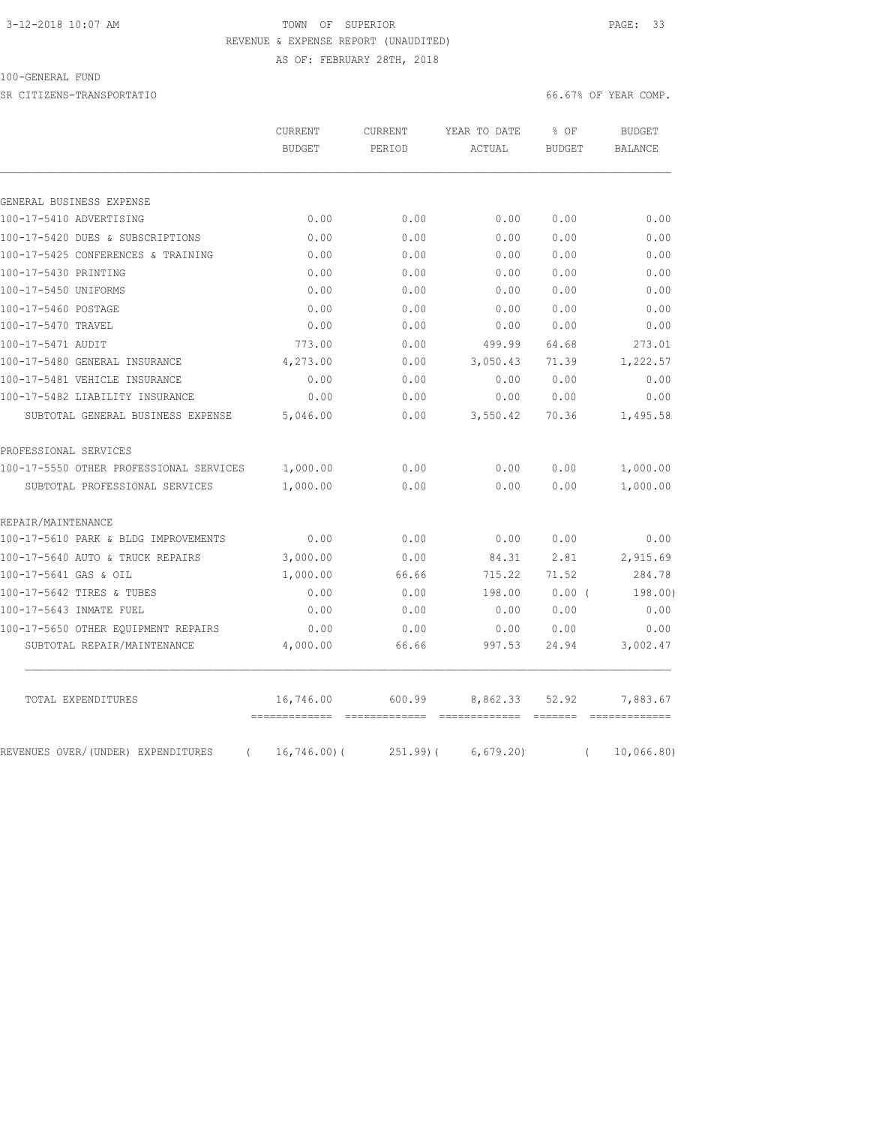# 3-12-2018 10:07 AM **TOWN OF SUPERIOR PAGE: 33** REVENUE & EXPENSE REPORT (UNAUDITED)

AS OF: FEBRUARY 28TH, 2018

### 100-GENERAL FUND

SR CITIZENS-TRANSPORTATIO 66.67% OF YEAR COMP.

|                                         | CURRENT<br>BUDGET | <b>CURRENT</b><br>PERIOD | YEAR TO DATE | % OF<br><b>BUDGET</b> | <b>BUDGET</b><br>BALANCE |
|-----------------------------------------|-------------------|--------------------------|--------------|-----------------------|--------------------------|
|                                         |                   |                          | ACTUAL       |                       |                          |
|                                         |                   |                          |              |                       |                          |
| GENERAL BUSINESS EXPENSE                |                   |                          |              |                       |                          |
| 100-17-5410 ADVERTISING                 | 0.00              | 0.00                     | 0.00         | 0.00                  | 0.00                     |
| 100-17-5420 DUES & SUBSCRIPTIONS        | 0.00              | 0.00                     | 0.00         | 0.00                  | 0.00                     |
| 100-17-5425 CONFERENCES & TRAINING      | 0.00              | 0.00                     | 0.00         | 0.00                  | 0.00                     |
| 100-17-5430 PRINTING                    | 0.00              | 0.00                     | 0.00         | 0.00                  | 0.00                     |
| 100-17-5450 UNIFORMS                    | 0.00              | 0.00                     | 0.00         | 0.00                  | 0.00                     |
| 100-17-5460 POSTAGE                     | 0.00              | 0.00                     | 0.00         | 0.00                  | 0.00                     |
| 100-17-5470 TRAVEL                      | 0.00              | 0.00                     | 0.00         | 0.00                  | 0.00                     |
| 100-17-5471 AUDIT                       | 773.00            | 0.00                     | 499.99       | 64.68                 | 273.01                   |
| 100-17-5480 GENERAL INSURANCE           | 4,273.00          | 0.00                     | 3,050.43     | 71.39                 | 1,222.57                 |
| 100-17-5481 VEHICLE INSURANCE           | 0.00              | 0.00                     | 0.00         | 0.00                  | 0.00                     |
| 100-17-5482 LIABILITY INSURANCE         | 0.00              | 0.00                     | 0.00         | 0.00                  | 0.00                     |
| SUBTOTAL GENERAL BUSINESS EXPENSE       | 5,046.00          | 0.00                     | 3,550.42     | 70.36                 | 1,495.58                 |
| PROFESSIONAL SERVICES                   |                   |                          |              |                       |                          |
| 100-17-5550 OTHER PROFESSIONAL SERVICES | 1,000.00          | 0.00                     | 0.00         | 0.00                  | 1,000.00                 |
| SUBTOTAL PROFESSIONAL SERVICES          | 1,000.00          | 0.00                     | 0.00         | 0.00                  | 1,000.00                 |
| REPAIR/MAINTENANCE                      |                   |                          |              |                       |                          |
| 100-17-5610 PARK & BLDG IMPROVEMENTS    | 0.00              | 0.00                     | 0.00         | 0.00                  | 0.00                     |
| 100-17-5640 AUTO & TRUCK REPAIRS        | 3,000.00          | 0.00                     | 84.31        | 2.81                  | 2,915.69                 |
| 100-17-5641 GAS & OIL                   | 1,000.00          | 66.66                    | 715.22       | 71.52                 | 284.78                   |
| 100-17-5642 TIRES & TUBES               | 0.00              | 0.00                     | 198.00       | 0.00(                 | 198.00)                  |
| 100-17-5643 INMATE FUEL                 | 0.00              | 0.00                     | 0.00         | 0.00                  | 0.00                     |
| 100-17-5650 OTHER EOUIPMENT REPAIRS     | 0.00              | 0.00                     | 0.00         | 0.00                  | 0.00                     |
| SUBTOTAL REPAIR/MAINTENANCE             | 4,000.00          | 66.66                    | 997.53       | 24.94                 | 3,002.47                 |
|                                         |                   |                          |              |                       |                          |

 $\mathcal{L}_\text{max}$ 

TOTAL EXPENDITURES 16,746.00 600.99 8,862.33 52.92 7,883.67

REVENUES OVER/(UNDER) EXPENDITURES ( 16,746.00)( 251.99)( 6,679.20) ( 10,066.80)

============= ============= ============= ======= =============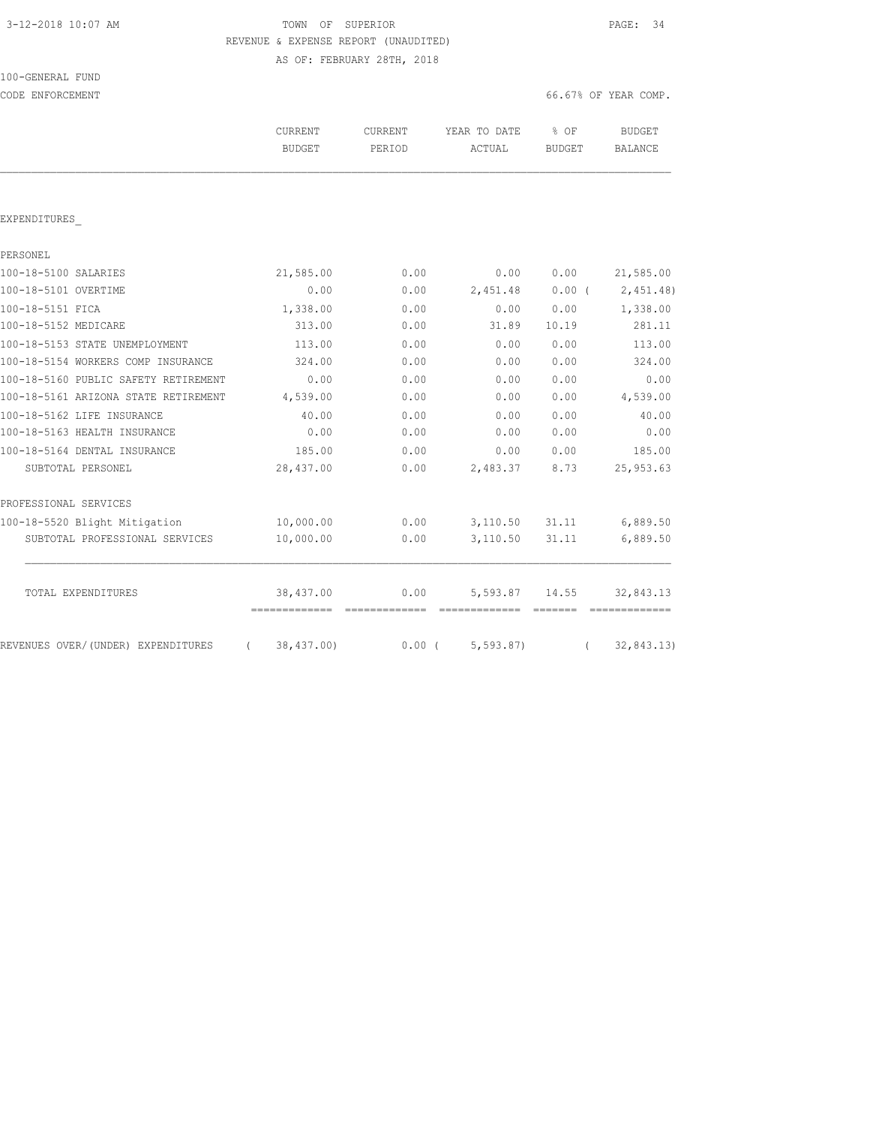| 3-12-2018 10:07 AM |  |  |
|--------------------|--|--|
|--------------------|--|--|

100-GENERAL FUND

TOWN OF SUPERIOR **12-2018 10:07 PAGE: 34**  REVENUE & EXPENSE REPORT (UNAUDITED) AS OF: FEBRUARY 28TH, 2018

CODE ENFORCEMENT COMP. THE SECOND CODE ENFORCEMENT COMP.

|                                                 | <b>CURRENT</b><br><b>BUDGET</b>           | <b>CURRENT</b><br>PERIOD | YEAR TO DATE<br>ACTUAL    | % OF<br><b>BUDGET</b>  | <b>BUDGET</b><br><b>BALANCE</b> |
|-------------------------------------------------|-------------------------------------------|--------------------------|---------------------------|------------------------|---------------------------------|
|                                                 |                                           |                          |                           |                        |                                 |
| EXPENDITURES                                    |                                           |                          |                           |                        |                                 |
| PERSONEL                                        |                                           |                          |                           |                        |                                 |
| 100-18-5100 SALARIES                            | 21,585.00                                 | 0.00                     | 0.00                      | 0.00                   | 21,585.00                       |
| 100-18-5101 OVERTIME                            | 0.00                                      | 0.00                     | 2,451.48                  | $0.00$ (               | 2,451.48                        |
| 100-18-5151 FICA                                | 1,338.00                                  | 0.00                     | 0.00                      | 0.00                   | 1,338.00                        |
| 100-18-5152 MEDICARE                            | 313.00                                    | 0.00                     | 31.89                     | 10.19                  | 281.11                          |
| 100-18-5153 STATE UNEMPLOYMENT                  | 113.00                                    | 0.00                     | 0.00                      | 0.00                   | 113.00                          |
| 100-18-5154 WORKERS COMP INSURANCE              | 324.00                                    | 0.00                     | 0.00                      | 0.00                   | 324.00                          |
| 100-18-5160 PUBLIC SAFETY RETIREMENT            | 0.00                                      | 0.00                     | 0.00                      | 0.00                   | 0.00                            |
| 100-18-5161 ARIZONA STATE RETIREMENT            | 4,539.00                                  | 0.00                     | 0.00                      | 0.00                   | 4,539.00                        |
| 100-18-5162 LIFE INSURANCE                      | 40.00                                     | 0.00                     | 0.00                      | 0.00                   | 40.00                           |
| 100-18-5163 HEALTH INSURANCE                    | 0.00                                      | 0.00                     | 0.00                      | 0.00                   | 0.00                            |
| 100-18-5164 DENTAL INSURANCE                    | 185.00                                    | 0.00                     | 0.00                      | 0.00                   | 185.00                          |
| SUBTOTAL PERSONEL                               | 28,437.00                                 | 0.00                     | 2,483.37                  | 8.73                   | 25, 953.63                      |
| PROFESSIONAL SERVICES                           |                                           |                          |                           |                        |                                 |
| 100-18-5520 Blight Mitigation                   | 10,000.00                                 | 0.00                     | 3,110.50                  | 31.11                  | 6,889.50                        |
| SUBTOTAL PROFESSIONAL SERVICES                  | 10,000.00                                 | 0.00                     | 3,110.50                  | 31.11                  | 6,889.50                        |
| TOTAL EXPENDITURES                              | 38,437.00<br>============================ | 0.00                     | 5,593.87<br>============= | 14.55<br><b>BEECEE</b> | 32,843.13                       |
| REVENUES OVER/ (UNDER) EXPENDITURES<br>$\left($ | 38,437.00)                                | $0.00$ (                 | 5, 593.87                 | $\left($               | 32, 843.13)                     |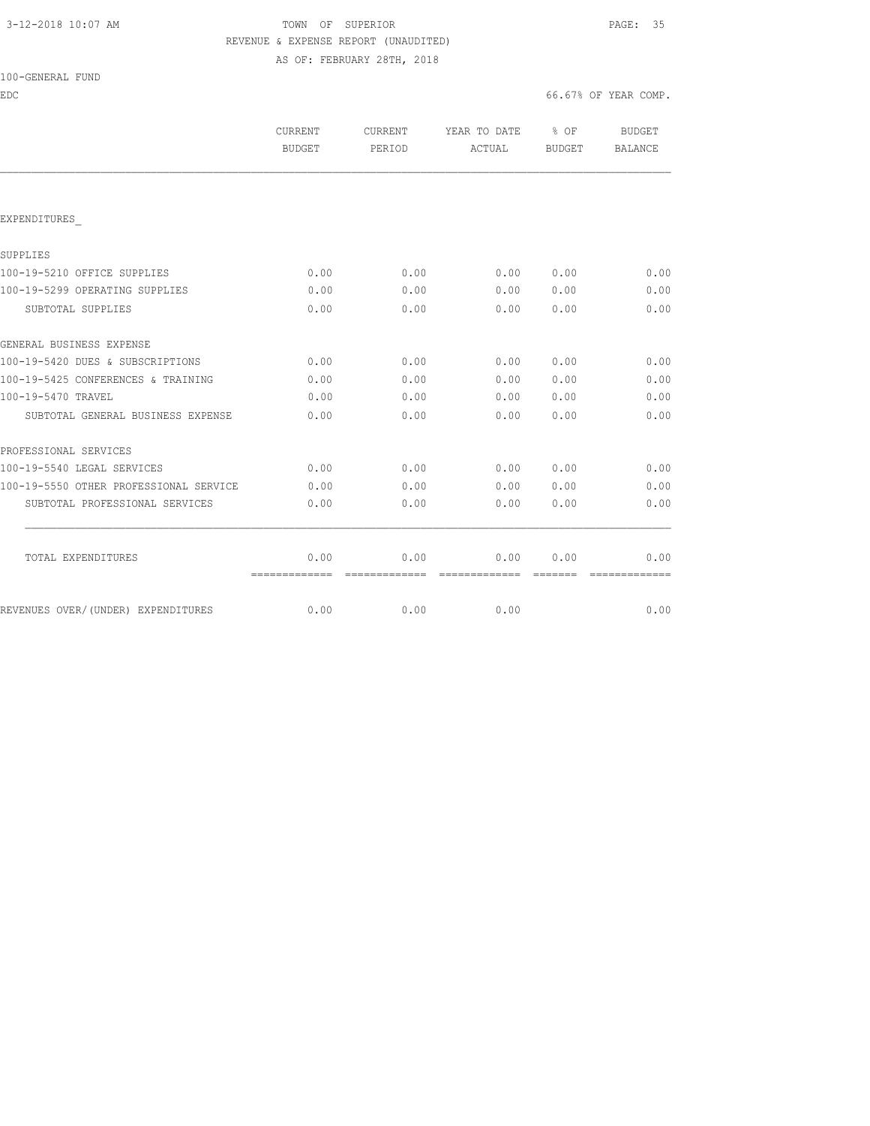## 3-12-2018 10:07 AM TOWN OF SUPERIOR PAGE: 35 REVENUE & EXPENSE REPORT (UNAUDITED) AS OF: FEBRUARY 28TH, 2018

| 100-GENERAL<br>FUND |  |
|---------------------|--|
|---------------------|--|

EDC 66.67% OF YEAR COMP.

|                                        | CURRENT<br><b>BUDGET</b> | CURRENT<br>PERIOD | YEAR TO DATE<br>ACTUAL | % OF<br>BUDGET | <b>BUDGET</b><br>BALANCE |
|----------------------------------------|--------------------------|-------------------|------------------------|----------------|--------------------------|
|                                        |                          |                   |                        |                |                          |
| EXPENDITURES                           |                          |                   |                        |                |                          |
| SUPPLIES                               |                          |                   |                        |                |                          |
| 100-19-5210 OFFICE SUPPLIES            | 0.00                     | 0.00              | 0.00                   | 0.00           | 0.00                     |
| 100-19-5299 OPERATING SUPPLIES         | 0.00                     | 0.00              | 0.00                   | 0.00           | 0.00                     |
| SUBTOTAL SUPPLIES                      | 0.00                     | 0.00              | 0.00                   | 0.00           | 0.00                     |
| GENERAL BUSINESS EXPENSE               |                          |                   |                        |                |                          |
| 100-19-5420 DUES & SUBSCRIPTIONS       | 0.00                     | 0.00              | 0.00                   | 0.00           | 0.00                     |
| 100-19-5425 CONFERENCES & TRAINING     | 0.00                     | 0.00              | 0.00                   | 0.00           | 0.00                     |
| 100-19-5470 TRAVEL                     | 0.00                     | 0.00              | 0.00                   | 0.00           | 0.00                     |
| SUBTOTAL GENERAL BUSINESS EXPENSE      | 0.00                     | 0.00              | 0.00                   | 0.00           | 0.00                     |
| PROFESSIONAL SERVICES                  |                          |                   |                        |                |                          |
| 100-19-5540 LEGAL SERVICES             | 0.00                     | 0.00              | 0.00                   | 0.00           | 0.00                     |
| 100-19-5550 OTHER PROFESSIONAL SERVICE | 0.00                     | 0.00              | 0.00                   | 0.00           | 0.00                     |
| SUBTOTAL PROFESSIONAL SERVICES         | 0.00                     | 0.00              | 0.00                   | 0.00           | 0.00                     |
| TOTAL EXPENDITURES                     | 0.00                     | 0.00              | 0.00                   | 0.00           | 0.00                     |
|                                        | =============            | =============     | =============          | --------       | =============            |
| REVENUES OVER/(UNDER) EXPENDITURES     | 0.00                     | 0.00              | 0.00                   |                | 0.00                     |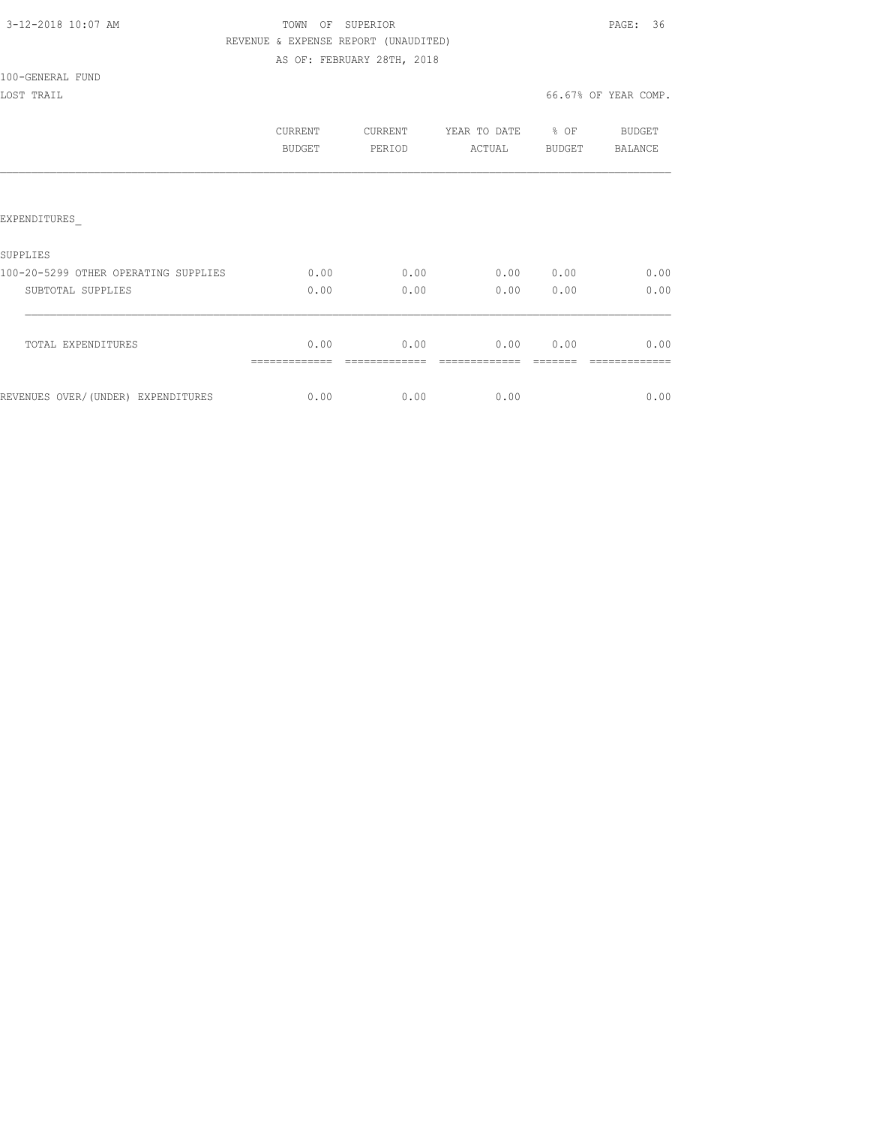## TOWN OF SUPERIOR **PAGE:** 36 REVENUE & EXPENSE REPORT (UNAUDITED) AS OF: FEBRUARY 28TH, 2018

100-GENERAL FUND

|                                      | CURRENT<br>BUDGET | <b>CURRENT</b><br>PERIOD | YEAR TO DATE<br>ACTUAL | % OF<br>BUDGET | BUDGET<br>BALANCE |
|--------------------------------------|-------------------|--------------------------|------------------------|----------------|-------------------|
|                                      |                   |                          |                        |                |                   |
| EXPENDITURES                         |                   |                          |                        |                |                   |
| SUPPLIES                             |                   |                          |                        |                |                   |
| 100-20-5299 OTHER OPERATING SUPPLIES | 0.00              | 0.00                     | 0.00                   | 0.00           | 0.00              |
| SUBTOTAL SUPPLIES                    | 0.00              | 0.00                     | 0.00                   | 0.00           | 0.00              |
| TOTAL EXPENDITURES                   | 0.00              | 0.00                     | 0.00                   | 0.00           | 0.00              |
| REVENUES OVER/(UNDER) EXPENDITURES   | 0.00              | 0.00                     | 0.00                   |                | 0.00              |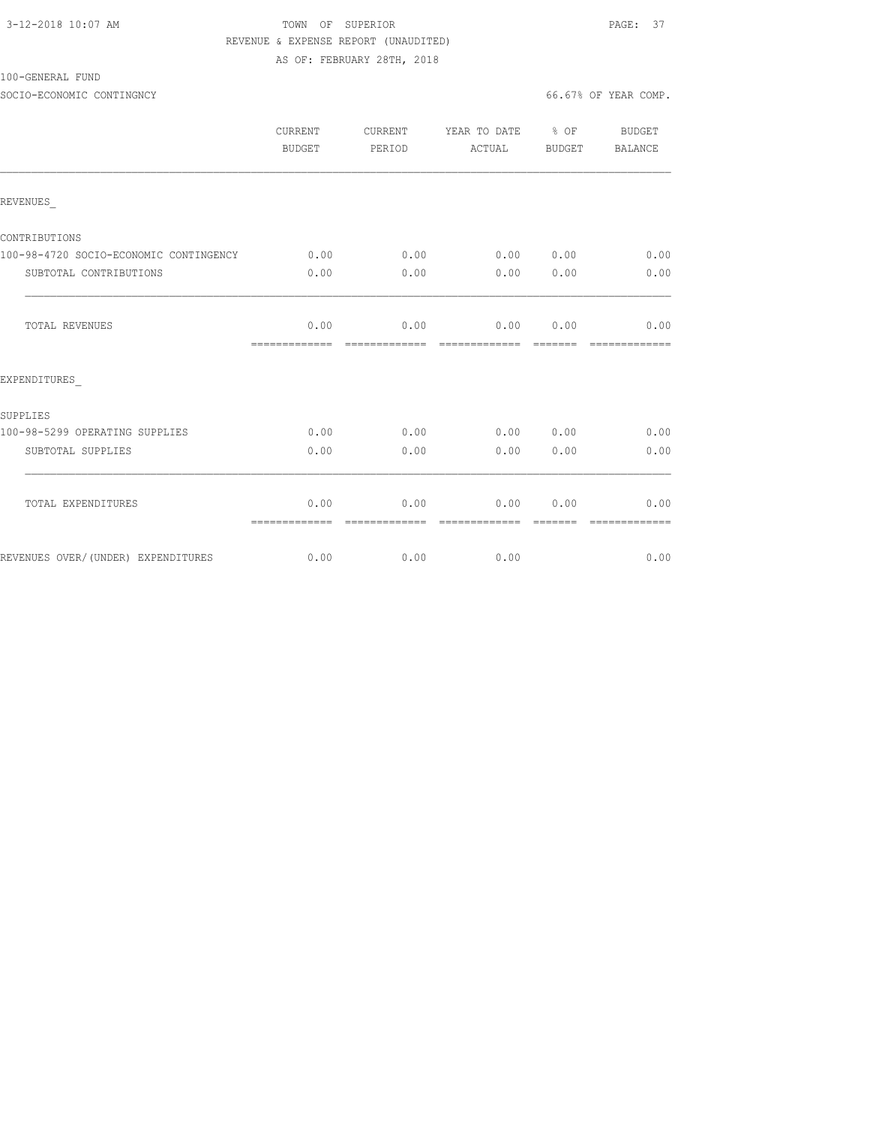### 3-12-2018 10:07 AM **PAGE:** 37 REVENUE & EXPENSE REPORT (UNAUDITED) AS OF: FEBRUARY 28TH, 2018

#### 100-GENERAL FUND

SOCIO-ECONOMIC CONTINGNCY 66.67% OF YEAR COMP.

|                                        | CURRENT<br>BUDGET     | CURRENT<br>PERIOD     | YEAR TO DATE % OF<br>ACTUAL      | BUDGET           | BUDGET<br>BALANCE      |
|----------------------------------------|-----------------------|-----------------------|----------------------------------|------------------|------------------------|
| REVENUES                               |                       |                       |                                  |                  |                        |
| CONTRIBUTIONS                          |                       |                       |                                  |                  |                        |
| 100-98-4720 SOCIO-ECONOMIC CONTINGENCY | 0.00                  | 0.00                  | 0.00 0.00                        |                  | 0.00                   |
| SUBTOTAL CONTRIBUTIONS                 | 0.00                  | 0.00                  | 0.00                             | 0.00             | 0.00                   |
| TOTAL REVENUES                         | 0.00<br>============= | 0.00<br>============= | 0.00<br>======================== | 0.00             | 0.00<br>=============  |
| EXPENDITURES                           |                       |                       |                                  |                  |                        |
| SUPPLIES                               |                       |                       |                                  |                  |                        |
| 100-98-5299 OPERATING SUPPLIES         | 0.00                  | 0.00                  | 0.00 0.00                        |                  | 0.00                   |
| SUBTOTAL SUPPLIES                      | 0.00                  | 0.00                  | 0.00                             | 0.00             | 0.00                   |
| TOTAL EXPENDITURES                     | 0.00<br>============= | 0.00<br>============= | 0.00<br>=============            | 0.00<br>-------- | 0.00<br>-------------- |
| REVENUES OVER/(UNDER) EXPENDITURES     | 0.00                  | 0.00                  | 0.00                             |                  | 0.00                   |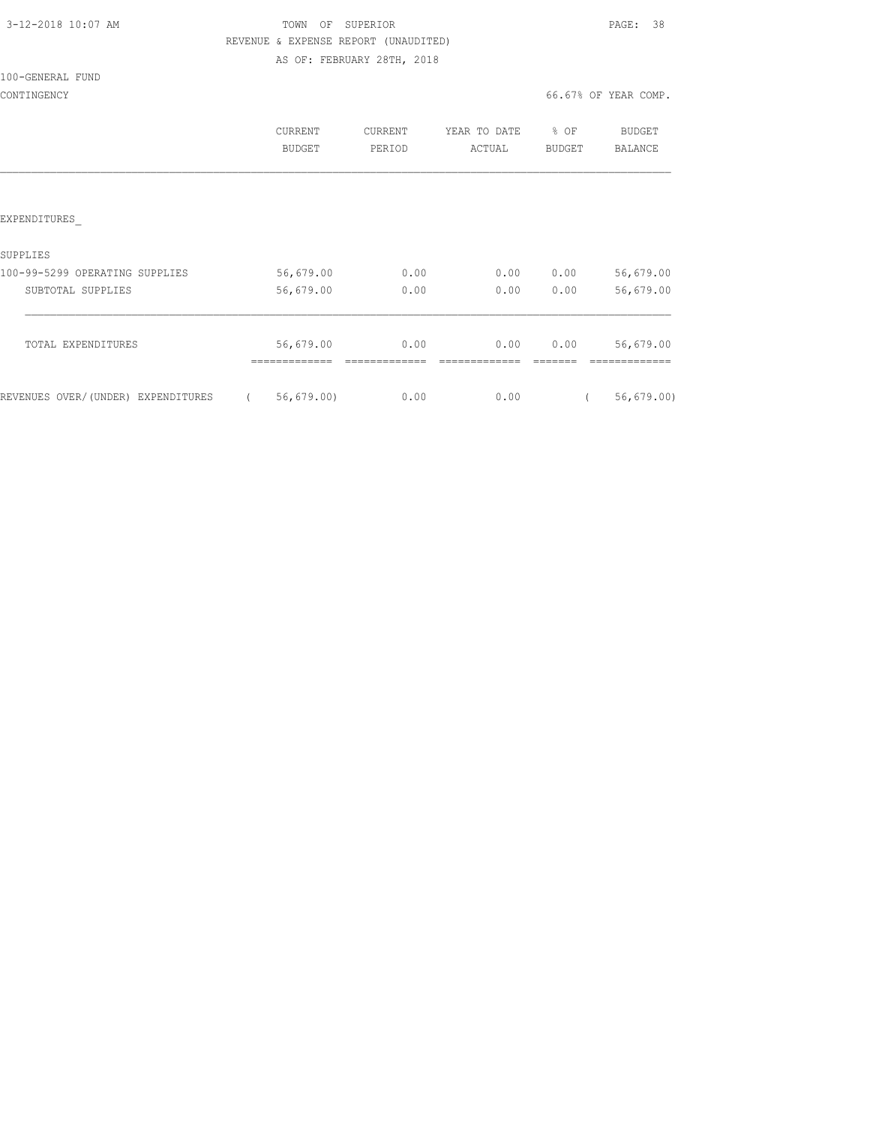|  |  |  | 3-12-2018 10:07 AM |  |
|--|--|--|--------------------|--|
|--|--|--|--------------------|--|

### TOWN OF SUPERIOR **PAGE:** 38 REVENUE & EXPENSE REPORT (UNAUDITED) AS OF: FEBRUARY 28TH, 2018

100-GENERAL FUND

CONTINGENCY 66.67% OF YEAR COMP.

|                                    | <b>CURRENT</b><br><b>BUDGET</b> | CURRENT<br>PERIOD | YEAR TO DATE<br>ACTUAL | % OF<br><b>BUDGET</b> | <b>BUDGET</b><br><b>BALANCE</b> |
|------------------------------------|---------------------------------|-------------------|------------------------|-----------------------|---------------------------------|
|                                    |                                 |                   |                        |                       |                                 |
| EXPENDITURES                       |                                 |                   |                        |                       |                                 |
| SUPPLIES                           |                                 |                   |                        |                       |                                 |
| 100-99-5299 OPERATING SUPPLIES     | 56,679.00                       | 0.00              | 0.00                   | 0.00                  | 56,679.00                       |
| SUBTOTAL SUPPLIES                  | 56,679.00                       | 0.00              | 0.00                   | 0.00                  | 56,679.00                       |
| TOTAL EXPENDITURES                 | 56,679.00                       | 0.00              | 0.00                   | 0.00                  | 56,679.00                       |
|                                    |                                 |                   |                        |                       |                                 |
| REVENUES OVER/(UNDER) EXPENDITURES | 56, 679.00                      | 0.00              | 0.00                   |                       | 56, 679.00                      |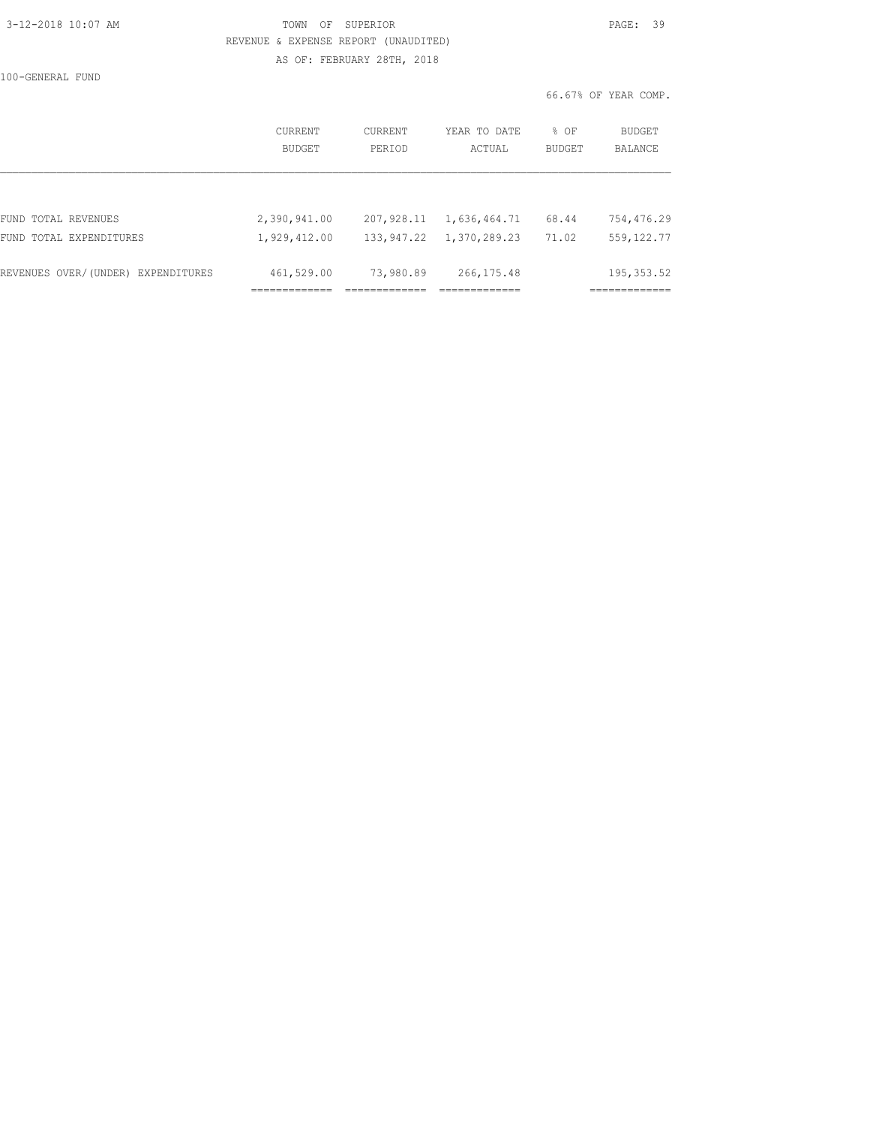| 3-12-2018 10:07 AM |
|--------------------|
|--------------------|

### TOWN OF SUPERIOR **12-2018 10:07 PAGE: 39**  REVENUE & EXPENSE REPORT (UNAUDITED) AS OF: FEBRUARY 28TH, 2018

100-GENERAL FUND

|                                    | CURRENT<br>BUDGET | CURRENT<br>PERIOD | YEAR TO DATE<br>ACTUAL | % OF<br>BUDGET | BUDGET<br><b>BALANCE</b> |
|------------------------------------|-------------------|-------------------|------------------------|----------------|--------------------------|
|                                    |                   |                   |                        |                |                          |
| FUND TOTAL REVENUES                | 2,390,941.00      | 207,928.11        | 1,636,464.71           | 68.44          | 754,476.29               |
| FUND TOTAL EXPENDITURES            | 1,929,412.00      | 133,947.22        | 1,370,289.23           | 71.02          | 559, 122.77              |
| REVENUES OVER/(UNDER) EXPENDITURES | 461,529.00        | 73,980.89         | 266, 175.48            |                | 195, 353.52              |
|                                    |                   |                   |                        |                |                          |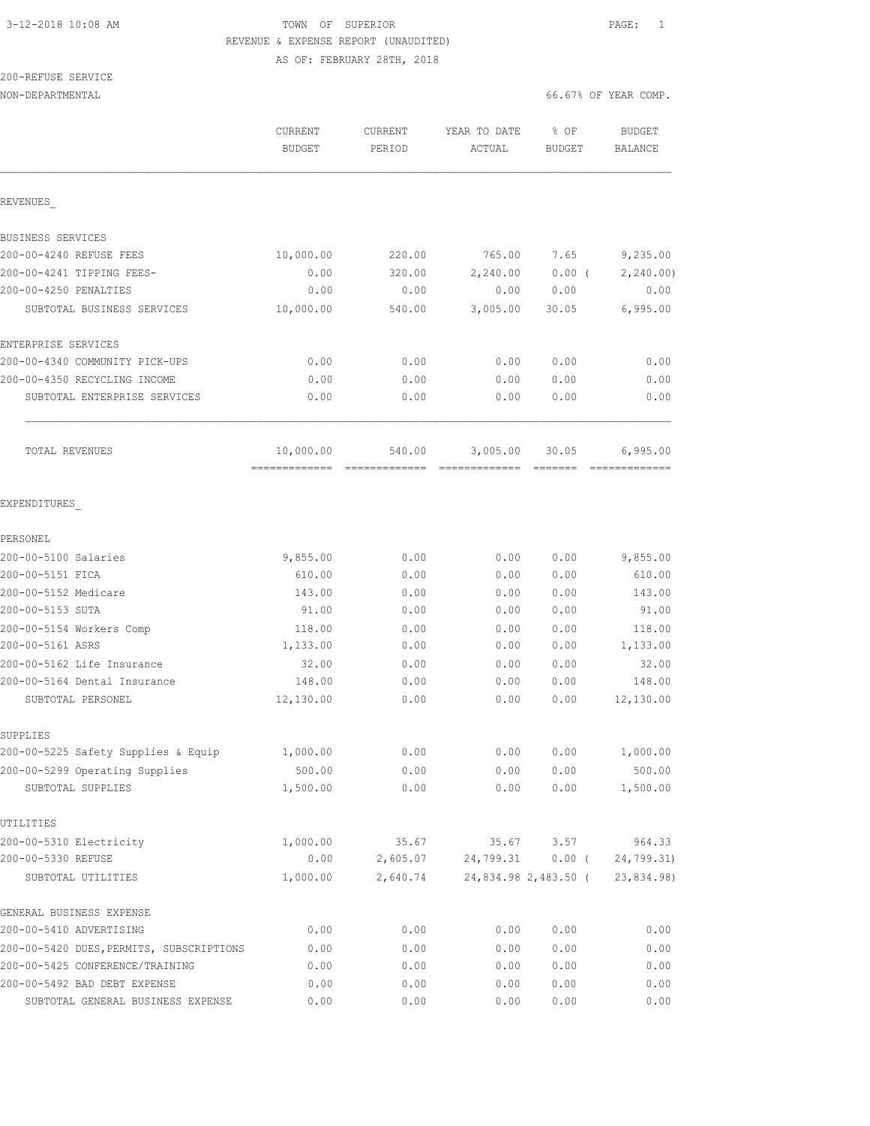# 3-12-2018 10:08 AM TOWN OF SUPERIOR PAGE: 1 REVENUE & EXPENSE REPORT (UNAUDITED)

AS OF: FEBRUARY 28TH, 2018

200-REFUSE SERVICE

|                                          | CURRENT       | CURRENT  | YEAR TO DATE | % OF                 | <b>BUDGET</b>  |
|------------------------------------------|---------------|----------|--------------|----------------------|----------------|
|                                          | <b>BUDGET</b> | PERIOD   | ACTUAL       | <b>BUDGET</b>        | <b>BALANCE</b> |
|                                          |               |          |              |                      |                |
| REVENUES                                 |               |          |              |                      |                |
| BUSINESS SERVICES                        |               |          |              |                      |                |
| 200-00-4240 REFUSE FEES                  | 10,000.00     | 220.00   | 765.00       | 7.65                 | 9,235.00       |
| 200-00-4241 TIPPING FEES-                | 0.00          | 320.00   | 2,240.00     | 0.00(                | 2, 240.00      |
| 200-00-4250 PENALTIES                    | 0.00          | 0.00     | 0.00         | 0.00                 | 0.00           |
| SUBTOTAL BUSINESS SERVICES               | 10,000.00     | 540.00   | 3,005.00     | 30.05                | 6,995.00       |
| ENTERPRISE SERVICES                      |               |          |              |                      |                |
| 200-00-4340 COMMUNITY PICK-UPS           | 0.00          | 0.00     | 0.00         | 0.00                 | 0.00           |
| 200-00-4350 RECYCLING INCOME             | 0.00          | 0.00     | 0.00         | 0.00                 | 0.00           |
| SUBTOTAL ENTERPRISE SERVICES             | 0.00          | 0.00     | 0.00         | 0.00                 | 0.00           |
| TOTAL REVENUES                           | 10,000.00     | 540.00   | 3,005.00     | 30.05                | 6,995.00       |
| EXPENDITURES                             |               |          |              |                      |                |
| PERSONEL                                 |               |          |              |                      |                |
| 200-00-5100 Salaries                     | 9,855.00      | 0.00     | 0.00         | 0.00                 | 9,855.00       |
| 200-00-5151 FICA                         | 610.00        | 0.00     | 0.00         | 0.00                 | 610.00         |
| 200-00-5152 Medicare                     | 143.00        | 0.00     | 0.00         | 0.00                 | 143.00         |
| 200-00-5153 SUTA                         | 91.00         | 0.00     | 0.00         | 0.00                 | 91.00          |
| 200-00-5154 Workers Comp                 | 118.00        | 0.00     | 0.00         | 0.00                 | 118.00         |
| 200-00-5161 ASRS                         | 1,133.00      | 0.00     | 0.00         | 0.00                 | 1,133.00       |
| 200-00-5162 Life Insurance               | 32.00         | 0.00     | 0.00         | 0.00                 | 32.00          |
| 200-00-5164 Dental Insurance             | 148.00        | 0.00     | 0.00         | 0.00                 | 148.00         |
| SUBTOTAL PERSONEL                        | 12,130.00     | 0.00     | 0.00         | 0.00                 | 12,130.00      |
| SUPPLIES                                 |               |          |              |                      |                |
| 200-00-5225 Safety Supplies & Equip      | 1,000.00      | 0.00     | 0.00         | 0.00                 | 1,000.00       |
| 200-00-5299 Operating Supplies           | 500.00        | 0.00     | 0.00         | 0.00                 | 500.00         |
| SUBTOTAL SUPPLIES                        | 1,500.00      | 0.00     | 0.00         | 0.00                 | 1,500.00       |
| UTILITIES                                |               |          |              |                      |                |
| 200-00-5310 Electricity                  | 1,000.00      | 35.67    | 35.67        | 3.57                 | 964.33         |
| 200-00-5330 REFUSE                       | 0.00          | 2,605.07 | 24,799.31    | $0.00$ (             | 24,799.31)     |
| SUBTOTAL UTILITIES                       | 1,000.00      | 2,640.74 |              | 24,834.98 2,483.50 ( | 23,834.98)     |
| GENERAL BUSINESS EXPENSE                 |               |          |              |                      |                |
| 200-00-5410 ADVERTISING                  | 0.00          | 0.00     | 0.00         | 0.00                 | 0.00           |
| 200-00-5420 DUES, PERMITS, SUBSCRIPTIONS | 0.00          | 0.00     | 0.00         | 0.00                 | 0.00           |
| 200-00-5425 CONFERENCE/TRAINING          | 0.00          | 0.00     | 0.00         | 0.00                 | 0.00           |
| 200-00-5492 BAD DEBT EXPENSE             | 0.00          | 0.00     | 0.00         | 0.00                 | 0.00           |
| SUBTOTAL GENERAL BUSINESS EXPENSE        | 0.00          | 0.00     | 0.00         | 0.00                 | 0.00           |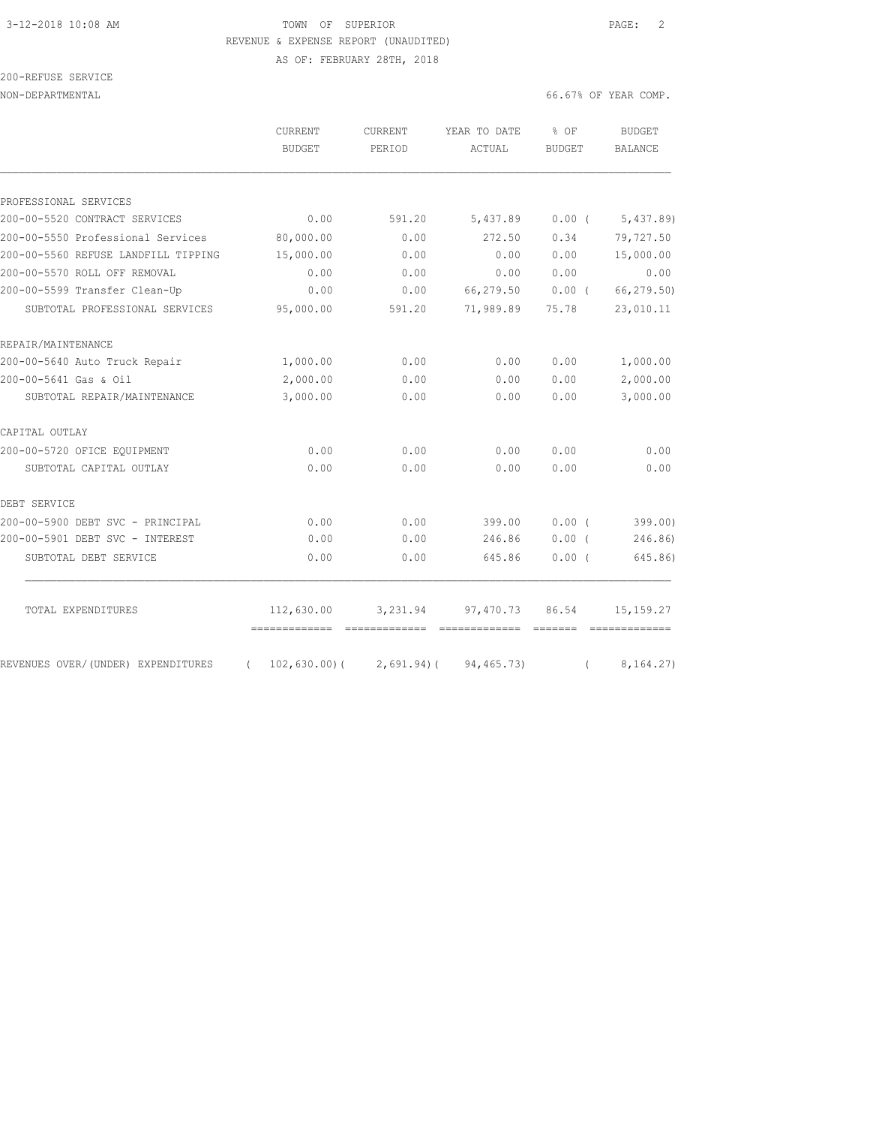## 3-12-2018 10:08 AM TOWN OF SUPERIOR PAGE: 2 REVENUE & EXPENSE REPORT (UNAUDITED)

AS OF: FEBRUARY 28TH, 2018

| 200-REFUSE SERVICE |  |
|--------------------|--|
|                    |  |

|                                     | <b>CURRENT</b><br><b>BUDGET</b> | <b>CURRENT</b><br>PERIOD                                                                                                                                                                                                                                                                                                                                                                                                                                                               | YEAR TO DATE<br>ACTUAL | % OF<br><b>BUDGET</b> | <b>BUDGET</b><br><b>BALANCE</b>                                                                                                                                                                                                                                                                                                                                                                                                                                                        |
|-------------------------------------|---------------------------------|----------------------------------------------------------------------------------------------------------------------------------------------------------------------------------------------------------------------------------------------------------------------------------------------------------------------------------------------------------------------------------------------------------------------------------------------------------------------------------------|------------------------|-----------------------|----------------------------------------------------------------------------------------------------------------------------------------------------------------------------------------------------------------------------------------------------------------------------------------------------------------------------------------------------------------------------------------------------------------------------------------------------------------------------------------|
|                                     |                                 |                                                                                                                                                                                                                                                                                                                                                                                                                                                                                        |                        |                       |                                                                                                                                                                                                                                                                                                                                                                                                                                                                                        |
| PROFESSIONAL SERVICES               |                                 |                                                                                                                                                                                                                                                                                                                                                                                                                                                                                        |                        |                       |                                                                                                                                                                                                                                                                                                                                                                                                                                                                                        |
| 200-00-5520 CONTRACT SERVICES       | 0.00                            | 591.20                                                                                                                                                                                                                                                                                                                                                                                                                                                                                 | 5,437.89               | $0.00$ (              | 5,437.89                                                                                                                                                                                                                                                                                                                                                                                                                                                                               |
| 200-00-5550 Professional Services   | 80,000.00                       | 0.00                                                                                                                                                                                                                                                                                                                                                                                                                                                                                   | 272.50                 | 0.34                  | 79,727.50                                                                                                                                                                                                                                                                                                                                                                                                                                                                              |
| 200-00-5560 REFUSE LANDFILL TIPPING | 15,000.00                       | 0.00                                                                                                                                                                                                                                                                                                                                                                                                                                                                                   | 0.00                   | 0.00                  | 15,000.00                                                                                                                                                                                                                                                                                                                                                                                                                                                                              |
| 200-00-5570 ROLL OFF REMOVAL        | 0.00                            | 0.00                                                                                                                                                                                                                                                                                                                                                                                                                                                                                   | 0.00                   | 0.00                  | 0.00                                                                                                                                                                                                                                                                                                                                                                                                                                                                                   |
| 200-00-5599 Transfer Clean-Up       | 0.00                            | 0.00                                                                                                                                                                                                                                                                                                                                                                                                                                                                                   | 66,279.50              | 0.00(                 | 66,279.50)                                                                                                                                                                                                                                                                                                                                                                                                                                                                             |
| SUBTOTAL PROFESSIONAL SERVICES      | 95,000.00                       | 591.20                                                                                                                                                                                                                                                                                                                                                                                                                                                                                 | 71,989.89              | 75.78                 | 23,010.11                                                                                                                                                                                                                                                                                                                                                                                                                                                                              |
| REPAIR/MAINTENANCE                  |                                 |                                                                                                                                                                                                                                                                                                                                                                                                                                                                                        |                        |                       |                                                                                                                                                                                                                                                                                                                                                                                                                                                                                        |
| 200-00-5640 Auto Truck Repair       | 1,000.00                        | 0.00                                                                                                                                                                                                                                                                                                                                                                                                                                                                                   | 0.00                   | 0.00                  | 1,000.00                                                                                                                                                                                                                                                                                                                                                                                                                                                                               |
| 200-00-5641 Gas & Oil               | 2,000.00                        | 0.00                                                                                                                                                                                                                                                                                                                                                                                                                                                                                   | 0.00                   | 0.00                  | 2,000.00                                                                                                                                                                                                                                                                                                                                                                                                                                                                               |
| SUBTOTAL REPAIR/MAINTENANCE         | 3,000.00                        | 0.00                                                                                                                                                                                                                                                                                                                                                                                                                                                                                   | 0.00                   | 0.00                  | 3,000.00                                                                                                                                                                                                                                                                                                                                                                                                                                                                               |
| CAPITAL OUTLAY                      |                                 |                                                                                                                                                                                                                                                                                                                                                                                                                                                                                        |                        |                       |                                                                                                                                                                                                                                                                                                                                                                                                                                                                                        |
| 200-00-5720 OFICE EQUIPMENT         | 0.00                            | 0.00                                                                                                                                                                                                                                                                                                                                                                                                                                                                                   | 0.00                   | 0.00                  | 0.00                                                                                                                                                                                                                                                                                                                                                                                                                                                                                   |
| SUBTOTAL CAPITAL OUTLAY             | 0.00                            | 0.00                                                                                                                                                                                                                                                                                                                                                                                                                                                                                   | 0.00                   | 0.00                  | 0.00                                                                                                                                                                                                                                                                                                                                                                                                                                                                                   |
| DEBT SERVICE                        |                                 |                                                                                                                                                                                                                                                                                                                                                                                                                                                                                        |                        |                       |                                                                                                                                                                                                                                                                                                                                                                                                                                                                                        |
| 200-00-5900 DEBT SVC - PRINCIPAL    | 0.00                            | 0.00                                                                                                                                                                                                                                                                                                                                                                                                                                                                                   | 399.00                 | 0.00(                 | 399.00)                                                                                                                                                                                                                                                                                                                                                                                                                                                                                |
| 200-00-5901 DEBT SVC - INTEREST     | 0.00                            | 0.00                                                                                                                                                                                                                                                                                                                                                                                                                                                                                   | 246.86                 | $0.00$ (              | 246.86)                                                                                                                                                                                                                                                                                                                                                                                                                                                                                |
| SUBTOTAL DEBT SERVICE               | 0.00                            | 0.00                                                                                                                                                                                                                                                                                                                                                                                                                                                                                   | 645.86                 | 0.00(                 | 645.86)                                                                                                                                                                                                                                                                                                                                                                                                                                                                                |
| TOTAL EXPENDITURES                  | 112,630.00                      | 3,231.94                                                                                                                                                                                                                                                                                                                                                                                                                                                                               | 97,470.73              | 86.54                 | 15, 159. 27                                                                                                                                                                                                                                                                                                                                                                                                                                                                            |
|                                     |                                 | $\begin{array}{cccccccccc} \multicolumn{2}{c}{} & \multicolumn{2}{c}{} & \multicolumn{2}{c}{} & \multicolumn{2}{c}{} & \multicolumn{2}{c}{} & \multicolumn{2}{c}{} & \multicolumn{2}{c}{} & \multicolumn{2}{c}{} & \multicolumn{2}{c}{} & \multicolumn{2}{c}{} & \multicolumn{2}{c}{} & \multicolumn{2}{c}{} & \multicolumn{2}{c}{} & \multicolumn{2}{c}{} & \multicolumn{2}{c}{} & \multicolumn{2}{c}{} & \multicolumn{2}{c}{} & \multicolumn{2}{c}{} & \multicolumn{2}{c}{} & \mult$ | -------------          | $------$              | $\begin{array}{cccccccccc} \multicolumn{2}{c}{} & \multicolumn{2}{c}{} & \multicolumn{2}{c}{} & \multicolumn{2}{c}{} & \multicolumn{2}{c}{} & \multicolumn{2}{c}{} & \multicolumn{2}{c}{} & \multicolumn{2}{c}{} & \multicolumn{2}{c}{} & \multicolumn{2}{c}{} & \multicolumn{2}{c}{} & \multicolumn{2}{c}{} & \multicolumn{2}{c}{} & \multicolumn{2}{c}{} & \multicolumn{2}{c}{} & \multicolumn{2}{c}{} & \multicolumn{2}{c}{} & \multicolumn{2}{c}{} & \multicolumn{2}{c}{} & \mult$ |
| REVENUES OVER/(UNDER) EXPENDITURES  | $102,630.00)$ (<br>$\left($     |                                                                                                                                                                                                                                                                                                                                                                                                                                                                                        | $2,691.94$ (94,465.73) | $\left($              | 8,164.27)                                                                                                                                                                                                                                                                                                                                                                                                                                                                              |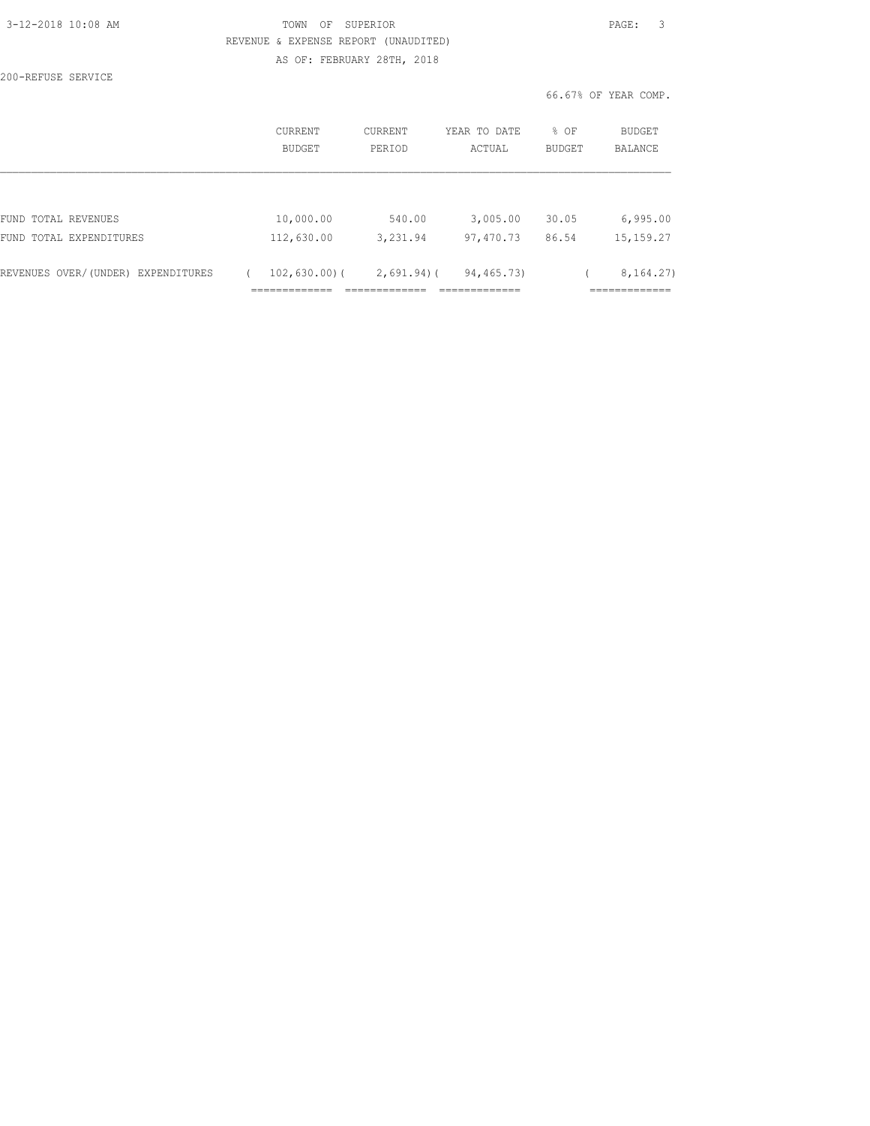| 3-12-2018 10:08 AM |  |  |
|--------------------|--|--|
|                    |  |  |

200-REFUSE SERVICE

### TOWN OF SUPERIOR **12-2018 10:08 PAGE:** 3 REVENUE & EXPENSE REPORT (UNAUDITED) AS OF: FEBRUARY 28TH, 2018

|                                    | CURRENT<br><b>BUDGET</b> | CURRENT<br>PERIOD | YEAR TO DATE<br>ACTUAL | % OF<br><b>BUDGET</b> | BUDGET<br>BALANCE          |
|------------------------------------|--------------------------|-------------------|------------------------|-----------------------|----------------------------|
|                                    |                          |                   |                        |                       |                            |
| FUND TOTAL REVENUES                | 10,000.00                | 540.00            | 3,005.00               | 30.05                 | 6,995.00                   |
| FUND TOTAL EXPENDITURES            | 112,630.00               | 3,231.94          | 97,470.73              | 86.54                 | 15, 159. 27                |
| REVENUES OVER/(UNDER) EXPENDITURES | 102,630.00(              | $2,691.94$ )(     | 94, 465. 73)           |                       | 8, 164. 27)<br>___________ |
|                                    |                          |                   |                        |                       | ----------                 |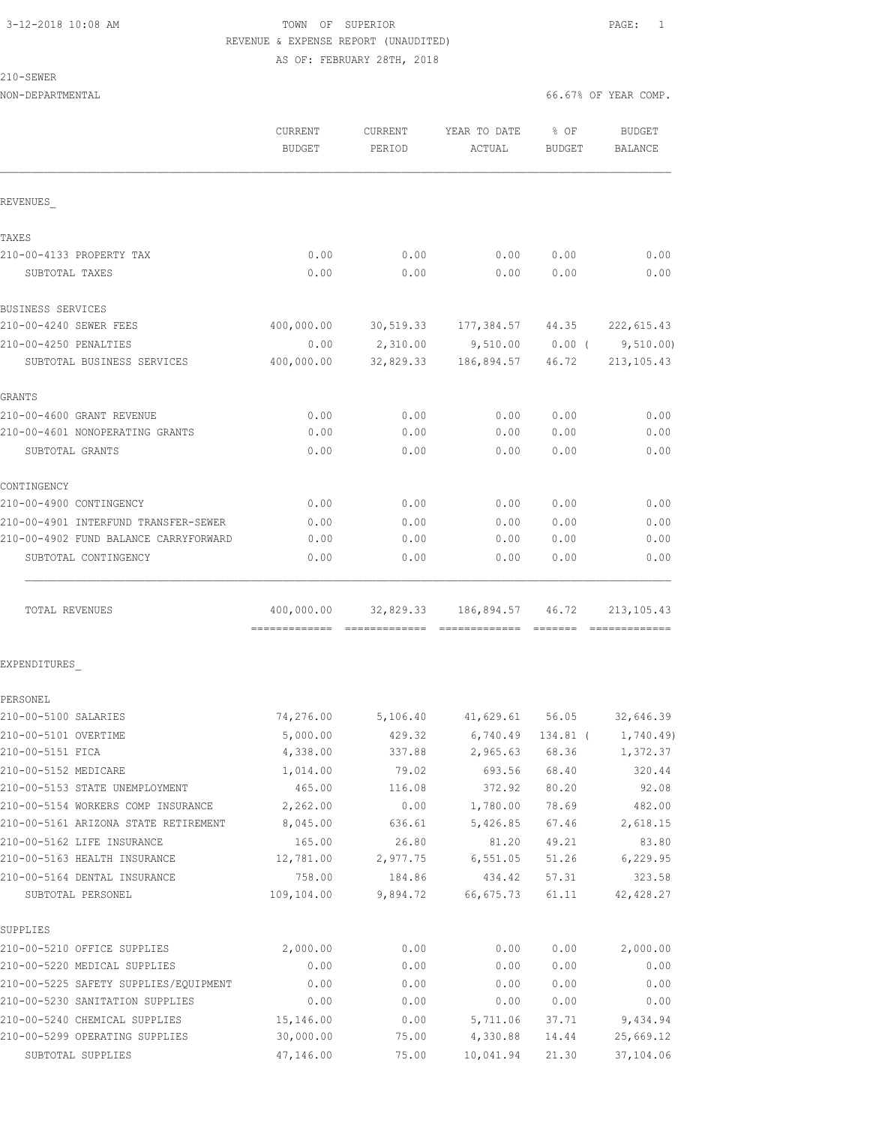# 3-12-2018 10:08 AM TOWN OF SUPERIOR PAGE: 1 REVENUE & EXPENSE REPORT (UNAUDITED)

AS OF: FEBRUARY 28TH, 2018

210-SEWER

| NON-DEPARTMENTAL                      |               |          |                                       |          | 66.67% OF YEAR COMP. |
|---------------------------------------|---------------|----------|---------------------------------------|----------|----------------------|
|                                       | CURRENT       | CURRENT  | YEAR TO DATE                          | 8 OF     | BUDGET               |
|                                       | <b>BUDGET</b> | PERIOD   | ACTUAL                                | BUDGET   | BALANCE              |
| REVENUES                              |               |          |                                       |          |                      |
| TAXES                                 |               |          |                                       |          |                      |
| 210-00-4133 PROPERTY TAX              | 0.00          | 0.00     | 0.00                                  | 0.00     | 0.00                 |
| SUBTOTAL TAXES                        | 0.00          | 0.00     | 0.00                                  | 0.00     | 0.00                 |
| BUSINESS SERVICES                     |               |          |                                       |          |                      |
| 210-00-4240 SEWER FEES                | 400,000.00    |          |                                       |          |                      |
| 210-00-4250 PENALTIES                 | 0.00          |          | 2,310.00 9,510.00                     | $0.00$ ( | 9,510.00             |
| SUBTOTAL BUSINESS SERVICES            | 400,000.00    |          | 32,829.33 186,894.57                  | 46.72    | 213, 105.43          |
| GRANTS                                |               |          |                                       |          |                      |
| 210-00-4600 GRANT REVENUE             | 0.00          | 0.00     | 0.00                                  | 0.00     | 0.00                 |
| 210-00-4601 NONOPERATING GRANTS       | 0.00          | 0.00     | 0.00                                  | 0.00     | 0.00                 |
| SUBTOTAL GRANTS                       | 0.00          | 0.00     | 0.00                                  | 0.00     | 0.00                 |
| CONTINGENCY                           |               |          |                                       |          |                      |
| 210-00-4900 CONTINGENCY               | 0.00          | 0.00     | 0.00                                  | 0.00     | 0.00                 |
| 210-00-4901 INTERFUND TRANSFER-SEWER  | 0.00          | 0.00     | 0.00                                  | 0.00     | 0.00                 |
| 210-00-4902 FUND BALANCE CARRYFORWARD | 0.00          | 0.00     | 0.00                                  | 0.00     | 0.00                 |
| SUBTOTAL CONTINGENCY                  | 0.00          | 0.00     | 0.00                                  | 0.00     | 0.00                 |
| TOTAL REVENUES                        |               |          | 400,000.00 32,829.33 186,894.57 46.72 |          | 213, 105.43          |
| EXPENDITURES                          |               |          |                                       |          |                      |
| PERSONEL                              |               |          |                                       |          |                      |
| 210-00-5100 SALARIES                  |               |          | 74,276.00 5,106.40 41,629.61 56.05    |          | 32,646.39            |
| 210-00-5101 OVERTIME                  | 5,000.00      | 429.32   | 6,740.49                              | 134.81 ( | 1,740.49)            |
| 210-00-5151 FICA                      | 4,338.00      | 337.88   | 2,965.63                              | 68.36    | 1,372.37             |
| 210-00-5152 MEDICARE                  | 1,014.00      | 79.02    | 693.56                                | 68.40    | 320.44               |
| 210-00-5153 STATE UNEMPLOYMENT        | 465.00        | 116.08   | 372.92                                | 80.20    | 92.08                |
| 210-00-5154 WORKERS COMP INSURANCE    | 2,262.00      | 0.00     | 1,780.00                              | 78.69    | 482.00               |
| 210-00-5161 ARIZONA STATE RETIREMENT  | 8,045.00      | 636.61   | 5,426.85                              | 67.46    | 2,618.15             |
| 210-00-5162 LIFE INSURANCE            | 165.00        | 26.80    | 81.20                                 | 49.21    | 83.80                |
| 210-00-5163 HEALTH INSURANCE          | 12,781.00     | 2,977.75 | 6,551.05                              | 51.26    | 6, 229.95            |
| 210-00-5164 DENTAL INSURANCE          | 758.00        | 184.86   | 434.42                                | 57.31    | 323.58               |
| SUBTOTAL PERSONEL                     | 109,104.00    | 9,894.72 | 66,675.73                             | 61.11    | 42, 428.27           |
| SUPPLIES                              |               |          |                                       |          |                      |
| 210-00-5210 OFFICE SUPPLIES           | 2,000.00      | 0.00     | 0.00                                  | 0.00     | 2,000.00             |
| 210-00-5220 MEDICAL SUPPLIES          | 0.00          | 0.00     | 0.00                                  | 0.00     | 0.00                 |
| 210-00-5225 SAFETY SUPPLIES/EQUIPMENT | 0.00          | 0.00     | 0.00                                  | 0.00     | 0.00                 |
| 210-00-5230 SANITATION SUPPLIES       | 0.00          | 0.00     | 0.00                                  | 0.00     | 0.00                 |
| 210-00-5240 CHEMICAL SUPPLIES         | 15,146.00     | 0.00     | 5,711.06                              | 37.71    | 9,434.94             |

210-00-5299 OPERATING SUPPLIES 30,000.00 75.00 4,330.88 14.44 25,669.12 SUBTOTAL SUPPLIES 47,146.00 75.00 10,041.94 21.30 37,104.06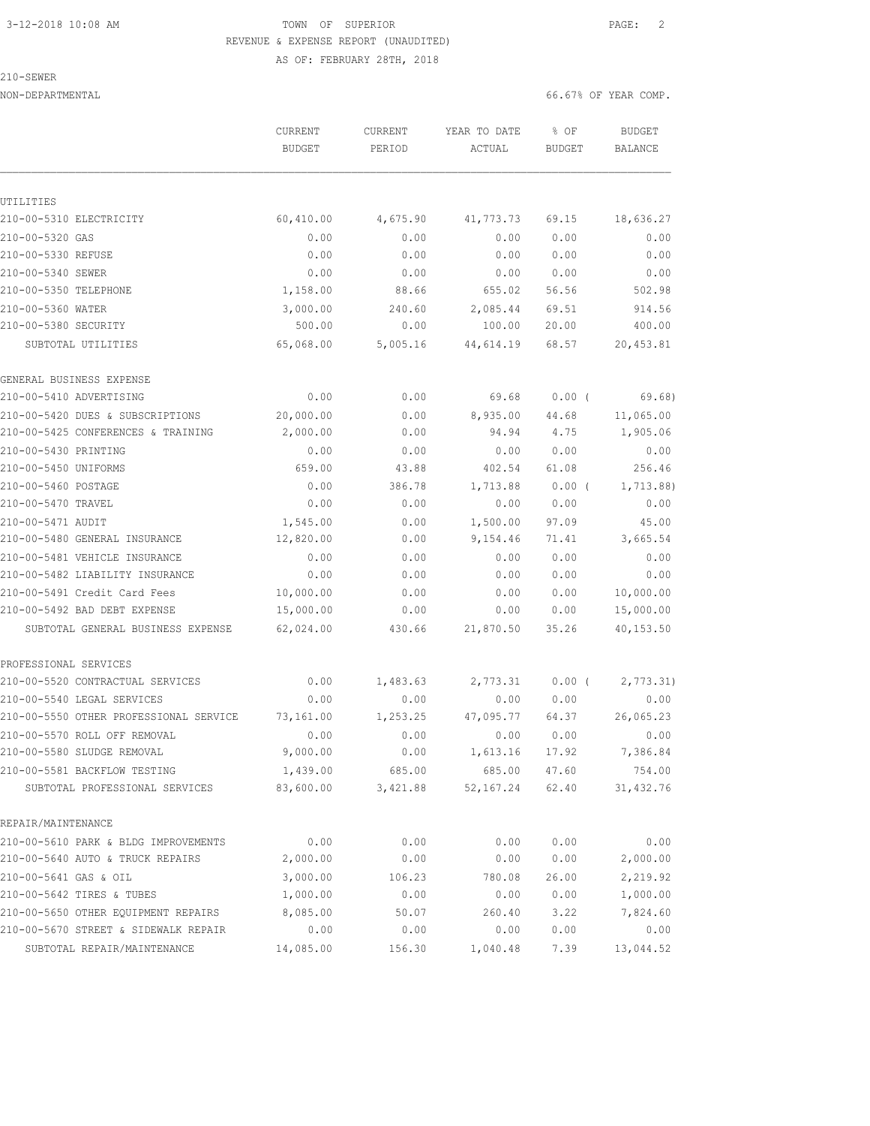# 3-12-2018 10:08 AM TOWN OF SUPERIOR PAGE: 2 REVENUE & EXPENSE REPORT (UNAUDITED)

AS OF: FEBRUARY 28TH, 2018

|  | × | 1,50<br>H.W |  |
|--|---|-------------|--|
|  |   |             |  |

UTILITIES

NON-DEPARTMENTAL 66.67% OF YEAR COMP.

 CURRENT CURRENT YEAR TO DATE % OF BUDGET BUDGET PERIOD ACTUAL BUDGET BALANCE 210-00-5310 ELECTRICITY 60,410.00 4,675.90 41,773.73 69.15 18,636.27 210-00-5320 GAS 0.00 0.00 0.00 0.00 0.00 210-00-5330 REFUSE 0.00 0.00 0.00 0.00 0.00 210-00-5340 SEWER 0.00 0.00 0.00 0.00 0.00 210-00-5350 TELEPHONE 1,158.00 88.66 655.02 56.56 502.98 210-00-5360 WATER 3,000.00 240.60 2,085.44 69.51 914.56 210-00-5380 SECURITY 500.00 0.00 100.00 20.00 400.00 SUBTOTAL UTILITIES 65,068.00 5,005.16 44,614.19 68.57 20,453.81 GENERAL BUSINESS EXPENSE 210-00-5410 ADVERTISING 0.00 0.00 69.68 0.00 ( 69.68) 210-00-5420 DUES & SUBSCRIPTIONS 20,000.00 0.00 8,935.00 44.68 11,065.00 210-00-5425 CONFERENCES & TRAINING 2,000.00 0.00 94.94 4.75 1,905.06 210-00-5430 PRINTING 0.00 0.00 0.00 0.00 0.00 210-00-5450 UNIFORMS 659.00 43.88 402.54 61.08 256.46 210-00-5460 POSTAGE 0.00 386.78 1,713.88 0.00 ( 1,713.88) 210-00-5470 TRAVEL 0.00 0.00 0.00 0.00 0.00 210-00-5471 AUDIT 1,545.00 0.00 1,500.00 97.09 45.00 210-00-5480 GENERAL INSURANCE 12,820.00 0.00 9,154.46 71.41 3,665.54 210-00-5481 VEHICLE INSURANCE 0.00 0.00 0.00 0.00 0.00 210-00-5482 LIABILITY INSURANCE 0.00 0.00 0.00 0.00 0.00 210-00-5491 Credit Card Fees 10,000.00 0.00 0.00 0.00 10,000.00 210-00-5492 BAD DEBT EXPENSE 15,000.00 0.00 0.00 0.00 15,000.00 SUBTOTAL GENERAL BUSINESS EXPENSE 62,024.00 430.66 21,870.50 35.26 40,153.50 PROFESSIONAL SERVICES 210-00-5520 CONTRACTUAL SERVICES  $\begin{array}{cccc} 0.00 & 1,483.63 & 2,773.31 & 0.00 & (2,773.31) \\ 0.00 & 0.00 & 0.00 & 0.00 & 0.00 \end{array}$ 210-00-5540 LEGAL SERVICES 0.00 0.00 0.00 0.00 0.00 210-00-5550 OTHER PROFESSIONAL SERVICE 73,161.00 1,253.25 47,095.77 64.37 26,065.23 210-00-5570 ROLL OFF REMOVAL 0.00 0.00 0.00 0.00 0.00 210-00-5580 SLUDGE REMOVAL 9,000.00 0.00 1,613.16 17.92 7,386.84 210-00-5581 BACKFLOW TESTING 1,439.00 685.00 685.00 47.60 754.00 SUBTOTAL PROFESSIONAL SERVICES 83,600.00 3,421.88 52,167.24 62.40 31,432.76 REPAIR/MAINTENANCE 210-00-5610 PARK & BLDG IMPROVEMENTS 0.00 0.00 0.00 0.00 0.00 210-00-5640 AUTO & TRUCK REPAIRS 2,000.00 0.00 0.00 0.00 2,000.00

210-00-5641 GAS & OIL 3,000.00 106.23 780.08 26.00 2,219.92 210-00-5642 TIRES & TUBES 1,000.00 0.00 0.00 0.00 1,000.00 210-00-5650 OTHER EQUIPMENT REPAIRS 8,085.00 50.07 260.40 3.22 7,824.60 210-00-5670 STREET & SIDEWALK REPAIR 0.00 0.00 0.00 0.00 0.00 SUBTOTAL REPAIR/MAINTENANCE 14,085.00 156.30 1,040.48 7.39 13,044.52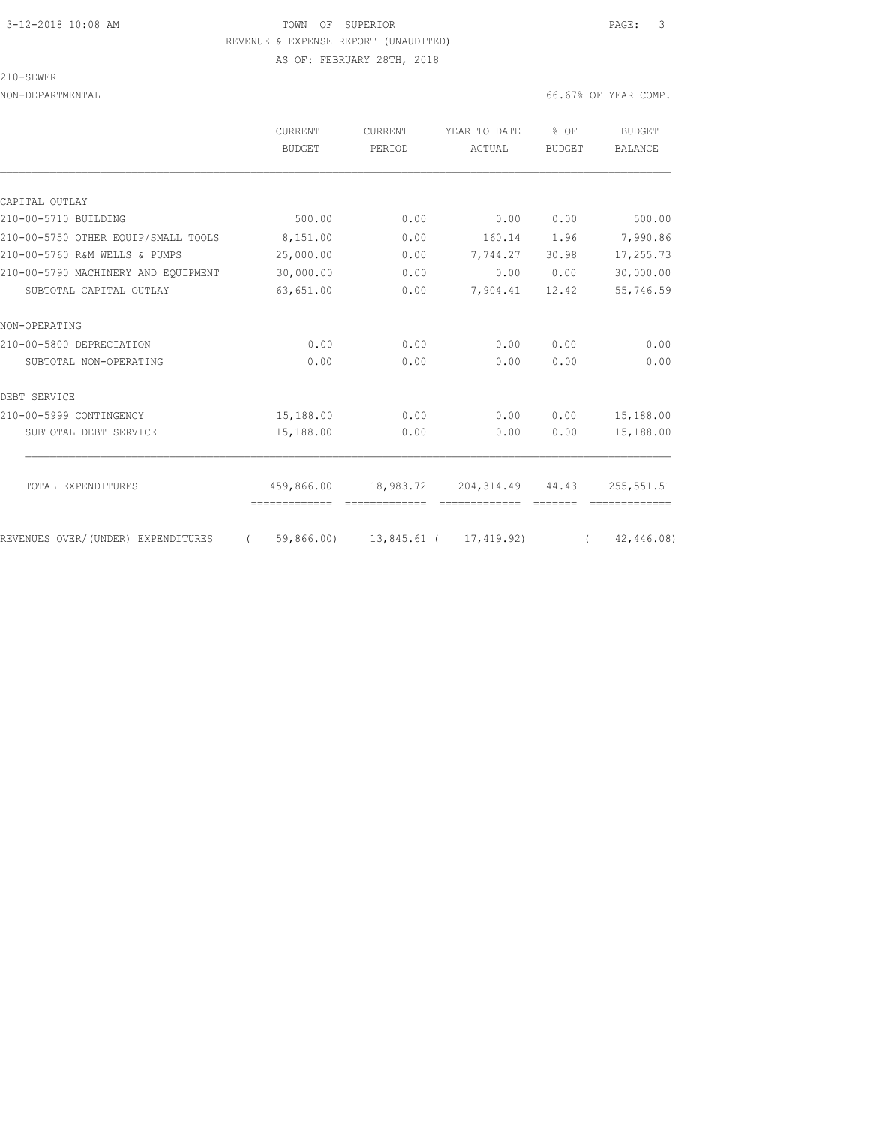### 3-12-2018 10:08 AM TOWN OF SUPERIOR PAGE: 3 REVENUE & EXPENSE REPORT (UNAUDITED) AS OF: FEBRUARY 28TH, 2018

210-SEWER

|                                     | CURRENT<br><b>BUDGET</b> | CURRENT<br>PERIOD | YEAR TO DATE                      | % OF<br><b>BUDGET</b> | BUDGET<br><b>BALANCE</b> |
|-------------------------------------|--------------------------|-------------------|-----------------------------------|-----------------------|--------------------------|
|                                     |                          |                   | ACTUAL                            |                       |                          |
|                                     |                          |                   |                                   |                       |                          |
| CAPITAL OUTLAY                      |                          |                   |                                   |                       |                          |
| 210-00-5710 BUILDING                | 500.00                   | 0.00              | 0.00                              | 0.00                  | 500.00                   |
| 210-00-5750 OTHER EOUIP/SMALL TOOLS | 8,151.00                 | 0.00              | 160.14                            | 1.96                  | 7,990.86                 |
| 210-00-5760 R&M WELLS & PUMPS       | 25,000.00                | 0.00              | 7,744.27                          | 30.98                 | 17,255.73                |
| 210-00-5790 MACHINERY AND EQUIPMENT | 30,000.00                | 0.00              | 0.00                              | 0.00                  | 30,000.00                |
| SUBTOTAL CAPITAL OUTLAY             | 63,651.00                | 0.00              | 7,904.41                          | 12.42                 | 55,746.59                |
| NON-OPERATING                       |                          |                   |                                   |                       |                          |
| 210-00-5800 DEPRECIATION            | 0.00                     | 0.00              | 0.00                              | 0.00                  | 0.00                     |
| SUBTOTAL NON-OPERATING              | 0.00                     | 0.00              | 0.00                              | 0.00                  | 0.00                     |
| DEBT SERVICE                        |                          |                   |                                   |                       |                          |
| 210-00-5999 CONTINGENCY             | 15,188.00                | 0.00              | 0.00                              | 0.00                  | 15,188.00                |
| SUBTOTAL DEBT SERVICE               | 15,188.00                | 0.00              | 0.00                              | 0.00                  | 15,188.00                |
| TOTAL EXPENDITURES                  | 459,866.00               |                   | 18,983.72 204,314.49 44.43        |                       | 255,551.51               |
|                                     | =============            |                   | -------------                     |                       |                          |
| REVENUES OVER/(UNDER) EXPENDITURES  | $\left($                 |                   | 59,866.00) 13,845.61 ( 17,419.92) | $\sqrt{2}$            | 42,446.08)               |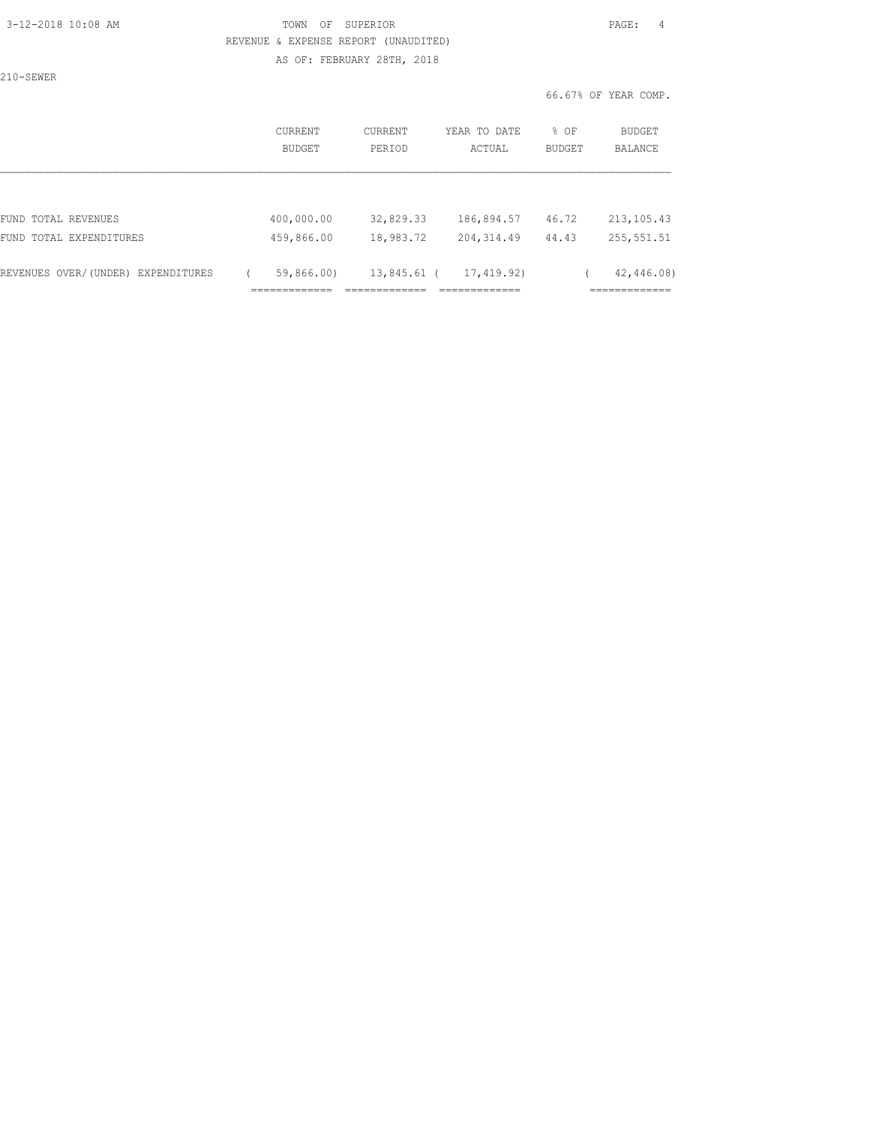### 3-12-2018 10:08 AM TOWN OF SUPERIOR PAGE: 4 REVENUE & EXPENSE REPORT (UNAUDITED) AS OF: FEBRUARY 28TH, 2018

210-SEWER

| CURRENT<br>BUDGET | CURRENT<br>PERIOD             | YEAR TO DATE<br>ACTUAL                     | $8$ OF<br><b>BUDGET</b> | <b>BUDGET</b><br>BALANCE        |
|-------------------|-------------------------------|--------------------------------------------|-------------------------|---------------------------------|
|                   |                               |                                            |                         |                                 |
| 400,000.00        | 32,829.33                     | 186,894.57                                 | 46.72                   | 213, 105.43                     |
| 459,866.00        | 18,983.72                     | 204, 314.49                                | 44.43                   | 255, 551.51                     |
| 59,866.00)        | --------------<br>________    | 17,419.92)<br>____________<br>------------ |                         | 42,446.08)<br>____________<br>. |
|                   | _____________<br>------------ |                                            | 13,845.61 (             |                                 |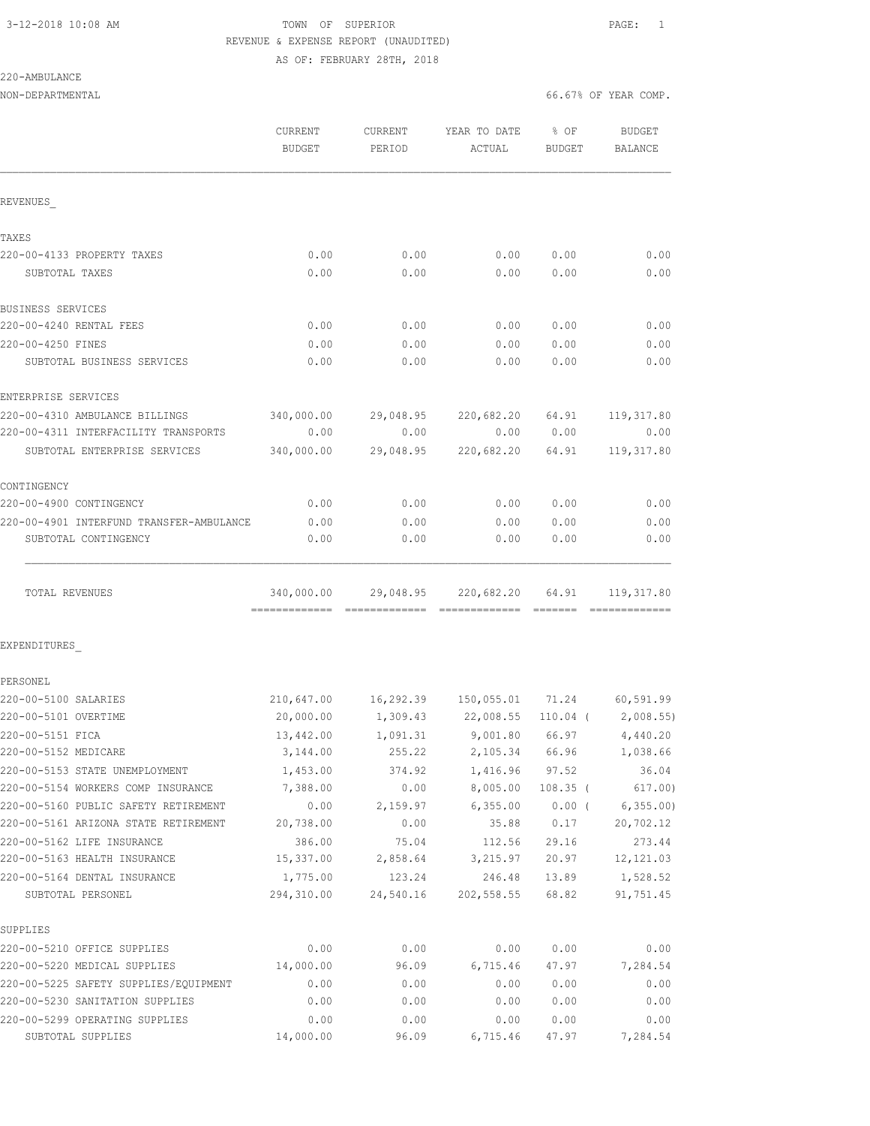# 3-12-2018 10:08 AM TOWN OF SUPERIOR PAGE: 1 REVENUE & EXPENSE REPORT (UNAUDITED)

AS OF: FEBRUARY 28TH, 2018

| 220-AMBULANCE |
|---------------|
|---------------|

NON-DEPARTMENTAL 66.67% OF YEAR COMP.

|                                              | <b>CURRENT</b><br><b>BUDGET</b> | CURRENT<br>PERIOD | YEAR TO DATE<br>ACTUAL | 8 OF<br><b>BUDGET</b> | <b>BUDGET</b><br>BALANCE |
|----------------------------------------------|---------------------------------|-------------------|------------------------|-----------------------|--------------------------|
| REVENUES                                     |                                 |                   |                        |                       |                          |
| TAXES                                        |                                 |                   |                        |                       |                          |
| 220-00-4133 PROPERTY TAXES                   | 0.00                            | 0.00              | 0.00                   | 0.00                  | 0.00                     |
| SUBTOTAL TAXES                               | 0.00                            | 0.00              | 0.00                   | 0.00                  | 0.00                     |
|                                              |                                 |                   |                        |                       |                          |
| BUSINESS SERVICES<br>220-00-4240 RENTAL FEES | 0.00                            | 0.00              | 0.00                   | 0.00                  | 0.00                     |
| 220-00-4250 FINES                            | 0.00                            | 0.00              | 0.00                   | 0.00                  | 0.00                     |
| SUBTOTAL BUSINESS SERVICES                   | 0.00                            | 0.00              | 0.00                   | 0.00                  | 0.00                     |
| ENTERPRISE SERVICES                          |                                 |                   |                        |                       |                          |
| 220-00-4310 AMBULANCE BILLINGS               | 340,000.00                      | 29,048.95         | 220,682.20             | 64.91                 | 119,317.80               |
| 220-00-4311 INTERFACILITY TRANSPORTS         | 0.00                            | 0.00              | 0.00                   | 0.00                  | 0.00                     |
| SUBTOTAL ENTERPRISE SERVICES                 | 340,000.00                      | 29,048.95         | 220,682.20             | 64.91                 | 119, 317.80              |
| CONTINGENCY                                  |                                 |                   |                        |                       |                          |
| 220-00-4900 CONTINGENCY                      | 0.00                            | 0.00              | 0.00                   | 0.00                  | 0.00                     |
| 220-00-4901 INTERFUND TRANSFER-AMBULANCE     | 0.00                            | 0.00              | 0.00                   | 0.00                  | 0.00                     |
| SUBTOTAL CONTINGENCY                         | 0.00                            | 0.00              | 0.00                   | 0.00                  | 0.00                     |
| TOTAL REVENUES                               | 340,000.00                      | 29,048.95         | 220,682.20             | 64.91                 | 119, 317.80              |
| EXPENDITURES                                 |                                 |                   |                        |                       |                          |
| PERSONEL                                     |                                 |                   |                        |                       |                          |
| 220-00-5100 SALARIES                         | 210,647.00                      |                   |                        |                       | 60,591.99                |
| 220-00-5101 OVERTIME                         | 20,000.00                       | 1,309.43          | 22,008.55              | 110.04 (              | 2,008.55)                |
| 220-00-5151 FICA                             | 13,442.00                       | 1,091.31          | 9,001.80               | 66.97                 | 4,440.20                 |
| 220-00-5152 MEDICARE                         | 3,144.00                        | 255.22            | 2,105.34               | 66.96                 | 1,038.66                 |
| 220-00-5153 STATE UNEMPLOYMENT               | 1,453.00                        | 374.92            | 1,416.96               | 97.52                 | 36.04                    |
| 220-00-5154 WORKERS COMP INSURANCE           | 7,388.00                        | 0.00              | 8,005.00               | $108.35$ (            | 617.00)                  |
| 220-00-5160 PUBLIC SAFETY RETIREMENT         | 0.00                            | 2,159.97          | 6,355.00               |                       | $0.00$ ( 6,355.00)       |
| 220-00-5161 ARIZONA STATE RETIREMENT         | 20,738.00                       | 0.00              | 35.88                  | 0.17                  | 20,702.12                |
| 220-00-5162 LIFE INSURANCE                   | 386.00                          | 75.04             | 112.56                 | 29.16                 | 273.44                   |
| 220-00-5163 HEALTH INSURANCE                 | 15,337.00                       | 2,858.64          | 3,215.97               | 20.97                 | 12, 121.03               |
| 220-00-5164 DENTAL INSURANCE                 | 1,775.00                        | 123.24            | 246.48                 | 13.89                 | 1,528.52                 |
| SUBTOTAL PERSONEL                            | 294,310.00                      |                   | 24,540.16 202,558.55   | 68.82                 | 91,751.45                |
| SUPPLIES                                     |                                 |                   |                        |                       |                          |
| 220-00-5210 OFFICE SUPPLIES                  | 0.00                            | 0.00              | 0.00                   | 0.00                  | 0.00                     |
| 220-00-5220 MEDICAL SUPPLIES                 | 14,000.00                       | 96.09             | 6,715.46               | 47.97                 | 7,284.54                 |
| 220-00-5225 SAFETY SUPPLIES/EQUIPMENT        | 0.00                            | 0.00              | 0.00                   | 0.00                  | 0.00                     |
| 220-00-5230 SANITATION SUPPLIES              | 0.00                            | 0.00              | 0.00                   | 0.00                  | 0.00                     |
| 220-00-5299 OPERATING SUPPLIES               | 0.00                            | 0.00              | 0.00                   | 0.00                  | 0.00                     |

SUBTOTAL SUPPLIES 14,000.00 96.09 6,715.46 47.97 7,284.54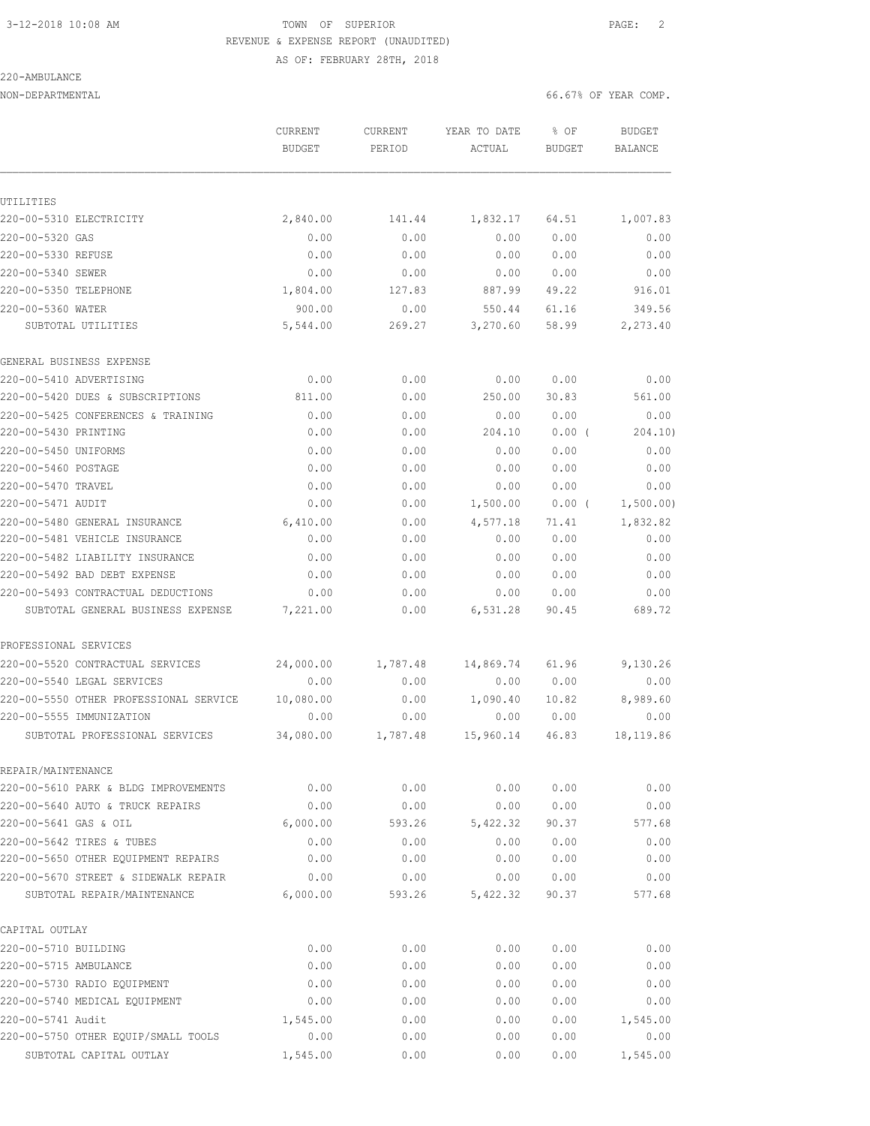# 3-12-2018 10:08 AM TOWN OF SUPERIOR PAGE: 2 REVENUE & EXPENSE REPORT (UNAUDITED)

AS OF: FEBRUARY 28TH, 2018

## 220-AMBULANCE

NON-DEPARTMENTAL 66.67% OF YEAR COMP.

|                                                            | <b>CURRENT</b><br><b>BUDGET</b> | <b>CURRENT</b><br>PERIOD | YEAR TO DATE<br>ACTUAL | % OF<br><b>BUDGET</b> | <b>BUDGET</b><br>BALANCE |
|------------------------------------------------------------|---------------------------------|--------------------------|------------------------|-----------------------|--------------------------|
|                                                            |                                 |                          |                        |                       |                          |
| UTILITIES<br>220-00-5310 ELECTRICITY                       |                                 | 141.44                   |                        |                       |                          |
|                                                            | 2,840.00                        |                          | 1,832.17               | 64.51                 | 1,007.83                 |
| 220-00-5320 GAS<br>220-00-5330 REFUSE                      | 0.00<br>0.00                    | 0.00<br>0.00             | 0.00<br>0.00           | 0.00<br>0.00          | 0.00<br>0.00             |
| 220-00-5340 SEWER                                          | 0.00                            |                          |                        | 0.00                  |                          |
| 220-00-5350 TELEPHONE                                      | 1,804.00                        | 0.00<br>127.83           | 0.00<br>887.99         | 49.22                 | 0.00<br>916.01           |
| 220-00-5360 WATER                                          | 900.00                          |                          | 550.44                 | 61.16                 | 349.56                   |
| SUBTOTAL UTILITIES                                         | 5,544.00                        | 0.00<br>269.27           | 3,270.60               | 58.99                 | 2,273.40                 |
|                                                            |                                 |                          |                        |                       |                          |
| GENERAL BUSINESS EXPENSE                                   |                                 |                          |                        |                       |                          |
| 220-00-5410 ADVERTISING                                    | 0.00                            | 0.00                     | 0.00                   | 0.00                  | 0.00                     |
| 220-00-5420 DUES & SUBSCRIPTIONS                           | 811.00                          | 0.00                     | 250.00                 | 30.83                 | 561.00                   |
| 220-00-5425 CONFERENCES & TRAINING                         | 0.00                            | 0.00                     | 0.00                   | 0.00                  | 0.00                     |
| 220-00-5430 PRINTING                                       | 0.00                            | 0.00                     | 204.10                 | $0.00$ (              | 204.10)                  |
| 220-00-5450 UNIFORMS                                       | 0.00                            | 0.00                     | 0.00                   | 0.00                  | 0.00                     |
| 220-00-5460 POSTAGE                                        | 0.00                            | 0.00                     | 0.00                   | 0.00                  | 0.00                     |
| 220-00-5470 TRAVEL                                         | 0.00                            | 0.00                     | 0.00                   | 0.00                  | 0.00                     |
| 220-00-5471 AUDIT                                          | 0.00                            | 0.00                     | 1,500.00               | 0.00(                 | 1,500.00)                |
| 220-00-5480 GENERAL INSURANCE                              | 6,410.00                        | 0.00                     | 4,577.18               | 71.41                 | 1,832.82                 |
| 220-00-5481 VEHICLE INSURANCE                              | 0.00                            | 0.00                     | 0.00                   | 0.00                  | 0.00                     |
| 220-00-5482 LIABILITY INSURANCE                            | 0.00                            | 0.00                     | 0.00                   | 0.00                  | 0.00                     |
| 220-00-5492 BAD DEBT EXPENSE                               | 0.00                            | 0.00                     | 0.00                   | 0.00                  | 0.00                     |
| 220-00-5493 CONTRACTUAL DEDUCTIONS                         | 0.00                            | 0.00                     | 0.00                   | 0.00                  | 0.00                     |
| SUBTOTAL GENERAL BUSINESS EXPENSE                          | 7,221.00                        | 0.00                     | 6,531.28               | 90.45                 | 689.72                   |
| PROFESSIONAL SERVICES                                      |                                 |                          |                        |                       |                          |
| 220-00-5520 CONTRACTUAL SERVICES                           | 24,000.00                       | 1,787.48                 | 14,869.74              | 61.96                 | 9,130.26                 |
| 220-00-5540 LEGAL SERVICES                                 | 0.00                            | 0.00                     | 0.00                   | 0.00                  | 0.00                     |
| 220-00-5550 OTHER PROFESSIONAL SERVICE                     | 10,080.00                       | 0.00                     | 1,090.40               | 10.82                 | 8,989.60                 |
| 220-00-5555 IMMUNIZATION                                   | 0.00                            | 0.00                     | 0.00                   | 0.00                  | 0.00                     |
| SUBTOTAL PROFESSIONAL SERVICES                             | 34,080.00                       | 1,787.48                 | 15,960.14              | 46.83                 | 18,119.86                |
|                                                            |                                 |                          |                        |                       |                          |
| REPAIR/MAINTENANCE<br>220-00-5610 PARK & BLDG IMPROVEMENTS | 0.00                            | 0.00                     | 0.00                   | 0.00                  | 0.00                     |
| 220-00-5640 AUTO & TRUCK REPAIRS                           | 0.00                            | 0.00                     | 0.00                   | 0.00                  | 0.00                     |
| 220-00-5641 GAS & OIL                                      | 6,000.00                        | 593.26                   | 5, 422.32              | 90.37                 | 577.68                   |
| 220-00-5642 TIRES & TUBES                                  | 0.00                            | 0.00                     | 0.00                   | 0.00                  | 0.00                     |
| 220-00-5650 OTHER EQUIPMENT REPAIRS                        | 0.00                            | 0.00                     | 0.00                   | 0.00                  | 0.00                     |
| 220-00-5670 STREET & SIDEWALK REPAIR                       | 0.00                            | 0.00                     | 0.00                   | 0.00                  | 0.00                     |
| SUBTOTAL REPAIR/MAINTENANCE                                | 6,000.00                        | 593.26                   | 5,422.32               | 90.37                 | 577.68                   |
|                                                            |                                 |                          |                        |                       |                          |
| CAPITAL OUTLAY                                             |                                 |                          |                        |                       |                          |
| 220-00-5710 BUILDING                                       | 0.00                            | 0.00                     | 0.00                   | 0.00                  | 0.00                     |
| 220-00-5715 AMBULANCE                                      | 0.00                            | 0.00                     | 0.00                   | 0.00                  | 0.00                     |
| 220-00-5730 RADIO EQUIPMENT                                | 0.00                            | 0.00                     | 0.00                   | 0.00                  | 0.00                     |
| 220-00-5740 MEDICAL EQUIPMENT                              | 0.00                            | 0.00                     | 0.00                   | 0.00                  | 0.00                     |
| 220-00-5741 Audit                                          | 1,545.00                        | 0.00                     | 0.00                   | 0.00                  | 1,545.00                 |

220-00-5750 OTHER EQUIP/SMALL TOOLS 0.00 0.00 0.00 0.00 0.00 SUBTOTAL CAPITAL OUTLAY 1,545.00 0.00 0.00 0.00 1,545.00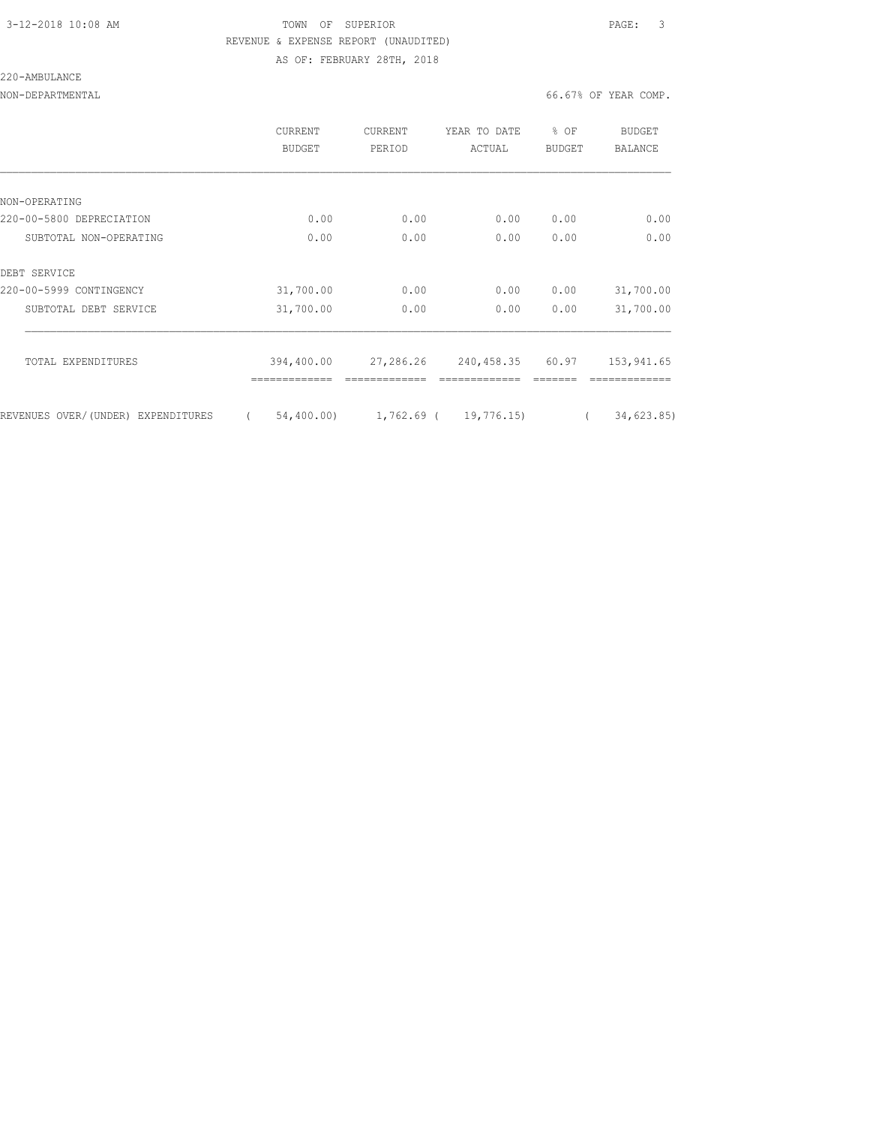### 3-12-2018 10:08 AM TOWN OF SUPERIOR PAGE: 3 REVENUE & EXPENSE REPORT (UNAUDITED) AS OF: FEBRUARY 28TH, 2018

#### 220-AMBULANCE

|                                    | CURRENT<br>BUDGET      | <b>CURRENT</b><br>PERIOD | YEAR TO DATE<br>ACTUAL     | % OF<br><b>BUDGET</b> | <b>BUDGET</b><br>BALANCE |
|------------------------------------|------------------------|--------------------------|----------------------------|-----------------------|--------------------------|
|                                    |                        |                          |                            |                       |                          |
| NON-OPERATING                      |                        |                          |                            |                       |                          |
| 220-00-5800 DEPRECIATION           | 0.00                   | 0.00                     | 0.00                       | 0.00                  | 0.00                     |
| SUBTOTAL NON-OPERATING             | 0.00                   | 0.00                     | 0.00                       | 0.00                  | 0.00                     |
| DEBT SERVICE                       |                        |                          |                            |                       |                          |
| 220-00-5999 CONTINGENCY            | 31,700.00              | 0.00                     | 0.00                       | 0.00                  | 31,700.00                |
| SUBTOTAL DEBT SERVICE              | 31,700.00              | 0.00                     | 0.00                       | 0.00                  | 31,700.00                |
| TOTAL EXPENDITURES                 | 394,400.00             | 27,286.26                | 240,458.35                 | 60.97                 |                          |
|                                    |                        |                          |                            |                       | 153,941.65               |
| REVENUES OVER/(UNDER) EXPENDITURES | 54,400.00)<br>$\left($ |                          | $1,762.69$ ( $19,776.15$ ) | $\left($              | 34,623.85)               |
|                                    |                        |                          |                            |                       |                          |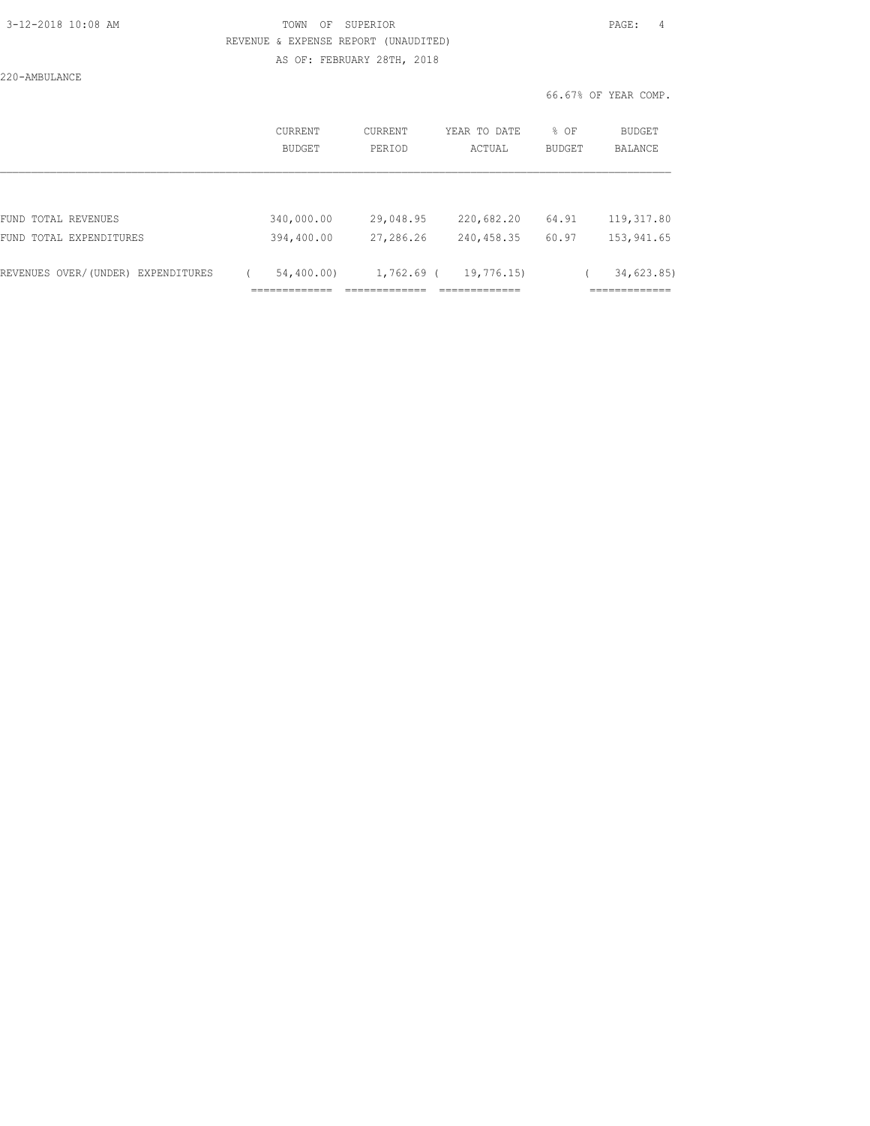### 3-12-2018 10:08 AM TOWN OF SUPERIOR PAGE: 4 REVENUE & EXPENSE REPORT (UNAUDITED) AS OF: FEBRUARY 28TH, 2018

220-AMBULANCE

| BUDGET     | PERIOD    | YEAR TO DATE<br>ACTUAL    | % OF<br><b>BUDGET</b> | <b>BUDGET</b><br><b>BALANCE</b> |
|------------|-----------|---------------------------|-----------------------|---------------------------------|
|            |           |                           |                       |                                 |
| 340,000.00 | 29,048.95 | 220,682.20                | 64.91                 | 119, 317.80                     |
| 394,400.00 | 27,286.26 | 240,458.35                | 60.97                 | 153,941.65                      |
| 54,400.00) |           | 19,776.15)                |                       | 34,623.85                       |
|            |           | CURRENT<br><b>CURRENT</b> | $1,762.69$ (          |                                 |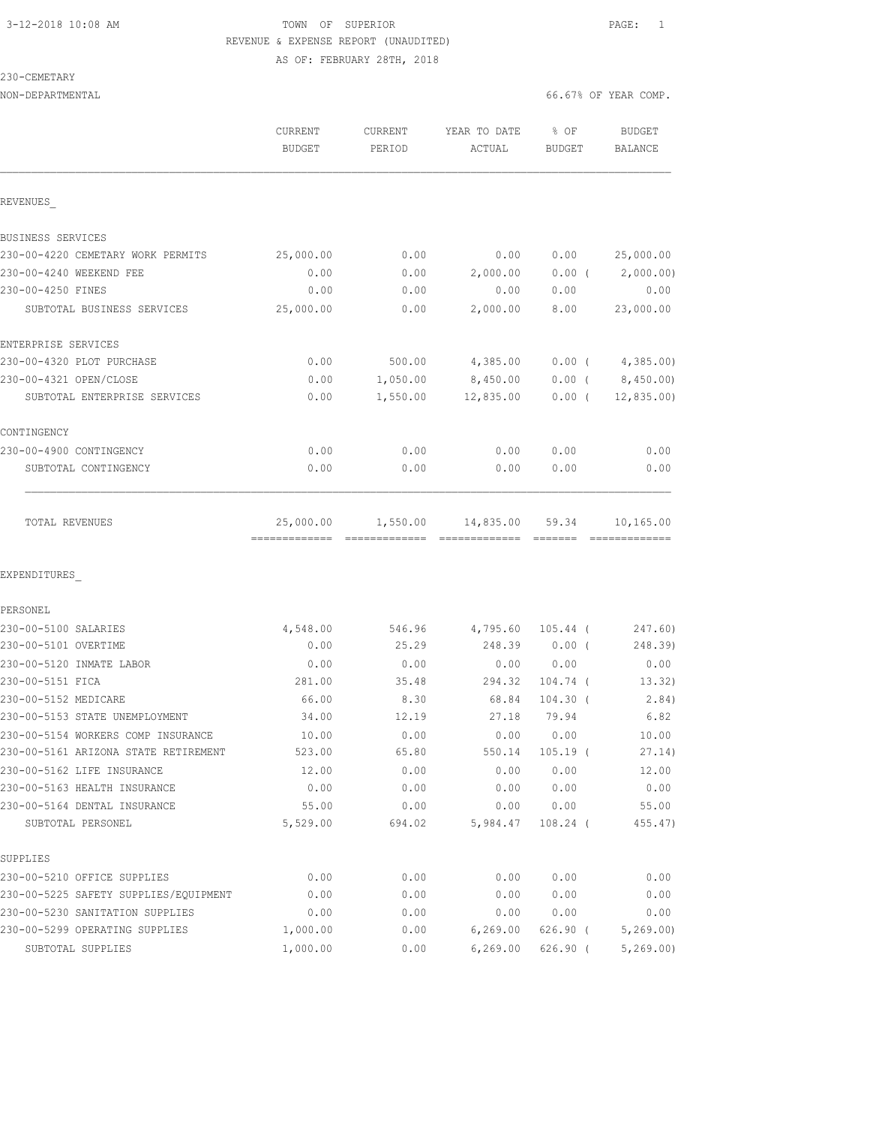### 3-12-2018 10:08 AM TOWN OF SUPERIOR PAGE: 1 REVENUE & EXPENSE REPORT (UNAUDITED) AS OF: FEBRUARY 28TH, 2018

230-CEMETARY

| NON-DEPARTMENTAL                      |                                           |                   |                                                                                                                                                                                                                                                                                                                                                                                                                                                                                                     |                       | 66.67% OF YEAR COMP.  |
|---------------------------------------|-------------------------------------------|-------------------|-----------------------------------------------------------------------------------------------------------------------------------------------------------------------------------------------------------------------------------------------------------------------------------------------------------------------------------------------------------------------------------------------------------------------------------------------------------------------------------------------------|-----------------------|-----------------------|
|                                       | CURRENT<br><b>BUDGET</b>                  | CURRENT<br>PERIOD | YEAR TO DATE<br>ACTUAL                                                                                                                                                                                                                                                                                                                                                                                                                                                                              | % OF<br><b>BUDGET</b> | BUDGET<br>BALANCE     |
| REVENUES                              |                                           |                   |                                                                                                                                                                                                                                                                                                                                                                                                                                                                                                     |                       |                       |
| BUSINESS SERVICES                     |                                           |                   |                                                                                                                                                                                                                                                                                                                                                                                                                                                                                                     |                       |                       |
| 230-00-4220 CEMETARY WORK PERMITS     | 25,000.00                                 | 0.00              | 0.00                                                                                                                                                                                                                                                                                                                                                                                                                                                                                                | 0.00                  | 25,000.00             |
| 230-00-4240 WEEKEND FEE               | 0.00                                      | 0.00              | 2,000.00                                                                                                                                                                                                                                                                                                                                                                                                                                                                                            | $0.00$ (              | 2,000.00)             |
| 230-00-4250 FINES                     | 0.00                                      | 0.00              | 0.00                                                                                                                                                                                                                                                                                                                                                                                                                                                                                                | 0.00                  | 0.00                  |
| SUBTOTAL BUSINESS SERVICES            | 25,000.00                                 | 0.00              | 2,000.00                                                                                                                                                                                                                                                                                                                                                                                                                                                                                            | 8.00                  | 23,000.00             |
| ENTERPRISE SERVICES                   |                                           |                   |                                                                                                                                                                                                                                                                                                                                                                                                                                                                                                     |                       |                       |
| 230-00-4320 PLOT PURCHASE             | 0.00                                      | 500.00            | 4,385.00                                                                                                                                                                                                                                                                                                                                                                                                                                                                                            |                       | $0.00$ ( $4,385.00$ ) |
| 230-00-4321 OPEN/CLOSE                | 0.00                                      | 1,050.00          | 8,450.00                                                                                                                                                                                                                                                                                                                                                                                                                                                                                            |                       | $0.00$ ( $8,450.00$ ) |
| SUBTOTAL ENTERPRISE SERVICES          | 0.00                                      | 1,550.00          | 12,835.00                                                                                                                                                                                                                                                                                                                                                                                                                                                                                           | $0.00$ (              | 12,835.00             |
| CONTINGENCY                           |                                           |                   |                                                                                                                                                                                                                                                                                                                                                                                                                                                                                                     |                       |                       |
| 230-00-4900 CONTINGENCY               | 0.00                                      | 0.00              | 0.00                                                                                                                                                                                                                                                                                                                                                                                                                                                                                                | 0.00                  | 0.00                  |
| SUBTOTAL CONTINGENCY                  | 0.00                                      | 0.00              | 0.00                                                                                                                                                                                                                                                                                                                                                                                                                                                                                                | 0.00                  | 0.00                  |
| TOTAL REVENUES                        | 25,000.00<br>-------------- ------------- | 1,550.00          | 14,835.00<br>$\begin{array}{cccccccccccccc} \multicolumn{2}{c}{} & \multicolumn{2}{c}{} & \multicolumn{2}{c}{} & \multicolumn{2}{c}{} & \multicolumn{2}{c}{} & \multicolumn{2}{c}{} & \multicolumn{2}{c}{} & \multicolumn{2}{c}{} & \multicolumn{2}{c}{} & \multicolumn{2}{c}{} & \multicolumn{2}{c}{} & \multicolumn{2}{c}{} & \multicolumn{2}{c}{} & \multicolumn{2}{c}{} & \multicolumn{2}{c}{} & \multicolumn{2}{c}{} & \multicolumn{2}{c}{} & \multicolumn{2}{c}{} & \multicolumn{2}{c}{} & \$ | 59.34                 | 10,165.00             |
| EXPENDITURES                          |                                           |                   |                                                                                                                                                                                                                                                                                                                                                                                                                                                                                                     |                       |                       |
| PERSONEL                              |                                           |                   |                                                                                                                                                                                                                                                                                                                                                                                                                                                                                                     |                       |                       |
| 230-00-5100 SALARIES                  | 4,548.00                                  | 546.96            | 4,795.60                                                                                                                                                                                                                                                                                                                                                                                                                                                                                            | $105.44$ (            | 247.60)               |
| 230-00-5101 OVERTIME                  | 0.00                                      | 25.29             | 248.39                                                                                                                                                                                                                                                                                                                                                                                                                                                                                              | $0.00$ (              | 248.39)               |
| 230-00-5120 INMATE LABOR              | 0.00                                      | 0.00              | 0.00                                                                                                                                                                                                                                                                                                                                                                                                                                                                                                | 0.00                  | 0.00                  |
| 230-00-5151 FICA                      | 281.00                                    | 35.48             | 294.32                                                                                                                                                                                                                                                                                                                                                                                                                                                                                              | 104.74 (              | 13.32)                |
| 230-00-5152 MEDICARE                  | 66.00                                     | 8.30              | 68.84                                                                                                                                                                                                                                                                                                                                                                                                                                                                                               | $104.30$ (            | 2.84)                 |
| 230-00-5153 STATE UNEMPLOYMENT        | 34.00                                     | 12.19             | 27.18                                                                                                                                                                                                                                                                                                                                                                                                                                                                                               | 79.94                 | 6.82                  |
| 230-00-5154 WORKERS COMP INSURANCE    | 10.00                                     | 0.00              | 0.00                                                                                                                                                                                                                                                                                                                                                                                                                                                                                                | 0.00                  | 10.00                 |
| 230-00-5161 ARIZONA STATE RETIREMENT  | 523.00                                    | 65.80             | 550.14                                                                                                                                                                                                                                                                                                                                                                                                                                                                                              | $105.19$ (            | 27.14)                |
| 230-00-5162 LIFE INSURANCE            | 12.00                                     | 0.00              | 0.00                                                                                                                                                                                                                                                                                                                                                                                                                                                                                                | 0.00                  | 12.00                 |
| 230-00-5163 HEALTH INSURANCE          | 0.00                                      | 0.00              | 0.00                                                                                                                                                                                                                                                                                                                                                                                                                                                                                                | 0.00                  | 0.00                  |
| 230-00-5164 DENTAL INSURANCE          | 55.00                                     | 0.00              | 0.00                                                                                                                                                                                                                                                                                                                                                                                                                                                                                                | 0.00                  | 55.00                 |
| SUBTOTAL PERSONEL                     | 5,529.00                                  | 694.02            | 5,984.47                                                                                                                                                                                                                                                                                                                                                                                                                                                                                            | $108.24$ (            | 455.47)               |
| SUPPLIES                              |                                           |                   |                                                                                                                                                                                                                                                                                                                                                                                                                                                                                                     |                       |                       |
| 230-00-5210 OFFICE SUPPLIES           | 0.00                                      | 0.00              | 0.00                                                                                                                                                                                                                                                                                                                                                                                                                                                                                                | 0.00                  | 0.00                  |
| 230-00-5225 SAFETY SUPPLIES/EQUIPMENT | 0.00                                      | 0.00              | 0.00                                                                                                                                                                                                                                                                                                                                                                                                                                                                                                | 0.00                  | 0.00                  |
| 230-00-5230 SANITATION SUPPLIES       | 0.00                                      | 0.00              | 0.00                                                                                                                                                                                                                                                                                                                                                                                                                                                                                                | 0.00                  | 0.00                  |
| 230-00-5299 OPERATING SUPPLIES        | 1,000.00                                  | 0.00              | 6, 269.00                                                                                                                                                                                                                                                                                                                                                                                                                                                                                           | 626.90 (              | 5, 269.00             |
| SUBTOTAL SUPPLIES                     | 1,000.00                                  | 0.00              | 6, 269.00                                                                                                                                                                                                                                                                                                                                                                                                                                                                                           | 626.90 (              | 5, 269.00             |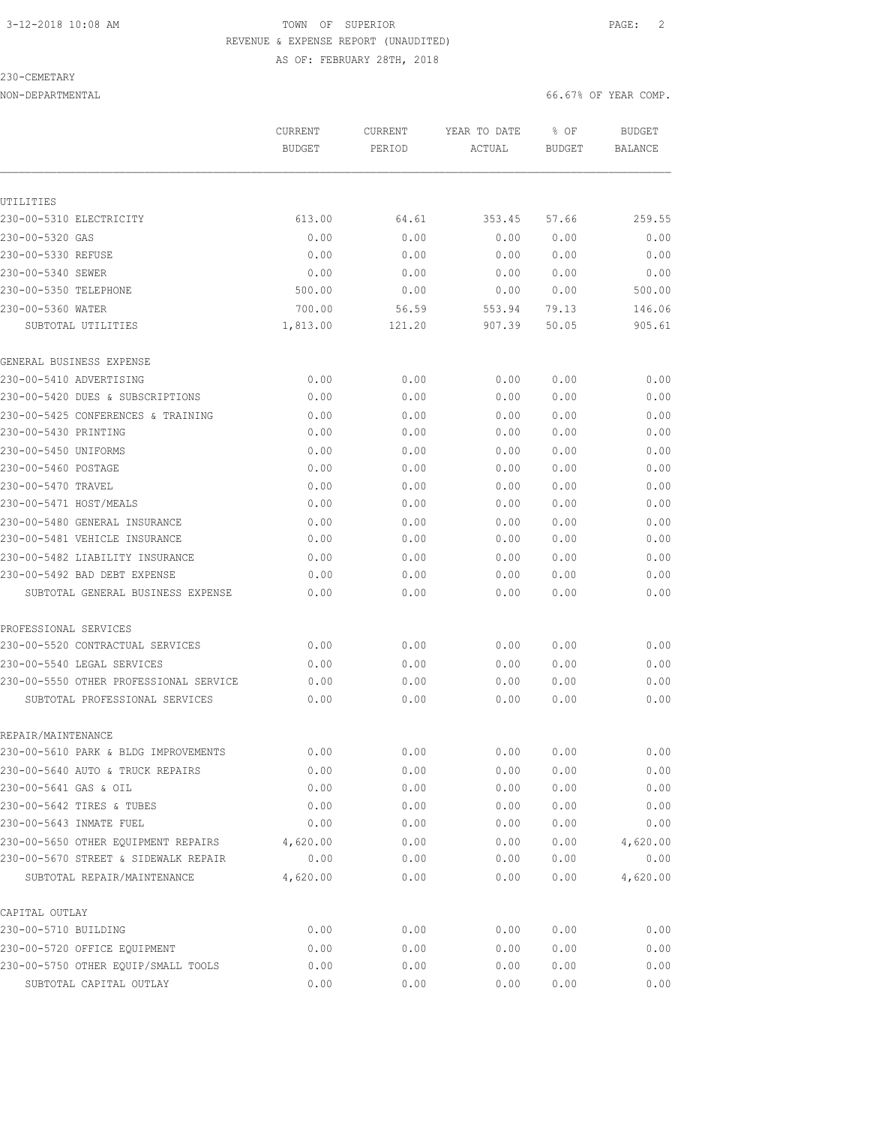### 3-12-2018 10:08 AM TOWN OF SUPERIOR PAGE: 2 REVENUE & EXPENSE REPORT (UNAUDITED) AS OF: FEBRUARY 28TH, 2018

### 230-CEMETARY

| NON-DEPARTMENTAL | 66.67% OF YEAR COMP. |
|------------------|----------------------|
|                  |                      |

|                                        | CURRENT<br><b>BUDGET</b> | CURRENT<br>PERIOD | YEAR TO DATE<br>ACTUAL | % OF<br><b>BUDGET</b> | <b>BUDGET</b><br><b>BALANCE</b> |
|----------------------------------------|--------------------------|-------------------|------------------------|-----------------------|---------------------------------|
|                                        |                          |                   |                        |                       |                                 |
| UTILITIES                              |                          |                   |                        |                       |                                 |
| 230-00-5310 ELECTRICITY                | 613.00                   | 64.61             | 353.45                 | 57.66                 | 259.55                          |
| 230-00-5320 GAS                        | 0.00                     | 0.00              | 0.00                   | 0.00                  | 0.00                            |
| 230-00-5330 REFUSE                     | 0.00                     | 0.00              | 0.00                   | 0.00                  | 0.00                            |
| 230-00-5340 SEWER                      | 0.00                     | 0.00              | 0.00                   | 0.00                  | 0.00                            |
| 230-00-5350 TELEPHONE                  | 500.00                   | 0.00              | 0.00                   | 0.00                  | 500.00                          |
| 230-00-5360 WATER                      | 700.00                   | 56.59             | 553.94                 | 79.13                 | 146.06                          |
| SUBTOTAL UTILITIES                     | 1,813.00                 | 121.20            | 907.39                 | 50.05                 | 905.61                          |
| GENERAL BUSINESS EXPENSE               |                          |                   |                        |                       |                                 |
| 230-00-5410 ADVERTISING                | 0.00                     | 0.00              | 0.00                   | 0.00                  | 0.00                            |
| 230-00-5420 DUES & SUBSCRIPTIONS       | 0.00                     | 0.00              | 0.00                   | 0.00                  | 0.00                            |
| 230-00-5425 CONFERENCES & TRAINING     | 0.00                     | 0.00              | 0.00                   | 0.00                  | 0.00                            |
| 230-00-5430 PRINTING                   | 0.00                     | 0.00              | 0.00                   | 0.00                  | 0.00                            |
| 230-00-5450 UNIFORMS                   | 0.00                     | 0.00              | 0.00                   | 0.00                  | 0.00                            |
| 230-00-5460 POSTAGE                    | 0.00                     | 0.00              | 0.00                   | 0.00                  | 0.00                            |
| 230-00-5470 TRAVEL                     | 0.00                     | 0.00              | 0.00                   | 0.00                  | 0.00                            |
| 230-00-5471 HOST/MEALS                 | 0.00                     | 0.00              | 0.00                   | 0.00                  | 0.00                            |
| 230-00-5480 GENERAL INSURANCE          | 0.00                     | 0.00              | 0.00                   | 0.00                  | 0.00                            |
| 230-00-5481 VEHICLE INSURANCE          | 0.00                     | 0.00              | 0.00                   | 0.00                  | 0.00                            |
| 230-00-5482 LIABILITY INSURANCE        | 0.00                     | 0.00              | 0.00                   | 0.00                  | 0.00                            |
| 230-00-5492 BAD DEBT EXPENSE           | 0.00                     | 0.00              | 0.00                   | 0.00                  | 0.00                            |
| SUBTOTAL GENERAL BUSINESS EXPENSE      | 0.00                     | 0.00              | 0.00                   | 0.00                  | 0.00                            |
| PROFESSIONAL SERVICES                  |                          |                   |                        |                       |                                 |
| 230-00-5520 CONTRACTUAL SERVICES       | 0.00                     | 0.00              | 0.00                   | 0.00                  | 0.00                            |
| 230-00-5540 LEGAL SERVICES             | 0.00                     | 0.00              | 0.00                   | 0.00                  | 0.00                            |
| 230-00-5550 OTHER PROFESSIONAL SERVICE | 0.00                     | 0.00              | 0.00                   | 0.00                  | 0.00                            |
| SUBTOTAL PROFESSIONAL SERVICES         | 0.00                     | 0.00              | 0.00                   | 0.00                  | 0.00                            |
| REPAIR/MAINTENANCE                     |                          |                   |                        |                       |                                 |
| 230-00-5610 PARK & BLDG IMPROVEMENTS   | 0.00                     | 0.00              | 0.00                   | 0.00                  | 0.00                            |
| 230-00-5640 AUTO & TRUCK REPAIRS       | 0.00                     | 0.00              | 0.00                   | 0.00                  | 0.00                            |
| 230-00-5641 GAS & OIL                  | 0.00                     | 0.00              | 0.00                   | 0.00                  | 0.00                            |
| 230-00-5642 TIRES & TUBES              | 0.00                     | 0.00              | 0.00                   | 0.00                  | 0.00                            |
| 230-00-5643 INMATE FUEL                | 0.00                     | 0.00              | 0.00                   | 0.00                  | 0.00                            |
| 230-00-5650 OTHER EQUIPMENT REPAIRS    | 4,620.00                 | 0.00              | 0.00                   | 0.00                  | 4,620.00                        |
| 230-00-5670 STREET & SIDEWALK REPAIR   | 0.00                     | 0.00              | 0.00                   | 0.00                  | 0.00                            |
| SUBTOTAL REPAIR/MAINTENANCE            | 4,620.00                 | 0.00              | 0.00                   | 0.00                  | 4,620.00                        |
| CAPITAL OUTLAY                         |                          |                   |                        |                       |                                 |
| 230-00-5710 BUILDING                   | 0.00                     | 0.00              | 0.00                   | 0.00                  | 0.00                            |
| 230-00-5720 OFFICE EQUIPMENT           | 0.00                     | 0.00              | 0.00                   | 0.00                  | 0.00                            |
| 230-00-5750 OTHER EQUIP/SMALL TOOLS    | 0.00                     | 0.00              | 0.00                   | 0.00                  | 0.00                            |
| SUBTOTAL CAPITAL OUTLAY                | 0.00                     | 0.00              | 0.00                   | 0.00                  | 0.00                            |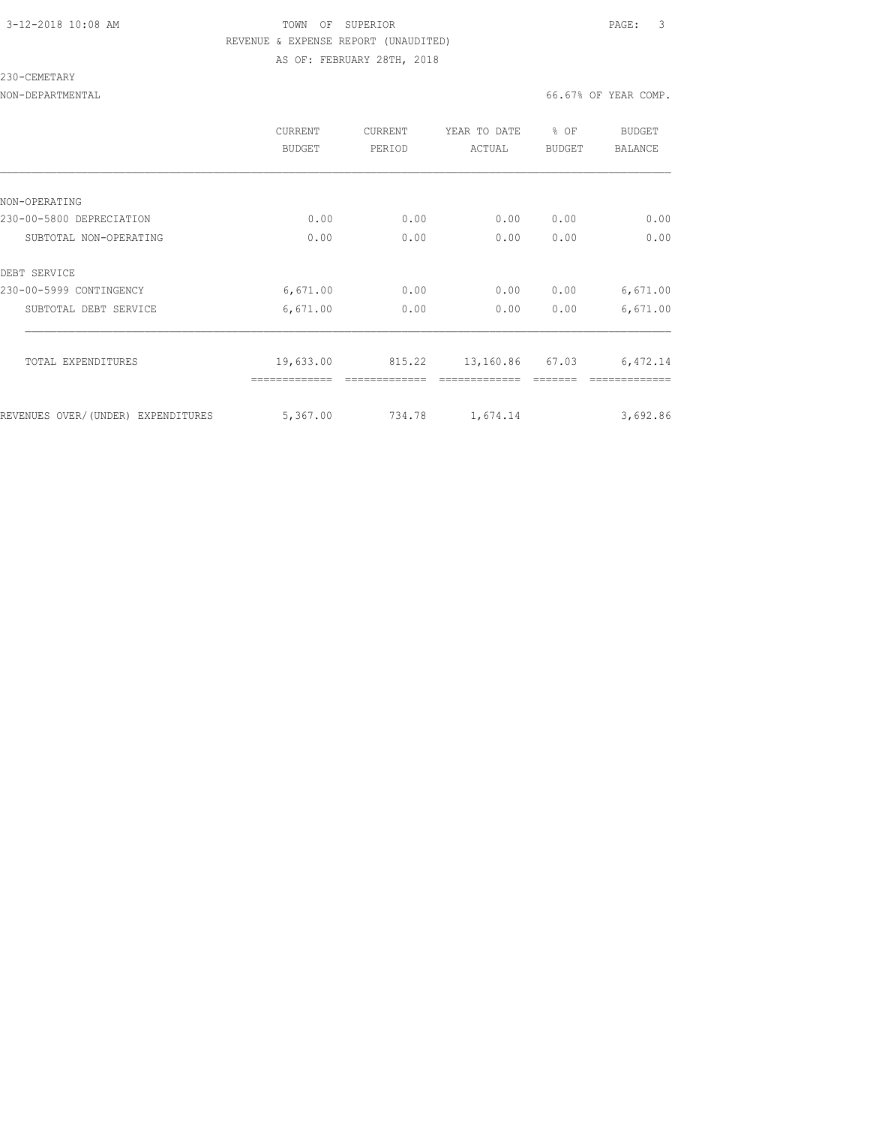### 3-12-2018 10:08 AM TOWN OF SUPERIOR PAGE: 3 REVENUE & EXPENSE REPORT (UNAUDITED) AS OF: FEBRUARY 28TH, 2018

#### 230-CEMETARY

|                                    | CURRENT<br><b>BUDGET</b> | <b>CURRENT</b><br>PERIOD | YEAR TO DATE<br>ACTUAL | % OF<br><b>BUDGET</b> | <b>BUDGET</b><br><b>BALANCE</b> |
|------------------------------------|--------------------------|--------------------------|------------------------|-----------------------|---------------------------------|
|                                    |                          |                          |                        |                       |                                 |
| NON-OPERATING                      |                          |                          |                        |                       |                                 |
| 230-00-5800 DEPRECIATION           | 0.00                     | 0.00                     | 0.00                   | 0.00                  | 0.00                            |
| SUBTOTAL NON-OPERATING             | 0.00                     | 0.00                     | 0.00                   | 0.00                  | 0.00                            |
| DEBT SERVICE                       |                          |                          |                        |                       |                                 |
| 230-00-5999 CONTINGENCY            | 6,671.00                 | 0.00                     | 0.00                   | 0.00                  | 6,671.00                        |
| SUBTOTAL DEBT SERVICE              | 6,671.00                 | 0.00                     | 0.00                   | 0.00                  | 6,671.00                        |
| TOTAL EXPENDITURES                 | 19,633.00                | 815.22                   | 13,160.86              | 67.03                 | 6,472.14                        |
| REVENUES OVER/(UNDER) EXPENDITURES | 5,367.00                 | 734.78                   | 1,674.14               |                       | 3,692.86                        |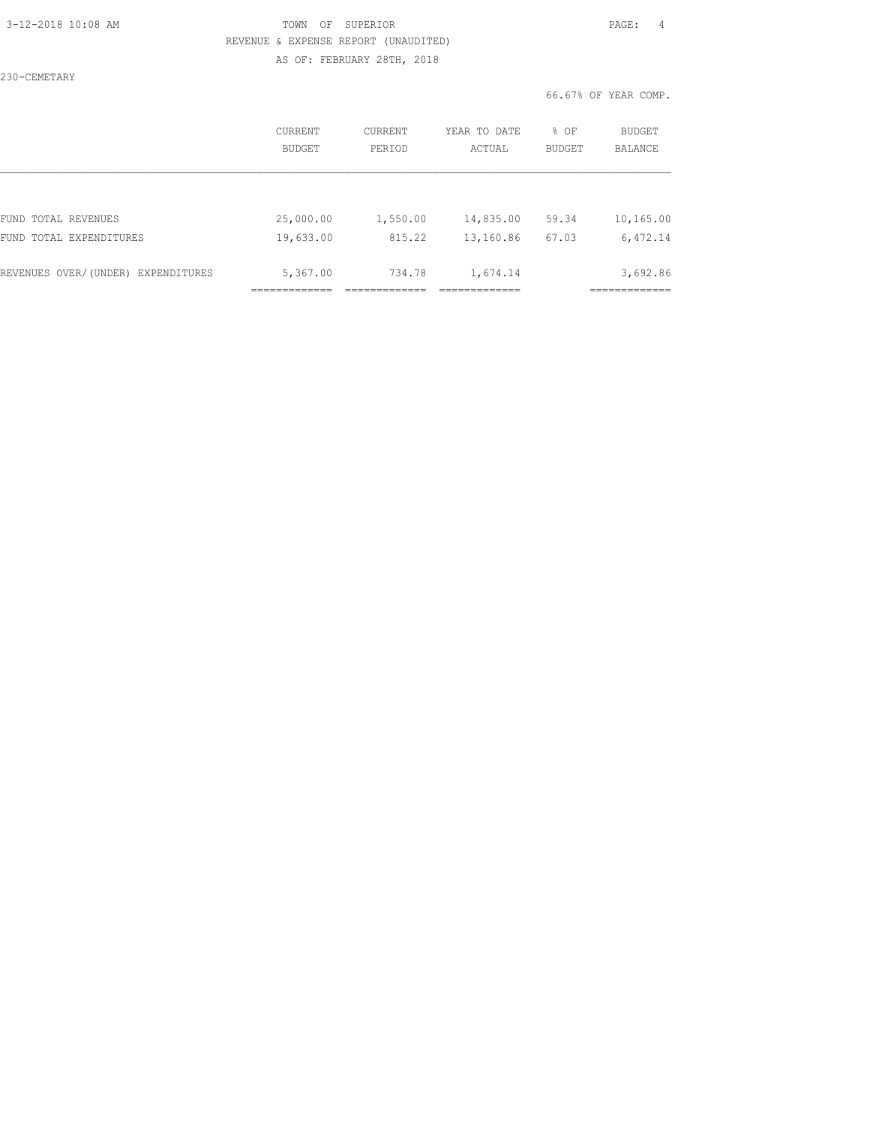### 3-12-2018 10:08 AM TOWN OF SUPERIOR PAGE: 4 REVENUE & EXPENSE REPORT (UNAUDITED) AS OF: FEBRUARY 28TH, 2018

230-CEMETARY

|                                    | CURRENT<br><b>BUDGET</b> | CURRENT<br>PERIOD | YEAR TO DATE<br>ACTUAL | % OF<br><b>BUDGET</b> | BUDGET<br><b>BALANCE</b> |
|------------------------------------|--------------------------|-------------------|------------------------|-----------------------|--------------------------|
|                                    |                          |                   |                        |                       |                          |
| FUND TOTAL REVENUES                | 25,000.00                | 1,550.00          | 14,835.00              | 59.34                 | 10,165.00                |
| FUND TOTAL EXPENDITURES            | 19,633.00                | 815.22            | 13,160.86              | 67.03                 | 6,472.14                 |
|                                    |                          |                   |                        |                       |                          |
| REVENUES OVER/(UNDER) EXPENDITURES | 5,367.00                 | 734.78            | 1,674.14               |                       | 3,692.86                 |
|                                    |                          |                   |                        |                       |                          |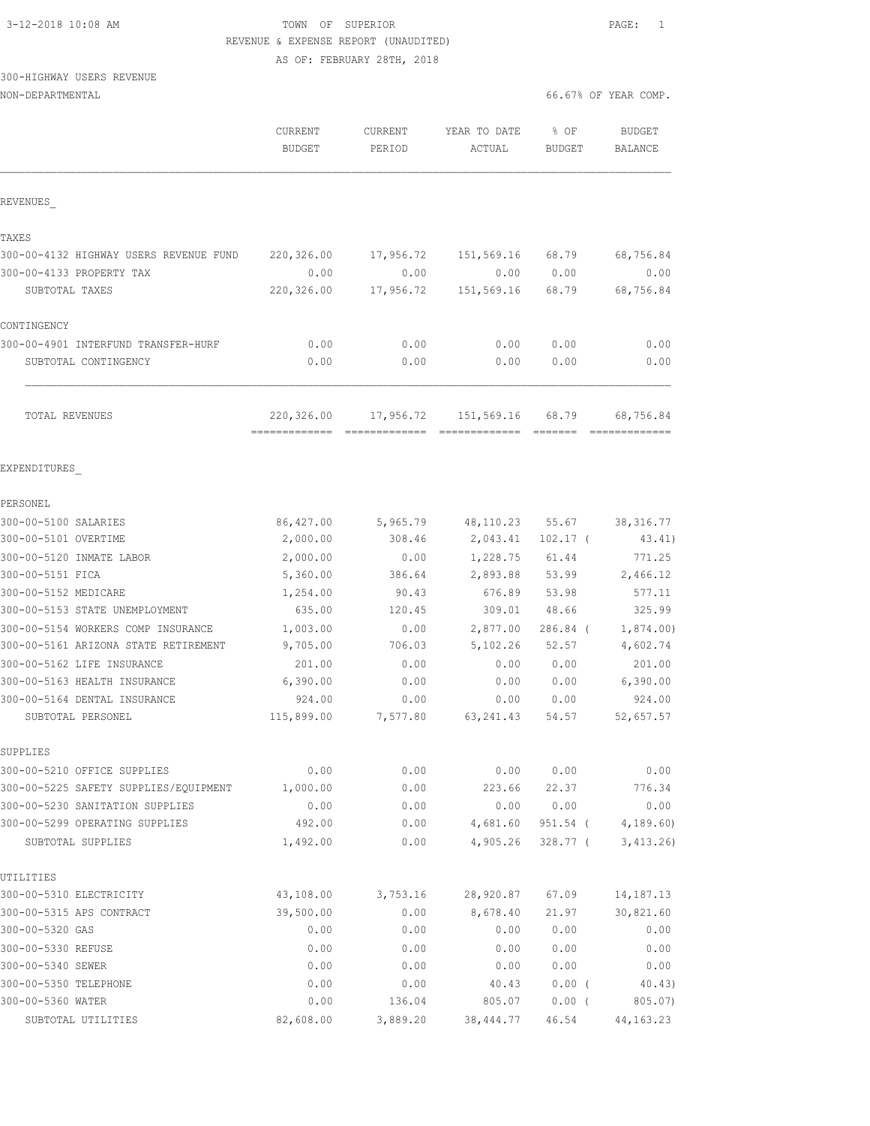# 3-12-2018 10:08 AM TOWN OF SUPERIOR PAGE: 1 REVENUE & EXPENSE REPORT (UNAUDITED)

AS OF: FEBRUARY 28TH, 2018

## 300-HIGHWAY USERS REVENUE

| NON-DEPARTMENTAL                       |                                 |                   |                        |                       | 66.67% OF YEAR COMP.            |
|----------------------------------------|---------------------------------|-------------------|------------------------|-----------------------|---------------------------------|
|                                        | <b>CURRENT</b><br><b>BUDGET</b> | CURRENT<br>PERIOD | YEAR TO DATE<br>ACTUAL | % OF<br><b>BUDGET</b> | <b>BUDGET</b><br><b>BALANCE</b> |
| REVENUES                               |                                 |                   |                        |                       |                                 |
| TAXES                                  |                                 |                   |                        |                       |                                 |
| 300-00-4132 HIGHWAY USERS REVENUE FUND | 220,326.00                      | 17,956.72         | 151,569.16             | 68.79                 | 68,756.84                       |
| 300-00-4133 PROPERTY TAX               | 0.00                            | 0.00              | 0.00                   | 0.00                  | 0.00                            |
| SUBTOTAL TAXES                         | 220,326.00                      | 17,956.72         | 151,569.16             | 68.79                 | 68,756.84                       |
| CONTINGENCY                            |                                 |                   |                        |                       |                                 |
| 300-00-4901 INTERFUND TRANSFER-HURF    | 0.00                            | 0.00              | 0.00                   | 0.00                  | 0.00                            |
| SUBTOTAL CONTINGENCY                   | 0.00                            | 0.00              | 0.00                   | 0.00                  | 0.00                            |
| TOTAL REVENUES                         | 220,326.00                      |                   | 17,956.72 151,569.16   | 68.79                 | 68,756.84                       |
| EXPENDITURES                           |                                 |                   |                        |                       |                                 |
| PERSONEL                               |                                 |                   |                        |                       |                                 |
| 300-00-5100 SALARIES                   | 86,427.00                       | 5,965.79          | 48,110.23              | 55.67                 | 38, 316.77                      |
| 300-00-5101 OVERTIME                   | 2,000.00                        | 308.46            | 2,043.41               | $102.17$ (            | 43.41)                          |
| 300-00-5120 INMATE LABOR               | 2,000.00                        | 0.00              | 1,228.75               | 61.44                 | 771.25                          |
| 300-00-5151 FICA                       | 5,360.00                        | 386.64            | 2,893.88               | 53.99                 | 2,466.12                        |
| 300-00-5152 MEDICARE                   | 1,254.00                        | 90.43             | 676.89                 | 53.98                 | 577.11                          |
| 300-00-5153 STATE UNEMPLOYMENT         | 635.00                          | 120.45            | 309.01                 | 48.66                 | 325.99                          |
| 300-00-5154 WORKERS COMP INSURANCE     | 1,003.00                        | 0.00              | 2,877.00               | 286.84 (              | 1,874.00                        |
| 300-00-5161 ARIZONA STATE RETIREMENT   | 9,705.00                        | 706.03            | 5,102.26               | 52.57                 | 4,602.74                        |
| 300-00-5162 LIFE INSURANCE             | 201.00                          | 0.00              | 0.00                   | 0.00                  | 201.00                          |
| 300-00-5163 HEALTH INSURANCE           | 6,390.00                        | 0.00              | 0.00                   | 0.00                  | 6,390.00                        |
| 300-00-5164 DENTAL INSURANCE           | 924.00                          | 0.00              | 0.00                   | 0.00                  | 924.00                          |
| SUBTOTAL PERSONEL                      | 115,899.00                      | 7,577.80          | 63, 241.43             | 54.57                 | 52,657.57                       |
| SUPPLIES                               |                                 |                   |                        |                       |                                 |
| 300-00-5210 OFFICE SUPPLIES            | 0.00                            | 0.00              | 0.00                   | 0.00                  | 0.00                            |
| 300-00-5225 SAFETY SUPPLIES/EQUIPMENT  | 1,000.00                        | 0.00              | 223.66                 | 22.37                 | 776.34                          |
| 300-00-5230 SANITATION SUPPLIES        | 0.00                            | 0.00              | 0.00                   | 0.00                  | 0.00                            |
| 300-00-5299 OPERATING SUPPLIES         | 492.00                          | 0.00              | 4,681.60               | 951.54 (              | 4,189.60)                       |
| SUBTOTAL SUPPLIES                      | 1,492.00                        | 0.00              | 4,905.26               | 328.77 (              | 3,413.26                        |
| UTILITIES                              |                                 |                   |                        |                       |                                 |
| 300-00-5310 ELECTRICITY                | 43,108.00                       | 3,753.16          | 28,920.87              | 67.09                 | 14, 187. 13                     |
| 300-00-5315 APS CONTRACT               | 39,500.00                       | 0.00              | 8,678.40               | 21.97                 | 30,821.60                       |
| 300-00-5320 GAS                        | 0.00                            | 0.00              | 0.00                   | 0.00                  | 0.00                            |
| 300-00-5330 REFUSE                     | 0.00                            | 0.00              | 0.00                   | 0.00                  | 0.00                            |
| 300-00-5340 SEWER                      | 0.00                            | 0.00              | 0.00                   | 0.00                  | 0.00                            |
| 300-00-5350 TELEPHONE                  | 0.00                            | 0.00              | 40.43                  | $0.00$ (              | 40.43)                          |
| 300-00-5360 WATER                      | 0.00                            | 136.04            | 805.07                 | $0.00$ (              | 805.07)                         |

SUBTOTAL UTILITIES 82,608.00 3,889.20 38,444.77 46.54 44,163.23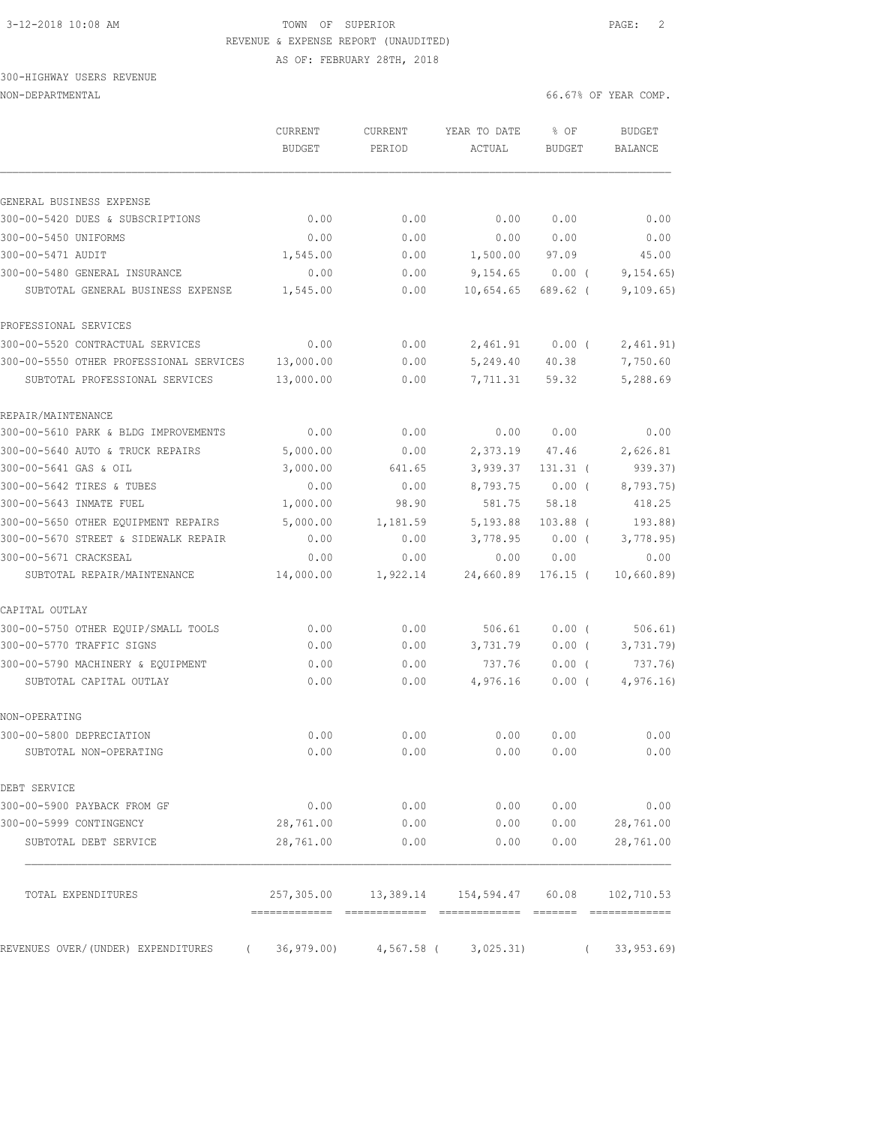## 3-12-2018 10:08 AM TOWN OF SUPERIOR PAGE: 2 REVENUE & EXPENSE REPORT (UNAUDITED)

AS OF: FEBRUARY 28TH, 2018

### 300-HIGHWAY USERS REVENUE NON-DEPARTMENTAL 66.67% OF YEAR COMP.

|                                                | <b>CURRENT</b><br><b>BUDGET</b> | CURRENT<br>PERIOD | YEAR TO DATE<br>ACTUAL | % OF<br><b>BUDGET</b> | <b>BUDGET</b><br><b>BALANCE</b> |
|------------------------------------------------|---------------------------------|-------------------|------------------------|-----------------------|---------------------------------|
| GENERAL BUSINESS EXPENSE                       |                                 |                   |                        |                       |                                 |
| 300-00-5420 DUES & SUBSCRIPTIONS               | 0.00                            | 0.00              | 0.00                   | 0.00                  | 0.00                            |
| 300-00-5450 UNIFORMS                           | 0.00                            | 0.00              | 0.00                   | 0.00                  | 0.00                            |
| 300-00-5471 AUDIT                              | 1,545.00                        | 0.00              | 1,500.00               | 97.09                 | 45.00                           |
| 300-00-5480 GENERAL INSURANCE                  | 0.00                            | 0.00              | 9,154.65               | $0.00$ (              | 9, 154.65                       |
| SUBTOTAL GENERAL BUSINESS EXPENSE              | 1,545.00                        | 0.00              | 10,654.65              | $689.62$ (            | 9,109.65)                       |
| PROFESSIONAL SERVICES                          |                                 |                   |                        |                       |                                 |
| 300-00-5520 CONTRACTUAL SERVICES               | 0.00                            | 0.00              | 2,461.91               | $0.00$ (              | 2,461.91)                       |
| 300-00-5550 OTHER PROFESSIONAL SERVICES        | 13,000.00                       | 0.00              | 5,249.40               | 40.38                 | 7,750.60                        |
| SUBTOTAL PROFESSIONAL SERVICES                 | 13,000.00                       | 0.00              | 7,711.31               | 59.32                 | 5,288.69                        |
| REPAIR/MAINTENANCE                             |                                 |                   |                        |                       |                                 |
| 300-00-5610 PARK & BLDG IMPROVEMENTS           | 0.00                            | 0.00              | 0.00                   | 0.00                  | 0.00                            |
| 300-00-5640 AUTO & TRUCK REPAIRS               | 5,000.00                        | 0.00              | 2,373.19               | 47.46                 | 2,626.81                        |
| 300-00-5641 GAS & OIL                          | 3,000.00                        | 641.65            | 3,939.37               | $131.31$ (            | 939.37)                         |
| 300-00-5642 TIRES & TUBES                      | 0.00                            | 0.00              | 8,793.75               | $0.00$ (              | 8,793.75)                       |
| 300-00-5643 INMATE FUEL                        | 1,000.00                        | 98.90             | 581.75                 | 58.18                 | 418.25                          |
| 300-00-5650 OTHER EQUIPMENT REPAIRS            | 5,000.00                        | 1,181.59          | 5,193.88               | $103.88$ (            | 193.88)                         |
| 300-00-5670 STREET & SIDEWALK REPAIR           | 0.00                            | 0.00              | 3,778.95               | $0.00$ (              | 3,778.95)                       |
| 300-00-5671 CRACKSEAL                          | 0.00                            | 0.00              | 0.00                   | 0.00                  | 0.00                            |
| SUBTOTAL REPAIR/MAINTENANCE                    | 14,000.00                       | 1,922.14          | 24,660.89              | $176.15$ (            | 10,660.89)                      |
| CAPITAL OUTLAY                                 |                                 |                   |                        |                       |                                 |
| 300-00-5750 OTHER EQUIP/SMALL TOOLS            | 0.00                            | 0.00              | 506.61                 | $0.00$ (              | 506.61)                         |
| 300-00-5770 TRAFFIC SIGNS                      | 0.00                            | 0.00              | 3,731.79               | 0.00(                 | 3,731.79                        |
| 300-00-5790 MACHINERY & EQUIPMENT              | 0.00                            | 0.00              | 737.76                 | $0.00$ (              | 737.76)                         |
| SUBTOTAL CAPITAL OUTLAY                        | 0.00                            | 0.00              | 4,976.16               | $0.00$ (              | 4,976.16                        |
| NON-OPERATING                                  |                                 |                   |                        |                       |                                 |
| 300-00-5800 DEPRECIATION                       | 0.00                            | 0.00              | 0.00                   | 0.00                  | 0.00                            |
| SUBTOTAL NON-OPERATING                         | 0.00                            | 0.00              | 0.00                   | 0.00                  | 0.00                            |
| DEBT SERVICE                                   |                                 |                   |                        |                       |                                 |
| 300-00-5900 PAYBACK FROM GF                    | 0.00                            | 0.00              | 0.00                   | 0.00                  | 0.00                            |
| 300-00-5999 CONTINGENCY                        | 28,761.00                       | 0.00              | 0.00                   | 0.00                  | 28,761.00                       |
| SUBTOTAL DEBT SERVICE                          | 28,761.00                       | 0.00              | 0.00                   | 0.00                  | 28,761.00                       |
| TOTAL EXPENDITURES                             | 257,305.00                      | 13,389.14         | 154,594.47             | 60.08                 | 102,710.53                      |
| REVENUES OVER/(UNDER) EXPENDITURES<br>$\left($ | 36, 979.00                      | $4,567.58$ (      | 3,025.31)              | $\left($              | 33, 953.69                      |
|                                                |                                 |                   |                        |                       |                                 |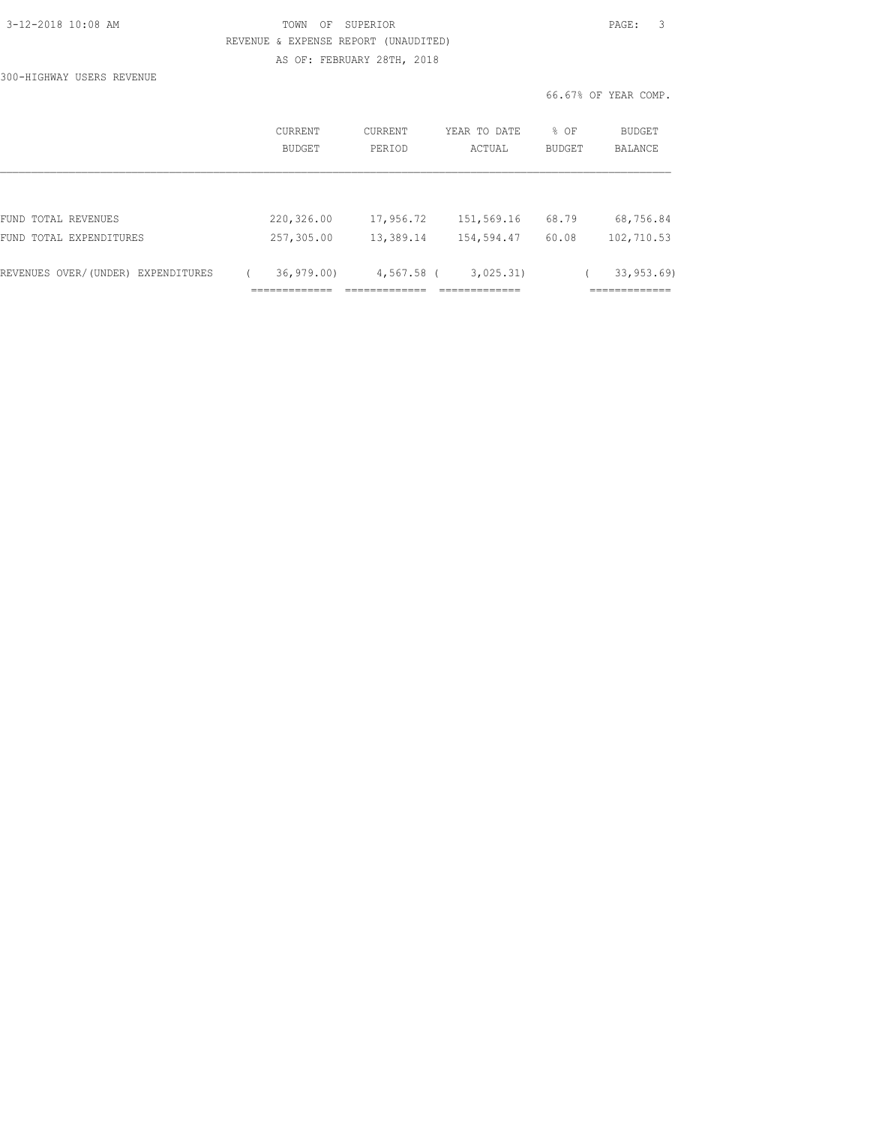| 3-12-2018 10:08 AM |  |
|--------------------|--|
|                    |  |

300-HIGHWAY USERS REVENUE

TOWN OF SUPERIOR **12-2018 10:08 PAGE:** 3 REVENUE & EXPENSE REPORT (UNAUDITED) AS OF: FEBRUARY 28TH, 2018

| CURRENT<br>BUDGET | <b>CURRENT</b><br>PERIOD | YEAR TO DATE<br>ACTUAL | % OF<br><b>BUDGET</b> | BUDGET<br>BALANCE |
|-------------------|--------------------------|------------------------|-----------------------|-------------------|
|                   |                          |                        |                       |                   |
| 220,326.00        | 17,956.72                | 151,569.16             | 68.79                 | 68,756.84         |
| 257,305.00        | 13,389.14                | 154,594.47             | 60.08                 | 102,710.53        |
| 36, 979, 00       |                          | 3,025.31)              |                       | 33, 953, 69)<br>. |
|                   |                          |                        | 4,567.58 (            |                   |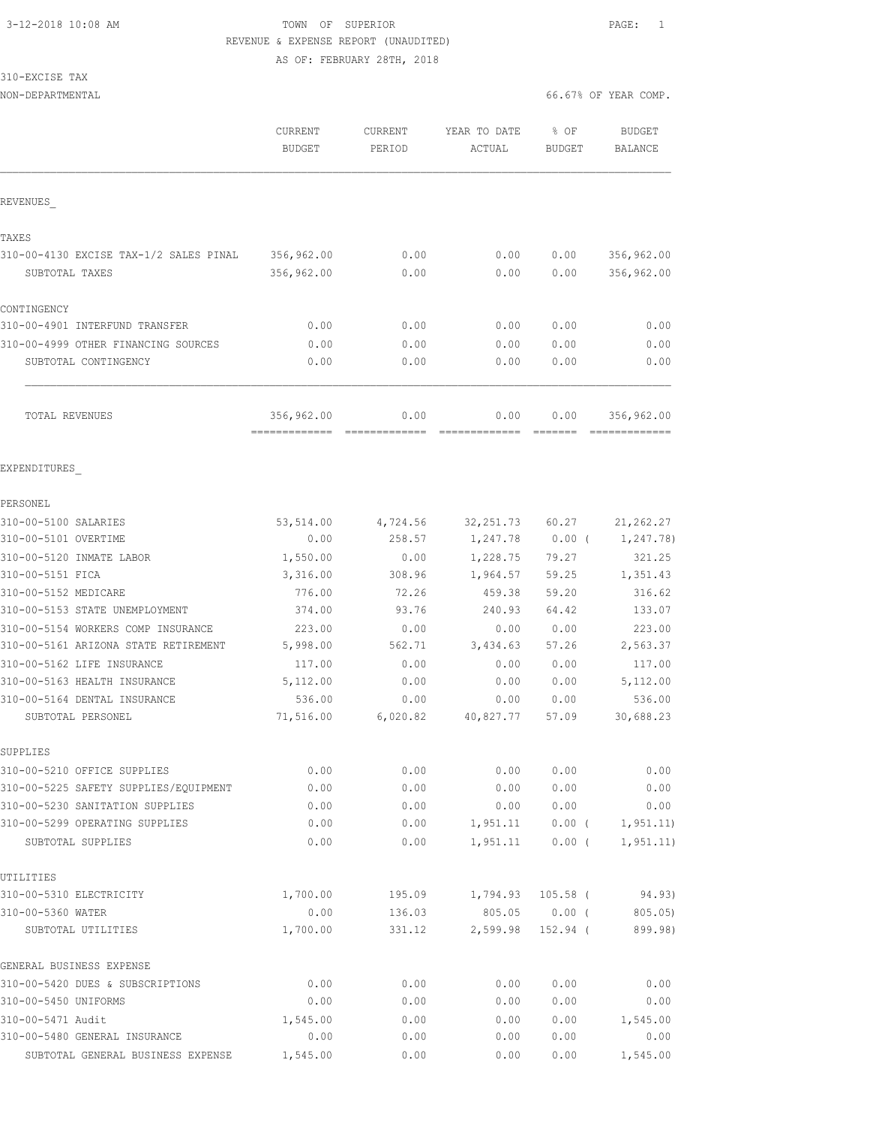## 3-12-2018 10:08 AM TOWN OF SUPERIOR PAGE: 1 REVENUE & EXPENSE REPORT (UNAUDITED)

AS OF: FEBRUARY 28TH, 2018

### 310-EXCISE TAX

|                                                                      | CURRENT<br><b>BUDGET</b>    | CURRENT<br>PERIOD | YEAR TO DATE<br>ACTUAL | % OF<br><b>BUDGET</b> | <b>BUDGET</b><br><b>BALANCE</b> |
|----------------------------------------------------------------------|-----------------------------|-------------------|------------------------|-----------------------|---------------------------------|
| REVENUES                                                             |                             |                   |                        |                       |                                 |
| TAXES                                                                |                             |                   |                        |                       |                                 |
| 310-00-4130 EXCISE TAX-1/2 SALES PINAL                               | 356,962.00                  | 0.00              | 0.00                   | 0.00                  | 356,962.00                      |
| SUBTOTAL TAXES                                                       | 356,962.00                  | 0.00              | 0.00                   | 0.00                  | 356,962.00                      |
| CONTINGENCY                                                          |                             |                   |                        |                       |                                 |
| 310-00-4901 INTERFUND TRANSFER                                       | 0.00                        | 0.00              | 0.00                   | 0.00                  | 0.00                            |
| 310-00-4999 OTHER FINANCING SOURCES                                  | 0.00                        | 0.00              | 0.00                   | 0.00                  | 0.00                            |
| SUBTOTAL CONTINGENCY                                                 | 0.00                        | 0.00              | 0.00                   | 0.00                  | 0.00                            |
| TOTAL REVENUES                                                       | 356,962.00<br>============= | 0.00              | 0.00<br>-------------- | 0.00                  | 356,962.00<br>=============     |
| EXPENDITURES                                                         |                             |                   |                        |                       |                                 |
| PERSONEL                                                             |                             |                   |                        |                       |                                 |
| 310-00-5100 SALARIES                                                 | 53,514.00                   | 4,724.56          | 32, 251.73 60.27       |                       | 21, 262.27                      |
| 310-00-5101 OVERTIME                                                 | 0.00                        | 258.57            | 1,247.78               | $0.00$ (              | 1,247.78)                       |
| 310-00-5120 INMATE LABOR                                             | 1,550.00                    | 0.00              | 1,228.75               | 79.27                 | 321.25                          |
| 310-00-5151 FICA                                                     | 3,316.00                    | 308.96            | 1,964.57               | 59.25                 | 1,351.43                        |
| 310-00-5152 MEDICARE                                                 | 776.00                      | 72.26             | 459.38                 | 59.20                 | 316.62                          |
| 310-00-5153 STATE UNEMPLOYMENT                                       | 374.00                      | 93.76             | 240.93                 | 64.42                 | 133.07                          |
| 310-00-5154 WORKERS COMP INSURANCE                                   | 223.00                      | 0.00              | 0.00                   | 0.00                  | 223.00                          |
| 310-00-5161 ARIZONA STATE RETIREMENT                                 | 5,998.00                    | 562.71            | 3,434.63               | 57.26                 | 2,563.37                        |
| 310-00-5162 LIFE INSURANCE                                           | 117.00                      | 0.00              | 0.00                   | 0.00                  | 117.00                          |
| 310-00-5163 HEALTH INSURANCE                                         | 5,112.00                    | 0.00              | 0.00                   | 0.00                  | 5,112.00                        |
| 310-00-5164 DENTAL INSURANCE                                         | 536.00                      | 0.00              | 0.00                   | 0.00                  | 536.00                          |
| SUBTOTAL PERSONEL                                                    | 71,516.00                   | 6,020.82          | 40,827.77              | 57.09                 | 30,688.23                       |
| SUPPLIES                                                             |                             |                   |                        |                       |                                 |
| 310-00-5210 OFFICE SUPPLIES<br>310-00-5225 SAFETY SUPPLIES/EQUIPMENT | 0.00                        | 0.00              | 0.00                   | 0.00                  | 0.00                            |
|                                                                      | 0.00                        | 0.00              | 0.00                   | 0.00                  | 0.00                            |
| 310-00-5230 SANITATION SUPPLIES<br>310-00-5299 OPERATING SUPPLIES    | 0.00<br>0.00                | 0.00<br>0.00      | 0.00                   | 0.00                  | 0.00                            |
| SUBTOTAL SUPPLIES                                                    | 0.00                        | 0.00              | 1,951.11<br>1,951.11   | $0.00$ (<br>$0.00$ (  | 1, 951.11)<br>1, 951.11)        |
| UTILITIES                                                            |                             |                   |                        |                       |                                 |
| 310-00-5310 ELECTRICITY                                              | 1,700.00                    | 195.09            |                        | 1,794.93 105.58 (     | 94.93)                          |
| 310-00-5360 WATER                                                    | 0.00                        | 136.03            | 805.05                 | $0.00$ (              | 805.05)                         |
| SUBTOTAL UTILITIES                                                   | 1,700.00                    | 331.12            | 2,599.98               | 152.94 (              | 899.98)                         |
| GENERAL BUSINESS EXPENSE                                             |                             |                   |                        |                       |                                 |
| 310-00-5420 DUES & SUBSCRIPTIONS                                     | 0.00                        | 0.00              | 0.00                   | 0.00                  | 0.00                            |
| 310-00-5450 UNIFORMS                                                 | 0.00                        | 0.00              | 0.00                   | 0.00                  | 0.00                            |
| 310-00-5471 Audit                                                    | 1,545.00                    | 0.00              | 0.00                   | 0.00                  | 1,545.00                        |
| 310-00-5480 GENERAL INSURANCE                                        | 0.00                        | 0.00              | 0.00                   | 0.00                  | 0.00                            |
| SUBTOTAL GENERAL BUSINESS EXPENSE                                    | 1,545.00                    | 0.00              | 0.00                   | 0.00                  | 1,545.00                        |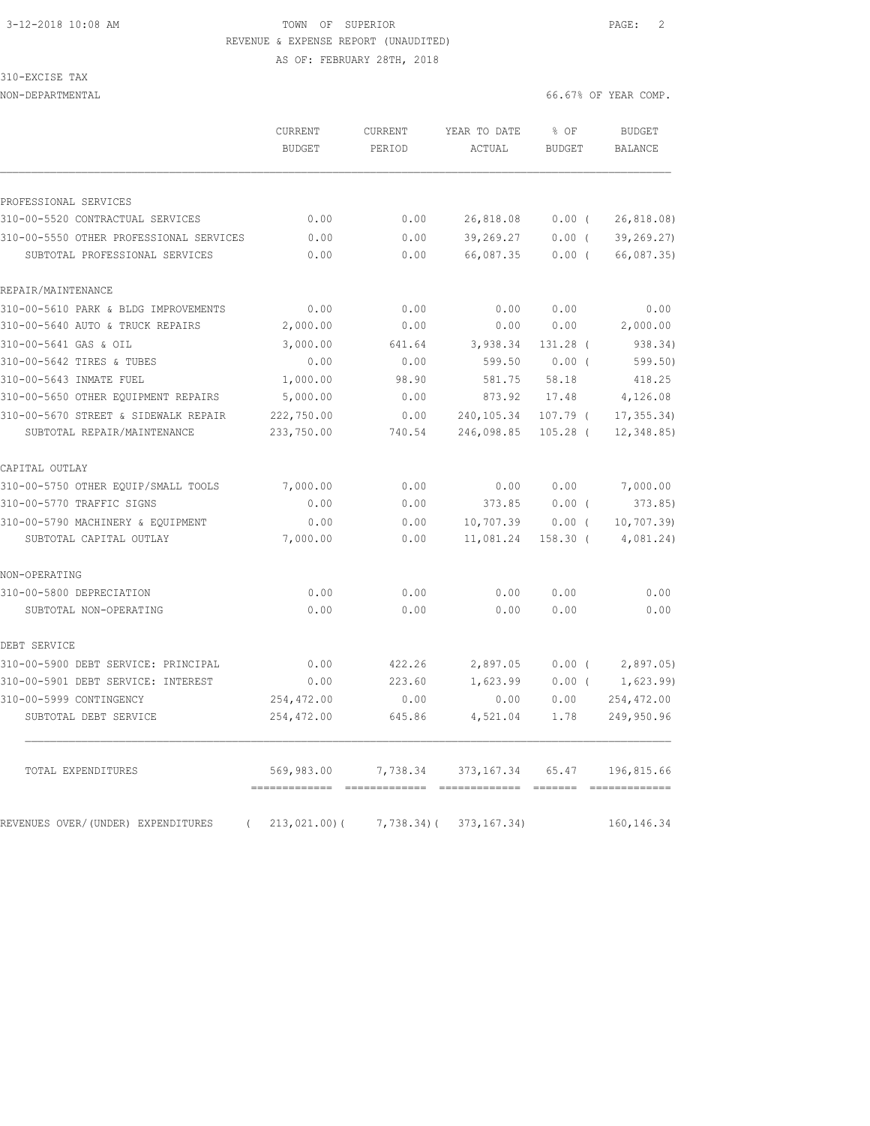# 3-12-2018 10:08 AM TOWN OF SUPERIOR PAGE: 2 REVENUE & EXPENSE REPORT (UNAUDITED)

AS OF: FEBRUARY 28TH, 2018

| 310-EXCISE<br>TAX |
|-------------------|
|-------------------|

|                                         | CURRENT<br><b>BUDGET</b> | CURRENT<br>PERIOD | YEAR TO DATE<br>ACTUAL | % OF<br><b>BUDGET</b> | <b>BUDGET</b><br><b>BALANCE</b> |
|-----------------------------------------|--------------------------|-------------------|------------------------|-----------------------|---------------------------------|
| PROFESSIONAL SERVICES                   |                          |                   |                        |                       |                                 |
| 310-00-5520 CONTRACTUAL SERVICES        | 0.00                     | 0.00              | 26,818.08              | 0.00(                 | 26,818.08)                      |
| 310-00-5550 OTHER PROFESSIONAL SERVICES | 0.00                     | 0.00              | 39,269.27              | $0.00$ (              | 39, 269.27)                     |
| SUBTOTAL PROFESSIONAL SERVICES          | 0.00                     | 0.00              | 66,087.35              | 0.00(                 | 66,087.35)                      |
| REPAIR/MAINTENANCE                      |                          |                   |                        |                       |                                 |
| 310-00-5610 PARK & BLDG IMPROVEMENTS    | 0.00                     | 0.00              | 0.00                   | 0.00                  | 0.00                            |
| 310-00-5640 AUTO & TRUCK REPAIRS        | 2,000.00                 | 0.00              | 0.00                   | 0.00                  | 2,000.00                        |
| 310-00-5641 GAS & OIL                   | 3,000.00                 | 641.64            | 3,938.34               | 131.28 (              | 938.34)                         |
| 310-00-5642 TIRES & TUBES               | 0.00                     | 0.00              | 599.50                 | 0.00(                 | 599.50)                         |
| 310-00-5643 INMATE FUEL                 | 1,000.00                 | 98.90             | 581.75                 | 58.18                 | 418.25                          |
| 310-00-5650 OTHER EQUIPMENT REPAIRS     | 5,000.00                 | 0.00              | 873.92                 | 17.48                 | 4,126.08                        |
| 310-00-5670 STREET & SIDEWALK REPAIR    | 222,750.00               | 0.00              | 240,105.34             | $107.79$ (            | 17, 355.34                      |
| SUBTOTAL REPAIR/MAINTENANCE             | 233,750.00               | 740.54            | 246,098.85             | $105.28$ (            | 12,348.85)                      |
| CAPITAL OUTLAY                          |                          |                   |                        |                       |                                 |
| 310-00-5750 OTHER EQUIP/SMALL TOOLS     | 7,000.00                 | 0.00              | 0.00                   | 0.00                  | 7,000.00                        |
| 310-00-5770 TRAFFIC SIGNS               | 0.00                     | 0.00              | 373.85                 | 0.00(                 | 373.85                          |
| 310-00-5790 MACHINERY & EQUIPMENT       | 0.00                     | 0.00              | 10,707.39              | $0.00$ (              | 10, 707.39                      |
| SUBTOTAL CAPITAL OUTLAY                 | 7,000.00                 | 0.00              | 11,081.24              | $158.30$ (            | 4,081.24)                       |
| NON-OPERATING                           |                          |                   |                        |                       |                                 |
| 310-00-5800 DEPRECIATION                | 0.00                     | 0.00              | 0.00                   | 0.00                  | 0.00                            |
| SUBTOTAL NON-OPERATING                  | 0.00                     | 0.00              | 0.00                   | 0.00                  | 0.00                            |
| DEBT SERVICE                            |                          |                   |                        |                       |                                 |
| 310-00-5900 DEBT SERVICE: PRINCIPAL     | 0.00                     | 422.26            | 2,897.05               | $0.00$ (              | 2,897.05                        |
| 310-00-5901 DEBT SERVICE: INTEREST      | 0.00                     | 223.60            | 1,623.99               | $0.00$ (              | 1,623.99                        |
| 310-00-5999 CONTINGENCY                 | 254,472.00               | 0.00              | 0.00                   | 0.00                  | 254, 472.00                     |
| SUBTOTAL DEBT SERVICE                   | 254,472.00               | 645.86            | 4,521.04               | 1.78                  | 249,950.96                      |
| TOTAL EXPENDITURES                      | 569,983.00               | 7,738.34          | 373,167.34             | 65.47                 | 196,815.66                      |
|                                         |                          |                   |                        |                       |                                 |
| REVENUES OVER/(UNDER) EXPENDITURES      | 213,021.00) (            | $7,738.34$ ) (    | 373, 167.34)           |                       | 160, 146.34                     |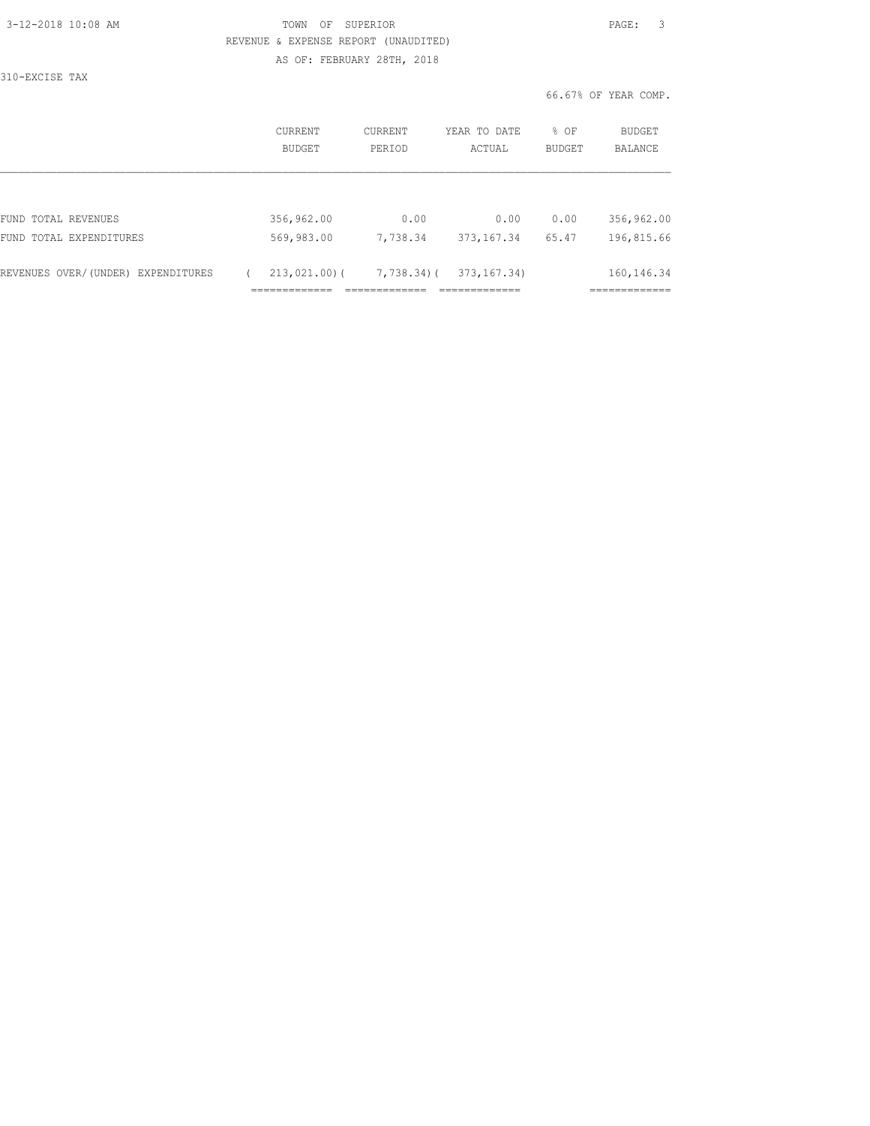| 3-12-2018 10:08 AM |  |
|--------------------|--|
|                    |  |

### TOWN OF SUPERIOR **12-2018 10:08 PAGE:** 3 REVENUE & EXPENSE REPORT (UNAUDITED) AS OF: FEBRUARY 28TH, 2018

310-EXCISE TAX

|                                    | CURRENT<br><b>BUDGET</b> | CURRENT<br>PERIOD | YEAR TO DATE<br>ACTUAL | % OF<br><b>BUDGET</b> | BUDGET<br><b>BALANCE</b> |
|------------------------------------|--------------------------|-------------------|------------------------|-----------------------|--------------------------|
|                                    |                          |                   |                        |                       |                          |
| FUND TOTAL REVENUES                | 356,962.00               | 0.00              | 0.00                   | 0.00                  | 356,962.00               |
| FUND TOTAL EXPENDITURES            | 569,983.00               | 7,738.34          | 373, 167.34            | 65.47                 | 196,815.66               |
| REVENUES OVER/(UNDER) EXPENDITURES | $213,021,00$ (           | 7,738.34)(        | 373, 167.34)           |                       | 160, 146. 34             |
|                                    |                          |                   |                        |                       |                          |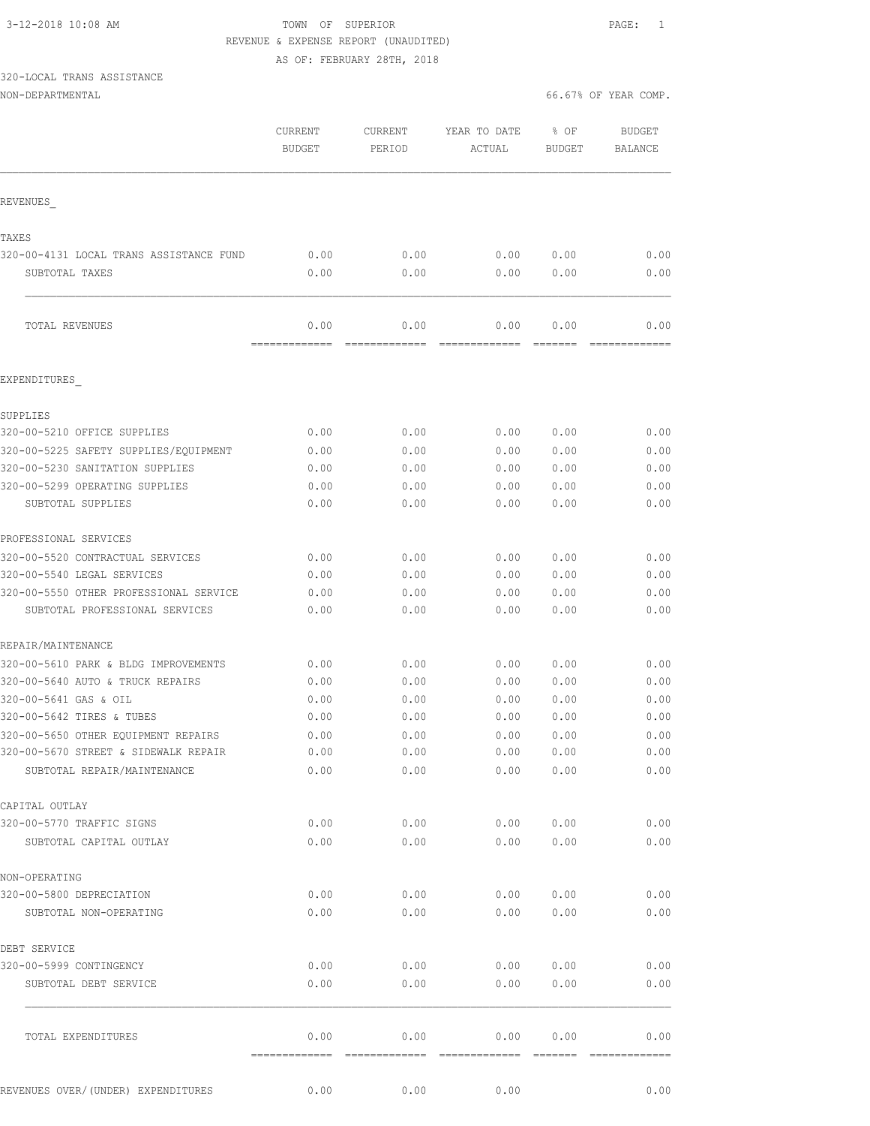# 3-12-2018 10:08 AM TOWN OF SUPERIOR PAGE: 1 REVENUE & EXPENSE REPORT (UNAUDITED)

AS OF: FEBRUARY 28TH, 2018

## 320-LOCAL TRANS ASSISTANCE

|                                         | CURRENT<br><b>BUDGET</b> | CURRENT<br>PERIOD     | YEAR TO DATE<br>ACTUAL | % OF<br><b>BUDGET</b> | <b>BUDGET</b><br>BALANCE |
|-----------------------------------------|--------------------------|-----------------------|------------------------|-----------------------|--------------------------|
| REVENUES                                |                          |                       |                        |                       |                          |
| TAXES                                   |                          |                       |                        |                       |                          |
| 320-00-4131 LOCAL TRANS ASSISTANCE FUND | 0.00                     | 0.00                  | 0.00                   | 0.00                  | 0.00                     |
| SUBTOTAL TAXES                          | 0.00                     | 0.00                  | 0.00                   | 0.00                  | 0.00                     |
| TOTAL REVENUES                          | 0.00<br>=============    | 0.00                  | 0.00<br>-------------  | 0.00<br>=======       | 0.00                     |
| EXPENDITURES                            |                          |                       |                        |                       |                          |
| SUPPLIES                                |                          |                       |                        |                       |                          |
| 320-00-5210 OFFICE SUPPLIES             | 0.00                     | 0.00                  | 0.00                   | 0.00                  | 0.00                     |
| 320-00-5225 SAFETY SUPPLIES/EQUIPMENT   | 0.00                     | 0.00                  | 0.00                   | 0.00                  | 0.00                     |
| 320-00-5230 SANITATION SUPPLIES         | 0.00                     | 0.00                  | 0.00                   | 0.00                  | 0.00                     |
| 320-00-5299 OPERATING SUPPLIES          | 0.00                     | 0.00                  | 0.00                   | 0.00                  | 0.00                     |
| SUBTOTAL SUPPLIES                       | 0.00                     | 0.00                  | 0.00                   | 0.00                  | 0.00                     |
| PROFESSIONAL SERVICES                   |                          |                       |                        |                       |                          |
| 320-00-5520 CONTRACTUAL SERVICES        | 0.00                     | 0.00                  | 0.00                   | 0.00                  | 0.00                     |
| 320-00-5540 LEGAL SERVICES              | 0.00                     | 0.00                  | 0.00                   | 0.00                  | 0.00                     |
| 320-00-5550 OTHER PROFESSIONAL SERVICE  | 0.00                     | 0.00                  | 0.00                   | 0.00                  | 0.00                     |
| SUBTOTAL PROFESSIONAL SERVICES          | 0.00                     | 0.00                  | 0.00                   | 0.00                  | 0.00                     |
| REPAIR/MAINTENANCE                      |                          |                       |                        |                       |                          |
| 320-00-5610 PARK & BLDG IMPROVEMENTS    | 0.00                     | 0.00                  | 0.00                   | 0.00                  | 0.00                     |
| 320-00-5640 AUTO & TRUCK REPAIRS        | 0.00                     | 0.00                  | 0.00                   | 0.00                  | 0.00                     |
| 320-00-5641 GAS & OIL                   | 0.00                     | 0.00                  | 0.00                   | 0.00                  | 0.00                     |
| 320-00-5642 TIRES & TUBES               | 0.00                     | 0.00                  | 0.00                   | 0.00                  | 0.00                     |
| 320-00-5650 OTHER EQUIPMENT REPAIRS     | 0.00                     | 0.00                  | 0.00                   | 0.00                  | 0.00                     |
| 320-00-5670 STREET & SIDEWALK REPAIR    | 0.00                     | 0.00                  | 0.00                   | 0.00                  | 0.00                     |
| SUBTOTAL REPAIR/MAINTENANCE             | 0.00                     | 0.00                  | 0.00                   | 0.00                  | 0.00                     |
| CAPITAL OUTLAY                          |                          |                       |                        |                       |                          |
| 320-00-5770 TRAFFIC SIGNS               | 0.00                     | 0.00                  | 0.00                   | 0.00                  | 0.00                     |
| SUBTOTAL CAPITAL OUTLAY                 | 0.00                     | 0.00                  | 0.00                   | 0.00                  | 0.00                     |
| NON-OPERATING                           |                          |                       |                        |                       |                          |
| 320-00-5800 DEPRECIATION                | 0.00                     | 0.00                  | 0.00                   | 0.00                  | 0.00                     |
| SUBTOTAL NON-OPERATING                  | 0.00                     | 0.00                  | 0.00                   | 0.00                  | 0.00                     |
| DEBT SERVICE                            |                          |                       |                        |                       |                          |
| 320-00-5999 CONTINGENCY                 | 0.00                     | 0.00                  | 0.00                   | 0.00                  | 0.00                     |
| SUBTOTAL DEBT SERVICE                   | 0.00                     | 0.00                  | 0.00                   | 0.00                  | 0.00                     |
| TOTAL EXPENDITURES                      | 0.00<br>=============    | 0.00<br>============= | 0.00<br>-------------- | 0.00<br>--------      | 0.00<br>--------------   |
| REVENUES OVER/(UNDER) EXPENDITURES      | 0.00                     | 0.00                  | 0.00                   |                       | 0.00                     |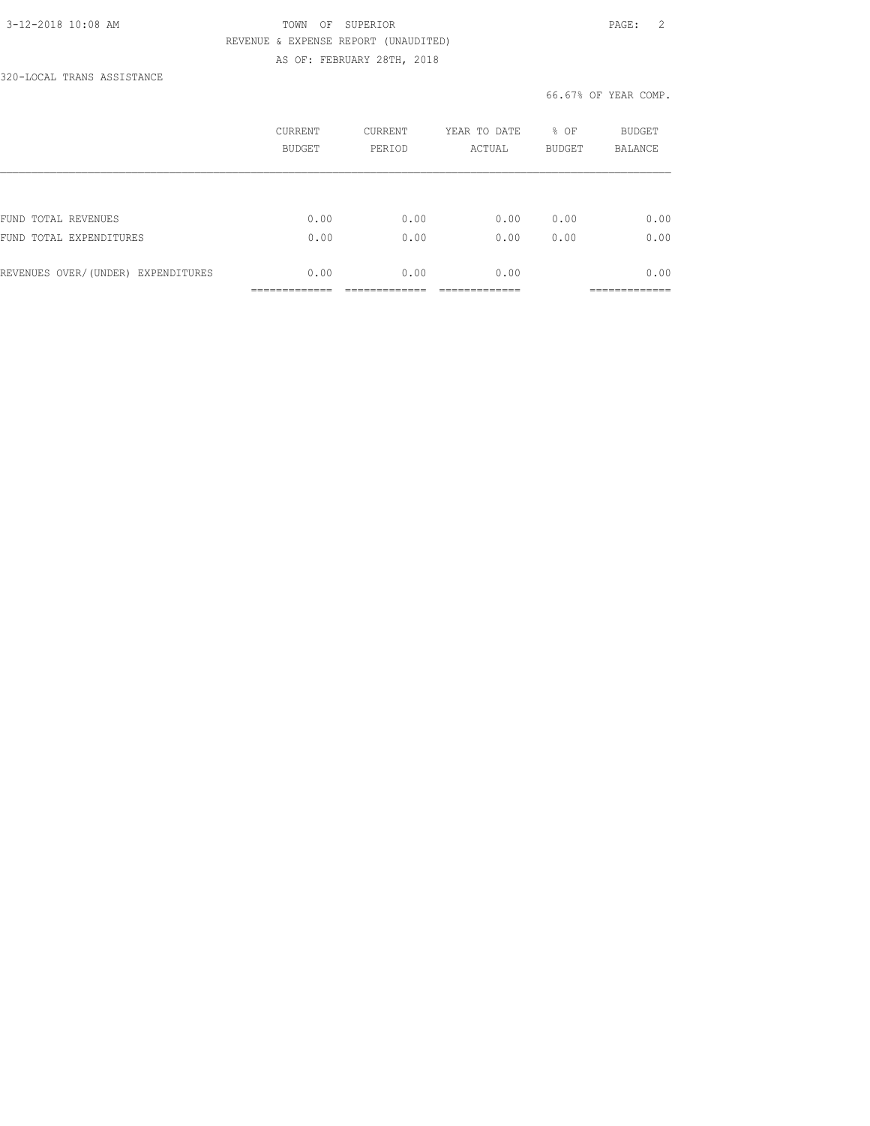### 3-12-2018 10:08 AM TOWN OF SUPERIOR PAGE: 2 REVENUE & EXPENSE REPORT (UNAUDITED) AS OF: FEBRUARY 28TH, 2018

320-LOCAL TRANS ASSISTANCE

|                                    | CURRENT<br><b>BUDGET</b> | <b>CURRENT</b><br>PERIOD | YEAR TO DATE<br>ACTUAL | % OF<br><b>BUDGET</b> | BUDGET<br><b>BALANCE</b> |
|------------------------------------|--------------------------|--------------------------|------------------------|-----------------------|--------------------------|
|                                    |                          |                          |                        |                       |                          |
| FUND TOTAL REVENUES                | 0.00                     | 0.00                     | 0.00                   | 0.00                  | 0.00                     |
| FUND TOTAL EXPENDITURES            | 0.00                     | 0.00                     | 0.00                   | 0.00                  | 0.00                     |
| REVENUES OVER/(UNDER) EXPENDITURES | 0.00                     | 0.00                     | 0.00                   |                       | 0.00                     |
|                                    |                          |                          |                        |                       | _________                |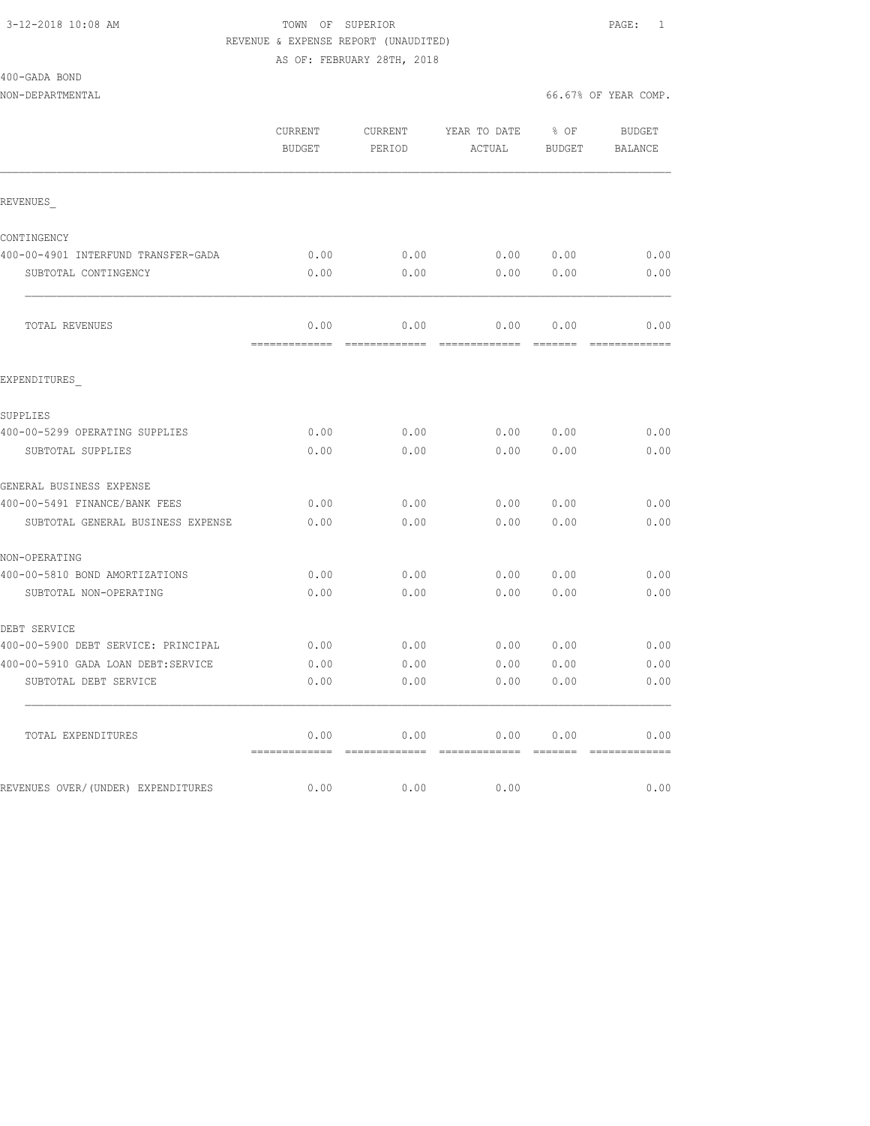## 3-12-2018 10:08 AM TOWN OF SUPERIOR PAGE: 1 REVENUE & EXPENSE REPORT (UNAUDITED)

AS OF: FEBRUARY 28TH, 2018

|  | 400-GADA BOND |  |
|--|---------------|--|
|  |               |  |

|                                     | CURRENT<br><b>BUDGET</b>                | CURRENT<br>PERIOD | YEAR TO DATE<br>ACTUAL                                                                                                                                                                                                                                                                                                                                                                                                                                                                         | % OF<br>BUDGET                                  | <b>BUDGET</b><br>BALANCE |
|-------------------------------------|-----------------------------------------|-------------------|------------------------------------------------------------------------------------------------------------------------------------------------------------------------------------------------------------------------------------------------------------------------------------------------------------------------------------------------------------------------------------------------------------------------------------------------------------------------------------------------|-------------------------------------------------|--------------------------|
| REVENUES                            |                                         |                   |                                                                                                                                                                                                                                                                                                                                                                                                                                                                                                |                                                 |                          |
| CONTINGENCY                         |                                         |                   |                                                                                                                                                                                                                                                                                                                                                                                                                                                                                                |                                                 |                          |
| 400-00-4901 INTERFUND TRANSFER-GADA | 0.00                                    | 0.00              | $0.00$ $0.00$                                                                                                                                                                                                                                                                                                                                                                                                                                                                                  |                                                 | 0.00                     |
| SUBTOTAL CONTINGENCY                | 0.00                                    | 0.00              | 0.00                                                                                                                                                                                                                                                                                                                                                                                                                                                                                           | 0.00                                            | 0.00                     |
| TOTAL REVENUES                      | 0.00                                    | 0.00              | 0.00                                                                                                                                                                                                                                                                                                                                                                                                                                                                                           | 0.00                                            | 0.00                     |
| EXPENDITURES                        |                                         |                   |                                                                                                                                                                                                                                                                                                                                                                                                                                                                                                |                                                 |                          |
| SUPPLIES                            |                                         |                   |                                                                                                                                                                                                                                                                                                                                                                                                                                                                                                |                                                 |                          |
| 400-00-5299 OPERATING SUPPLIES      | 0.00                                    | 0.00              | 0.00                                                                                                                                                                                                                                                                                                                                                                                                                                                                                           | 0.00                                            | 0.00                     |
| SUBTOTAL SUPPLIES                   | 0.00                                    | 0.00              | 0.00                                                                                                                                                                                                                                                                                                                                                                                                                                                                                           | 0.00                                            | 0.00                     |
| GENERAL BUSINESS EXPENSE            |                                         |                   |                                                                                                                                                                                                                                                                                                                                                                                                                                                                                                |                                                 |                          |
| 400-00-5491 FINANCE/BANK FEES       | 0.00                                    | 0.00              | 0.00                                                                                                                                                                                                                                                                                                                                                                                                                                                                                           | 0.00                                            | 0.00                     |
| SUBTOTAL GENERAL BUSINESS EXPENSE   | 0.00                                    | 0.00              | 0.00                                                                                                                                                                                                                                                                                                                                                                                                                                                                                           | 0.00                                            | 0.00                     |
| NON-OPERATING                       |                                         |                   |                                                                                                                                                                                                                                                                                                                                                                                                                                                                                                |                                                 |                          |
| 400-00-5810 BOND AMORTIZATIONS      | 0.00                                    | 0.00              | 0.00                                                                                                                                                                                                                                                                                                                                                                                                                                                                                           | 0.00                                            | 0.00                     |
| SUBTOTAL NON-OPERATING              | 0.00                                    | 0.00              | 0.00                                                                                                                                                                                                                                                                                                                                                                                                                                                                                           | 0.00                                            | 0.00                     |
| DEBT SERVICE                        |                                         |                   |                                                                                                                                                                                                                                                                                                                                                                                                                                                                                                |                                                 |                          |
| 400-00-5900 DEBT SERVICE: PRINCIPAL | 0.00                                    | 0.00              | 0.00                                                                                                                                                                                                                                                                                                                                                                                                                                                                                           | 0.00                                            | 0.00                     |
| 400-00-5910 GADA LOAN DEBT:SERVICE  | 0.00                                    | 0.00              | 0.00                                                                                                                                                                                                                                                                                                                                                                                                                                                                                           | 0.00                                            | 0.00                     |
| SUBTOTAL DEBT SERVICE               | 0.00                                    | 0.00              | 0.00                                                                                                                                                                                                                                                                                                                                                                                                                                                                                           | 0.00                                            | 0.00                     |
| TOTAL EXPENDITURES                  | 0.00<br>=============================== | 0.00              | 0.00<br>$\begin{array}{cccccccccc} \multicolumn{2}{c}{} & \multicolumn{2}{c}{} & \multicolumn{2}{c}{} & \multicolumn{2}{c}{} & \multicolumn{2}{c}{} & \multicolumn{2}{c}{} & \multicolumn{2}{c}{} & \multicolumn{2}{c}{} & \multicolumn{2}{c}{} & \multicolumn{2}{c}{} & \multicolumn{2}{c}{} & \multicolumn{2}{c}{} & \multicolumn{2}{c}{} & \multicolumn{2}{c}{} & \multicolumn{2}{c}{} & \multicolumn{2}{c}{} & \multicolumn{2}{c}{} & \multicolumn{2}{c}{} & \multicolumn{2}{c}{} & \mult$ | 0.00<br>$\qquad \qquad =\qquad =\qquad =\qquad$ | 0.00                     |
| REVENUES OVER/(UNDER) EXPENDITURES  | 0.00                                    | 0.00              | 0.00                                                                                                                                                                                                                                                                                                                                                                                                                                                                                           |                                                 | 0.00                     |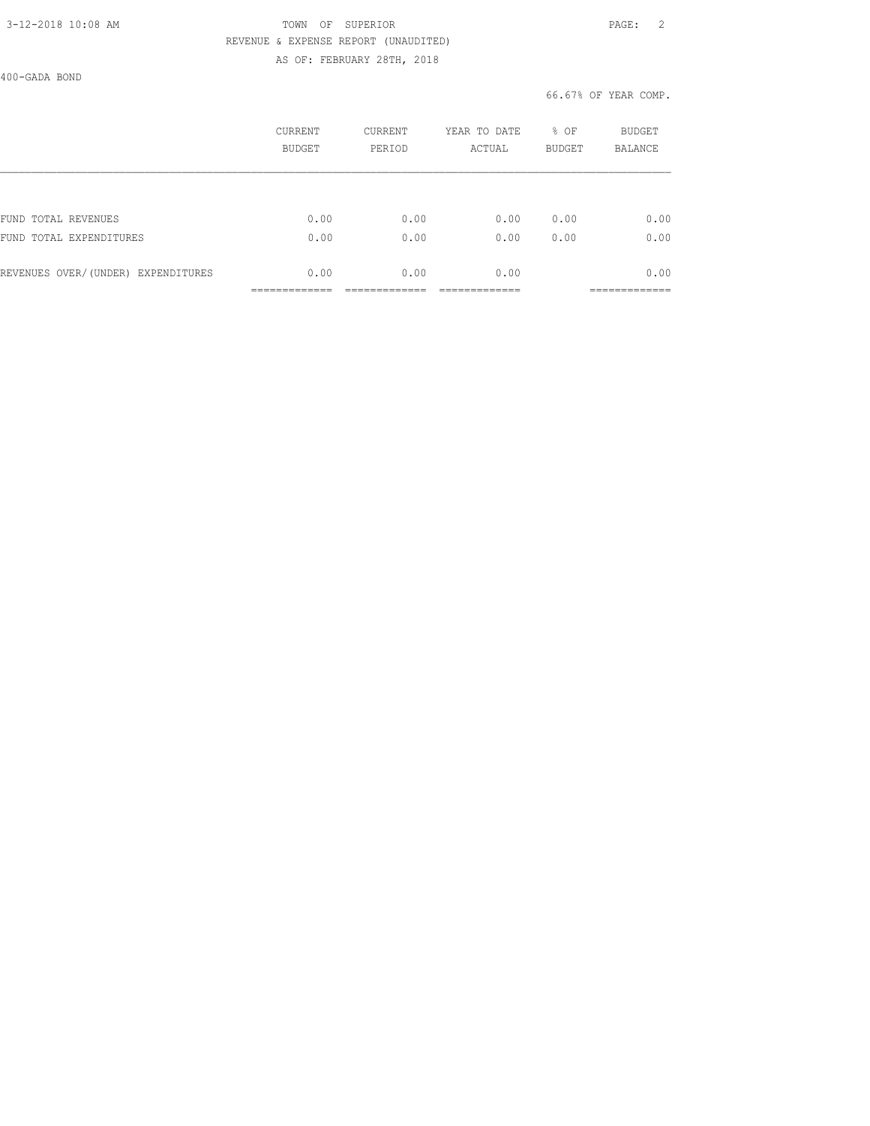### 3-12-2018 10:08 AM TOWN OF SUPERIOR PAGE: 2 REVENUE & EXPENSE REPORT (UNAUDITED) AS OF: FEBRUARY 28TH, 2018

400-GADA BOND

|                                    | CURRENT<br><b>BUDGET</b> | <b>CURRENT</b><br>PERIOD | YEAR TO DATE<br>ACTUAL | % OF<br><b>BUDGET</b> | BUDGET<br><b>BALANCE</b> |
|------------------------------------|--------------------------|--------------------------|------------------------|-----------------------|--------------------------|
|                                    |                          |                          |                        |                       |                          |
| FUND TOTAL REVENUES                | 0.00                     | 0.00                     | 0.00                   | 0.00                  | 0.00                     |
| FUND<br>TOTAL EXPENDITURES         | 0.00                     | 0.00                     | 0.00                   | 0.00                  | 0.00                     |
| REVENUES OVER/(UNDER) EXPENDITURES | 0.00                     | 0.00                     | 0.00                   |                       | 0.00                     |
|                                    |                          |                          |                        |                       | __________               |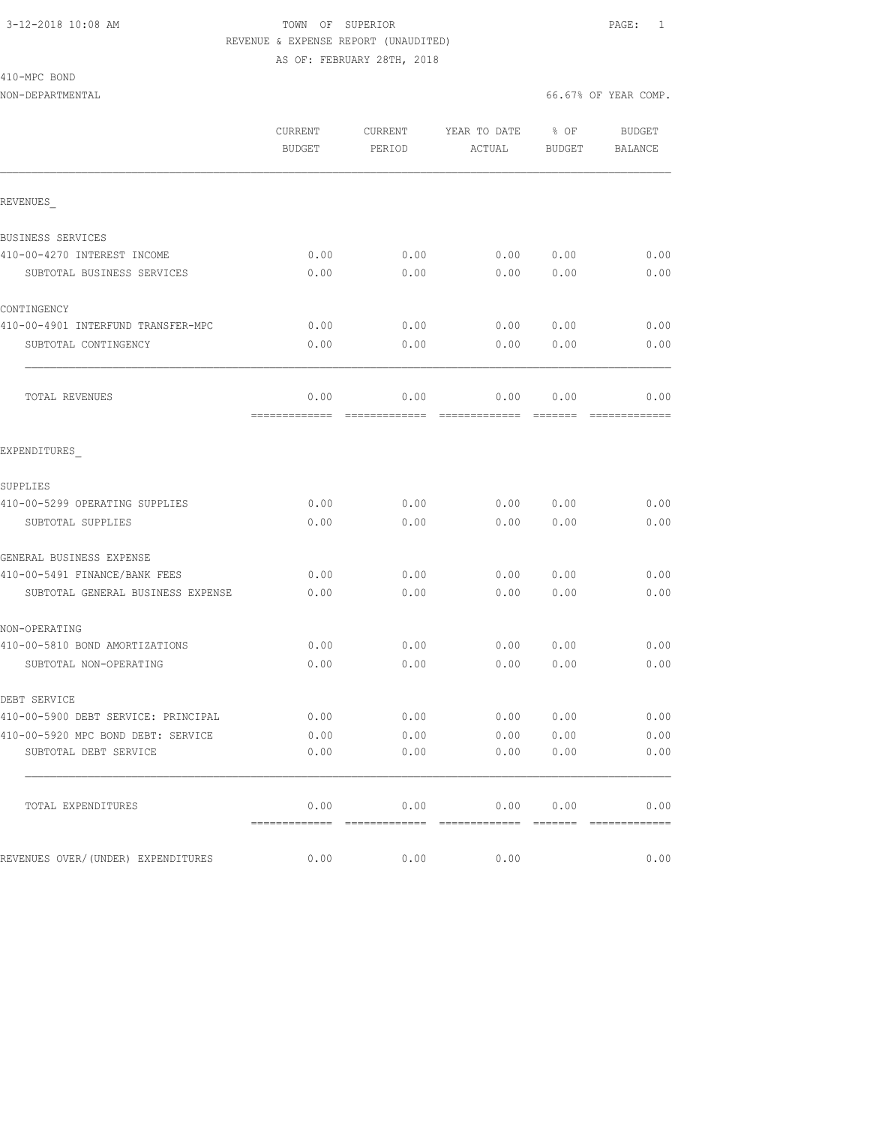410-MPC BOND

### 3-12-2018 10:08 AM TOWN OF SUPERIOR PAGE: 1 REVENUE & EXPENSE REPORT (UNAUDITED) AS OF: FEBRUARY 28TH, 2018

|                                     | CURRENT<br><b>BUDGET</b> | CURRENT<br>PERIOD     | YEAR TO DATE<br>ACTUAL                  | % OF<br><b>BUDGET</b>               | <b>BUDGET</b><br><b>BALANCE</b>                                                                                                                                                                                                                                                                                                                                                                                                                                       |
|-------------------------------------|--------------------------|-----------------------|-----------------------------------------|-------------------------------------|-----------------------------------------------------------------------------------------------------------------------------------------------------------------------------------------------------------------------------------------------------------------------------------------------------------------------------------------------------------------------------------------------------------------------------------------------------------------------|
| REVENUES                            |                          |                       |                                         |                                     |                                                                                                                                                                                                                                                                                                                                                                                                                                                                       |
| BUSINESS SERVICES                   |                          |                       |                                         |                                     |                                                                                                                                                                                                                                                                                                                                                                                                                                                                       |
| 410-00-4270 INTEREST INCOME         | 0.00                     | 0.00                  | 0.00                                    | 0.00                                | 0.00                                                                                                                                                                                                                                                                                                                                                                                                                                                                  |
| SUBTOTAL BUSINESS SERVICES          | 0.00                     | 0.00                  | 0.00                                    | 0.00                                | 0.00                                                                                                                                                                                                                                                                                                                                                                                                                                                                  |
| CONTINGENCY                         |                          |                       |                                         |                                     |                                                                                                                                                                                                                                                                                                                                                                                                                                                                       |
| 410-00-4901 INTERFUND TRANSFER-MPC  | 0.00                     | 0.00                  | 0.00                                    | 0.00                                | 0.00                                                                                                                                                                                                                                                                                                                                                                                                                                                                  |
| SUBTOTAL CONTINGENCY                | 0.00                     | 0.00                  | 0.00                                    | 0.00                                | 0.00                                                                                                                                                                                                                                                                                                                                                                                                                                                                  |
| TOTAL REVENUES                      | 0.00<br>=============    | 0.00                  | 0.00<br>=============================== | 0.00<br>$=$ $=$ $=$ $=$ $=$ $=$ $=$ | 0.00<br>$\begin{array}{c} \multicolumn{2}{c} {\textbf{2.5}} \multicolumn{2}{c} {\textbf{2.5}} \multicolumn{2}{c} {\textbf{2.5}} \multicolumn{2}{c} {\textbf{2.5}} \multicolumn{2}{c} {\textbf{2.5}} \multicolumn{2}{c} {\textbf{2.5}} \multicolumn{2}{c} {\textbf{2.5}} \multicolumn{2}{c} {\textbf{2.5}} \multicolumn{2}{c} {\textbf{2.5}} \multicolumn{2}{c} {\textbf{2.5}} \multicolumn{2}{c} {\textbf{2.5}} \multicolumn{2}{c} {\textbf{2.5}} \multicolumn{2}{c}$ |
| EXPENDITURES                        |                          |                       |                                         |                                     |                                                                                                                                                                                                                                                                                                                                                                                                                                                                       |
| SUPPLIES                            |                          |                       |                                         |                                     |                                                                                                                                                                                                                                                                                                                                                                                                                                                                       |
| 410-00-5299 OPERATING SUPPLIES      | 0.00                     | 0.00                  | 0.00                                    | 0.00                                | 0.00                                                                                                                                                                                                                                                                                                                                                                                                                                                                  |
| SUBTOTAL SUPPLIES                   | 0.00                     | 0.00                  | 0.00                                    | 0.00                                | 0.00                                                                                                                                                                                                                                                                                                                                                                                                                                                                  |
| GENERAL BUSINESS EXPENSE            |                          |                       |                                         |                                     |                                                                                                                                                                                                                                                                                                                                                                                                                                                                       |
| 410-00-5491 FINANCE/BANK FEES       | 0.00                     | 0.00                  | 0.00                                    | 0.00                                | 0.00                                                                                                                                                                                                                                                                                                                                                                                                                                                                  |
| SUBTOTAL GENERAL BUSINESS EXPENSE   | 0.00                     | 0.00                  | 0.00                                    | 0.00                                | 0.00                                                                                                                                                                                                                                                                                                                                                                                                                                                                  |
| NON-OPERATING                       |                          |                       |                                         |                                     |                                                                                                                                                                                                                                                                                                                                                                                                                                                                       |
| 410-00-5810 BOND AMORTIZATIONS      | 0.00                     | 0.00                  | 0.00                                    | 0.00                                | 0.00                                                                                                                                                                                                                                                                                                                                                                                                                                                                  |
| SUBTOTAL NON-OPERATING              | 0.00                     | 0.00                  | 0.00                                    | 0.00                                | 0.00                                                                                                                                                                                                                                                                                                                                                                                                                                                                  |
| DEBT SERVICE                        |                          |                       |                                         |                                     |                                                                                                                                                                                                                                                                                                                                                                                                                                                                       |
| 410-00-5900 DEBT SERVICE: PRINCIPAL | 0.00                     | 0.00                  | 0.00                                    | 0.00                                | 0.00                                                                                                                                                                                                                                                                                                                                                                                                                                                                  |
| 410-00-5920 MPC BOND DEBT: SERVICE  | 0.00                     | 0.00                  | 0.00                                    | 0.00                                | 0.00                                                                                                                                                                                                                                                                                                                                                                                                                                                                  |
| SUBTOTAL DEBT SERVICE               | 0.00                     | 0.00                  | 0.00                                    | 0.00                                | 0.00                                                                                                                                                                                                                                                                                                                                                                                                                                                                  |
| TOTAL EXPENDITURES                  | 0.00<br>=============    | 0.00<br>============= | 0.00<br>=============                   | 0.00<br>=======                     | 0.00                                                                                                                                                                                                                                                                                                                                                                                                                                                                  |
| REVENUES OVER/(UNDER) EXPENDITURES  | 0.00                     | 0.00                  | 0.00                                    |                                     | 0.00                                                                                                                                                                                                                                                                                                                                                                                                                                                                  |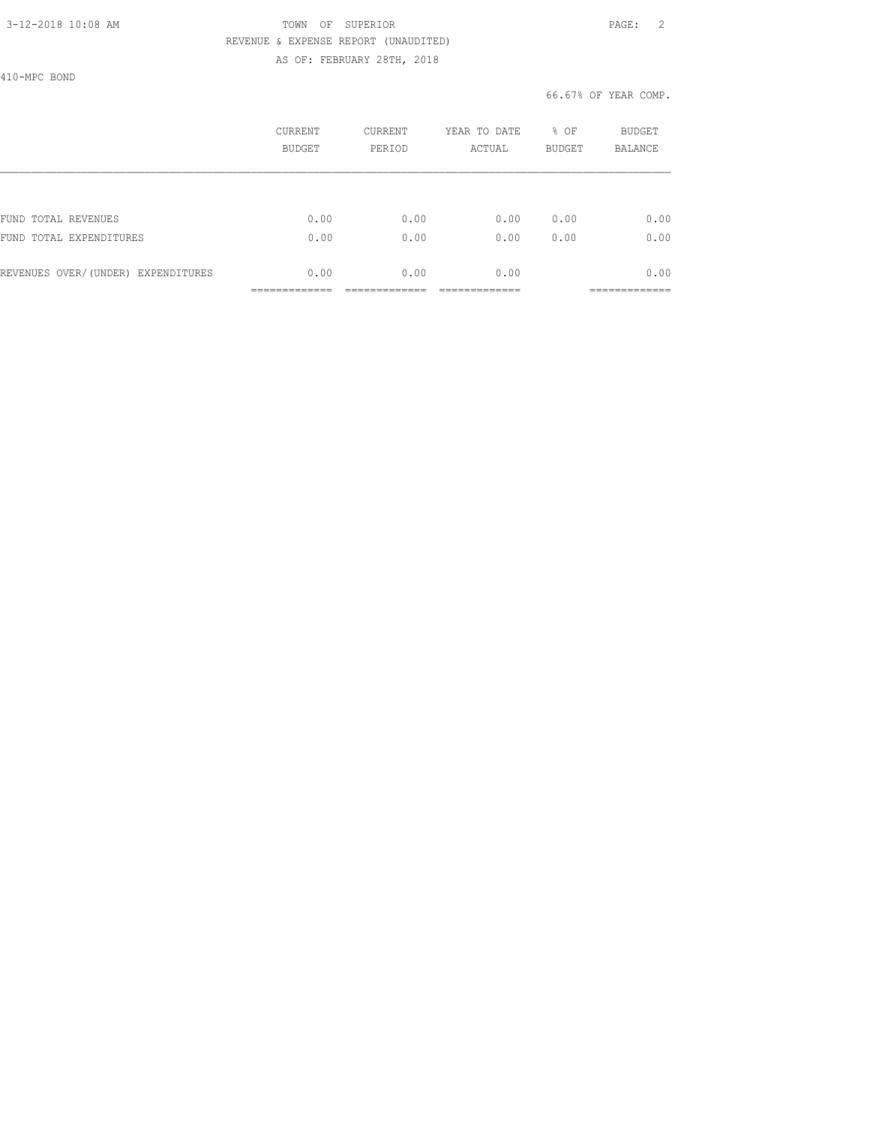### 3-12-2018 10:08 AM TOWN OF SUPERIOR PAGE: 2 REVENUE & EXPENSE REPORT (UNAUDITED) AS OF: FEBRUARY 28TH, 2018

410-MPC BOND

|                                    | CURRENT<br><b>BUDGET</b> | CURRENT<br>PERIOD | YEAR TO DATE<br>ACTUAL | % OF<br><b>BUDGET</b> | BUDGET<br><b>BALANCE</b>   |
|------------------------------------|--------------------------|-------------------|------------------------|-----------------------|----------------------------|
|                                    |                          |                   |                        |                       |                            |
| FUND TOTAL REVENUES                | 0.00                     | 0.00              | 0.00                   | 0.00                  | 0.00                       |
| FUND TOTAL EXPENDITURES            | 0.00                     | 0.00              | 0.00                   | 0.00                  | 0.00                       |
| REVENUES OVER/(UNDER) EXPENDITURES | 0.00                     | 0.00              | 0.00                   |                       | 0.00                       |
|                                    | _____________            |                   |                        |                       | ___________<br>___________ |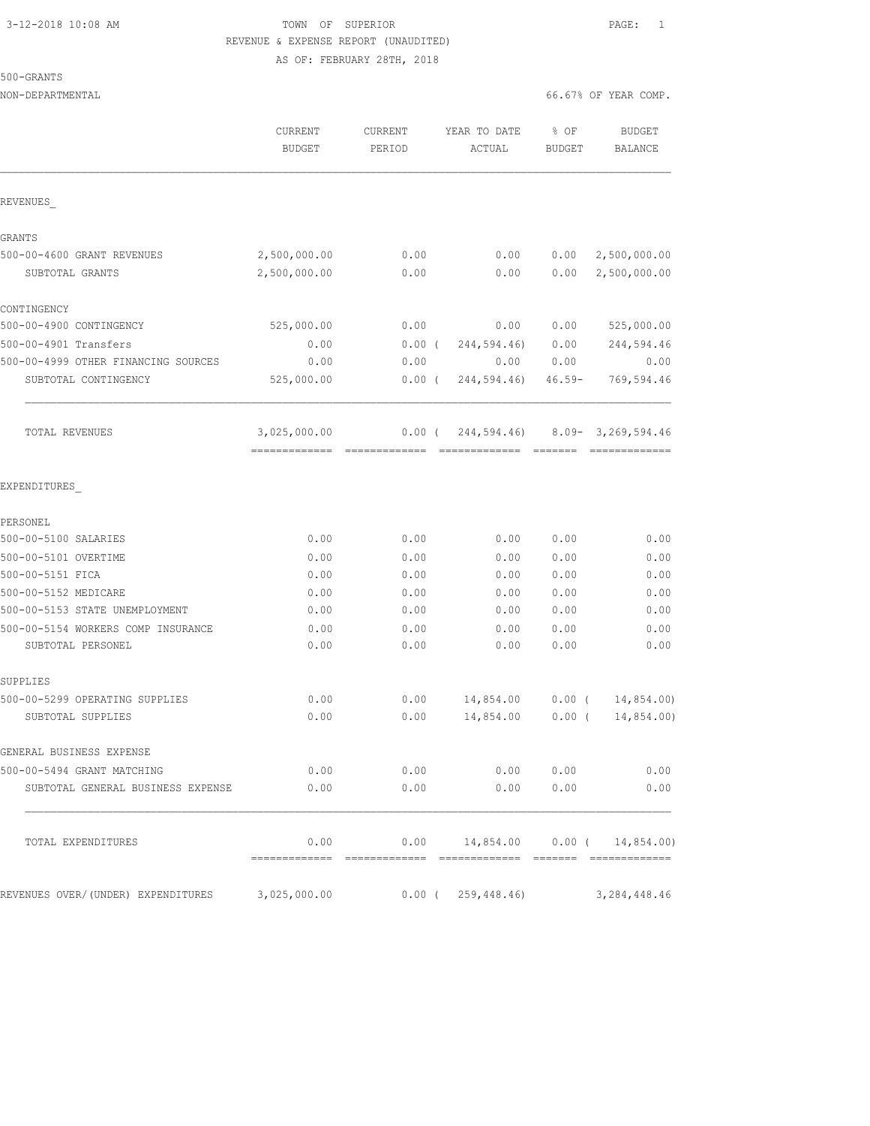### 3-12-2018 10:08 AM TOWN OF SUPERIOR PAGE: 1 REVENUE & EXPENSE REPORT (UNAUDITED) AS OF: FEBRUARY 28TH, 2018

500-GRANTS

|                                                         | CURRENT<br><b>BUDGET</b>      | <b>CURRENT</b><br>PERIOD | YEAR TO DATE<br>ACTUAL  | % OF<br><b>BUDGET</b> | <b>BUDGET</b><br>BALANCE                       |
|---------------------------------------------------------|-------------------------------|--------------------------|-------------------------|-----------------------|------------------------------------------------|
| REVENUES                                                |                               |                          |                         |                       |                                                |
| GRANTS                                                  |                               |                          |                         |                       |                                                |
| 500-00-4600 GRANT REVENUES                              | 2,500,000.00                  | 0.00                     | 0.00                    | 0.00                  | 2,500,000.00                                   |
| SUBTOTAL GRANTS                                         | 2,500,000.00                  | 0.00                     | 0.00                    | 0.00                  | 2,500,000.00                                   |
| CONTINGENCY                                             |                               |                          |                         |                       |                                                |
| 500-00-4900 CONTINGENCY                                 | 525,000.00                    | 0.00                     | 0.00                    | 0.00                  | 525,000.00                                     |
| 500-00-4901 Transfers                                   | 0.00                          | $0.00$ (                 | 244,594.46)             | 0.00                  | 244,594.46                                     |
| 500-00-4999 OTHER FINANCING SOURCES                     | 0.00                          | 0.00                     | 0.00                    | 0.00                  | 0.00                                           |
| SUBTOTAL CONTINGENCY                                    | 525,000.00                    | $0.00$ (                 | 244,594.46)             | $46.59 -$             | 769,594.46                                     |
| TOTAL REVENUES                                          | 3,025,000.00<br>------------- | $0.00$ (                 |                         |                       | 244,594.46) 8.09-3,269,594.46<br>============= |
| EXPENDITURES                                            |                               |                          |                         |                       |                                                |
| PERSONEL                                                |                               |                          |                         |                       |                                                |
| 500-00-5100 SALARIES                                    | 0.00                          | 0.00                     | 0.00                    | 0.00                  | 0.00                                           |
| 500-00-5101 OVERTIME                                    | 0.00                          | 0.00                     | 0.00                    | 0.00                  | 0.00                                           |
| 500-00-5151 FICA                                        | 0.00                          | 0.00                     | 0.00                    | 0.00                  | 0.00                                           |
| 500-00-5152 MEDICARE                                    | 0.00                          | 0.00                     | 0.00                    | 0.00                  | 0.00                                           |
| 500-00-5153 STATE UNEMPLOYMENT                          | 0.00                          | 0.00                     | 0.00                    | 0.00                  | 0.00                                           |
| 500-00-5154 WORKERS COMP INSURANCE<br>SUBTOTAL PERSONEL | 0.00<br>0.00                  | 0.00<br>0.00             | 0.00<br>0.00            | 0.00<br>0.00          | 0.00<br>0.00                                   |
| SUPPLIES                                                |                               |                          |                         |                       |                                                |
| 500-00-5299 OPERATING SUPPLIES                          | 0.00                          | 0.00                     | 14,854.00               | $0.00$ (              | 14,854.00)                                     |
| SUBTOTAL SUPPLIES                                       | 0.00                          | 0.00                     | 14,854.00               | $0.00$ (              | 14,854.00)                                     |
| GENERAL BUSINESS EXPENSE                                |                               |                          |                         |                       |                                                |
| 500-00-5494 GRANT MATCHING                              | 0.00                          | 0.00                     |                         | 0.00 0.00             | 0.00                                           |
| SUBTOTAL GENERAL BUSINESS EXPENSE                       | 0.00                          | 0.00                     |                         | 0.00 0.00             | 0.00                                           |
| TOTAL EXPENDITURES                                      | 0.00                          | 0.00                     | 14,854.00 0.00 (        |                       | 14,854.00)                                     |
| REVENUES OVER/(UNDER) EXPENDITURES                      | 3,025,000.00                  |                          | $0.00$ ( $259,448.46$ ) |                       | 3, 284, 448.46                                 |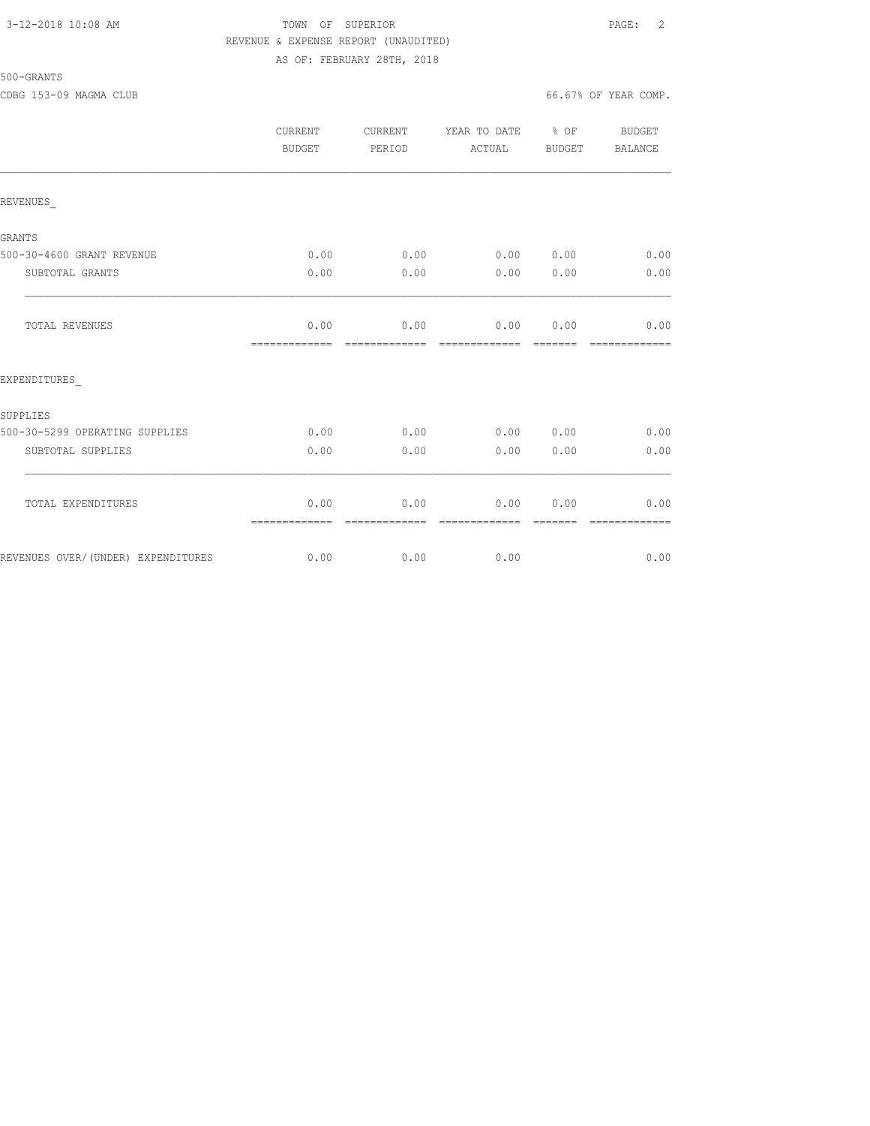### 3-12-2018 10:08 AM TOWN OF SUPERIOR PAGE: 2 REVENUE & EXPENSE REPORT (UNAUDITED) AS OF: FEBRUARY 28TH, 2018

500-GRANTS

CDBG 153-09 MAGMA CLUB 66.67% OF YEAR COMP.

|                                    | CURRENT<br><b>BUDGET</b> | CURRENT<br>PERIOD     | YEAR TO DATE % OF<br>ACTUAL | BUDGET        | BUDGET<br>BALANCE     |
|------------------------------------|--------------------------|-----------------------|-----------------------------|---------------|-----------------------|
| REVENUES                           |                          |                       |                             |               |                       |
| <b>GRANTS</b>                      |                          |                       |                             |               |                       |
| 500-30-4600 GRANT REVENUE          | 0.00                     | 0.00                  | 0.00 0.00                   |               | 0.00                  |
| SUBTOTAL GRANTS                    | 0.00                     | 0.00                  | 0.00                        | 0.00          | 0.00                  |
| TOTAL REVENUES                     | 0.00<br>-------------    | 0.00<br>============= | 0.00 0.00<br>=============  | <b>BEEFEE</b> | 0.00<br>============= |
| EXPENDITURES                       |                          |                       |                             |               |                       |
| SUPPLIES                           |                          |                       |                             |               |                       |
| 500-30-5299 OPERATING SUPPLIES     | 0.00                     | 0.00                  | 0.00 0.00                   |               | 0.00                  |
| SUBTOTAL SUPPLIES                  | 0.00                     | 0.00                  | 0.00                        | 0.00          | 0.00                  |
| TOTAL EXPENDITURES                 | 0.00<br>=============    | 0.00<br>------------- | 0.00<br>--------------      | 0.00          | 0.00                  |
| REVENUES OVER/(UNDER) EXPENDITURES | 0.00                     | 0.00                  | 0.00                        |               | 0.00                  |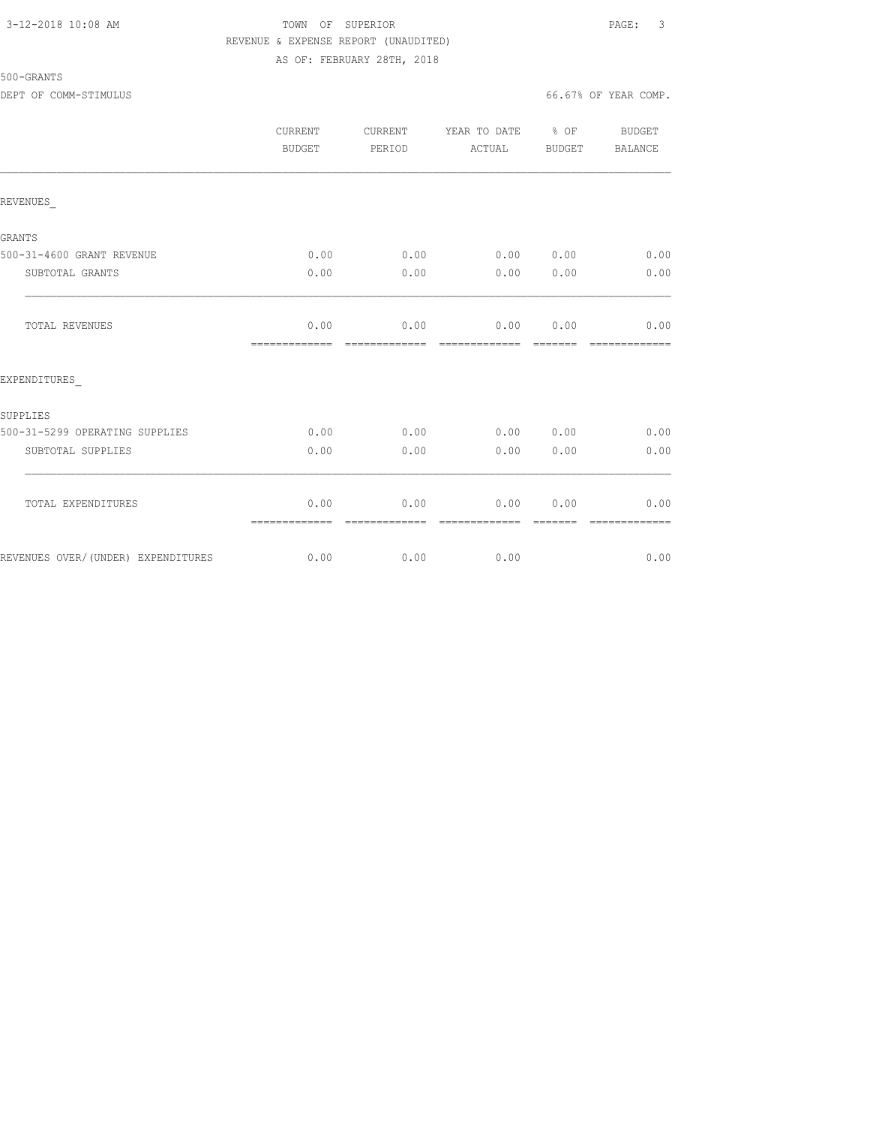### 3-12-2018 10:08 AM TOWN OF SUPERIOR PAGE: 3 REVENUE & EXPENSE REPORT (UNAUDITED) AS OF: FEBRUARY 28TH, 2018

DEPT OF COMM-STIMULUS 66.67% OF YEAR COMP.

|                                    | CURRENT<br><b>BUDGET</b> | CURRENT<br>PERIOD     | YEAR TO DATE % OF<br>ACTUAL | BUDGET | BUDGET<br>BALANCE |
|------------------------------------|--------------------------|-----------------------|-----------------------------|--------|-------------------|
| REVENUES                           |                          |                       |                             |        |                   |
| <b>GRANTS</b>                      |                          |                       |                             |        |                   |
| 500-31-4600 GRANT REVENUE          | 0.00                     | 0.00                  | 0.00 0.00                   |        | 0.00              |
| SUBTOTAL GRANTS                    | 0.00                     | 0.00                  | 0.00                        | 0.00   | 0.00              |
| TOTAL REVENUES                     | 0.00<br>=============    | 0.00<br>------------- | 0.00<br>-------------       | 0.00   | 0.00              |
| EXPENDITURES                       |                          |                       |                             |        |                   |
| SUPPLIES                           |                          |                       |                             |        |                   |
| 500-31-5299 OPERATING SUPPLIES     | 0.00                     | 0.00                  | 0.00 0.00                   |        | 0.00              |
| SUBTOTAL SUPPLIES                  | 0.00                     | 0.00                  | 0.00                        | 0.00   | 0.00              |
| TOTAL EXPENDITURES                 | 0.00<br>=============    | 0.00<br>------------- | 0.00<br>-------------       | 0.00   | 0.00              |
| REVENUES OVER/(UNDER) EXPENDITURES | 0.00                     | 0.00                  | 0.00                        |        | 0.00              |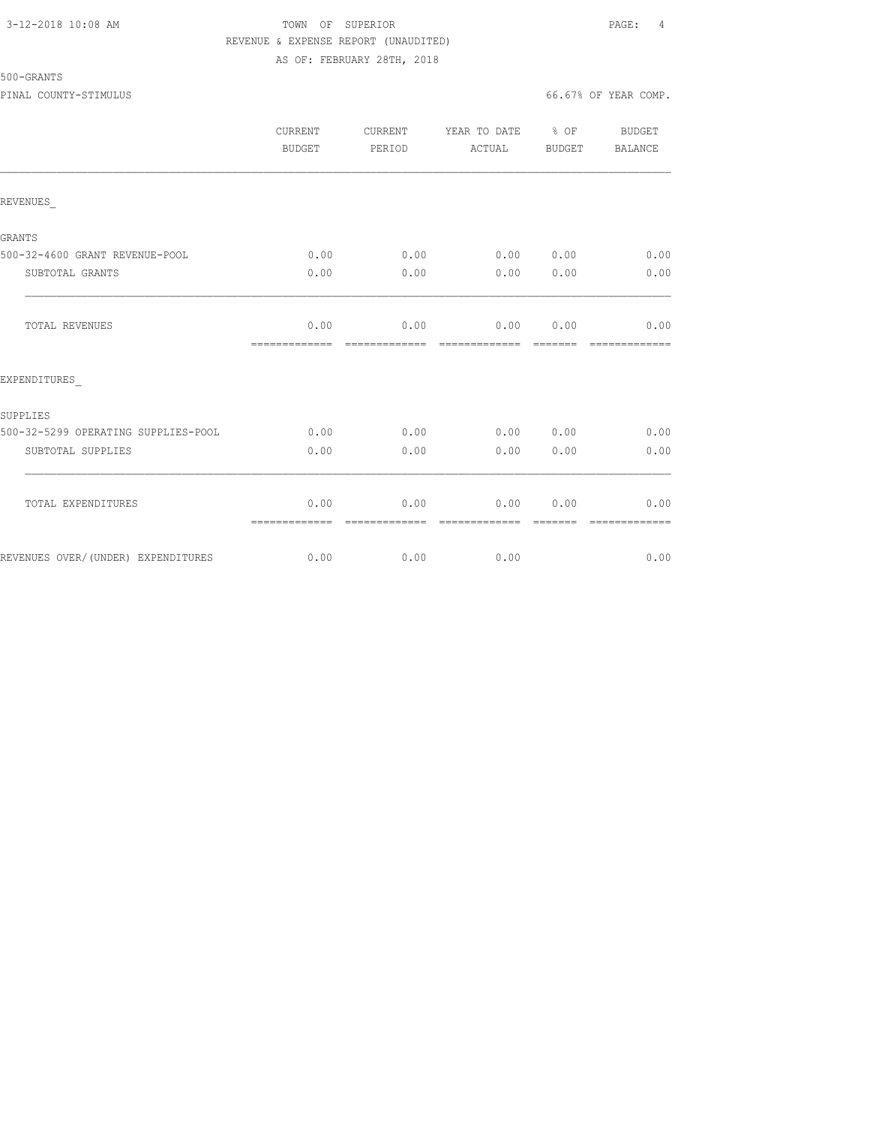### 3-12-2018 10:08 AM TOWN OF SUPERIOR PAGE: 4 REVENUE & EXPENSE REPORT (UNAUDITED) AS OF: FEBRUARY 28TH, 2018

500-GRANTS

PINAL COUNTY-STIMULUS 66.67% OF YEAR COMP.

|                                     | CURRENT<br><b>BUDGET</b> | CURRENT<br>PERIOD     | YEAR TO DATE % OF<br>ACTUAL  | BUDGET           | BUDGET<br>BALANCE      |
|-------------------------------------|--------------------------|-----------------------|------------------------------|------------------|------------------------|
| REVENUES                            |                          |                       |                              |                  |                        |
| <b>GRANTS</b>                       |                          |                       |                              |                  |                        |
| 500-32-4600 GRANT REVENUE-POOL      | 0.00                     | 0.00                  | 0.00                         | 0.00             | 0.00                   |
| SUBTOTAL GRANTS                     | 0.00                     | 0.00                  | 0.00                         | 0.00             | 0.00                   |
| <b>TOTAL REVENUES</b>               | 0.00<br>=============    | --------------        | $0.00$ 0.00<br>============= | 0.00<br>-------- | 0.00<br>-------------- |
| EXPENDITURES                        |                          |                       |                              |                  |                        |
| SUPPLIES                            |                          |                       |                              |                  |                        |
| 500-32-5299 OPERATING SUPPLIES-POOL | 0.00                     | 0.00                  | 0.00                         | 0.00             | 0.00                   |
| SUBTOTAL SUPPLIES                   | 0.00                     | 0.00                  | 0.00                         | 0.00             | 0.00                   |
| TOTAL EXPENDITURES                  | 0.00<br>=============    | 0.00<br>============= | 0.00<br>=============        | 0.00<br>=======  | 0.00<br>=============  |
| REVENUES OVER/(UNDER) EXPENDITURES  | 0.00                     | 0.00                  | 0.00                         |                  | 0.00                   |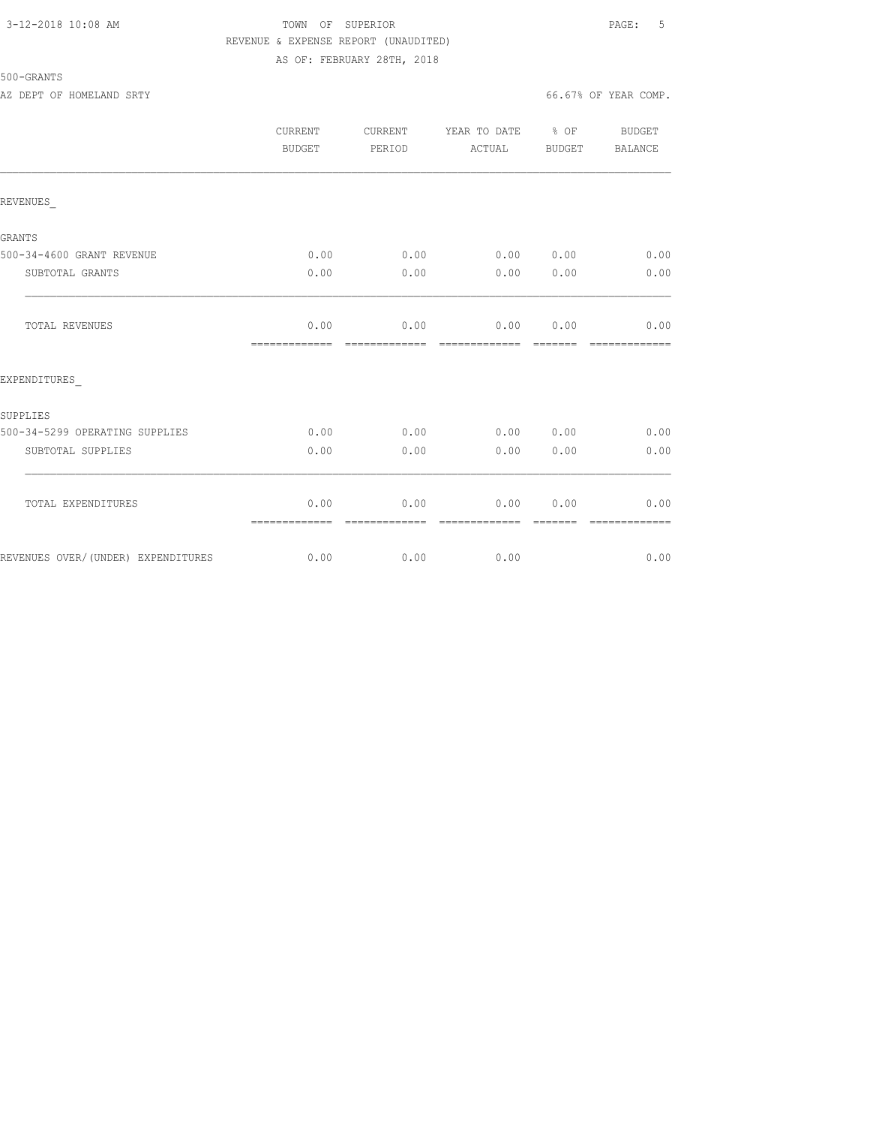### 3-12-2018 10:08 AM TOWN OF SUPERIOR PAGE: 5 REVENUE & EXPENSE REPORT (UNAUDITED) AS OF: FEBRUARY 28TH, 2018

500-GRANTS

|                                    | <b>CURRENT</b><br><b>BUDGET</b> | CURRENT<br>PERIOD | YEAR TO DATE<br>ACTUAL | $\frac{6}{6}$ OF<br><b>BUDGET</b> | <b>BUDGET</b><br>BALANCE |
|------------------------------------|---------------------------------|-------------------|------------------------|-----------------------------------|--------------------------|
| REVENUES                           |                                 |                   |                        |                                   |                          |
| GRANTS                             |                                 |                   |                        |                                   |                          |
| 500-34-4600 GRANT REVENUE          | 0.00                            | 0.00              | $0.00$ $0.00$          |                                   | 0.00                     |
| SUBTOTAL GRANTS                    | 0.00                            | 0.00              | 0.00                   | 0.00                              | 0.00                     |
| TOTAL REVENUES                     | 0.00<br>=============           | 0.00              | 0.00<br>-------------  | 0.00                              | 0.00                     |
| EXPENDITURES                       |                                 |                   |                        |                                   |                          |
| SUPPLIES                           |                                 |                   |                        |                                   |                          |
| 500-34-5299 OPERATING SUPPLIES     | 0.00                            | 0.00              | 0.00                   | 0.00                              | 0.00                     |
| SUBTOTAL SUPPLIES                  | 0.00                            | 0.00              | 0.00                   | 0.00                              | 0.00                     |
| TOTAL EXPENDITURES                 | 0.00<br>=============           | 0.00              | 0.00<br>-------------- | 0.00                              | 0.00                     |
| REVENUES OVER/(UNDER) EXPENDITURES | 0.00                            | 0.00              | 0.00                   |                                   | 0.00                     |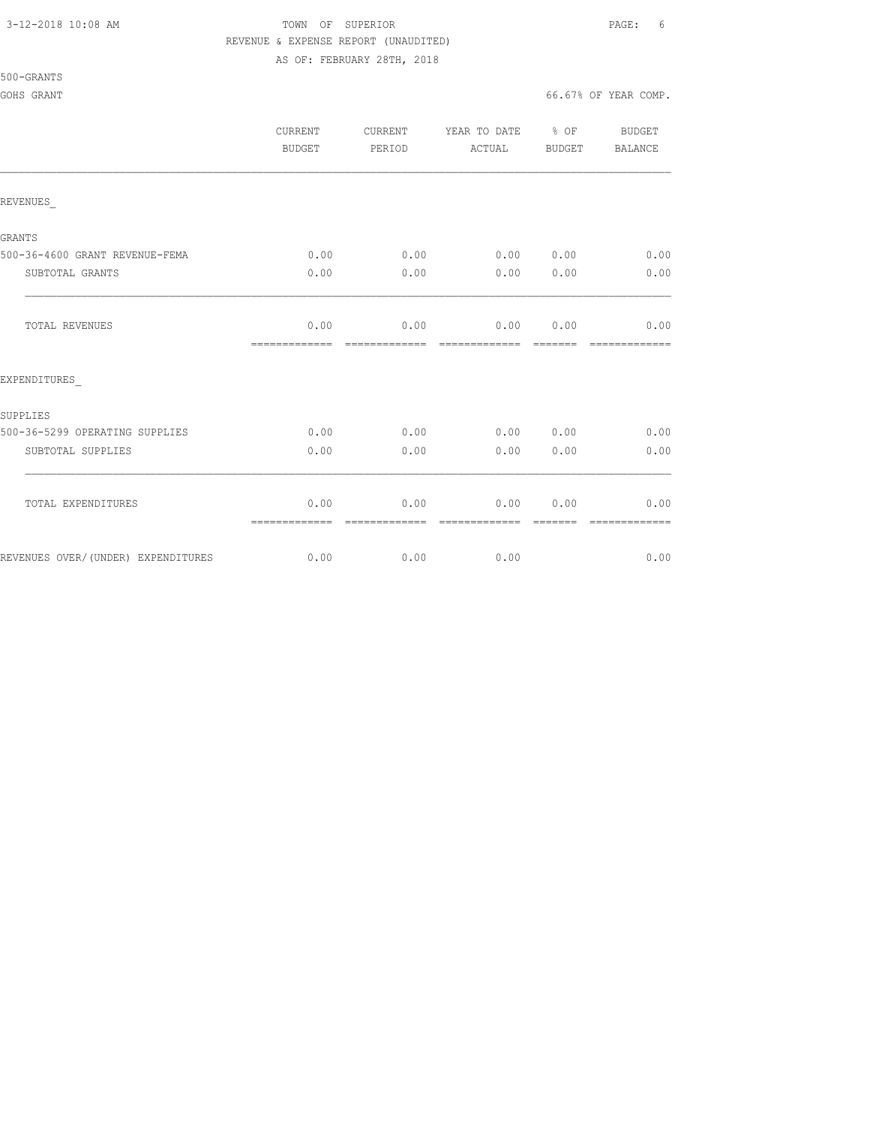500-GRANTS

## 3-12-2018 10:08 AM TOWN OF SUPERIOR PAGE: 6 REVENUE & EXPENSE REPORT (UNAUDITED)

AS OF: FEBRUARY 28TH, 2018

GOHS GRANT GOODS GOVERNMENT COMPLETE STATES OF STRAND AND SOLUTION OF STRAND GO. 67% OF YEAR COMP.

|                                    | <b>CURRENT</b><br><b>BUDGET</b> | CURRENT<br>PERIOD     | YEAR TO DATE<br>ACTUAL | $\frac{6}{6}$ OF<br>BUDGET | <b>BUDGET</b><br>BALANCE |
|------------------------------------|---------------------------------|-----------------------|------------------------|----------------------------|--------------------------|
| REVENUES                           |                                 |                       |                        |                            |                          |
| <b>GRANTS</b>                      |                                 |                       |                        |                            |                          |
| 500-36-4600 GRANT REVENUE-FEMA     | 0.00                            | 0.00                  | 0.00 0.00              |                            | 0.00                     |
| SUBTOTAL GRANTS                    | 0.00                            | 0.00                  | 0.00                   | 0.00                       | 0.00                     |
| <b>TOTAL REVENUES</b>              | 0.00<br>=============           | 0.00                  | 0.00<br>=============  | 0.00<br>=======            | 0.00<br>=====            |
| EXPENDITURES                       |                                 |                       |                        |                            |                          |
| SUPPLIES                           |                                 |                       |                        |                            |                          |
| 500-36-5299 OPERATING SUPPLIES     | 0.00                            | 0.00                  | 0.00                   | 0.00                       | 0.00                     |
| SUBTOTAL SUPPLIES                  | 0.00                            | 0.00                  | 0.00                   | 0.00                       | 0.00                     |
| TOTAL EXPENDITURES                 | 0.00                            | 0.00<br>------------- | 0.00<br>-------------- | 0.00<br>-------            | 0.00<br>-------------    |
| REVENUES OVER/(UNDER) EXPENDITURES | 0.00                            | 0.00                  | 0.00                   |                            | 0.00                     |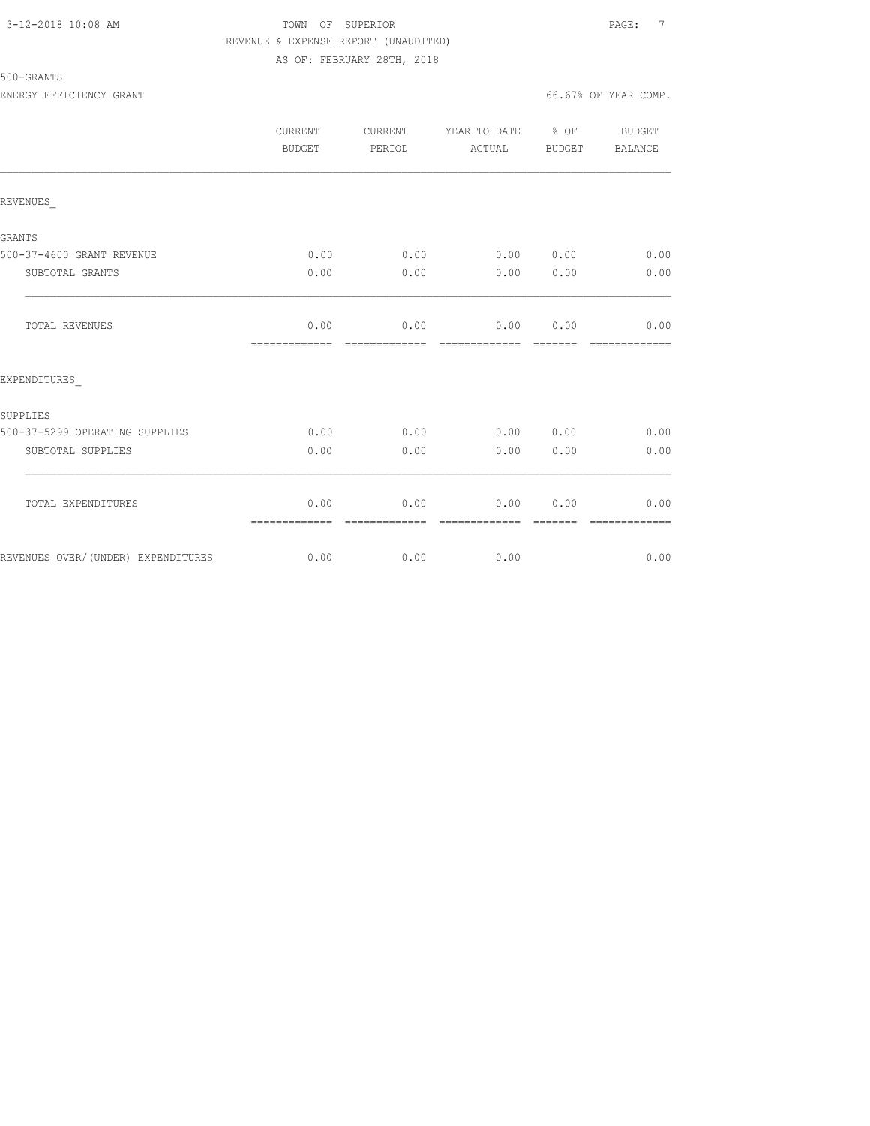### 3-12-2018 10:08 AM TOWN OF SUPERIOR PAGE: 7 REVENUE & EXPENSE REPORT (UNAUDITED) AS OF: FEBRUARY 28TH, 2018

|                                    | <b>CURRENT</b><br><b>BUDGET</b> | CURRENT<br>PERIOD      | YEAR TO DATE % OF<br>ACTUAL     | <b>BUDGET</b> | <b>BUDGET</b><br>BALANCE |
|------------------------------------|---------------------------------|------------------------|---------------------------------|---------------|--------------------------|
| REVENUES                           |                                 |                        |                                 |               |                          |
| <b>GRANTS</b>                      |                                 |                        |                                 |               |                          |
| 500-37-4600 GRANT REVENUE          | 0.00                            | 0.00                   | 0.00 0.00                       |               | 0.00                     |
| SUBTOTAL GRANTS                    | 0.00                            | 0.00                   | 0.00                            | 0.00          | 0.00                     |
| TOTAL REVENUES                     | 0.00<br>=============           | 0.00<br>-------------- | $0.00$ $0.00$<br>-------------- |               | 0.00<br>=============    |
| EXPENDITURES                       |                                 |                        |                                 |               |                          |
| SUPPLIES                           |                                 |                        |                                 |               |                          |
| 500-37-5299 OPERATING SUPPLIES     | 0.00                            | 0.00                   | 0.00 0.00                       |               | 0.00                     |
| SUBTOTAL SUPPLIES                  | 0.00                            | 0.00                   | 0.00                            | 0.00          | 0.00                     |
| TOTAL EXPENDITURES                 | 0.00<br>=============           | 0.00                   | 0.00<br>-------------           | 0.00          | 0.00                     |
| REVENUES OVER/(UNDER) EXPENDITURES | 0.00                            | 0.00                   | 0.00                            |               | 0.00                     |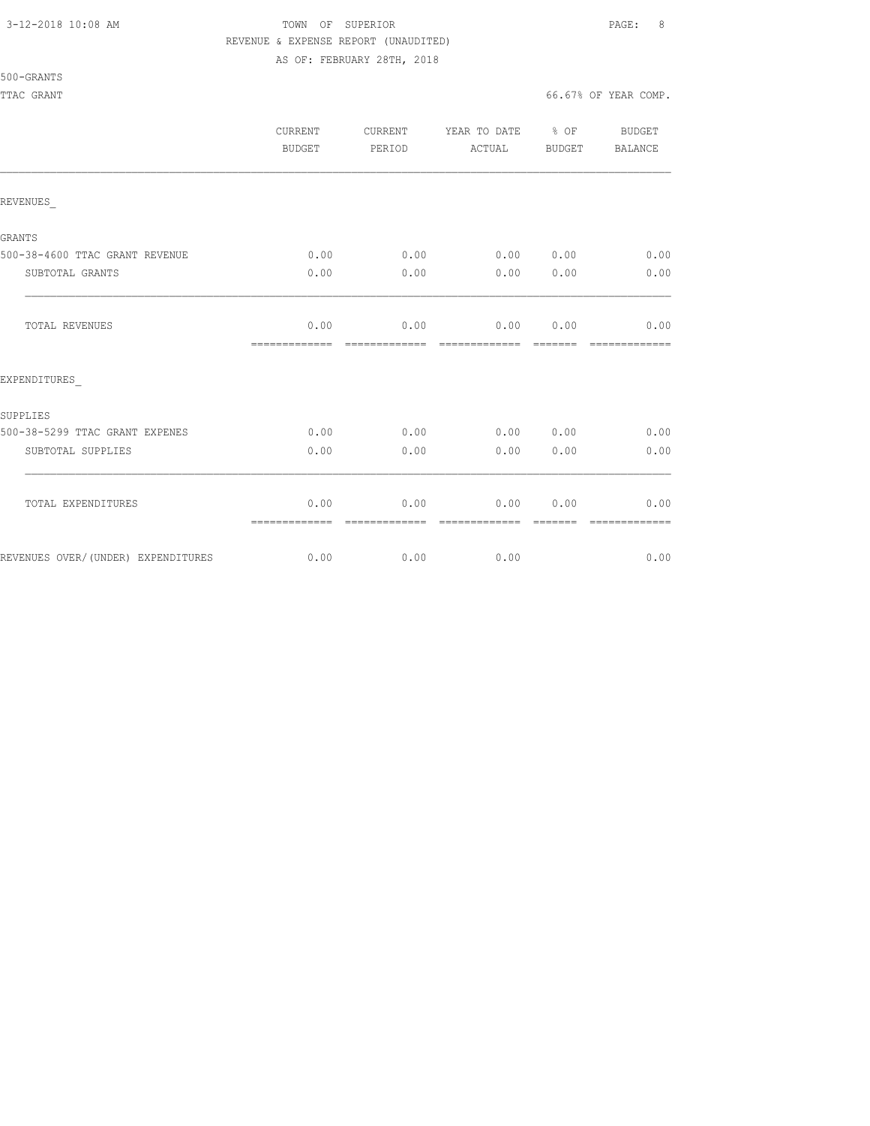## 3-12-2018 10:08 AM TOWN OF SUPERIOR PAGE: 8 REVENUE & EXPENSE REPORT (UNAUDITED)

AS OF: FEBRUARY 28TH, 2018

|                                    | CURRENT<br>BUDGET     | CURRENT<br>PERIOD      | YEAR TO DATE % OF<br>ACTUAL    | BUDGET        | BUDGET<br>BALANCE      |
|------------------------------------|-----------------------|------------------------|--------------------------------|---------------|------------------------|
| REVENUES                           |                       |                        |                                |               |                        |
| GRANTS                             |                       |                        |                                |               |                        |
| 500-38-4600 TTAC GRANT REVENUE     | 0.00                  | 0.00                   | 0.00 0.00                      |               | 0.00                   |
| SUBTOTAL GRANTS                    | 0.00                  | 0.00                   | 0.00                           | 0.00          | 0.00                   |
| TOTAL REVENUES                     | 0.00<br>============= | 0.00<br>=============  | $0.00$ $0.00$<br>============= | <b>BEBEER</b> | 0.00<br>=============  |
| EXPENDITURES                       |                       |                        |                                |               |                        |
| SUPPLIES                           |                       |                        |                                |               |                        |
| 500-38-5299 TTAC GRANT EXPENES     | 0.00                  | 0.00                   | 0.00 0.00                      |               | 0.00                   |
| SUBTOTAL SUPPLIES                  | 0.00                  | 0.00                   | 0.00                           | 0.00          | 0.00                   |
| TOTAL EXPENDITURES                 | 0.00                  | 0.00<br>-------------- | 0.00<br>--------------         | 0.00          | 0.00<br>-------------- |
| REVENUES OVER/(UNDER) EXPENDITURES | =============<br>0.00 | 0.00                   | 0.00                           |               | 0.00                   |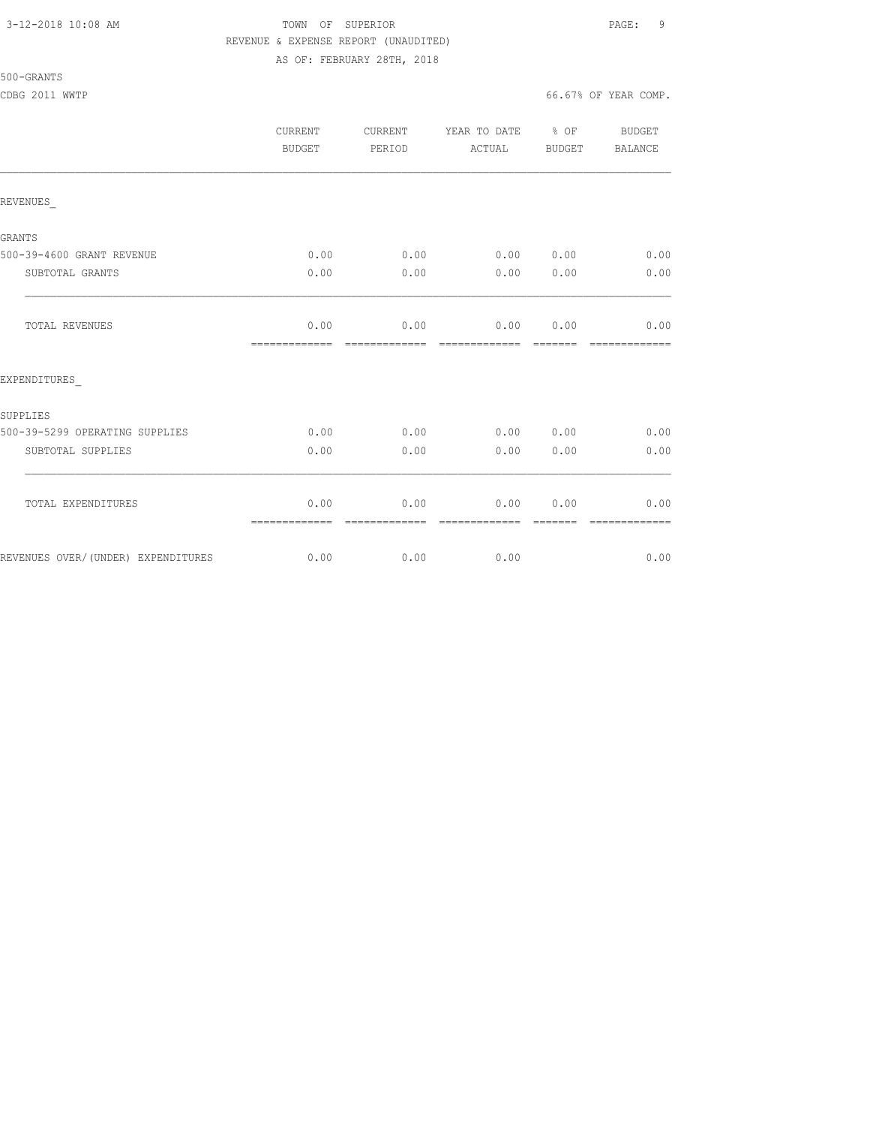## 3-12-2018 10:08 AM TOWN OF SUPERIOR PAGE: 9 REVENUE & EXPENSE REPORT (UNAUDITED) AS OF: FEBRUARY 28TH, 2018

|                                    | <b>CURRENT</b><br><b>BUDGET</b> | CURRENT<br>PERIOD     | YEAR TO DATE % OF<br>ACTUAL | BUDGET | BUDGET<br>BALANCE |
|------------------------------------|---------------------------------|-----------------------|-----------------------------|--------|-------------------|
| REVENUES                           |                                 |                       |                             |        |                   |
| GRANTS                             |                                 |                       |                             |        |                   |
| 500-39-4600 GRANT REVENUE          | 0.00                            | 0.00                  | 0.00 0.00                   |        | 0.00              |
| SUBTOTAL GRANTS                    | 0.00                            | 0.00                  | 0.00                        | 0.00   | 0.00              |
| TOTAL REVENUES                     | 0.00<br>=============           | 0.00                  | 0.00<br>-------------       | 0.00   | 0.00              |
| EXPENDITURES                       |                                 |                       |                             |        |                   |
| SUPPLIES                           |                                 |                       |                             |        |                   |
| 500-39-5299 OPERATING SUPPLIES     | 0.00                            | 0.00                  | 0.00                        | 0.00   | 0.00              |
| SUBTOTAL SUPPLIES                  | 0.00                            | 0.00                  | 0.00                        | 0.00   | 0.00              |
| TOTAL EXPENDITURES                 | 0.00<br>=============           | 0.00<br>------------- | 0.00<br>--------------      | 0.00   | 0.00              |
| REVENUES OVER/(UNDER) EXPENDITURES | 0.00                            | 0.00                  | 0.00                        |        | 0.00              |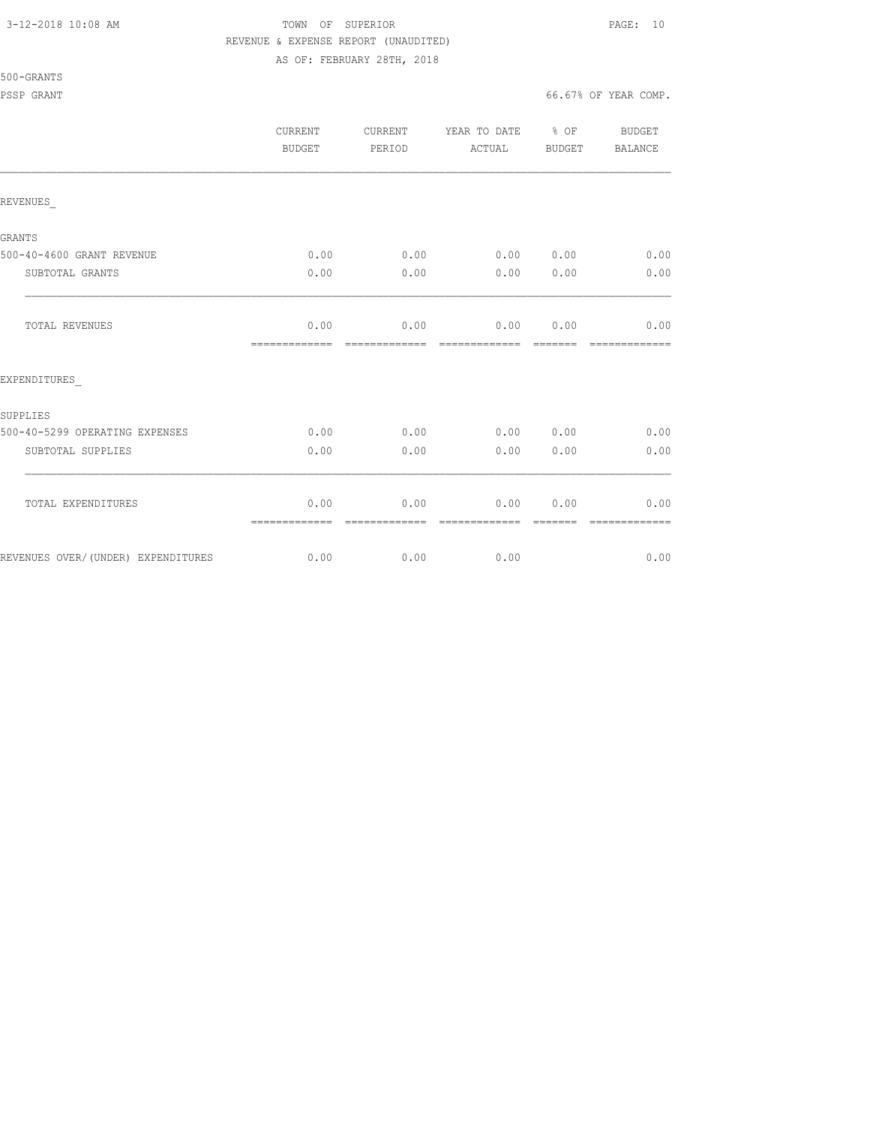500-GRANTS

## 3-12-2018 10:08 AM TOWN OF SUPERIOR PAGE: 10 REVENUE & EXPENSE REPORT (UNAUDITED)

AS OF: FEBRUARY 28TH, 2018

PSSP GRANT GONE COMP. THE SERVICE OF SERVICE SERVICE SERVICE OF SERVICE SERVICE SERVICE SERVICE SERVICE SERVICE SERVICE SERVICE SERVICE SERVICE SERVICE SERVICE SERVICE SERVICE SERVICE SERVICE SERVICE SERVICE SERVICE SERVIC

|                                    | <b>CURRENT</b><br>BUDGET | CURRENT<br>PERIOD      | YEAR TO DATE<br>ACTUAL | $8$ OF<br>BUDGET | <b>BUDGET</b><br>BALANCE |
|------------------------------------|--------------------------|------------------------|------------------------|------------------|--------------------------|
| REVENUES                           |                          |                        |                        |                  |                          |
| GRANTS                             |                          |                        |                        |                  |                          |
| 500-40-4600 GRANT REVENUE          | 0.00                     | 0.00                   | 0.00 0.00              |                  | 0.00                     |
| SUBTOTAL GRANTS                    | 0.00                     | 0.00                   | 0.00                   | 0.00             | 0.00                     |
| TOTAL REVENUES                     | 0.00<br>=============    | 0.00<br>-------------- | 0.00<br>-------------- | 0.00<br>-------- | 0.00                     |
| EXPENDITURES                       |                          |                        |                        |                  |                          |
| <b>SUPPLIES</b>                    |                          |                        |                        |                  |                          |
| 500-40-5299 OPERATING EXPENSES     | 0.00                     | 0.00                   | 0.00                   | 0.00             | 0.00                     |
| SUBTOTAL SUPPLIES                  | 0.00                     | 0.00                   | 0.00                   | 0.00             | 0.00                     |
| TOTAL EXPENDITURES                 | 0.00                     | 0.00<br>-------------- | 0.00<br>=============  | 0.00<br>-------- | 0.00<br>=============    |
| REVENUES OVER/(UNDER) EXPENDITURES | 0.00                     | 0.00                   | 0.00                   |                  | 0.00                     |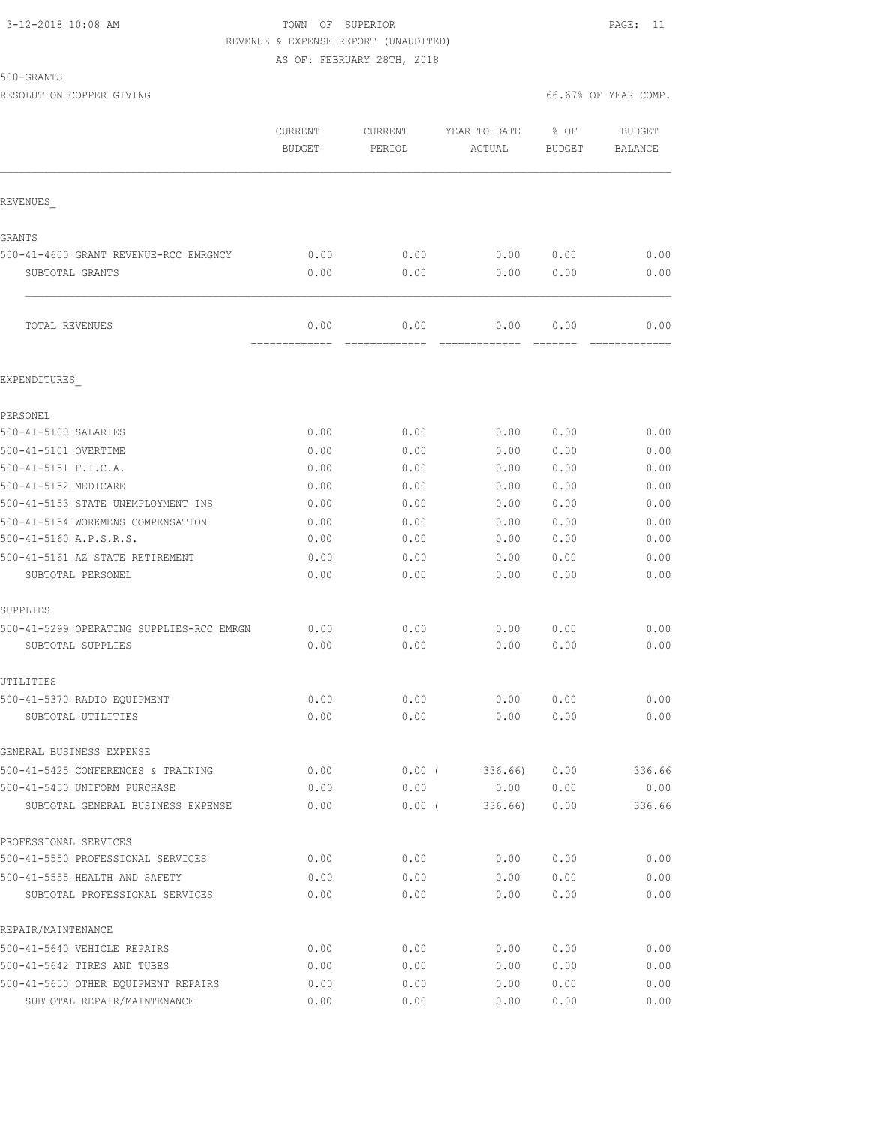## 3-12-2018 10:08 AM TOWN OF SUPERIOR PAGE: 11 REVENUE & EXPENSE REPORT (UNAUDITED)

AS OF: FEBRUARY 28TH, 2018

500-GRANTS

RESOLUTION COPPER GIVING **EXECUTE A** COMP. THE SOLUTION COPPER GIVING  $66.67$ % OF YEAR COMP.

|                                          | CURRENT<br><b>BUDGET</b> | CURRENT<br>PERIOD     | YEAR TO DATE<br>ACTUAL | % OF<br><b>BUDGET</b> | <b>BUDGET</b><br><b>BALANCE</b> |
|------------------------------------------|--------------------------|-----------------------|------------------------|-----------------------|---------------------------------|
| REVENUES                                 |                          |                       |                        |                       |                                 |
| GRANTS                                   |                          |                       |                        |                       |                                 |
| 500-41-4600 GRANT REVENUE-RCC EMRGNCY    | 0.00                     | 0.00                  | 0.00                   | 0.00                  | 0.00                            |
| SUBTOTAL GRANTS                          | 0.00                     | 0.00                  | 0.00                   | 0.00                  | 0.00                            |
| TOTAL REVENUES                           | 0.00<br>=============    | 0.00<br>============= | 0.00<br>=============  | 0.00<br>=======       | 0.00                            |
| EXPENDITURES                             |                          |                       |                        |                       |                                 |
| PERSONEL                                 |                          |                       |                        |                       |                                 |
| 500-41-5100 SALARIES                     | 0.00                     | 0.00                  | 0.00                   | 0.00                  | 0.00                            |
| 500-41-5101 OVERTIME                     | 0.00                     | 0.00                  | 0.00                   | 0.00                  | 0.00                            |
| 500-41-5151 F.I.C.A.                     | 0.00                     | 0.00                  | 0.00                   | 0.00                  | 0.00                            |
| 500-41-5152 MEDICARE                     | 0.00                     | 0.00                  | 0.00                   | 0.00                  | 0.00                            |
| 500-41-5153 STATE UNEMPLOYMENT INS       | 0.00                     | 0.00                  | 0.00                   | 0.00                  | 0.00                            |
| 500-41-5154 WORKMENS COMPENSATION        | 0.00                     | 0.00                  | 0.00                   | 0.00                  | 0.00                            |
| 500-41-5160 A.P.S.R.S.                   | 0.00                     | 0.00                  | 0.00                   | 0.00                  | 0.00                            |
| 500-41-5161 AZ STATE RETIREMENT          | 0.00                     | 0.00                  | 0.00                   | 0.00                  | 0.00                            |
| SUBTOTAL PERSONEL                        | 0.00                     | 0.00                  | 0.00                   | 0.00                  | 0.00                            |
| SUPPLIES                                 |                          |                       |                        |                       |                                 |
| 500-41-5299 OPERATING SUPPLIES-RCC EMRGN | 0.00                     | 0.00                  | 0.00                   | 0.00                  | 0.00                            |
| SUBTOTAL SUPPLIES                        | 0.00                     | 0.00                  | 0.00                   | 0.00                  | 0.00                            |
| UTILITIES                                |                          |                       |                        |                       |                                 |
| 500-41-5370 RADIO EQUIPMENT              | 0.00                     | 0.00                  | 0.00                   | 0.00                  | 0.00                            |
| SUBTOTAL UTILITIES                       | 0.00                     | 0.00                  | 0.00                   | 0.00                  | 0.00                            |
| GENERAL BUSINESS EXPENSE                 |                          |                       |                        |                       |                                 |
| 500-41-5425 CONFERENCES & TRAINING       | 0.00                     | $0.00$ (              | 336.66)                | 0.00                  | 336.66                          |
| 500-41-5450 UNIFORM PURCHASE             | 0.00                     | 0.00                  | 0.00                   | 0.00                  | 0.00                            |
| SUBTOTAL GENERAL BUSINESS EXPENSE        | 0.00                     | $0.00$ (              | 336.66)                | 0.00                  | 336.66                          |
| PROFESSIONAL SERVICES                    |                          |                       |                        |                       |                                 |
| 500-41-5550 PROFESSIONAL SERVICES        | 0.00                     | 0.00                  | 0.00                   | 0.00                  | 0.00                            |
| 500-41-5555 HEALTH AND SAFETY            | 0.00                     | 0.00                  | 0.00                   | 0.00                  | 0.00                            |
| SUBTOTAL PROFESSIONAL SERVICES           | 0.00                     | 0.00                  | 0.00                   | 0.00                  | 0.00                            |
| REPAIR/MAINTENANCE                       |                          |                       |                        |                       |                                 |
| 500-41-5640 VEHICLE REPAIRS              | 0.00                     | 0.00                  | 0.00                   | 0.00                  | 0.00                            |
| 500-41-5642 TIRES AND TUBES              | 0.00                     | 0.00                  | 0.00                   | 0.00                  | 0.00                            |
| 500-41-5650 OTHER EQUIPMENT REPAIRS      | 0.00                     | 0.00                  | 0.00                   | 0.00                  | 0.00                            |
| SUBTOTAL REPAIR/MAINTENANCE              | 0.00                     | 0.00                  | 0.00                   | 0.00                  | 0.00                            |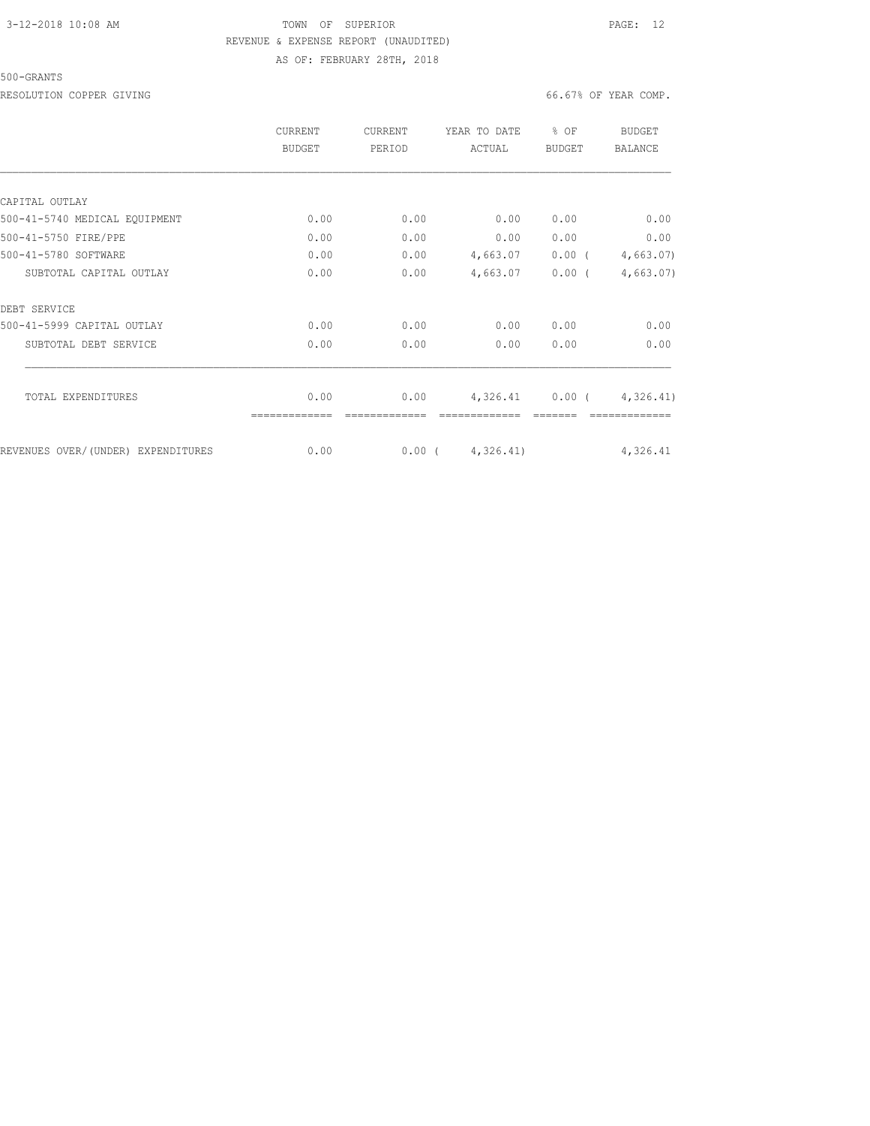## 3-12-2018 10:08 AM TOWN OF SUPERIOR PAGE: 12 REVENUE & EXPENSE REPORT (UNAUDITED)

AS OF: FEBRUARY 28TH, 2018

500-GRANTS

RESOLUTION COPPER GIVING **EXECUTE A** COMP.

|                                    | CURRENT<br>BUDGET | <b>CURRENT</b><br>PERIOD | YEAR TO DATE<br>ACTUAL | % OF<br><b>BUDGET</b> | BUDGET<br><b>BALANCE</b> |
|------------------------------------|-------------------|--------------------------|------------------------|-----------------------|--------------------------|
|                                    |                   |                          |                        |                       |                          |
| CAPITAL OUTLAY                     |                   |                          |                        |                       |                          |
| 500-41-5740 MEDICAL EQUIPMENT      | 0.00              | 0.00                     | 0.00                   | 0.00                  | 0.00                     |
| 500-41-5750 FIRE/PPE               | 0.00              | 0.00                     | 0.00                   | 0.00                  | 0.00                     |
| 500-41-5780 SOFTWARE               | 0.00              | 0.00                     | 4,663.07               | $0.00$ (              | 4,663.07                 |
| SUBTOTAL CAPITAL OUTLAY            | 0.00              | 0.00                     | 4,663.07               | $0.00$ (              | 4,663.07                 |
| DEBT SERVICE                       |                   |                          |                        |                       |                          |
| 500-41-5999 CAPITAL OUTLAY         | 0.00              | 0.00                     | 0.00                   | 0.00                  | 0.00                     |
| SUBTOTAL DEBT SERVICE              | 0.00              | 0.00                     | 0.00                   | 0.00                  | 0.00                     |
| TOTAL EXPENDITURES                 | 0.00              | 0.00                     | 4,326.41               |                       | $0.00$ ( $4,326.41$ )    |
| REVENUES OVER/(UNDER) EXPENDITURES | 0.00              | $0.00$ (                 | 4,326.41)              |                       | 4,326.41                 |
|                                    |                   |                          |                        |                       |                          |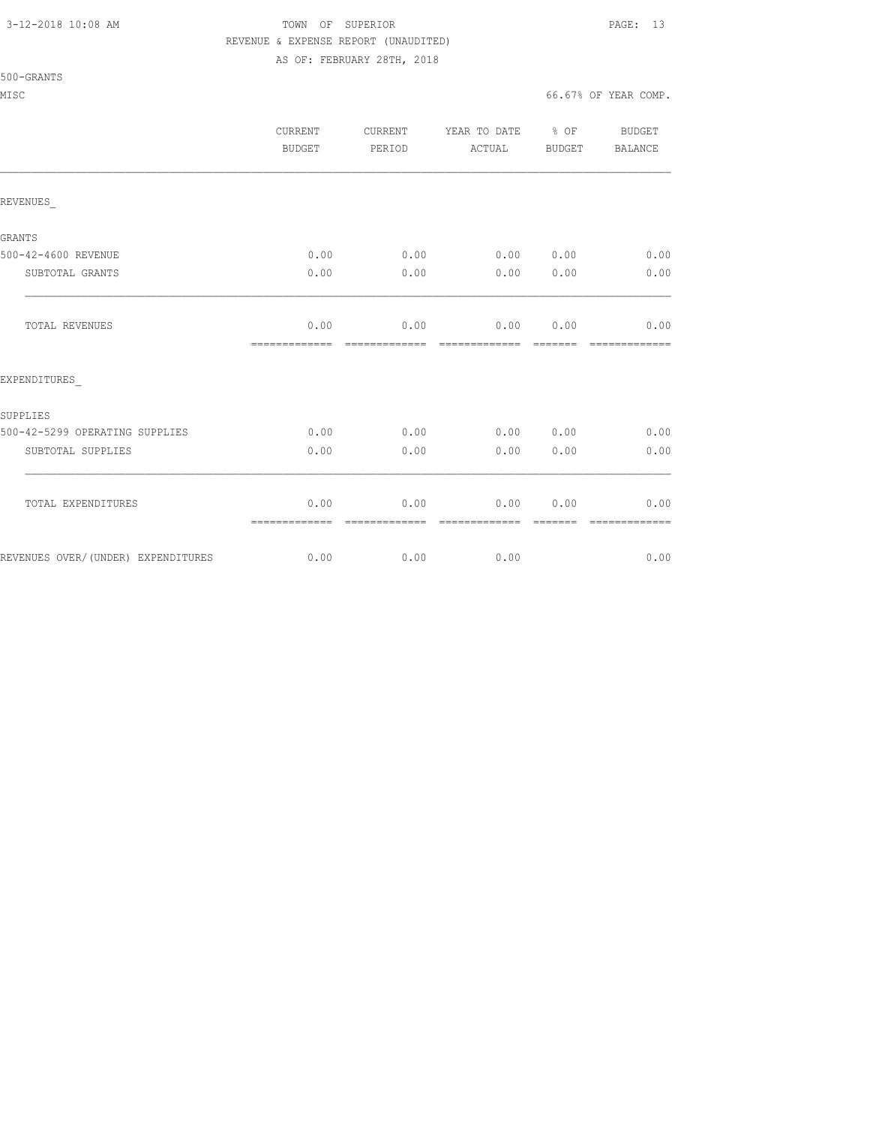## 3-12-2018 10:08 AM TOWN OF SUPERIOR PAGE: 13 REVENUE & EXPENSE REPORT (UNAUDITED)

AS OF: FEBRUARY 28TH, 2018

|                                    | CURRENT<br><b>BUDGET</b> | CURRENT<br>PERIOD     | YEAR TO DATE % OF<br>ACTUAL                                                                                                                                                                                                                                                                                                                                                                                                                                                                    | BUDGET                                                                                                                                                                                                                                                                                                                                                                                                                                                                                       | <b>BUDGET</b><br><b>BALANCE</b> |
|------------------------------------|--------------------------|-----------------------|------------------------------------------------------------------------------------------------------------------------------------------------------------------------------------------------------------------------------------------------------------------------------------------------------------------------------------------------------------------------------------------------------------------------------------------------------------------------------------------------|----------------------------------------------------------------------------------------------------------------------------------------------------------------------------------------------------------------------------------------------------------------------------------------------------------------------------------------------------------------------------------------------------------------------------------------------------------------------------------------------|---------------------------------|
| REVENUES                           |                          |                       |                                                                                                                                                                                                                                                                                                                                                                                                                                                                                                |                                                                                                                                                                                                                                                                                                                                                                                                                                                                                              |                                 |
| GRANTS                             |                          |                       |                                                                                                                                                                                                                                                                                                                                                                                                                                                                                                |                                                                                                                                                                                                                                                                                                                                                                                                                                                                                              |                                 |
| 500-42-4600 REVENUE                | 0.00                     | 0.00                  | 0.00                                                                                                                                                                                                                                                                                                                                                                                                                                                                                           | 0.00                                                                                                                                                                                                                                                                                                                                                                                                                                                                                         | 0.00                            |
| SUBTOTAL GRANTS                    | 0.00                     | 0.00                  | 0.00                                                                                                                                                                                                                                                                                                                                                                                                                                                                                           | 0.00                                                                                                                                                                                                                                                                                                                                                                                                                                                                                         | 0.00                            |
| TOTAL REVENUES                     | 0.00<br>-------------    | 0.00<br>============= | 0.00<br>$\begin{array}{cccccccccc} \multicolumn{2}{c}{} & \multicolumn{2}{c}{} & \multicolumn{2}{c}{} & \multicolumn{2}{c}{} & \multicolumn{2}{c}{} & \multicolumn{2}{c}{} & \multicolumn{2}{c}{} & \multicolumn{2}{c}{} & \multicolumn{2}{c}{} & \multicolumn{2}{c}{} & \multicolumn{2}{c}{} & \multicolumn{2}{c}{} & \multicolumn{2}{c}{} & \multicolumn{2}{c}{} & \multicolumn{2}{c}{} & \multicolumn{2}{c}{} & \multicolumn{2}{c}{} & \multicolumn{2}{c}{} & \multicolumn{2}{c}{} & \mult$ | 0.00<br>$\begin{array}{cccccc} \multicolumn{2}{c}{} & \multicolumn{2}{c}{} & \multicolumn{2}{c}{} & \multicolumn{2}{c}{} & \multicolumn{2}{c}{} & \multicolumn{2}{c}{} & \multicolumn{2}{c}{} & \multicolumn{2}{c}{} & \multicolumn{2}{c}{} & \multicolumn{2}{c}{} & \multicolumn{2}{c}{} & \multicolumn{2}{c}{} & \multicolumn{2}{c}{} & \multicolumn{2}{c}{} & \multicolumn{2}{c}{} & \multicolumn{2}{c}{} & \multicolumn{2}{c}{} & \multicolumn{2}{c}{} & \multicolumn{2}{c}{} & \multic$ | 0.00<br>-------------           |
| EXPENDITURES                       |                          |                       |                                                                                                                                                                                                                                                                                                                                                                                                                                                                                                |                                                                                                                                                                                                                                                                                                                                                                                                                                                                                              |                                 |
| SUPPLIES                           |                          |                       |                                                                                                                                                                                                                                                                                                                                                                                                                                                                                                |                                                                                                                                                                                                                                                                                                                                                                                                                                                                                              |                                 |
| 500-42-5299 OPERATING SUPPLIES     | 0.00                     | 0.00                  | 0.00                                                                                                                                                                                                                                                                                                                                                                                                                                                                                           | 0.00                                                                                                                                                                                                                                                                                                                                                                                                                                                                                         | 0.00                            |
| SUBTOTAL SUPPLIES                  | 0.00                     | 0.00                  | 0.00                                                                                                                                                                                                                                                                                                                                                                                                                                                                                           | 0.00                                                                                                                                                                                                                                                                                                                                                                                                                                                                                         | 0.00                            |
| TOTAL EXPENDITURES                 | 0.00<br>=============    | 0.00<br>------------- | 0.00<br>--------------                                                                                                                                                                                                                                                                                                                                                                                                                                                                         | 0.00                                                                                                                                                                                                                                                                                                                                                                                                                                                                                         | 0.00                            |
| REVENUES OVER/(UNDER) EXPENDITURES | 0.00                     | 0.00                  | 0.00                                                                                                                                                                                                                                                                                                                                                                                                                                                                                           |                                                                                                                                                                                                                                                                                                                                                                                                                                                                                              | 0.00                            |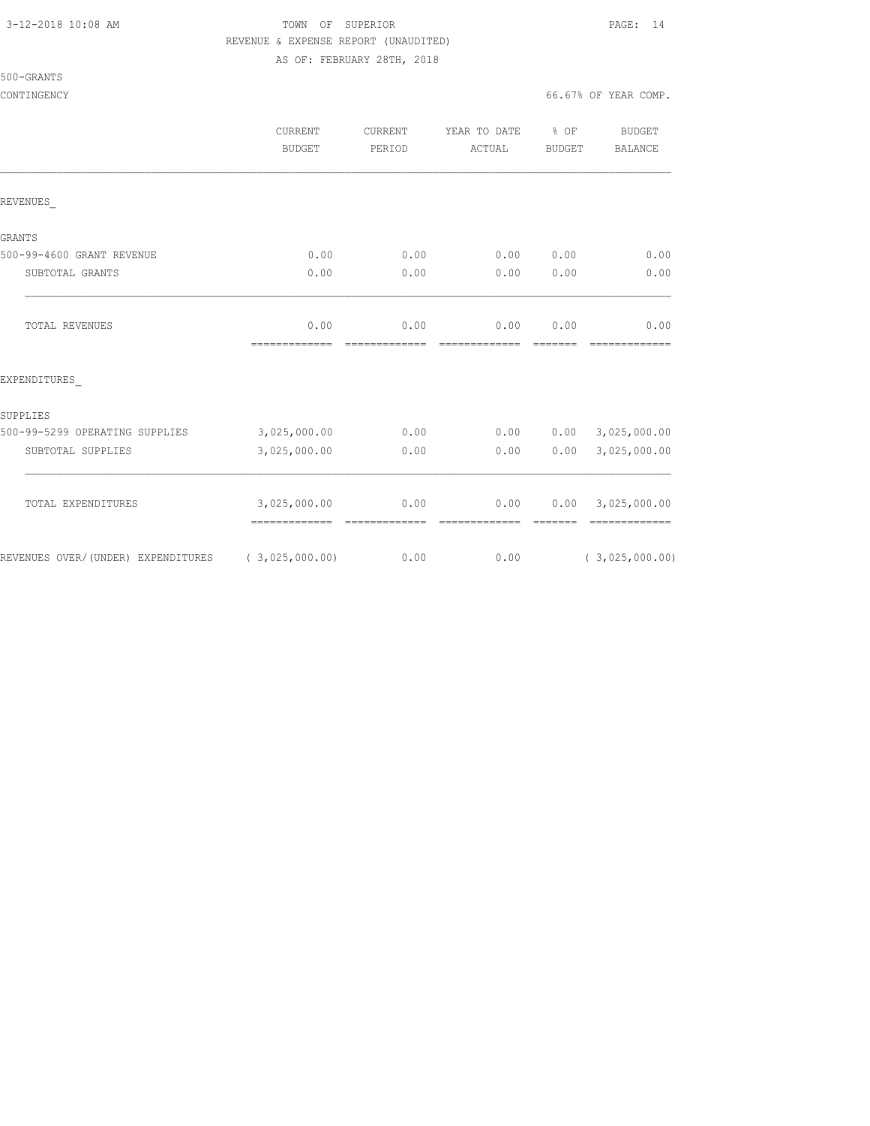500-GRANTS

## 3-12-2018 10:08 AM TOWN OF SUPERIOR PAGE: 14 REVENUE & EXPENSE REPORT (UNAUDITED)

AS OF: FEBRUARY 28TH, 2018

CONTINGENCY 66.67% OF YEAR COMP.

|                                    | CURRENT<br><b>BUDGET</b>      | <b>CURRENT</b><br>PERIOD | YEAR TO DATE<br>ACTUAL | % OF<br><b>BUDGET</b> | <b>BUDGET</b><br><b>BALANCE</b> |
|------------------------------------|-------------------------------|--------------------------|------------------------|-----------------------|---------------------------------|
| REVENUES                           |                               |                          |                        |                       |                                 |
| GRANTS                             |                               |                          |                        |                       |                                 |
| 500-99-4600 GRANT REVENUE          | 0.00                          | 0.00                     | 0.00                   | 0.00                  | 0.00                            |
| SUBTOTAL GRANTS                    | 0.00                          | 0.00                     | 0.00                   | 0.00                  | 0.00                            |
| TOTAL REVENUES                     | 0.00<br>=============         | 0.00<br>=============    | 0.00<br>=============  | 0.00<br>=======       | 0.00<br>=============           |
| EXPENDITURES                       |                               |                          |                        |                       |                                 |
| SUPPLIES                           |                               |                          |                        |                       |                                 |
| 500-99-5299 OPERATING SUPPLIES     | 3,025,000.00                  | 0.00                     | 0.00                   | 0.00                  | 3,025,000.00                    |
| SUBTOTAL SUPPLIES                  | 3,025,000.00                  | 0.00                     | 0.00                   | 0.00                  | 3,025,000.00                    |
| TOTAL EXPENDITURES                 | 3,025,000.00<br>============= | 0.00<br>=============    | 0.00<br>=============  | 0.00<br>=======       | 3,025,000.00<br>=============   |
| REVENUES OVER/(UNDER) EXPENDITURES | (3,025,000.00)                | 0.00                     | 0.00                   |                       | (3,025,000.00)                  |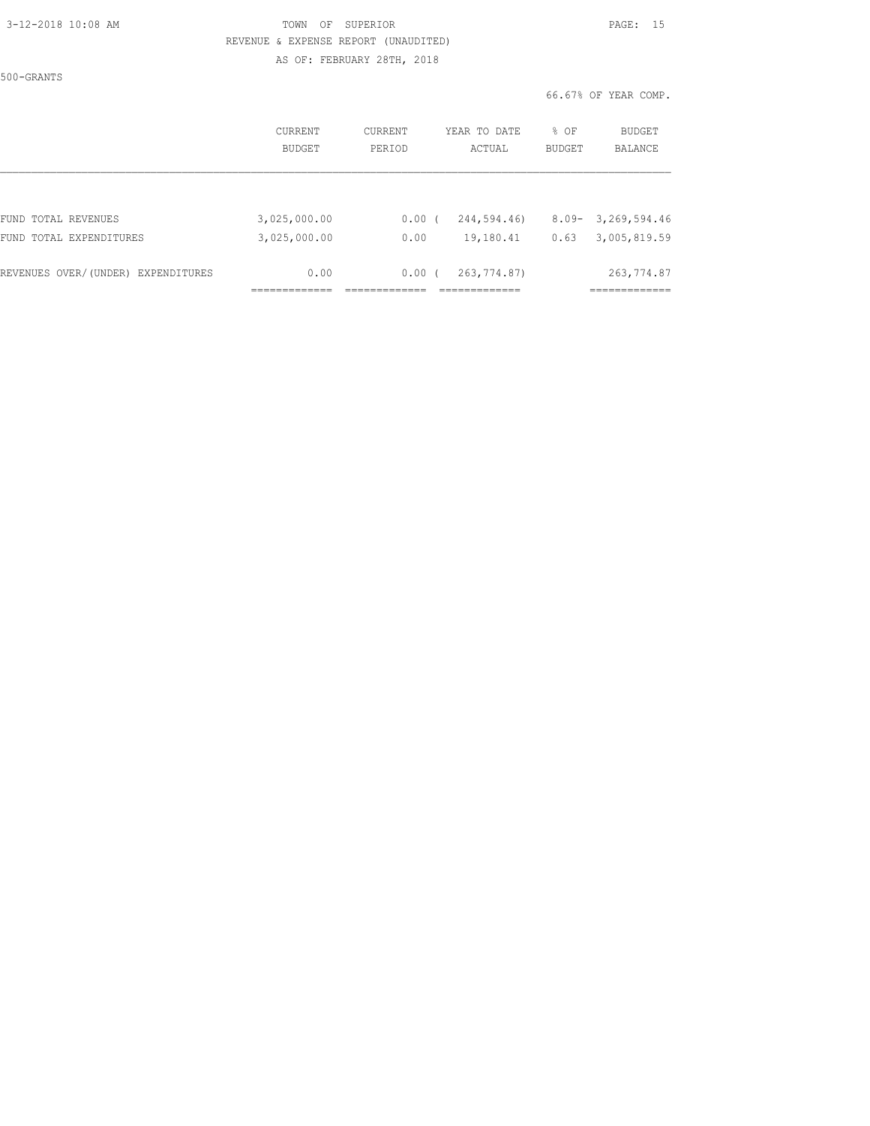### 3-12-2018 10:08 AM TOWN OF SUPERIOR PAGE: 15 REVENUE & EXPENSE REPORT (UNAUDITED) AS OF: FEBRUARY 28TH, 2018

500-GRANTS

|                                    | <b>CURRENT</b><br><b>BUDGET</b> | CURRENT<br>PERIOD | YEAR TO DATE<br>ACTUAL | % OF<br><b>BUDGET</b> | BUDGET<br><b>BALANCE</b> |
|------------------------------------|---------------------------------|-------------------|------------------------|-----------------------|--------------------------|
|                                    |                                 |                   |                        |                       |                          |
| FUND TOTAL REVENUES                | 3,025,000.00                    | $0.00$ (          | 244,594.46)            | $8.09 -$              | 3,269,594.46             |
| FUND TOTAL EXPENDITURES            | 3,025,000.00                    | 0.00              | 19,180.41              | 0.63                  | 3,005,819.59             |
| REVENUES OVER/(UNDER) EXPENDITURES | 0.00                            | $0.00$ (          | 263, 774.87)           |                       | 263, 774.87              |
|                                    |                                 |                   |                        |                       |                          |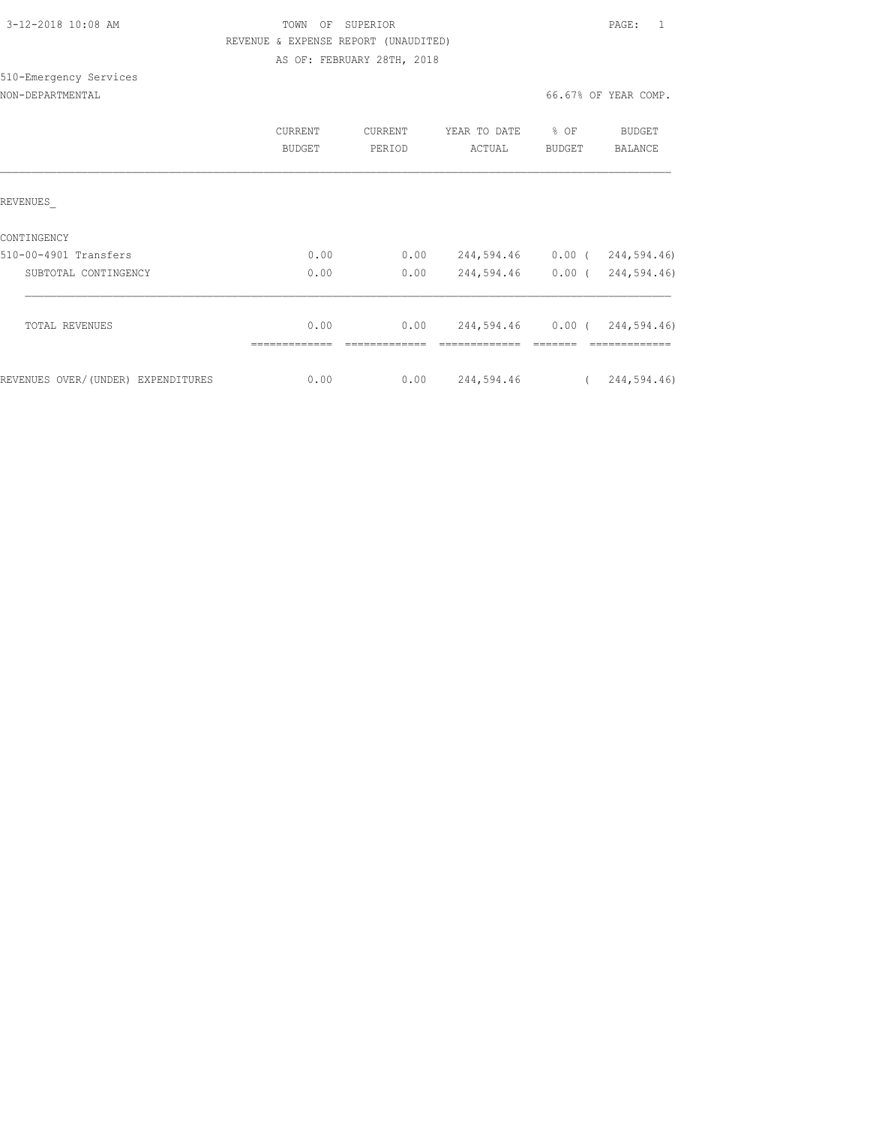| 3-12-2018 10:08 AM |  |
|--------------------|--|
|                    |  |

TOWN OF SUPERIOR **12-2018 10:08 PAGE:** 1 REVENUE & EXPENSE REPORT (UNAUDITED) AS OF: FEBRUARY 28TH, 2018

### NON-DEPARTMENTAL

510-Emergency Services

|                                                              | CURRENT<br><b>BUDGET</b> | <b>CURRENT</b><br>PERIOD | YEAR TO DATE<br>ACTUAL   | % OF<br><b>BUDGET</b> | BUDGET<br><b>BALANCE</b>   |
|--------------------------------------------------------------|--------------------------|--------------------------|--------------------------|-----------------------|----------------------------|
| REVENUES                                                     |                          |                          |                          |                       |                            |
| CONTINGENCY<br>510-00-4901 Transfers<br>SUBTOTAL CONTINGENCY | 0.00<br>0.00             | 0.00<br>0.00             | 244,594.46<br>244,594.46 | $0.00$ (<br>$0.00$ (  | 244,594.46)<br>244,594.46) |
| TOTAL REVENUES                                               | 0.00                     | 0.00                     | 244,594.46               | $0.00$ (              | 244,594.46)                |
| REVENUES OVER/(UNDER) EXPENDITURES                           | 0.00                     | 0.00                     | 244,594.46               |                       | 244,594.46)                |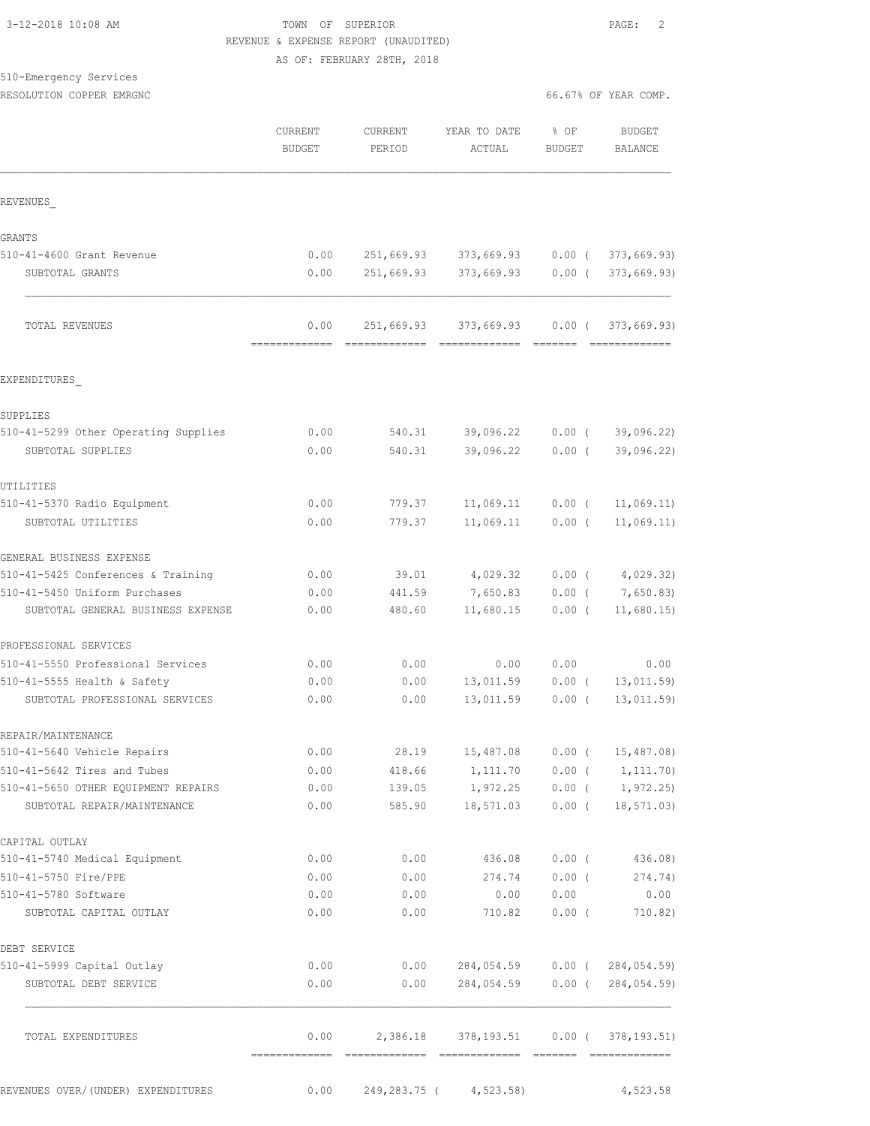| 3-12-2018 10:08 AM |  |  |
|--------------------|--|--|
|--------------------|--|--|

## TOWN OF SUPERIOR **PAGE:** 2 REVENUE & EXPENSE REPORT (UNAUDITED) AS OF: FEBRUARY 28TH, 2018

| 510-Emergency Services |  |
|------------------------|--|
|                        |  |

RESOLUTION COPPER EMRGNC **And All and All and All and All and All and All and All and All and All and All and A** 

|                                      | CURRENT<br><b>BUDGET</b> | CURRENT<br>PERIOD | YEAR TO DATE<br>ACTUAL                       | $8$ OF<br><b>BUDGET</b> | <b>BUDGET</b><br><b>BALANCE</b> |
|--------------------------------------|--------------------------|-------------------|----------------------------------------------|-------------------------|---------------------------------|
| REVENUES                             |                          |                   |                                              |                         |                                 |
| <b>GRANTS</b>                        |                          |                   |                                              |                         |                                 |
| 510-41-4600 Grant Revenue            | 0.00                     |                   | 251,669.93 373,669.93 0.00 (373,669.93)      |                         |                                 |
| SUBTOTAL GRANTS                      | 0.00                     |                   | 251,669.93 373,669.93                        |                         | 0.00(373,669.93)                |
| TOTAL REVENUES                       | 0.00                     |                   | 251,669.93 373,669.93 0.00 (373,669.93)      |                         |                                 |
| EXPENDITURES                         |                          |                   |                                              |                         |                                 |
| SUPPLIES                             |                          |                   |                                              |                         |                                 |
| 510-41-5299 Other Operating Supplies | 0.00                     |                   | 540.31 39,096.22                             |                         | $0.00$ ( 39,096.22)             |
| SUBTOTAL SUPPLIES                    | 0.00                     | 540.31            | 39,096.22                                    | $0.00$ (                | 39,096.22)                      |
| UTILITIES                            |                          |                   |                                              |                         |                                 |
| 510-41-5370 Radio Equipment          | 0.00                     | 779.37            | 11,069.11                                    | $0.00$ (                | 11,069.11)                      |
| SUBTOTAL UTILITIES                   | 0.00                     | 779.37            | 11,069.11                                    | $0.00$ (                | 11,069.11)                      |
| GENERAL BUSINESS EXPENSE             |                          |                   |                                              |                         |                                 |
| 510-41-5425 Conferences & Training   | 0.00                     | 39.01             | 4,029.32                                     |                         | $0.00$ ( $4,029.32$ )           |
| 510-41-5450 Uniform Purchases        | 0.00                     | 441.59            | 7,650.83                                     | $0.00$ (                | 7,650.83)                       |
| SUBTOTAL GENERAL BUSINESS EXPENSE    | 0.00                     | 480.60            | 11,680.15                                    | $0.00$ (                | 11,680.15                       |
| PROFESSIONAL SERVICES                |                          |                   |                                              |                         |                                 |
| 510-41-5550 Professional Services    | 0.00                     | 0.00              | 0.00                                         | 0.00                    | 0.00                            |
| 510-41-5555 Health & Safety          | 0.00                     | 0.00              | 13,011.59                                    | $0.00$ (                | 13,011.59                       |
| SUBTOTAL PROFESSIONAL SERVICES       | 0.00                     | 0.00              | 13,011.59                                    | $0.00$ (                | 13,011.59)                      |
| REPAIR/MAINTENANCE                   |                          |                   |                                              |                         |                                 |
| 510-41-5640 Vehicle Repairs          | 0.00                     | 28.19             | 15,487.08  0.00  ( 15,487.08)                |                         |                                 |
| 510-41-5642 Tires and Tubes          | 0.00                     | 418.66            | 1,111.70                                     |                         | $0.00$ ( $1,111.70$ )           |
| 510-41-5650 OTHER EQUIPMENT REPAIRS  | 0.00                     | 139.05            | $1,972.25$ 0.00 ( 1,972.25)                  |                         |                                 |
| SUBTOTAL REPAIR/MAINTENANCE          | 0.00                     |                   | 585.90 18,571.03 0.00 ( 18,571.03)           |                         |                                 |
| CAPITAL OUTLAY                       |                          |                   |                                              |                         |                                 |
| 510-41-5740 Medical Equipment        | 0.00                     | 0.00              | 436.08 0.00 (436.08)                         |                         |                                 |
| 510-41-5750 Fire/PPE                 | 0.00                     | 0.00              | 274.74                                       |                         | $0.00$ ( 274.74)                |
| 510-41-5780 Software                 | 0.00                     | 0.00              | 0.00                                         | 0.00                    | 0.00                            |
| SUBTOTAL CAPITAL OUTLAY              | 0.00                     | 0.00              | 710.82                                       | $0.00$ (                | 710.82)                         |
| DEBT SERVICE                         |                          |                   |                                              |                         |                                 |
| 510-41-5999 Capital Outlay           | 0.00                     |                   | $0.00$ 284,054.59 0.00 ( 284,054.59)         |                         |                                 |
| SUBTOTAL DEBT SERVICE                | 0.00                     |                   | $0.00$ 284,054.59 0.00 (284,054.59)          |                         |                                 |
| TOTAL EXPENDITURES                   |                          |                   | $0.00$ 2,386.18 378,193.51 0.00 (378,193.51) |                         |                                 |
| REVENUES OVER/ (UNDER) EXPENDITURES  |                          |                   | $0.00$ 249,283.75 ( 4,523.58)                |                         | 4,523.58                        |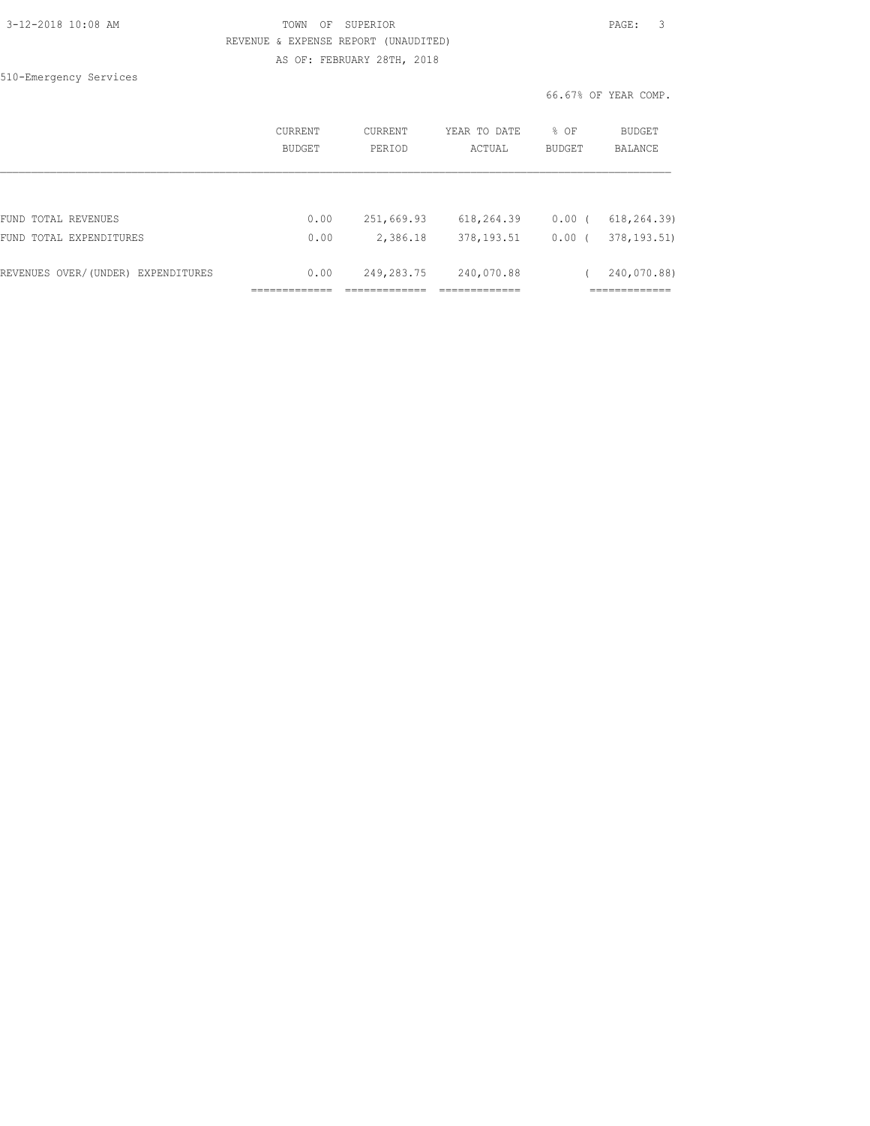| 3-12-2018 10:08 AM |  |  |
|--------------------|--|--|
|                    |  |  |

## TOWN OF SUPERIOR **12-2018 10:08 PAGE:** 3 REVENUE & EXPENSE REPORT (UNAUDITED) AS OF: FEBRUARY 28TH, 2018

510-Emergency Services

|                                    | CURRENT<br><b>BUDGET</b> | CURRENT<br>PERIOD | YEAR TO DATE<br>ACTUAL | % OF<br><b>BUDGET</b> | <b>BUDGET</b><br><b>BALANCE</b> |
|------------------------------------|--------------------------|-------------------|------------------------|-----------------------|---------------------------------|
|                                    |                          |                   |                        |                       |                                 |
| FUND TOTAL REVENUES                | 0.00                     | 251,669.93        | 618,264.39             | 0.00(                 | 618, 264.39)                    |
| FUND TOTAL EXPENDITURES            | 0.00                     | 2,386.18          | 378, 193.51            | 0.00(                 | 378, 193.51)                    |
| REVENUES OVER/(UNDER) EXPENDITURES | 0.00                     | 249,283.75        | 240,070.88             |                       | 240,070.88)                     |
|                                    |                          |                   |                        |                       | __________                      |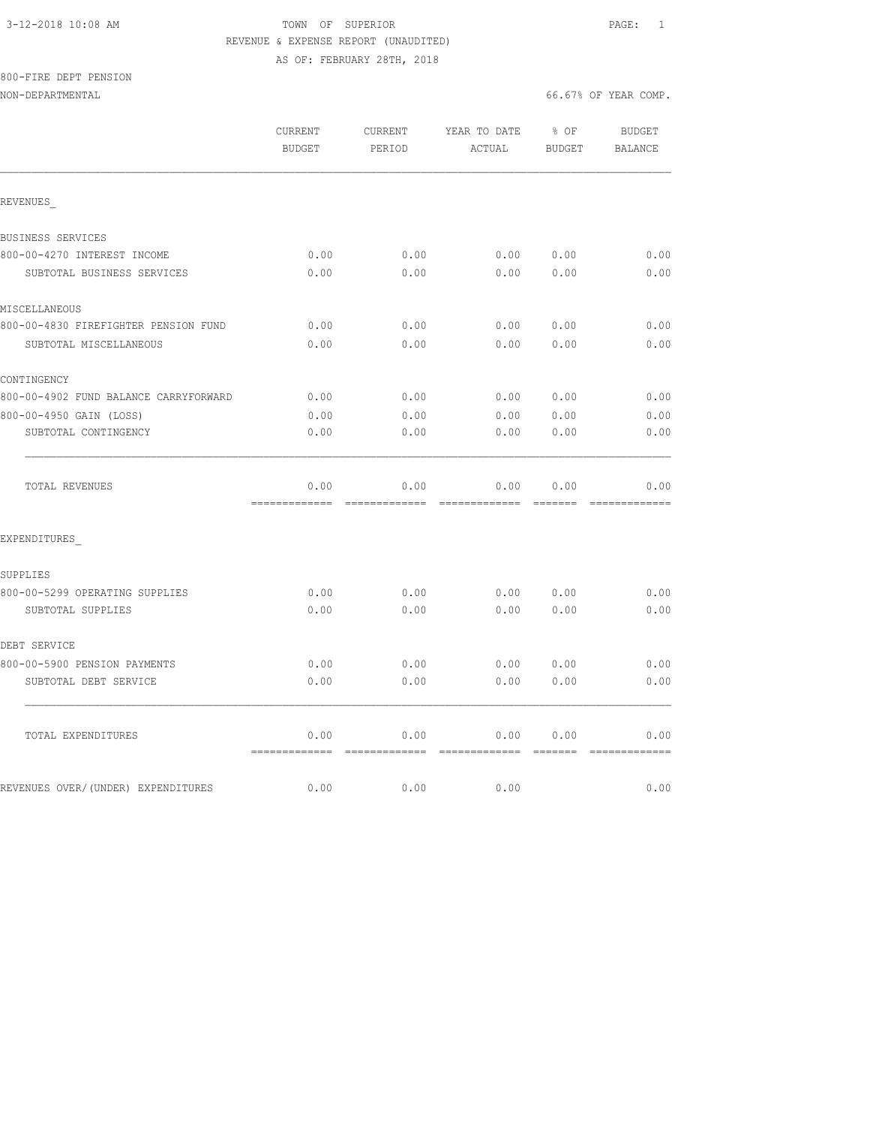### 3-12-2018 10:08 AM TOWN OF SUPERIOR PAGE: 1 REVENUE & EXPENSE REPORT (UNAUDITED) AS OF: FEBRUARY 28TH, 2018

## 800-FIRE DEPT PENSION

NON-DEPARTMENTAL 66.67% OF YEAR COMP.

REVENUES\_

**CONTINGENCY** 

SUPPLIES

DEBT SERVICE

 CURRENT CURRENT YEAR TO DATE % OF BUDGET BUDGET PERIOD ACTUAL BUDGET BALANCE BUSINESS SERVICES 800-00-4270 INTEREST INCOME 0.00 0.00 0.00 0.00 0.00 SUBTOTAL BUSINESS SERVICES 0.00 0.00 0.00 0.00 0.00 MISCELLANEOUS 800-00-4830 FIREFIGHTER PENSION FUND 0.00 0.00 0.00 0.00 0.00 SUBTOTAL MISCELLANEOUS 0.00 0.00 0.00 0.00 0.00 800-00-4902 FUND BALANCE CARRYFORWARD 0.00 0.00 0.00 0.00 0.00 800-00-4950 GAIN (LOSS) 0.00 0.00 0.00 0.00 0.00 SUBTOTAL CONTINGENCY  $0.00$   $0.00$   $0.00$   $0.00$   $0.00$   $0.00$   $0.00$  $\mathcal{L}_\text{max}$  TOTAL REVENUES 0.00 0.00 0.00 0.00 0.00 ============= ============= ============= ======= ============= EXPENDITURES\_ 800-00-5299 OPERATING SUPPLIES 0.00 0.00 0.00 0.00 0.00 SUBTOTAL SUPPLIES 0.00 0.00 0.00 0.00 0.00

800-00-5900 PENSION PAYMENTS 0.00 0.00 0.00 0.00 0.00 SUBTOTAL DEBT SERVICE  $0.00$  0.00 0.00 0.00 0.00 0.00

TOTAL EXPENDITURES 0.00 0.00 0.00 0.00 0.00

REVENUES OVER/(UNDER) EXPENDITURES  $0.00$  0.00 0.00 0.00 0.00 0.00

============= ============= ============= ======= =============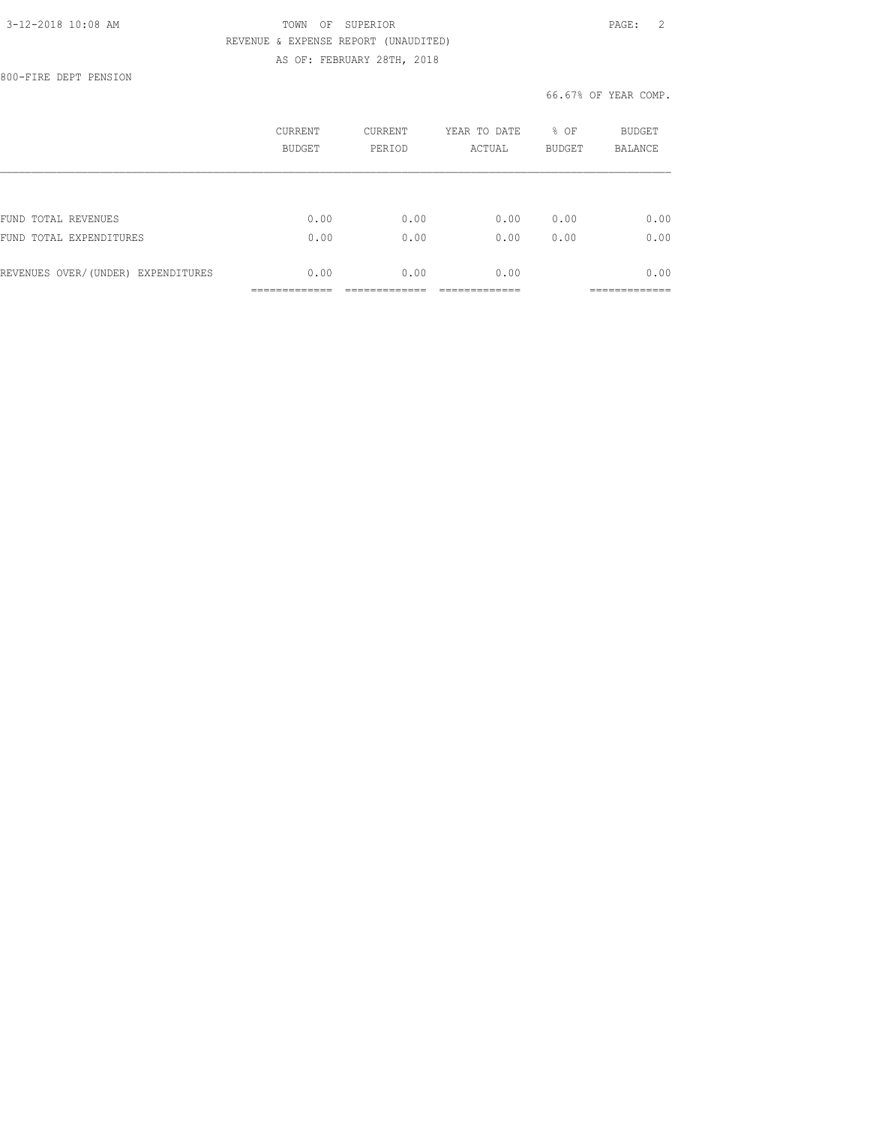### 3-12-2018 10:08 AM TOWN OF SUPERIOR PAGE: 2 REVENUE & EXPENSE REPORT (UNAUDITED) AS OF: FEBRUARY 28TH, 2018

800-FIRE DEPT PENSION

|                                    | CURRENT<br>BUDGET | CURRENT<br>PERIOD | YEAR TO DATE<br>ACTUAL | % OF<br><b>BUDGET</b> | BUDGET<br><b>BALANCE</b> |
|------------------------------------|-------------------|-------------------|------------------------|-----------------------|--------------------------|
|                                    |                   |                   |                        |                       |                          |
| FUND TOTAL REVENUES                | 0.00              | 0.00              | 0.00                   | 0.00                  | 0.00                     |
| FUND TOTAL EXPENDITURES            | 0.00              | 0.00              | 0.00                   | 0.00                  | 0.00                     |
| REVENUES OVER/(UNDER) EXPENDITURES | 0.00              | 0.00              | 0.00                   |                       | 0.00                     |
|                                    |                   |                   |                        |                       |                          |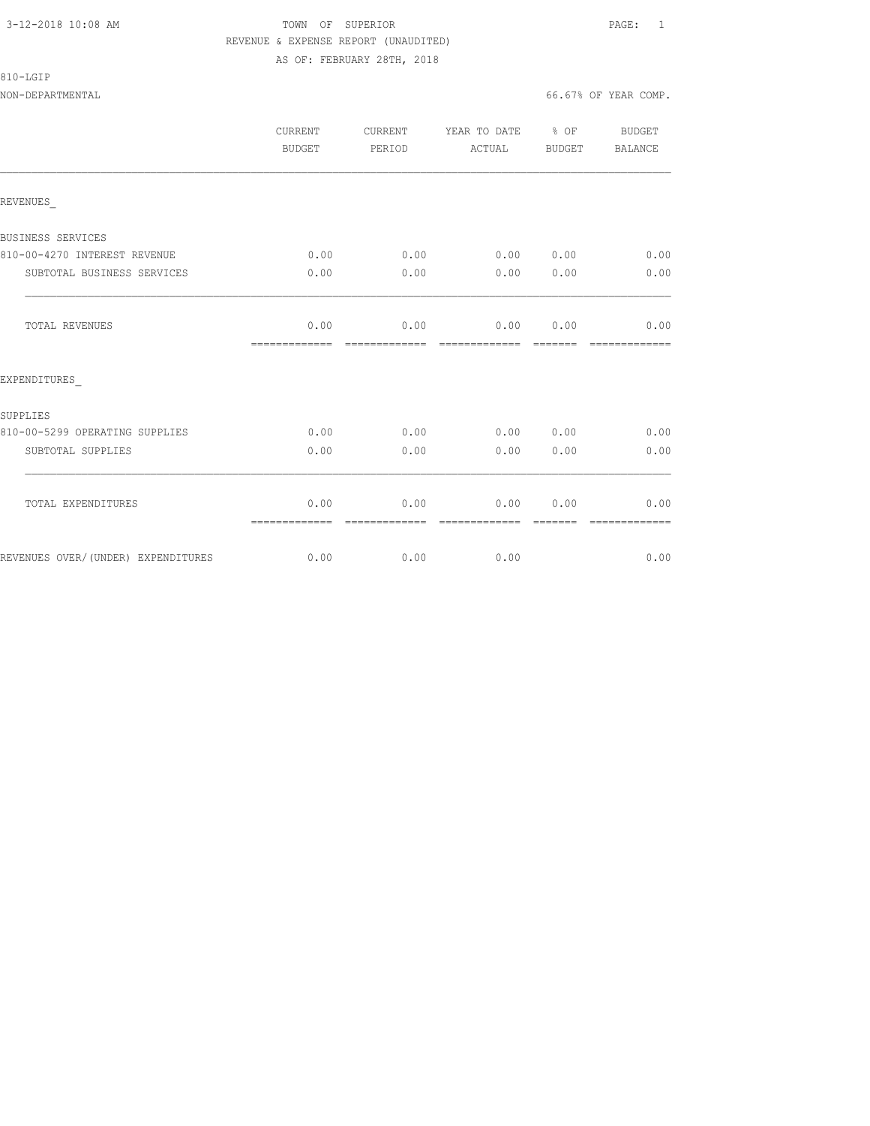810-LGIP

## 3-12-2018 10:08 AM TOWN OF SUPERIOR PAGE: 1 REVENUE & EXPENSE REPORT (UNAUDITED) AS OF: FEBRUARY 28TH, 2018

NON-DEPARTMENTAL 66.67% OF YEAR COMP.

|                                    | CURRENT<br><b>BUDGET</b> | CURRENT<br>PERIOD     | YEAR TO DATE % OF<br>ACTUAL | BUDGET           | BUDGET<br>BALANCE     |
|------------------------------------|--------------------------|-----------------------|-----------------------------|------------------|-----------------------|
| REVENUES                           |                          |                       |                             |                  |                       |
| BUSINESS SERVICES                  |                          |                       |                             |                  |                       |
| 810-00-4270 INTEREST REVENUE       | 0.00                     | 0.00                  | 0.00 0.00                   |                  | 0.00                  |
| SUBTOTAL BUSINESS SERVICES         | 0.00                     | 0.00                  | 0.00                        | 0.00             | 0.00                  |
| TOTAL REVENUES                     | 0.00<br>=============    | 0.00<br>------------- | 0.00<br>--------------      | 0.00<br>-------- | 0.00<br>------------- |
| EXPENDITURES                       |                          |                       |                             |                  |                       |
| SUPPLIES                           |                          |                       |                             |                  |                       |
| 810-00-5299 OPERATING SUPPLIES     | 0.00                     | 0.00                  | 0.00 0.00                   |                  | 0.00                  |
| SUBTOTAL SUPPLIES                  | 0.00                     | 0.00                  | 0.00                        | 0.00             | 0.00                  |
| TOTAL EXPENDITURES                 | 0.00                     | 0.00<br>============= | 0.00<br>=============       | 0.00<br>=======  | 0.00<br>------------- |
| REVENUES OVER/(UNDER) EXPENDITURES | 0.00                     | 0.00                  | 0.00                        |                  | 0.00                  |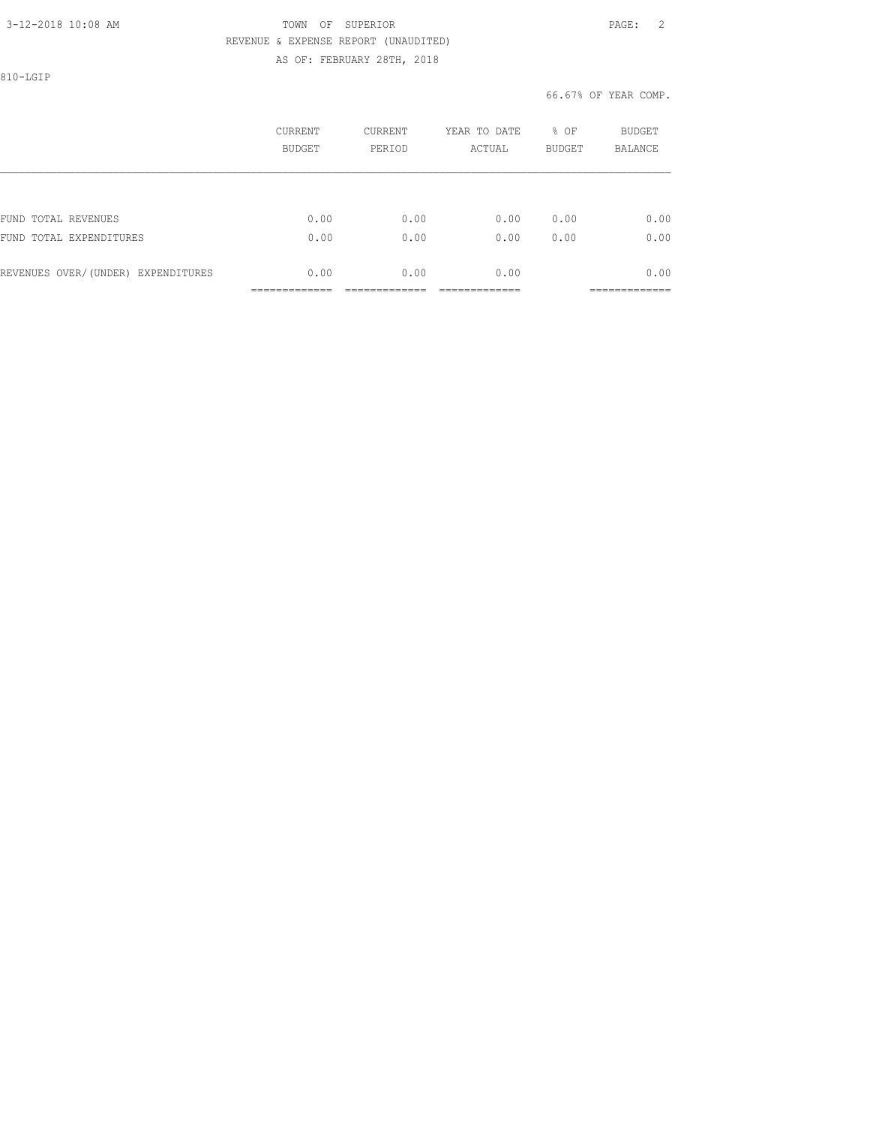## 3-12-2018 10:08 AM TOWN OF SUPERIOR PAGE: 2 REVENUE & EXPENSE REPORT (UNAUDITED)

AS OF: FEBRUARY 28TH, 2018

810-LGIP

|                                    | <b>CURRENT</b><br>BUDGET | CURRENT<br>PERIOD | YEAR TO DATE<br>ACTUAL | % OF<br><b>BUDGET</b> | <b>BUDGET</b><br>BALANCE |
|------------------------------------|--------------------------|-------------------|------------------------|-----------------------|--------------------------|
|                                    |                          |                   |                        |                       |                          |
| FUND TOTAL REVENUES                | 0.00                     | 0.00              | 0.00                   | 0.00                  | 0.00                     |
| FUND TOTAL EXPENDITURES            | 0.00                     | 0.00              | 0.00                   | 0.00                  | 0.00                     |
| REVENUES OVER/(UNDER) EXPENDITURES | 0.00                     | 0.00              | 0.00                   |                       | 0.00                     |
|                                    |                          |                   |                        |                       | ___________              |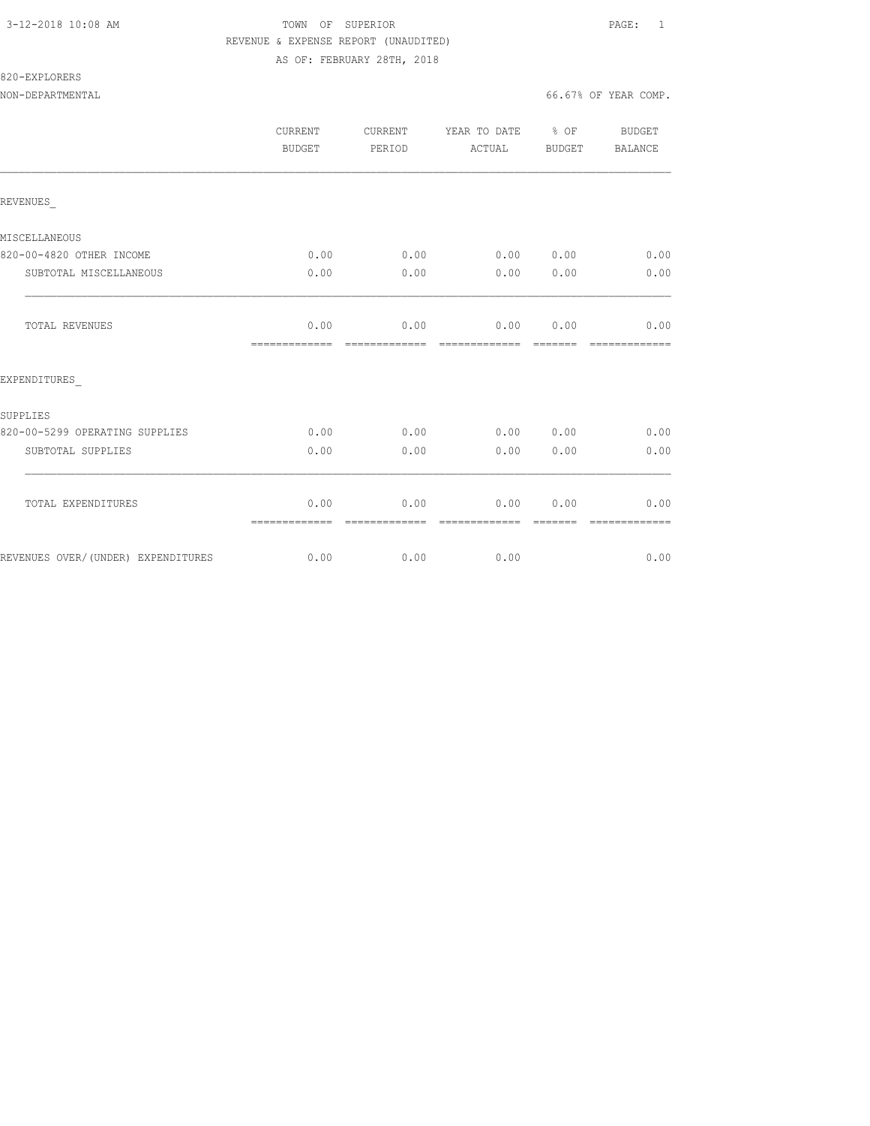## 3-12-2018 10:08 AM TOWN OF SUPERIOR PAGE: 1 REVENUE & EXPENSE REPORT (UNAUDITED) AS OF: FEBRUARY 28TH, 2018

820-EXPLORERS

NON-DEPARTMENTAL 66.67% OF YEAR COMP.

|                                    | <b>CURRENT</b><br>BUDGET | CURRENT<br>PERIOD | YEAR TO DATE % OF<br>ACTUAL BUDGET |                  | BUDGET<br><b>BALANCE</b> |
|------------------------------------|--------------------------|-------------------|------------------------------------|------------------|--------------------------|
| REVENUES                           |                          |                   |                                    |                  |                          |
| MISCELLANEOUS                      |                          |                   |                                    |                  |                          |
| 820-00-4820 OTHER INCOME           | 0.00                     | 0.00              | 0.00 0.00                          |                  | 0.00                     |
| SUBTOTAL MISCELLANEOUS             | 0.00                     | 0.00              | 0.00                               | 0.00             | 0.00                     |
| TOTAL REVENUES                     | 0.00                     |                   | $0.00$ $0.00$ $0.00$ $0.00$        |                  | 0.00                     |
| EXPENDITURES                       |                          |                   |                                    |                  |                          |
| SUPPLIES                           |                          |                   |                                    |                  |                          |
| 820-00-5299 OPERATING SUPPLIES     | 0.00                     | 0.00              | 0.00 0.00                          |                  | 0.00                     |
| SUBTOTAL SUPPLIES                  | 0.00                     | 0.00              | 0.00                               | 0.00             | 0.00                     |
| TOTAL EXPENDITURES                 | 0.00<br>=============    | --------------    | $0.00$ 0.00                        | 0.00<br>-------- | 0.00<br>-------------    |
| REVENUES OVER/(UNDER) EXPENDITURES | 0.00                     | $0.00$ 0.00       |                                    |                  | 0.00                     |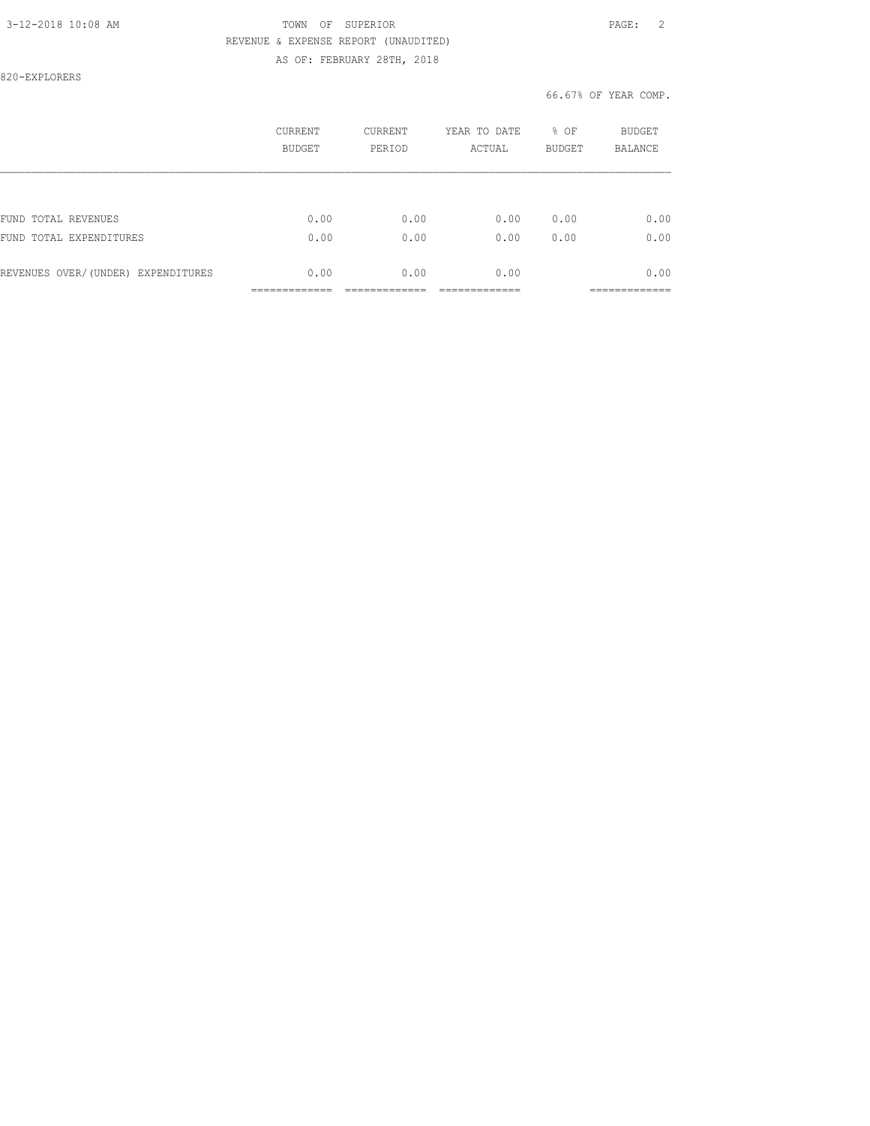### 3-12-2018 10:08 AM TOWN OF SUPERIOR PAGE: 2 REVENUE & EXPENSE REPORT (UNAUDITED) AS OF: FEBRUARY 28TH, 2018

820-EXPLORERS

|                                    | <b>CURRENT</b><br>BUDGET | <b>CURRENT</b><br>PERIOD | YEAR TO DATE<br>ACTUAL | % OF<br><b>BUDGET</b> | BUDGET<br><b>BALANCE</b> |
|------------------------------------|--------------------------|--------------------------|------------------------|-----------------------|--------------------------|
|                                    |                          |                          |                        |                       |                          |
| FUND TOTAL REVENUES                | 0.00                     | 0.00                     | 0.00                   | 0.00                  | 0.00                     |
| FUND TOTAL EXPENDITURES            | 0.00                     | 0.00                     | 0.00                   | 0.00                  | 0.00                     |
| REVENUES OVER/(UNDER) EXPENDITURES | 0.00                     | 0.00                     | 0.00                   |                       | 0.00                     |
|                                    |                          |                          |                        |                       | __________               |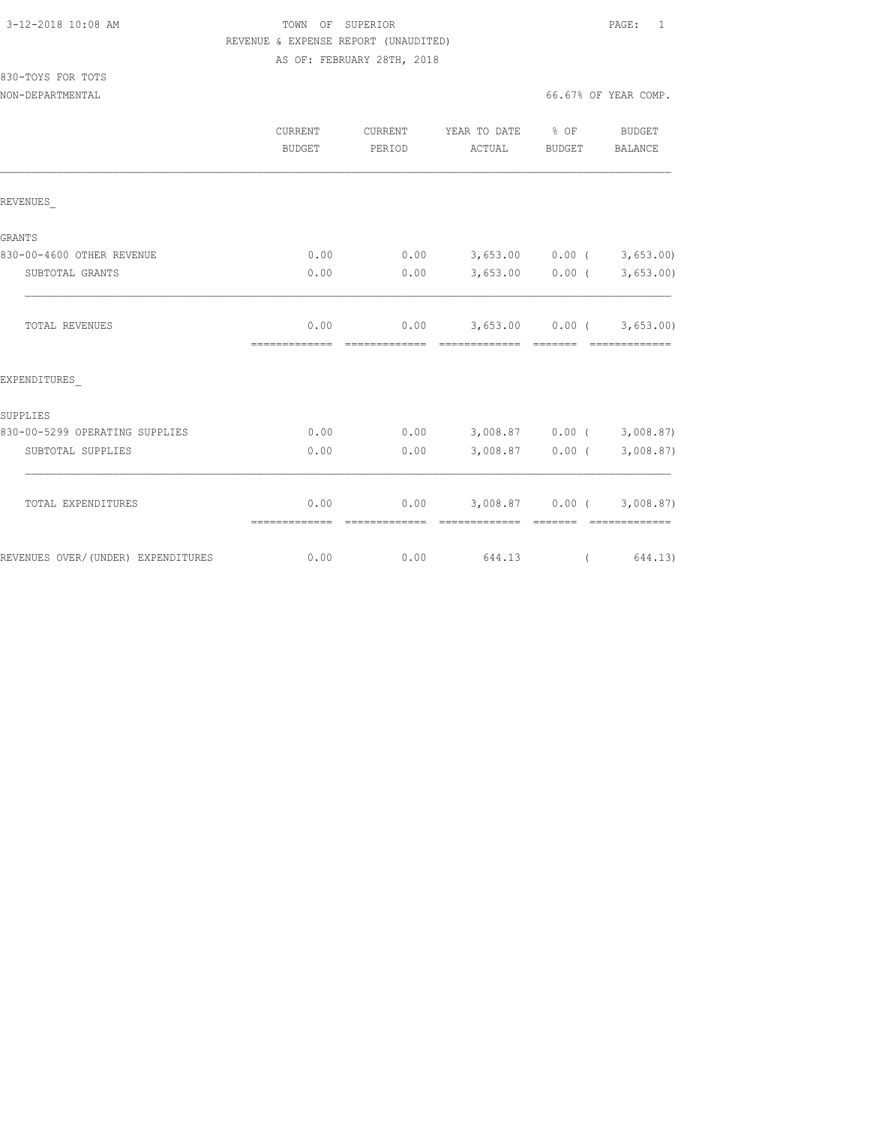830-TOYS FOR TOTS

## TOWN OF SUPERIOR **12-2018 10:08 PAGE:** 1 REVENUE & EXPENSE REPORT (UNAUDITED) AS OF: FEBRUARY 28TH, 2018

NON-DEPARTMENTAL 66.67% OF YEAR COMP.

|                                    | <b>CURRENT</b><br><b>BUDGET</b> | CURRENT<br>PERIOD | YEAR TO DATE % OF<br>ACTUAL                       | BUDGET            | BUDGET<br><b>BALANCE</b>                     |
|------------------------------------|---------------------------------|-------------------|---------------------------------------------------|-------------------|----------------------------------------------|
| REVENUES                           |                                 |                   |                                                   |                   |                                              |
| GRANTS                             |                                 |                   |                                                   |                   |                                              |
| 830-00-4600 OTHER REVENUE          | 0.00                            |                   | $0.00$ $3,653.00$ $0.00$ $($ $3,653.00)$          |                   |                                              |
| SUBTOTAL GRANTS                    | 0.00                            | 0.00              |                                                   |                   | $3,653.00$ 0.00 ( 3,653.00)                  |
| TOTAL REVENUES                     | 0.00<br>=============           | --------------    | $0.00$ 3,653.00 0.00 (3,653.00)<br>-------------- | --------          | -------------                                |
| EXPENDITURES                       |                                 |                   |                                                   |                   |                                              |
| SUPPLIES                           |                                 |                   |                                                   |                   |                                              |
| 830-00-5299 OPERATING SUPPLIES     | 0.00                            |                   | $0.00$ $3,008.87$ $0.00$ ( $3,008.87$ )           |                   |                                              |
| SUBTOTAL SUPPLIES                  | 0.00                            | 0.00              |                                                   | $3,008.87$ 0.00 ( | 3,008.87)                                    |
| TOTAL EXPENDITURES                 | 0.00<br>=============           | 0.00              | =============                                     |                   | $3,008.87$ 0.00 ( 3,008.87)<br>============= |
| REVENUES OVER/(UNDER) EXPENDITURES | 0.00                            |                   | $0.00$ 644.13                                     | $\left($          | 644.13)                                      |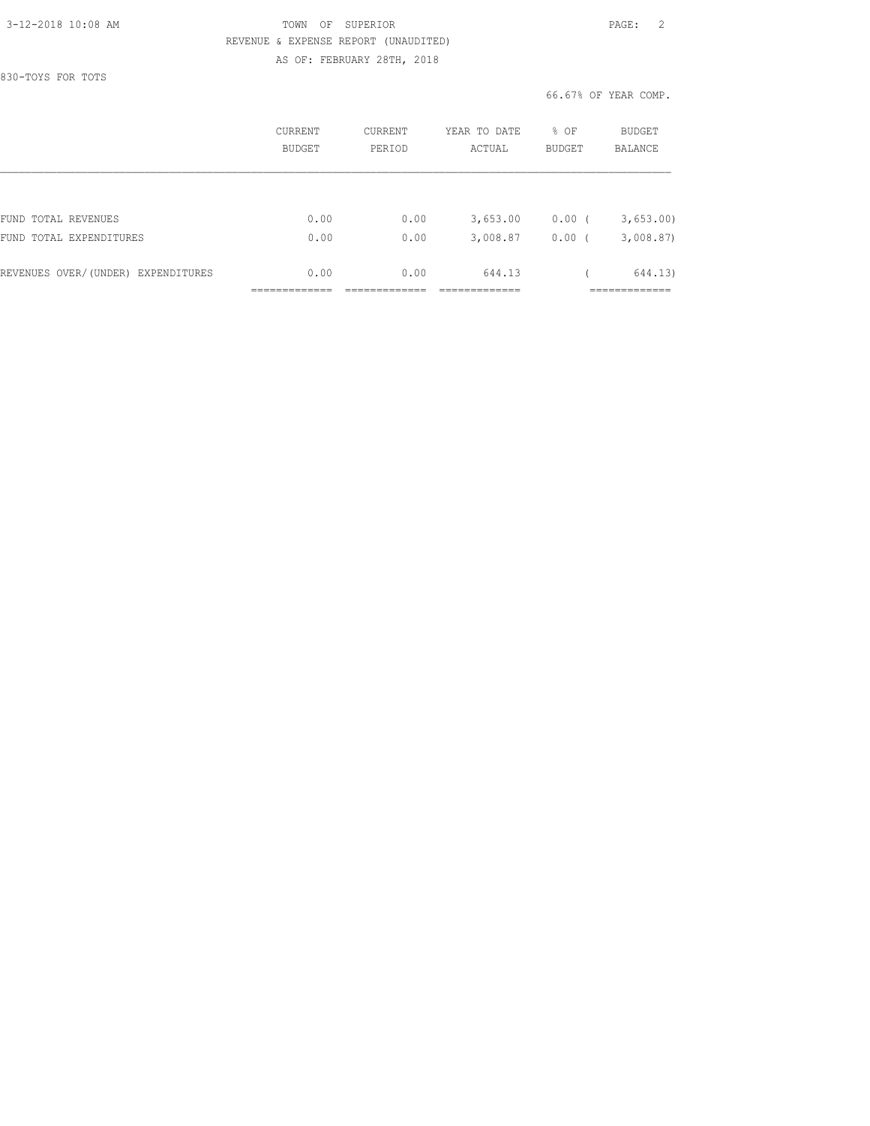830-TOYS FOR TOTS

#### 3-12-2018 10:08 AM TOWN OF SUPERIOR PAGE: 2 REVENUE & EXPENSE REPORT (UNAUDITED) AS OF: FEBRUARY 28TH, 2018

|                                    | CURRENT<br><b>BUDGET</b> | CURRENT<br>PERIOD | YEAR TO DATE<br>ACTUAL | % OF<br>BUDGET | BUDGET<br><b>BALANCE</b> |
|------------------------------------|--------------------------|-------------------|------------------------|----------------|--------------------------|
|                                    |                          |                   |                        |                |                          |
| FUND TOTAL REVENUES                | 0.00                     | 0.00              | 3,653.00               | 0.00(          | 3,653.00                 |
| FUND TOTAL EXPENDITURES            | 0.00                     | 0.00              | 3,008.87               | 0.00           | 3,008.87                 |
| REVENUES OVER/(UNDER) EXPENDITURES | 0.00                     | 0.00              | 644.13                 |                | 644.13)                  |
|                                    |                          |                   |                        |                | _________                |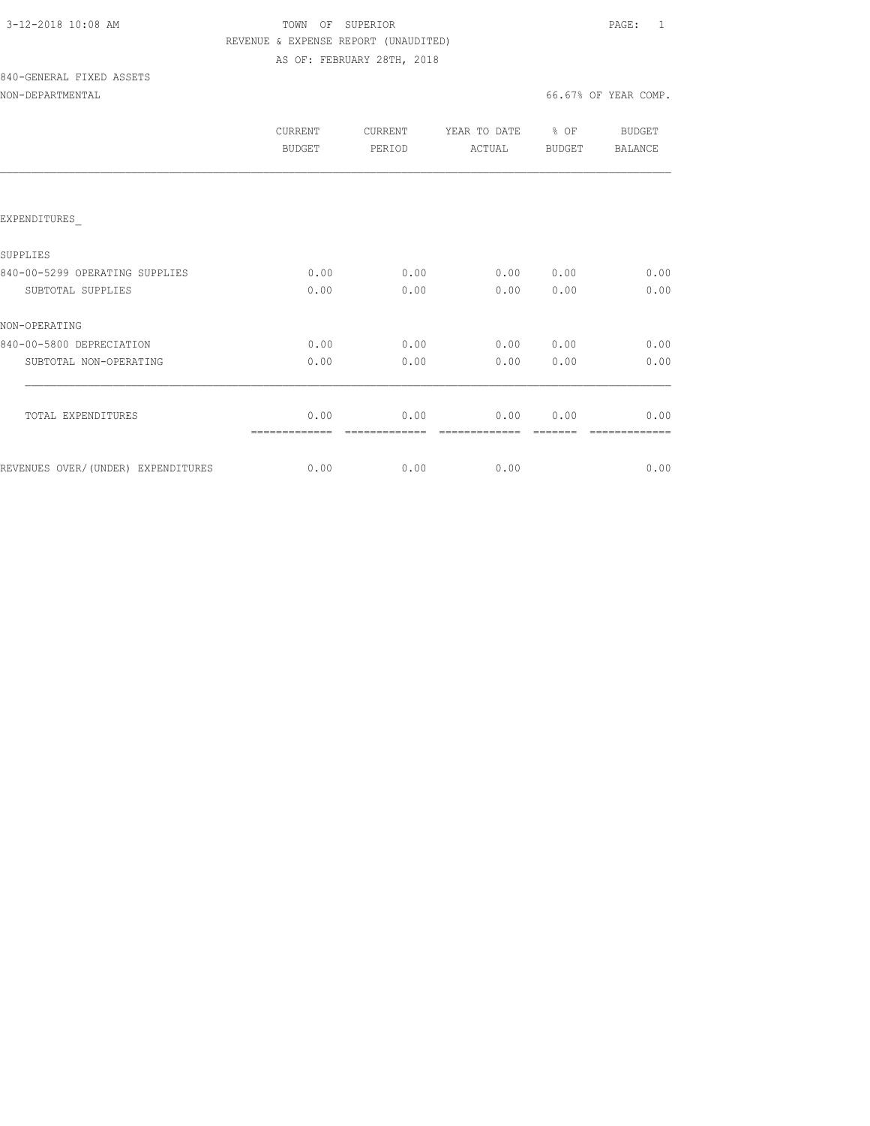| 3-12-2018 10:08 AM |  |
|--------------------|--|
|                    |  |

## TOWN OF SUPERIOR **PAGE:** 1 REVENUE & EXPENSE REPORT (UNAUDITED) AS OF: FEBRUARY 28TH, 2018

# 840-GENERAL FIXED ASSETS

| NON-DEPARTMENTAL |  |
|------------------|--|
|                  |  |

|                                    | <b>CURRENT</b><br><b>BUDGET</b> | <b>CURRENT</b><br>PERIOD | YEAR TO DATE<br>ACTUAL | % OF<br><b>BUDGET</b> | BUDGET<br><b>BALANCE</b> |
|------------------------------------|---------------------------------|--------------------------|------------------------|-----------------------|--------------------------|
|                                    |                                 |                          |                        |                       |                          |
| EXPENDITURES                       |                                 |                          |                        |                       |                          |
| SUPPLIES                           |                                 |                          |                        |                       |                          |
| 840-00-5299 OPERATING SUPPLIES     | 0.00                            | 0.00                     | 0.00                   | 0.00                  | 0.00                     |
| SUBTOTAL SUPPLIES                  | 0.00                            | 0.00                     | 0.00                   | 0.00                  | 0.00                     |
| NON-OPERATING                      |                                 |                          |                        |                       |                          |
| 840-00-5800 DEPRECIATION           | 0.00                            | 0.00                     | 0.00                   | 0.00                  | 0.00                     |
| SUBTOTAL NON-OPERATING             | 0.00                            | 0.00                     | 0.00                   | 0.00                  | 0.00                     |
|                                    |                                 |                          |                        |                       |                          |
| TOTAL EXPENDITURES                 | 0.00                            | 0.00                     | 0.00                   | 0.00                  | 0.00                     |
| REVENUES OVER/(UNDER) EXPENDITURES | 0.00                            | 0.00                     | 0.00                   |                       | 0.00                     |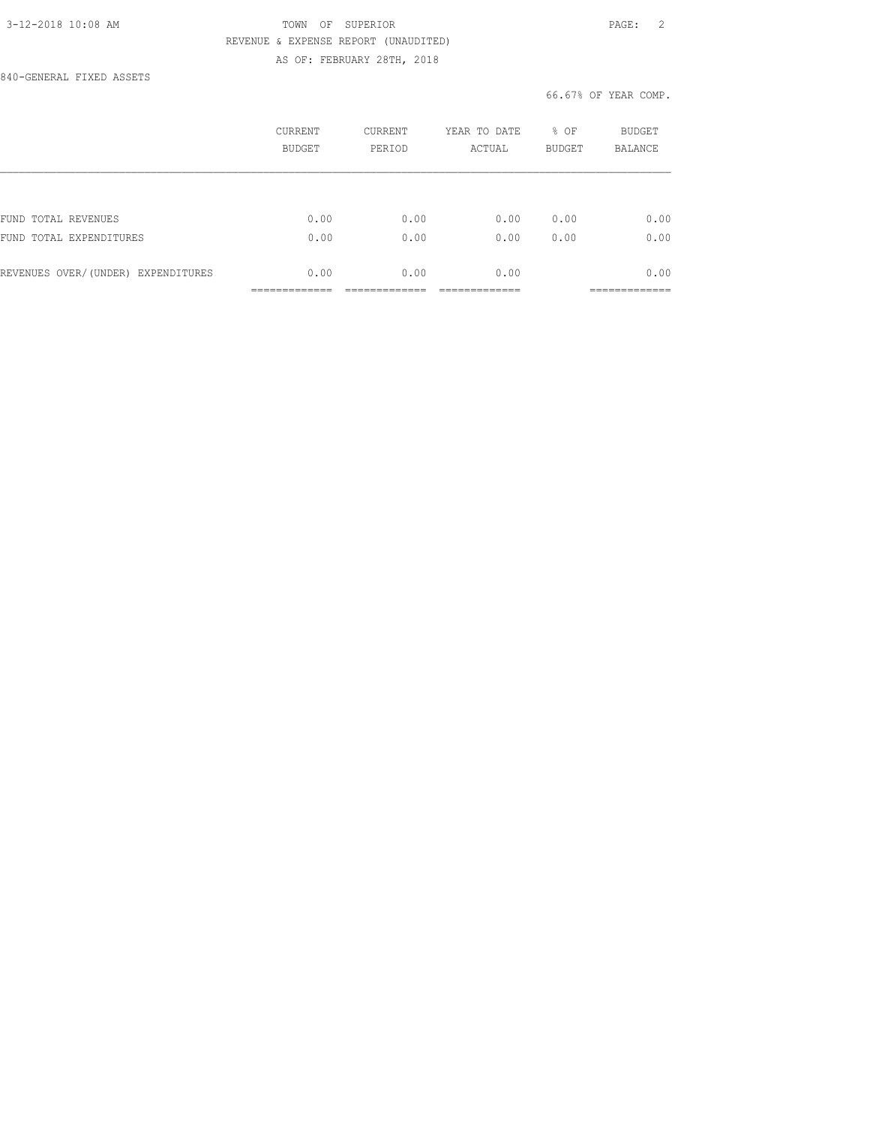### 3-12-2018 10:08 AM TOWN OF SUPERIOR PAGE: 2 REVENUE & EXPENSE REPORT (UNAUDITED) AS OF: FEBRUARY 28TH, 2018

840-GENERAL FIXED ASSETS

|                                    | CURRENT<br><b>BUDGET</b> | <b>CURRENT</b><br>PERIOD | YEAR TO DATE<br>ACTUAL | % OF<br><b>BUDGET</b> | <b>BUDGET</b><br><b>BALANCE</b> |
|------------------------------------|--------------------------|--------------------------|------------------------|-----------------------|---------------------------------|
|                                    |                          |                          |                        |                       |                                 |
| FUND TOTAL REVENUES                | 0.00                     | 0.00                     | 0.00                   | 0.00                  | 0.00                            |
| FUND TOTAL EXPENDITURES            | 0.00                     | 0.00                     | 0.00                   | 0.00                  | 0.00                            |
| REVENUES OVER/(UNDER) EXPENDITURES | 0.00                     | 0.00                     | 0.00                   |                       | 0.00                            |
|                                    |                          |                          |                        |                       |                                 |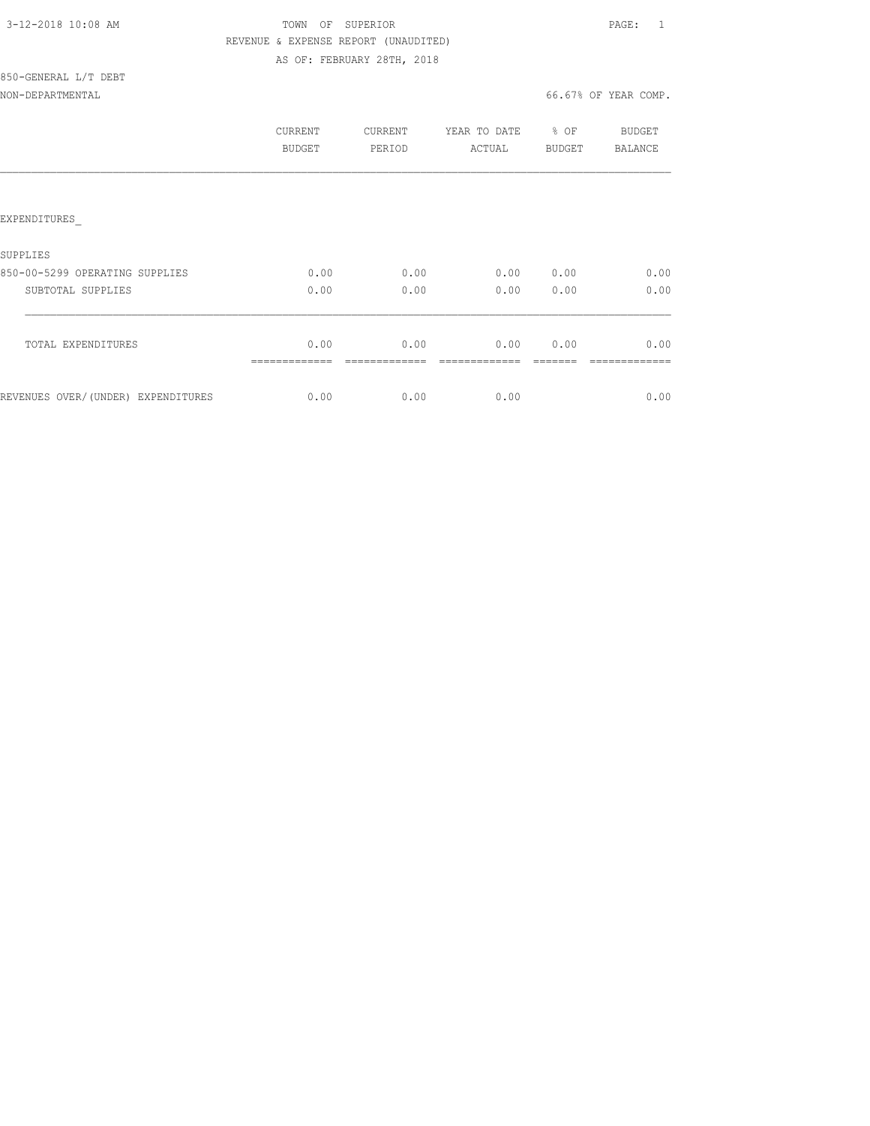| 3-12-2018 10:08 AM |  |
|--------------------|--|
|                    |  |

## TOWN OF SUPERIOR **Example 20:08 PAGE:** 1 REVENUE & EXPENSE REPORT (UNAUDITED) AS OF: FEBRUARY 28TH, 2018

850-GENERAL L/T DEBT NON-DEPARTMENTAL 66.67% OF YEAR COMP.

|                                    | CURRENT<br>BUDGET | CURRENT<br>PERIOD | YEAR TO DATE<br>ACTUAL | % OF<br>BUDGET | BUDGET<br>BALANCE |
|------------------------------------|-------------------|-------------------|------------------------|----------------|-------------------|
| EXPENDITURES                       |                   |                   |                        |                |                   |
| SUPPLIES                           |                   |                   |                        |                |                   |
| 850-00-5299 OPERATING SUPPLIES     | 0.00              | 0.00              | 0.00                   | 0.00           | 0.00              |
| SUBTOTAL SUPPLIES                  | 0.00              | 0.00              | 0.00                   | 0.00           | 0.00              |
| TOTAL EXPENDITURES                 | 0.00              | 0.00              | 0.00                   | 0.00           | 0.00              |
| REVENUES OVER/(UNDER) EXPENDITURES | 0.00              | 0.00              | 0.00                   |                | 0.00              |